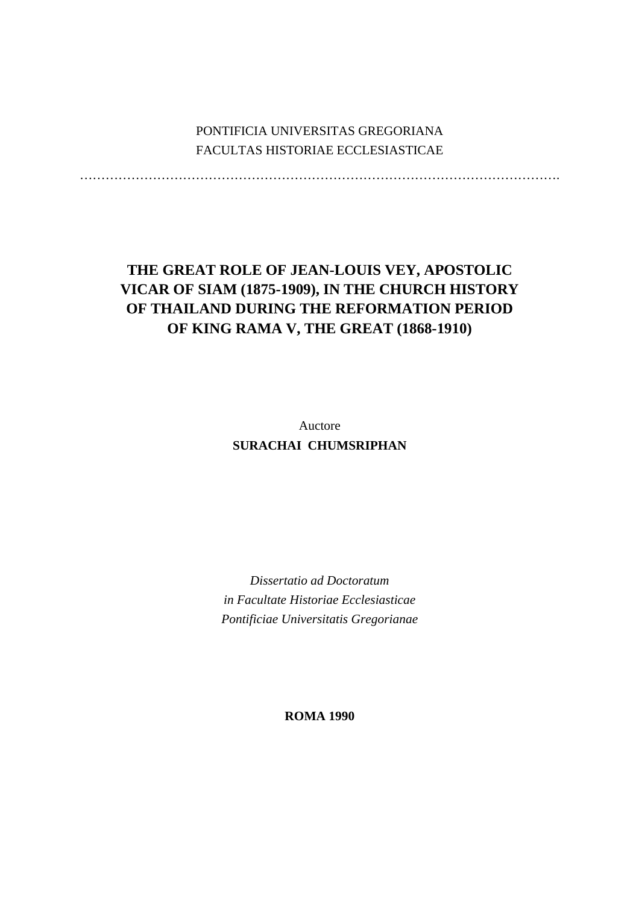# PONTIFICIA UNIVERSITAS GREGORIANA FACULTAS HISTORIAE ECCLESIASTICAE

………………………………………………………………………………………………….

# **THE GREAT ROLE OF JEAN-LOUIS VEY, APOSTOLIC VICAR OF SIAM (1875-1909), IN THE CHURCH HISTORY OF THAILAND DURING THE REFORMATION PERIOD OF KING RAMA V, THE GREAT (1868-1910)**

Auctore **SURACHAI CHUMSRIPHAN** 

*Dissertatio ad Doctoratum in Facultate Historiae Ecclesiasticae Pontificiae Universitatis Gregorianae* 

**ROMA 1990**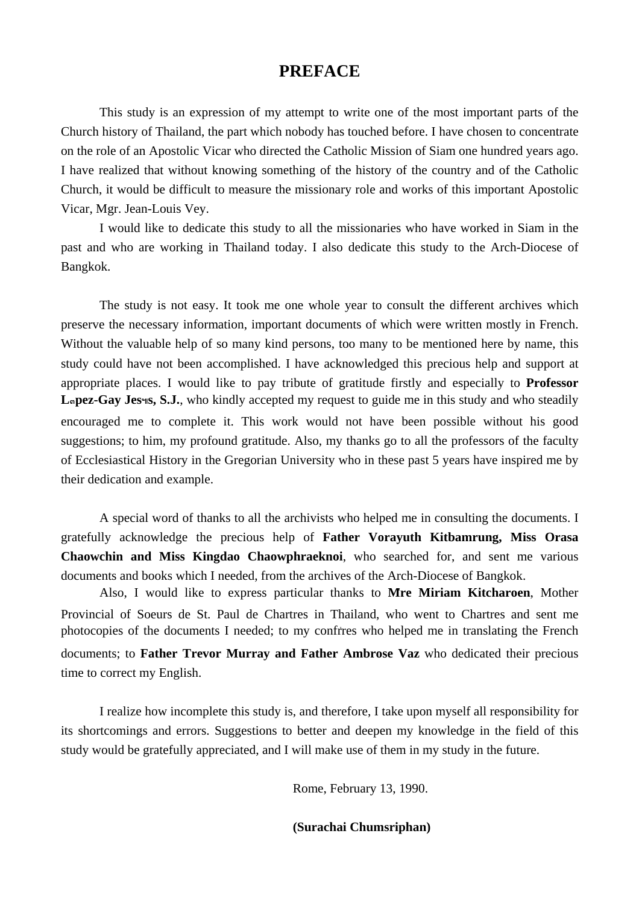# **PREFACE**

 This study is an expression of my attempt to write one of the most important parts of the Church history of Thailand, the part which nobody has touched before. I have chosen to concentrate on the role of an Apostolic Vicar who directed the Catholic Mission of Siam one hundred years ago. I have realized that without knowing something of the history of the country and of the Catholic Church, it would be difficult to measure the missionary role and works of this important Apostolic Vicar, Mgr. Jean-Louis Vey.

 I would like to dedicate this study to all the missionaries who have worked in Siam in the past and who are working in Thailand today. I also dedicate this study to the Arch-Diocese of Bangkok.

 The study is not easy. It took me one whole year to consult the different archives which preserve the necessary information, important documents of which were written mostly in French. Without the valuable help of so many kind persons, too many to be mentioned here by name, this study could have not been accomplished. I have acknowledged this precious help and support at appropriate places. I would like to pay tribute of gratitude firstly and especially to **Professor**  L**apez-Gay Jes<sup>4</sup>s, S.J.**, who kindly accepted my request to guide me in this study and who steadily encouraged me to complete it. This work would not have been possible without his good suggestions; to him, my profound gratitude. Also, my thanks go to all the professors of the faculty of Ecclesiastical History in the Gregorian University who in these past 5 years have inspired me by their dedication and example.

 A special word of thanks to all the archivists who helped me in consulting the documents. I gratefully acknowledge the precious help of **Father Vorayuth Kitbamrung, Miss Orasa Chaowchin and Miss Kingdao Chaowphraeknoi**, who searched for, and sent me various documents and books which I needed, from the archives of the Arch-Diocese of Bangkok.

 Also, I would like to express particular thanks to **Mre Miriam Kitcharoen**, Mother Provincial of Soeurs de St. Paul de Chartres in Thailand, who went to Chartres and sent me photocopies of the documents I needed; to my confrres who helped me in translating the French documents; to **Father Trevor Murray and Father Ambrose Vaz** who dedicated their precious time to correct my English.

 I realize how incomplete this study is, and therefore, I take upon myself all responsibility for its shortcomings and errors. Suggestions to better and deepen my knowledge in the field of this study would be gratefully appreciated, and I will make use of them in my study in the future.

Rome, February 13, 1990.

 **(Surachai Chumsriphan)**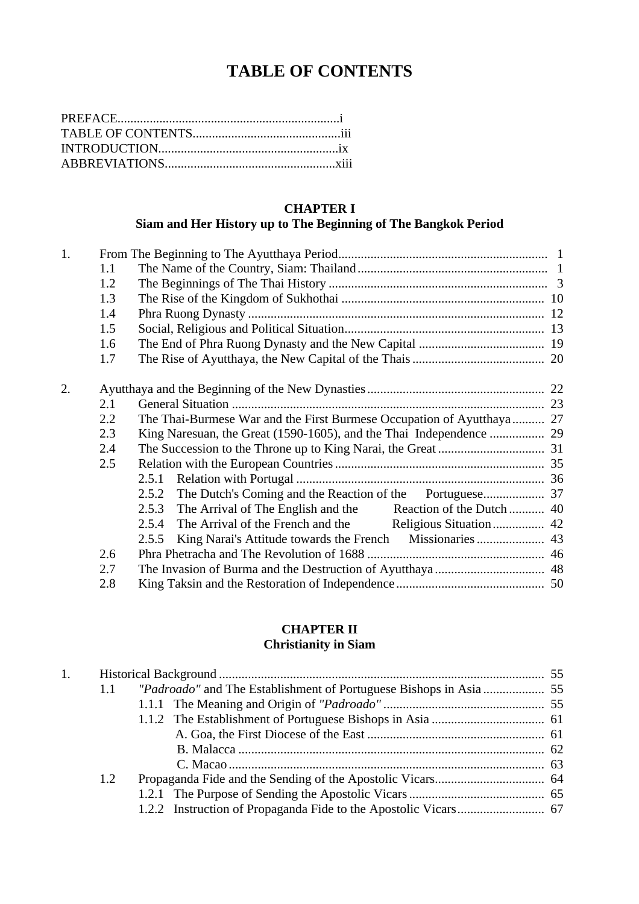# **TABLE OF CONTENTS**

# **CHAPTER I**

# **Siam and Her History up to The Beginning of The Bangkok Period**

| 1. |     |                                                                       |  |  |  |
|----|-----|-----------------------------------------------------------------------|--|--|--|
|    | 1.1 |                                                                       |  |  |  |
|    | 1.2 |                                                                       |  |  |  |
|    | 1.3 |                                                                       |  |  |  |
|    | 1.4 |                                                                       |  |  |  |
|    | 1.5 |                                                                       |  |  |  |
|    | 1.6 |                                                                       |  |  |  |
|    | 1.7 |                                                                       |  |  |  |
| 2. |     |                                                                       |  |  |  |
|    | 2.1 |                                                                       |  |  |  |
|    | 2.2 | The Thai-Burmese War and the First Burmese Occupation of Ayutthaya 27 |  |  |  |
|    | 2.3 |                                                                       |  |  |  |
|    | 2.4 |                                                                       |  |  |  |
|    | 2.5 |                                                                       |  |  |  |
|    |     | 2.5.1                                                                 |  |  |  |
|    |     | 2.5.2                                                                 |  |  |  |
|    |     |                                                                       |  |  |  |
|    |     | 2.5.4                                                                 |  |  |  |
|    |     | 2.5.5                                                                 |  |  |  |
|    | 2.6 |                                                                       |  |  |  |
|    | 2.7 |                                                                       |  |  |  |
|    | 2.8 |                                                                       |  |  |  |

# **CHAPTER II Christianity in Siam**

| 1. |     |  |
|----|-----|--|
|    | 1.1 |  |
|    |     |  |
|    |     |  |
|    |     |  |
|    |     |  |
|    |     |  |
|    | 1.2 |  |
|    |     |  |
|    |     |  |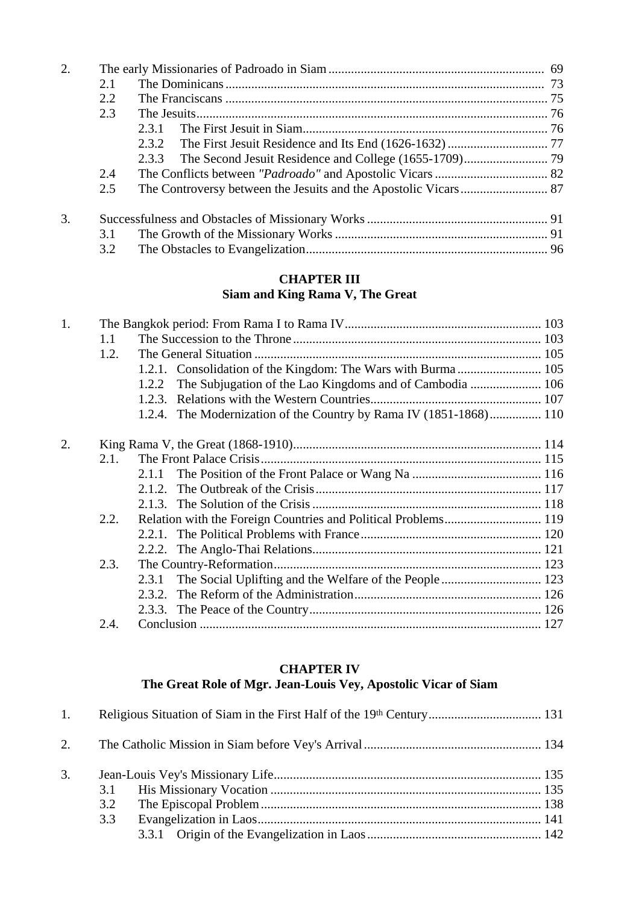| 2. |     |       |  |
|----|-----|-------|--|
|    | 2.1 |       |  |
|    | 2.2 |       |  |
|    | 2.3 |       |  |
|    |     | 2.3.1 |  |
|    |     |       |  |
|    |     |       |  |
|    | 2.4 |       |  |
|    | 2.5 |       |  |
| 3. |     |       |  |
|    | 3.1 |       |  |
|    | 3.2 |       |  |

### **CHAPTER III Siam and King Rama V, The Great**

| 1. |      |                                                                    |  |
|----|------|--------------------------------------------------------------------|--|
|    | 1.1  |                                                                    |  |
|    | 1.2. |                                                                    |  |
|    |      |                                                                    |  |
|    |      | 1.2.2                                                              |  |
|    |      |                                                                    |  |
|    |      | 1.2.4. The Modernization of the Country by Rama IV (1851-1868) 110 |  |
| 2. |      |                                                                    |  |
|    | 2.1. |                                                                    |  |
|    |      |                                                                    |  |
|    |      |                                                                    |  |
|    |      |                                                                    |  |
|    | 2.2. |                                                                    |  |
|    |      |                                                                    |  |
|    |      |                                                                    |  |
|    | 2.3. |                                                                    |  |
|    |      |                                                                    |  |
|    |      |                                                                    |  |
|    |      |                                                                    |  |
|    | 2.4. |                                                                    |  |

### **CHAPTER IV**

# **The Great Role of Mgr. Jean-Louis Vey, Apostolic Vicar of Siam**

| 1. |     |  |
|----|-----|--|
|    |     |  |
| 3. |     |  |
|    |     |  |
|    | 3.2 |  |
|    | 3.3 |  |
|    |     |  |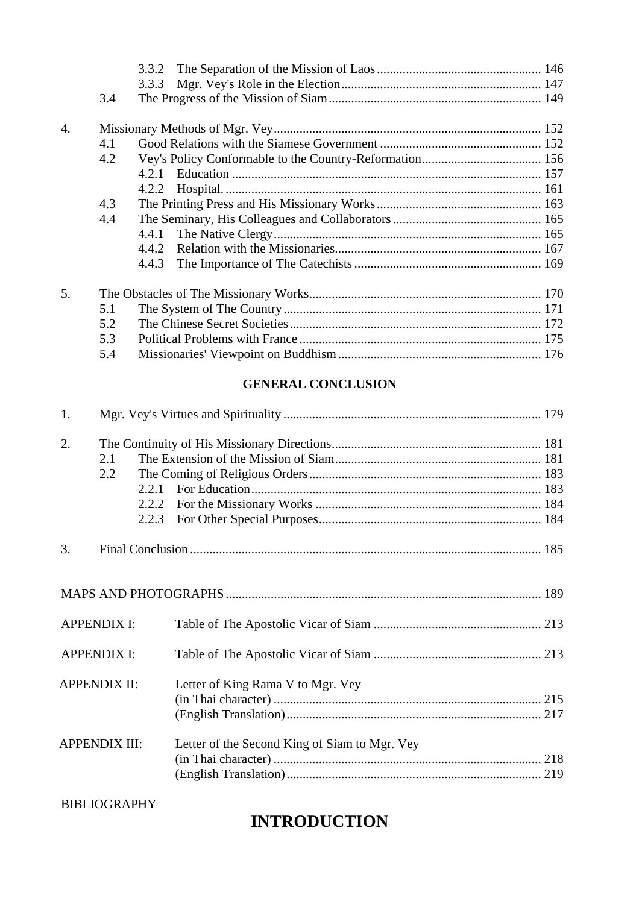|                  |     | 3.3.2 |  |
|------------------|-----|-------|--|
|                  |     | 3.3.3 |  |
|                  | 3.4 |       |  |
| $\overline{4}$ . |     |       |  |
|                  | 4.1 |       |  |
|                  | 4.2 |       |  |
|                  |     | 4.2.1 |  |
|                  |     | 4.2.2 |  |
|                  | 4.3 |       |  |
|                  | 4.4 |       |  |
|                  |     | 4.4.1 |  |
|                  |     |       |  |
|                  |     | 4.4.3 |  |
| 5.               |     |       |  |
|                  | 5.1 |       |  |
|                  | 5.2 |       |  |
|                  | 5.3 |       |  |
|                  | 5.4 |       |  |

# **GENERAL CONCLUSION**

| 1. |                      |                |                                               |  |
|----|----------------------|----------------|-----------------------------------------------|--|
| 2. | 2.1<br>2.2           | 2.2.2<br>2.2.3 |                                               |  |
| 3. |                      |                |                                               |  |
|    |                      |                |                                               |  |
|    | <b>APPENDIX I:</b>   |                |                                               |  |
|    | <b>APPENDIX I:</b>   |                |                                               |  |
|    | <b>APPENDIX II:</b>  |                | Letter of King Rama V to Mgr. Vey             |  |
|    | <b>APPENDIX III:</b> |                | Letter of the Second King of Siam to Mgr. Vey |  |

BIBLIOGRAPHY

# **INTRODUCTION**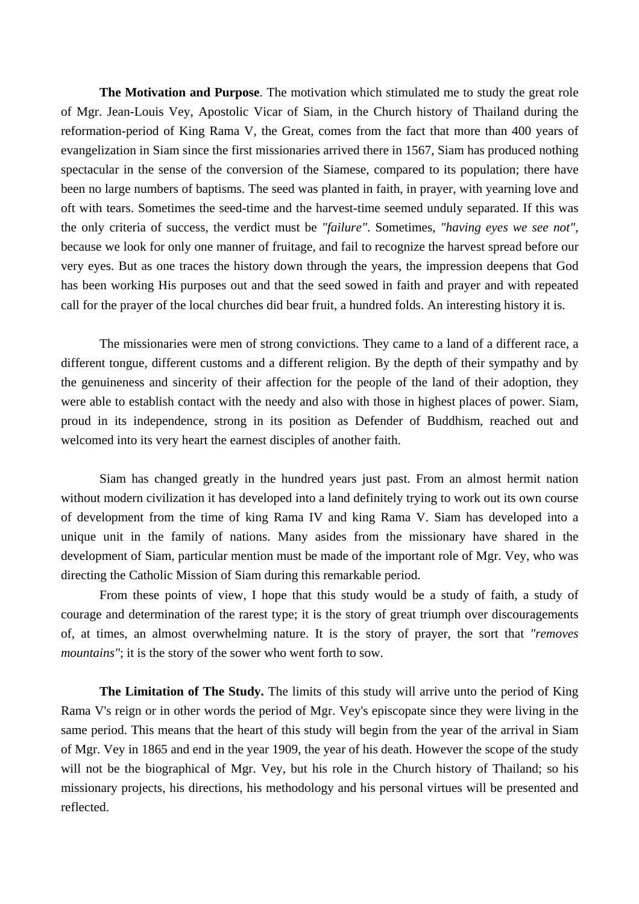**The Motivation and Purpose**. The motivation which stimulated me to study the great role of Mgr. Jean-Louis Vey, Apostolic Vicar of Siam, in the Church history of Thailand during the reformation-period of King Rama V, the Great, comes from the fact that more than 400 years of evangelization in Siam since the first missionaries arrived there in 1567, Siam has produced nothing spectacular in the sense of the conversion of the Siamese, compared to its population; there have been no large numbers of baptisms. The seed was planted in faith, in prayer, with yearning love and oft with tears. Sometimes the seed-time and the harvest-time seemed unduly separated. If this was the only criteria of success, the verdict must be *"failure"*. Sometimes, *"having eyes we see not"*, because we look for only one manner of fruitage, and fail to recognize the harvest spread before our very eyes. But as one traces the history down through the years, the impression deepens that God has been working His purposes out and that the seed sowed in faith and prayer and with repeated call for the prayer of the local churches did bear fruit, a hundred folds. An interesting history it is.

 The missionaries were men of strong convictions. They came to a land of a different race, a different tongue, different customs and a different religion. By the depth of their sympathy and by the genuineness and sincerity of their affection for the people of the land of their adoption, they were able to establish contact with the needy and also with those in highest places of power. Siam, proud in its independence, strong in its position as Defender of Buddhism, reached out and welcomed into its very heart the earnest disciples of another faith.

 Siam has changed greatly in the hundred years just past. From an almost hermit nation without modern civilization it has developed into a land definitely trying to work out its own course of development from the time of king Rama IV and king Rama V. Siam has developed into a unique unit in the family of nations. Many asides from the missionary have shared in the development of Siam, particular mention must be made of the important role of Mgr. Vey, who was directing the Catholic Mission of Siam during this remarkable period.

 From these points of view, I hope that this study would be a study of faith, a study of courage and determination of the rarest type; it is the story of great triumph over discouragements of, at times, an almost overwhelming nature. It is the story of prayer, the sort that *"removes mountains"*; it is the story of the sower who went forth to sow.

**The Limitation of The Study.** The limits of this study will arrive unto the period of King Rama V's reign or in other words the period of Mgr. Vey's episcopate since they were living in the same period. This means that the heart of this study will begin from the year of the arrival in Siam of Mgr. Vey in 1865 and end in the year 1909, the year of his death. However the scope of the study will not be the biographical of Mgr. Vey, but his role in the Church history of Thailand; so his missionary projects, his directions, his methodology and his personal virtues will be presented and reflected.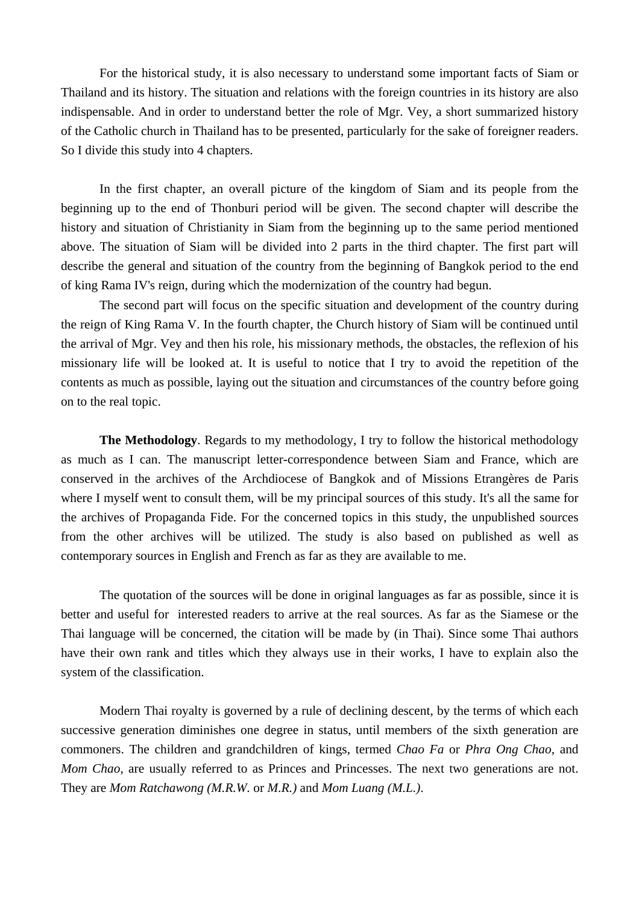For the historical study, it is also necessary to understand some important facts of Siam or Thailand and its history. The situation and relations with the foreign countries in its history are also indispensable. And in order to understand better the role of Mgr. Vey, a short summarized history of the Catholic church in Thailand has to be presented, particularly for the sake of foreigner readers. So I divide this study into 4 chapters.

 In the first chapter, an overall picture of the kingdom of Siam and its people from the beginning up to the end of Thonburi period will be given. The second chapter will describe the history and situation of Christianity in Siam from the beginning up to the same period mentioned above. The situation of Siam will be divided into 2 parts in the third chapter. The first part will describe the general and situation of the country from the beginning of Bangkok period to the end of king Rama IV's reign, during which the modernization of the country had begun.

 The second part will focus on the specific situation and development of the country during the reign of King Rama V. In the fourth chapter, the Church history of Siam will be continued until the arrival of Mgr. Vey and then his role, his missionary methods, the obstacles, the reflexion of his missionary life will be looked at. It is useful to notice that I try to avoid the repetition of the contents as much as possible, laying out the situation and circumstances of the country before going on to the real topic.

**The Methodology**. Regards to my methodology, I try to follow the historical methodology as much as I can. The manuscript letter-correspondence between Siam and France, which are conserved in the archives of the Archdiocese of Bangkok and of Missions Etrangères de Paris where I myself went to consult them, will be my principal sources of this study. It's all the same for the archives of Propaganda Fide. For the concerned topics in this study, the unpublished sources from the other archives will be utilized. The study is also based on published as well as contemporary sources in English and French as far as they are available to me.

 The quotation of the sources will be done in original languages as far as possible, since it is better and useful for interested readers to arrive at the real sources. As far as the Siamese or the Thai language will be concerned, the citation will be made by (in Thai). Since some Thai authors have their own rank and titles which they always use in their works, I have to explain also the system of the classification.

 Modern Thai royalty is governed by a rule of declining descent, by the terms of which each successive generation diminishes one degree in status, until members of the sixth generation are commoners. The children and grandchildren of kings, termed *Chao Fa* or *Phra Ong Chao*, and *Mom Chao*, are usually referred to as Princes and Princesses. The next two generations are not. They are *Mom Ratchawong (M.R.W.* or *M.R.)* and *Mom Luang (M.L.)*.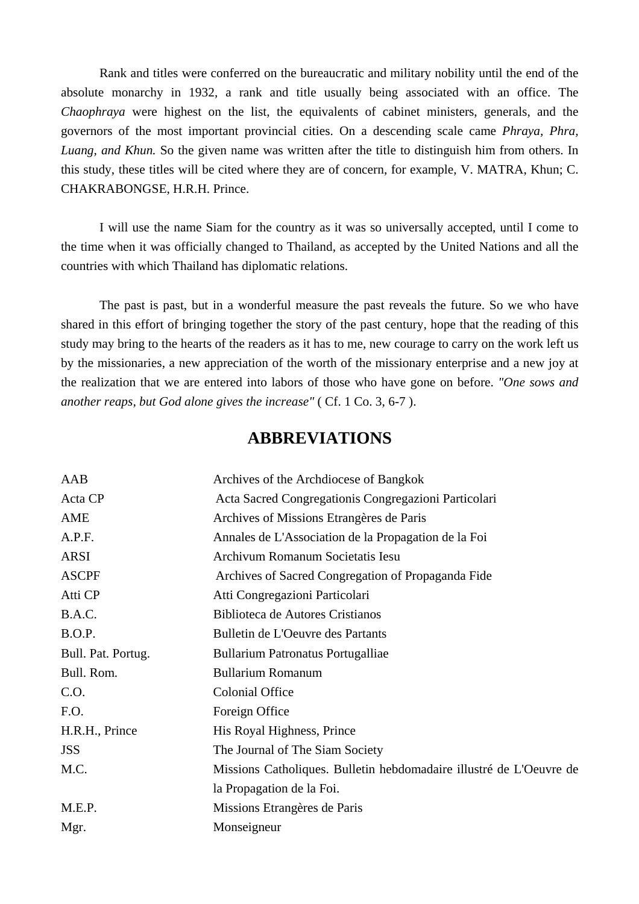Rank and titles were conferred on the bureaucratic and military nobility until the end of the absolute monarchy in 1932, a rank and title usually being associated with an office. The *Chaophraya* were highest on the list, the equivalents of cabinet ministers, generals, and the governors of the most important provincial cities. On a descending scale came *Phraya, Phra, Luang, and Khun.* So the given name was written after the title to distinguish him from others. In this study, these titles will be cited where they are of concern, for example, V. MATRA, Khun; C. CHAKRABONGSE, H.R.H. Prince.

 I will use the name Siam for the country as it was so universally accepted, until I come to the time when it was officially changed to Thailand, as accepted by the United Nations and all the countries with which Thailand has diplomatic relations.

 The past is past, but in a wonderful measure the past reveals the future. So we who have shared in this effort of bringing together the story of the past century, hope that the reading of this study may bring to the hearts of the readers as it has to me, new courage to carry on the work left us by the missionaries, a new appreciation of the worth of the missionary enterprise and a new joy at the realization that we are entered into labors of those who have gone on before. *"One sows and another reaps, but God alone gives the increase"* ( Cf. 1 Co. 3, 6-7 ).

# **ABBREVIATIONS**

| AAB                | Archives of the Archdiocese of Bangkok                              |
|--------------------|---------------------------------------------------------------------|
| Acta CP            | Acta Sacred Congregationis Congregazioni Particolari                |
| AME                | Archives of Missions Etrangères de Paris                            |
| A.P.F.             | Annales de L'Association de la Propagation de la Foi                |
| <b>ARSI</b>        | Archivum Romanum Societatis Iesu                                    |
| <b>ASCPF</b>       | Archives of Sacred Congregation of Propaganda Fide                  |
| Atti CP            | Atti Congregazioni Particolari                                      |
| B.A.C.             | Biblioteca de Autores Cristianos                                    |
| B.O.P.             | Bulletin de L'Oeuvre des Partants                                   |
| Bull. Pat. Portug. | <b>Bullarium Patronatus Portugalliae</b>                            |
| Bull. Rom.         | <b>Bullarium Romanum</b>                                            |
| C.O.               | <b>Colonial Office</b>                                              |
| F.O.               | Foreign Office                                                      |
| H.R.H., Prince     | His Royal Highness, Prince                                          |
| <b>JSS</b>         | The Journal of The Siam Society                                     |
| M.C.               | Missions Catholiques. Bulletin hebdomadaire illustré de L'Oeuvre de |
|                    | la Propagation de la Foi.                                           |
| M.E.P.             | Missions Etrangères de Paris                                        |
| Mgr.               | Monseigneur                                                         |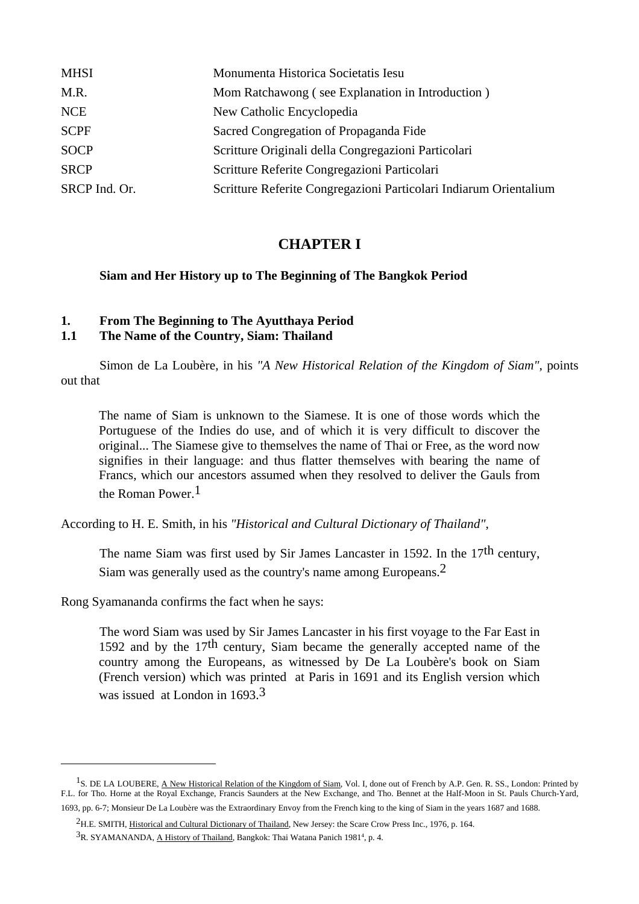| <b>MHSI</b>   | Monumenta Historica Societatis Iesu                               |
|---------------|-------------------------------------------------------------------|
| M.R.          | Mom Ratchawong (see Explanation in Introduction)                  |
| <b>NCE</b>    | New Catholic Encyclopedia                                         |
| <b>SCPF</b>   | Sacred Congregation of Propaganda Fide                            |
| <b>SOCP</b>   | Scritture Originali della Congregazioni Particolari               |
| <b>SRCP</b>   | Scritture Referite Congregazioni Particolari                      |
| SRCP Ind. Or. | Scritture Referite Congregazioni Particolari Indiarum Orientalium |

## **CHAPTER I**

#### **Siam and Her History up to The Beginning of The Bangkok Period**

### **1. From The Beginning to The Ayutthaya Period**

### **1.1 The Name of the Country, Siam: Thailand**

 Simon de La Loubère, in his *"A New Historical Relation of the Kingdom of Siam"*, points out that

 The name of Siam is unknown to the Siamese. It is one of those words which the Portuguese of the Indies do use, and of which it is very difficult to discover the original... The Siamese give to themselves the name of Thai or Free, as the word now signifies in their language: and thus flatter themselves with bearing the name of Francs, which our ancestors assumed when they resolved to deliver the Gauls from the Roman Power.<sup>1</sup>

According to H. E. Smith, in his *"Historical and Cultural Dictionary of Thailand"*,

The name Siam was first used by Sir James Lancaster in 1592. In the 17<sup>th</sup> century, Siam was generally used as the country's name among Europeans.2

Rong Syamananda confirms the fact when he says:

 $\overline{a}$ 

 The word Siam was used by Sir James Lancaster in his first voyage to the Far East in 1592 and by the 17<sup>th</sup> century, Siam became the generally accepted name of the country among the Europeans, as witnessed by De La Loubère's book on Siam (French version) which was printed at Paris in 1691 and its English version which was issued at London in 1693.<sup>3</sup>

 $<sup>1</sup>S$ . DE LA LOUBERE, A New Historical Relation of the Kingdom of Siam, Vol. I, done out of French by A.P. Gen. R. SS., London: Printed by</sup> F.L. for Tho. Horne at the Royal Exchange, Francis Saunders at the New Exchange, and Tho. Bennet at the Half-Moon in St. Pauls Church-Yard, 1693, pp. 6-7; Monsieur De La Loubère was the Extraordinary Envoy from the French king to the king of Siam in the years 1687 and 1688.

<sup>2</sup>H.E. SMITH, Historical and Cultural Dictionary of Thailand, New Jersey: the Scare Crow Press Inc., 1976, p. 164.  ${}^{3}R$ . SYAMANANDA, A History of Thailand, Bangkok: Thai Watana Panich 1981<sup>4</sup>, p. 4.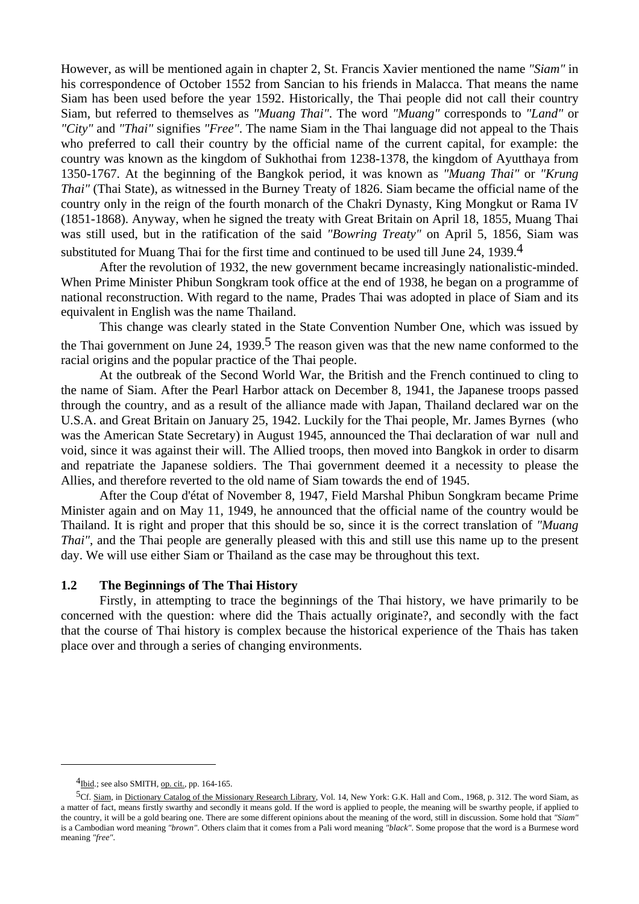However, as will be mentioned again in chapter 2, St. Francis Xavier mentioned the name *"Siam"* in his correspondence of October 1552 from Sancian to his friends in Malacca. That means the name Siam has been used before the year 1592. Historically, the Thai people did not call their country Siam, but referred to themselves as *"Muang Thai"*. The word *"Muang"* corresponds to *"Land"* or *"City"* and *"Thai"* signifies *"Free"*. The name Siam in the Thai language did not appeal to the Thais who preferred to call their country by the official name of the current capital, for example: the country was known as the kingdom of Sukhothai from 1238-1378, the kingdom of Ayutthaya from 1350-1767. At the beginning of the Bangkok period, it was known as *"Muang Thai"* or *"Krung Thai"* (Thai State), as witnessed in the Burney Treaty of 1826. Siam became the official name of the country only in the reign of the fourth monarch of the Chakri Dynasty, King Mongkut or Rama IV (1851-1868). Anyway, when he signed the treaty with Great Britain on April 18, 1855, Muang Thai was still used, but in the ratification of the said *"Bowring Treaty"* on April 5, 1856, Siam was substituted for Muang Thai for the first time and continued to be used till June 24, 1939.4

 After the revolution of 1932, the new government became increasingly nationalistic-minded. When Prime Minister Phibun Songkram took office at the end of 1938, he began on a programme of national reconstruction. With regard to the name, Prades Thai was adopted in place of Siam and its equivalent in English was the name Thailand.

 This change was clearly stated in the State Convention Number One, which was issued by the Thai government on June 24, 1939.<sup>5</sup> The reason given was that the new name conformed to the racial origins and the popular practice of the Thai people.

 At the outbreak of the Second World War, the British and the French continued to cling to the name of Siam. After the Pearl Harbor attack on December 8, 1941, the Japanese troops passed through the country, and as a result of the alliance made with Japan, Thailand declared war on the U.S.A. and Great Britain on January 25, 1942. Luckily for the Thai people, Mr. James Byrnes (who was the American State Secretary) in August 1945, announced the Thai declaration of war null and void, since it was against their will. The Allied troops, then moved into Bangkok in order to disarm and repatriate the Japanese soldiers. The Thai government deemed it a necessity to please the Allies, and therefore reverted to the old name of Siam towards the end of 1945.

 After the Coup d'état of November 8, 1947, Field Marshal Phibun Songkram became Prime Minister again and on May 11, 1949, he announced that the official name of the country would be Thailand. It is right and proper that this should be so, since it is the correct translation of *"Muang Thai"*, and the Thai people are generally pleased with this and still use this name up to the present day. We will use either Siam or Thailand as the case may be throughout this text.

#### **1.2 The Beginnings of The Thai History**

 Firstly, in attempting to trace the beginnings of the Thai history, we have primarily to be concerned with the question: where did the Thais actually originate?, and secondly with the fact that the course of Thai history is complex because the historical experience of the Thais has taken place over and through a series of changing environments.

 $4$ Ibid.; see also SMITH, op. cit., pp. 164-165.

<sup>5</sup>Cf. Siam, in Dictionary Catalog of the Missionary Research Library, Vol. 14, New York: G.K. Hall and Com., 1968, p. 312. The word Siam, as a matter of fact, means firstly swarthy and secondly it means gold. If the word is applied to people, the meaning will be swarthy people, if applied to the country, it will be a gold bearing one. There are some different opinions about the meaning of the word, still in discussion. Some hold that *"Siam"* is a Cambodian word meaning *"brown"*. Others claim that it comes from a Pali word meaning *"black"*. Some propose that the word is a Burmese word meaning *"free"*.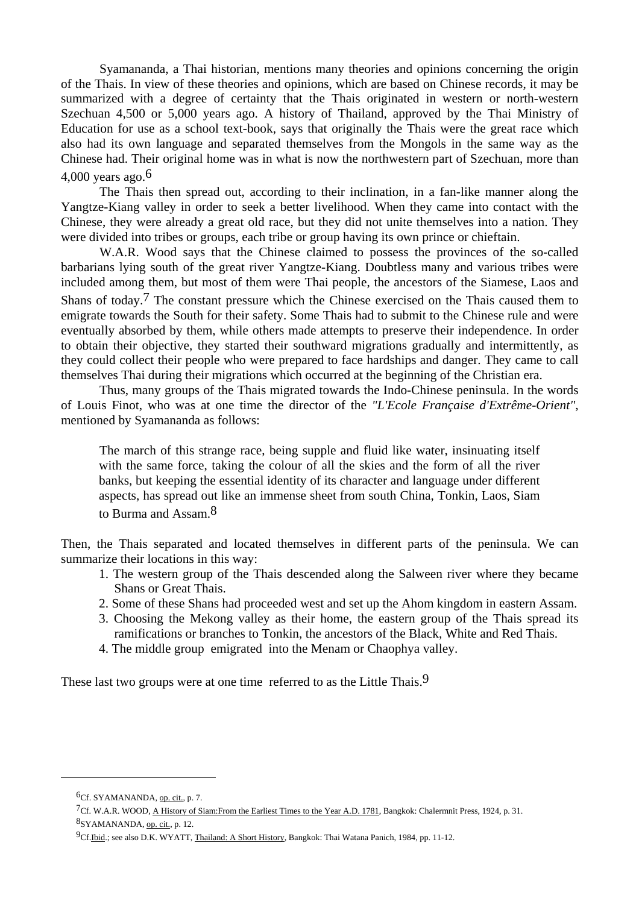Syamananda, a Thai historian, mentions many theories and opinions concerning the origin of the Thais. In view of these theories and opinions, which are based on Chinese records, it may be summarized with a degree of certainty that the Thais originated in western or north-western Szechuan 4,500 or 5,000 years ago. A history of Thailand, approved by the Thai Ministry of Education for use as a school text-book, says that originally the Thais were the great race which also had its own language and separated themselves from the Mongols in the same way as the Chinese had. Their original home was in what is now the northwestern part of Szechuan, more than 4,000 years ago.6

 The Thais then spread out, according to their inclination, in a fan-like manner along the Yangtze-Kiang valley in order to seek a better livelihood. When they came into contact with the Chinese, they were already a great old race, but they did not unite themselves into a nation. They were divided into tribes or groups, each tribe or group having its own prince or chieftain.

 W.A.R. Wood says that the Chinese claimed to possess the provinces of the so-called barbarians lying south of the great river Yangtze-Kiang. Doubtless many and various tribes were included among them, but most of them were Thai people, the ancestors of the Siamese, Laos and Shans of today.<sup>7</sup> The constant pressure which the Chinese exercised on the Thais caused them to emigrate towards the South for their safety. Some Thais had to submit to the Chinese rule and were eventually absorbed by them, while others made attempts to preserve their independence. In order to obtain their objective, they started their southward migrations gradually and intermittently, as they could collect their people who were prepared to face hardships and danger. They came to call themselves Thai during their migrations which occurred at the beginning of the Christian era.

 Thus, many groups of the Thais migrated towards the Indo-Chinese peninsula. In the words of Louis Finot, who was at one time the director of the *"L'Ecole Française d'Extrême-Orient"*, mentioned by Syamananda as follows:

 The march of this strange race, being supple and fluid like water, insinuating itself with the same force, taking the colour of all the skies and the form of all the river banks, but keeping the essential identity of its character and language under different aspects, has spread out like an immense sheet from south China, Tonkin, Laos, Siam to Burma and Assam  $8$ 

Then, the Thais separated and located themselves in different parts of the peninsula. We can summarize their locations in this way:

- 1. The western group of the Thais descended along the Salween river where they became Shans or Great Thais.
- 2. Some of these Shans had proceeded west and set up the Ahom kingdom in eastern Assam.
- 3. Choosing the Mekong valley as their home, the eastern group of the Thais spread its ramifications or branches to Tonkin, the ancestors of the Black, White and Red Thais.
- 4. The middle group emigrated into the Menam or Chaophya valley.

These last two groups were at one time referred to as the Little Thais.<sup>9</sup>

<sup>6</sup>Cf. SYAMANANDA, op. cit., p. 7.

<sup>7</sup>Cf. W.A.R. WOOD, A History of Siam:From the Earliest Times to the Year A.D. 1781, Bangkok: Chalermnit Press, 1924, p. 31. 8SYAMANANDA, op. cit., p. 12.

<sup>9</sup>Cf.Ibid.; see also D.K. WYATT, Thailand: A Short History, Bangkok: Thai Watana Panich, 1984, pp. 11-12.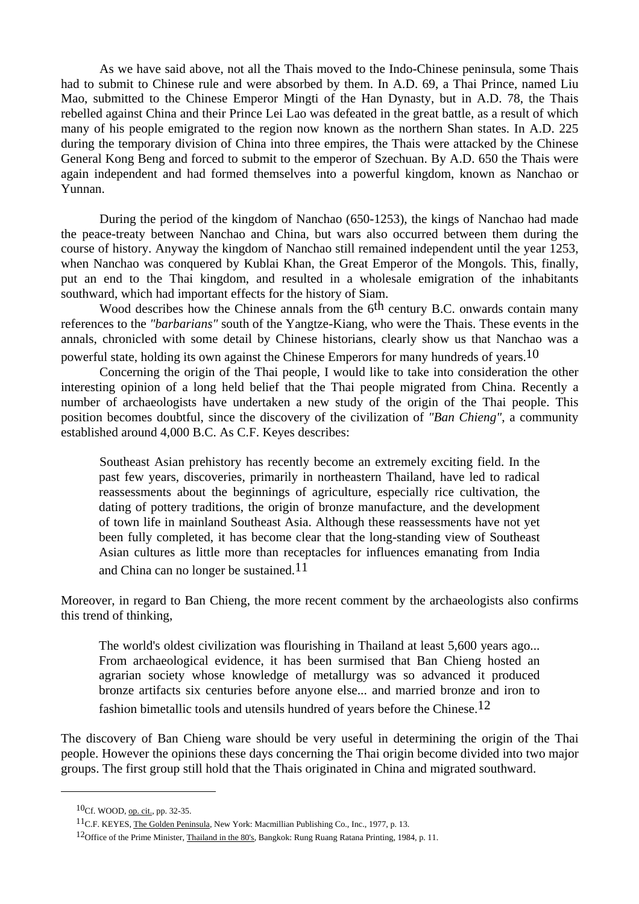As we have said above, not all the Thais moved to the Indo-Chinese peninsula, some Thais had to submit to Chinese rule and were absorbed by them. In A.D. 69, a Thai Prince, named Liu Mao, submitted to the Chinese Emperor Mingti of the Han Dynasty, but in A.D. 78, the Thais rebelled against China and their Prince Lei Lao was defeated in the great battle, as a result of which many of his people emigrated to the region now known as the northern Shan states. In A.D. 225 during the temporary division of China into three empires, the Thais were attacked by the Chinese General Kong Beng and forced to submit to the emperor of Szechuan. By A.D. 650 the Thais were again independent and had formed themselves into a powerful kingdom, known as Nanchao or Yunnan.

 During the period of the kingdom of Nanchao (650-1253), the kings of Nanchao had made the peace-treaty between Nanchao and China, but wars also occurred between them during the course of history. Anyway the kingdom of Nanchao still remained independent until the year 1253, when Nanchao was conquered by Kublai Khan, the Great Emperor of the Mongols. This, finally, put an end to the Thai kingdom, and resulted in a wholesale emigration of the inhabitants southward, which had important effects for the history of Siam.

Wood describes how the Chinese annals from the 6<sup>th</sup> century B.C. onwards contain many references to the *"barbarians"* south of the Yangtze-Kiang, who were the Thais. These events in the annals, chronicled with some detail by Chinese historians, clearly show us that Nanchao was a powerful state, holding its own against the Chinese Emperors for many hundreds of years.<sup>10</sup>

 Concerning the origin of the Thai people, I would like to take into consideration the other interesting opinion of a long held belief that the Thai people migrated from China. Recently a number of archaeologists have undertaken a new study of the origin of the Thai people. This position becomes doubtful, since the discovery of the civilization of *"Ban Chieng"*, a community established around 4,000 B.C. As C.F. Keyes describes:

 Southeast Asian prehistory has recently become an extremely exciting field. In the past few years, discoveries, primarily in northeastern Thailand, have led to radical reassessments about the beginnings of agriculture, especially rice cultivation, the dating of pottery traditions, the origin of bronze manufacture, and the development of town life in mainland Southeast Asia. Although these reassessments have not yet been fully completed, it has become clear that the long-standing view of Southeast Asian cultures as little more than receptacles for influences emanating from India and China can no longer be sustained.<sup>11</sup>

Moreover, in regard to Ban Chieng, the more recent comment by the archaeologists also confirms this trend of thinking,

The world's oldest civilization was flourishing in Thailand at least 5,600 years ago... From archaeological evidence, it has been surmised that Ban Chieng hosted an agrarian society whose knowledge of metallurgy was so advanced it produced bronze artifacts six centuries before anyone else... and married bronze and iron to fashion bimetallic tools and utensils hundred of years before the Chinese.<sup>12</sup>

The discovery of Ban Chieng ware should be very useful in determining the origin of the Thai people. However the opinions these days concerning the Thai origin become divided into two major groups. The first group still hold that the Thais originated in China and migrated southward.

<sup>10</sup>Cf. WOOD, op. cit., pp. 32-35.

<sup>11</sup>C.F. KEYES, The Golden Peninsula, New York: Macmillian Publishing Co., Inc., 1977, p. 13.

<sup>12</sup>Office of the Prime Minister, Thailand in the 80's, Bangkok: Rung Ruang Ratana Printing, 1984, p. 11.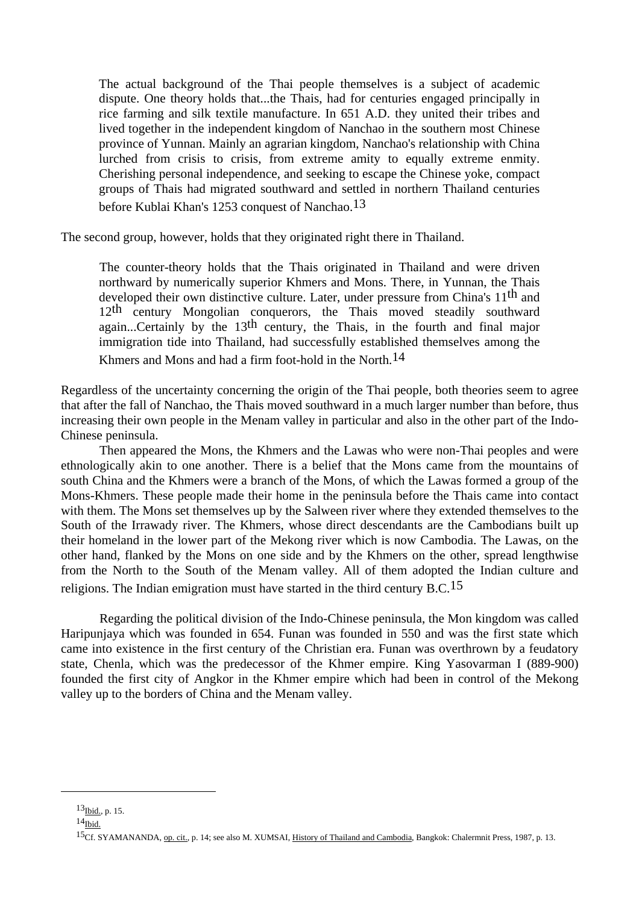The actual background of the Thai people themselves is a subject of academic dispute. One theory holds that...the Thais, had for centuries engaged principally in rice farming and silk textile manufacture. In 651 A.D. they united their tribes and lived together in the independent kingdom of Nanchao in the southern most Chinese province of Yunnan. Mainly an agrarian kingdom, Nanchao's relationship with China lurched from crisis to crisis, from extreme amity to equally extreme enmity. Cherishing personal independence, and seeking to escape the Chinese yoke, compact groups of Thais had migrated southward and settled in northern Thailand centuries before Kublai Khan's 1253 conquest of Nanchao.13

The second group, however, holds that they originated right there in Thailand.

 The counter-theory holds that the Thais originated in Thailand and were driven northward by numerically superior Khmers and Mons. There, in Yunnan, the Thais developed their own distinctive culture. Later, under pressure from China's 11th and 12th century Mongolian conquerors, the Thais moved steadily southward again...Certainly by the  $13<sup>th</sup>$  century, the Thais, in the fourth and final major immigration tide into Thailand, had successfully established themselves among the Khmers and Mons and had a firm foot-hold in the North.14

Regardless of the uncertainty concerning the origin of the Thai people, both theories seem to agree that after the fall of Nanchao, the Thais moved southward in a much larger number than before, thus increasing their own people in the Menam valley in particular and also in the other part of the Indo-Chinese peninsula.

 Then appeared the Mons, the Khmers and the Lawas who were non-Thai peoples and were ethnologically akin to one another. There is a belief that the Mons came from the mountains of south China and the Khmers were a branch of the Mons, of which the Lawas formed a group of the Mons-Khmers. These people made their home in the peninsula before the Thais came into contact with them. The Mons set themselves up by the Salween river where they extended themselves to the South of the Irrawady river. The Khmers, whose direct descendants are the Cambodians built up their homeland in the lower part of the Mekong river which is now Cambodia. The Lawas, on the other hand, flanked by the Mons on one side and by the Khmers on the other, spread lengthwise from the North to the South of the Menam valley. All of them adopted the Indian culture and religions. The Indian emigration must have started in the third century  $B.C.<sup>15</sup>$ 

 Regarding the political division of the Indo-Chinese peninsula, the Mon kingdom was called Haripunjaya which was founded in 654. Funan was founded in 550 and was the first state which came into existence in the first century of the Christian era. Funan was overthrown by a feudatory state, Chenla, which was the predecessor of the Khmer empire. King Yasovarman I (889-900) founded the first city of Angkor in the Khmer empire which had been in control of the Mekong valley up to the borders of China and the Menam valley.

 $13$ Ibid., p. 15.

 $14$ Ibid.

<sup>&</sup>lt;sup>15</sup>Cf. SYAMANANDA, op. cit., p. 14; see also M. XUMSAI, *History of Thailand and Cambodia*, Bangkok: Chalermnit Press, 1987, p. 13.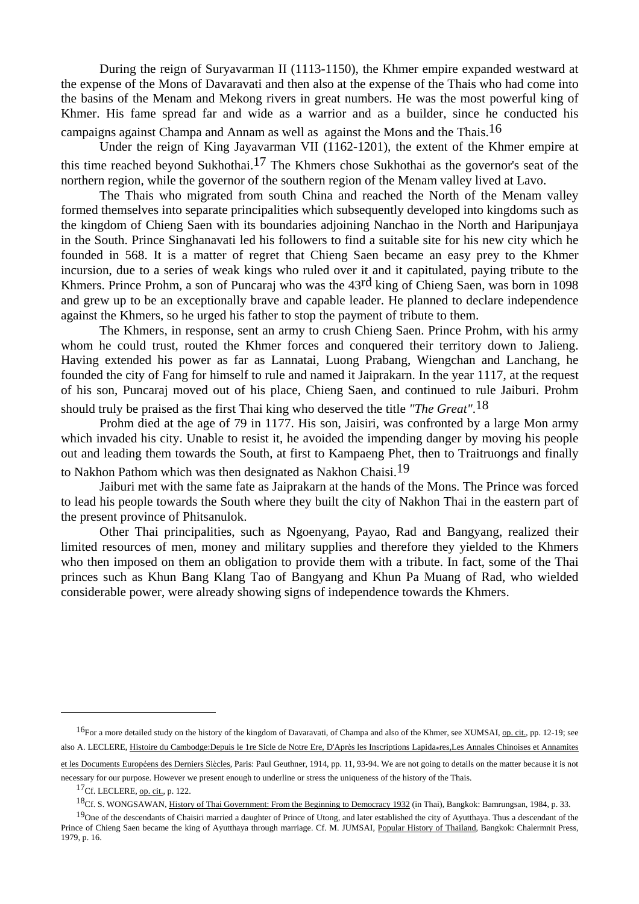During the reign of Suryavarman II (1113-1150), the Khmer empire expanded westward at the expense of the Mons of Davaravati and then also at the expense of the Thais who had come into the basins of the Menam and Mekong rivers in great numbers. He was the most powerful king of Khmer. His fame spread far and wide as a warrior and as a builder, since he conducted his campaigns against Champa and Annam as well as against the Mons and the Thais.16

 Under the reign of King Jayavarman VII (1162-1201), the extent of the Khmer empire at this time reached beyond Sukhothai.17 The Khmers chose Sukhothai as the governor's seat of the northern region, while the governor of the southern region of the Menam valley lived at Lavo.

 The Thais who migrated from south China and reached the North of the Menam valley formed themselves into separate principalities which subsequently developed into kingdoms such as the kingdom of Chieng Saen with its boundaries adjoining Nanchao in the North and Haripunjaya in the South. Prince Singhanavati led his followers to find a suitable site for his new city which he founded in 568. It is a matter of regret that Chieng Saen became an easy prey to the Khmer incursion, due to a series of weak kings who ruled over it and it capitulated, paying tribute to the Khmers. Prince Prohm, a son of Puncaraj who was the 43<sup>rd</sup> king of Chieng Saen, was born in 1098 and grew up to be an exceptionally brave and capable leader. He planned to declare independence against the Khmers, so he urged his father to stop the payment of tribute to them.

 The Khmers, in response, sent an army to crush Chieng Saen. Prince Prohm, with his army whom he could trust, routed the Khmer forces and conquered their territory down to Jalieng. Having extended his power as far as Lannatai, Luong Prabang, Wiengchan and Lanchang, he founded the city of Fang for himself to rule and named it Jaiprakarn. In the year 1117, at the request of his son, Puncaraj moved out of his place, Chieng Saen, and continued to rule Jaiburi. Prohm should truly be praised as the first Thai king who deserved the title *"The Great"*.18

 Prohm died at the age of 79 in 1177. His son, Jaisiri, was confronted by a large Mon army which invaded his city. Unable to resist it, he avoided the impending danger by moving his people out and leading them towards the South, at first to Kampaeng Phet, then to Traitruongs and finally to Nakhon Pathom which was then designated as Nakhon Chaisi.19

 Jaiburi met with the same fate as Jaiprakarn at the hands of the Mons. The Prince was forced to lead his people towards the South where they built the city of Nakhon Thai in the eastern part of the present province of Phitsanulok.

 Other Thai principalities, such as Ngoenyang, Payao, Rad and Bangyang, realized their limited resources of men, money and military supplies and therefore they yielded to the Khmers who then imposed on them an obligation to provide them with a tribute. In fact, some of the Thai princes such as Khun Bang Klang Tao of Bangyang and Khun Pa Muang of Rad, who wielded considerable power, were already showing signs of independence towards the Khmers.

<sup>&</sup>lt;sup>16</sup>For a more detailed study on the history of the kingdom of Davaravati, of Champa and also of the Khmer, see XUMSAI, op. cit., pp. 12-19; see also A. LECLERE, Histoire du Cambodge:Depuis le 1re Sicle de Notre Ere, D'Après les Inscriptions Lapida๏res,Les Annales Chinoises et Annamites

et les Documents Européens des Derniers Siècles, Paris: Paul Geuthner, 1914, pp. 11, 93-94. We are not going to details on the matter because it is not necessary for our purpose. However we present enough to underline or stress the uniqueness of the history of the Thais.

 $17$ Cf. LECLERE, op. cit., p. 122.

<sup>&</sup>lt;sup>18</sup>Cf. S. WONGSAWAN, History of Thai Government: From the Beginning to Democracy 1932 (in Thai), Bangkok: Bamrungsan, 1984, p. 33.

<sup>&</sup>lt;sup>19</sup>One of the descendants of Chaisiri married a daughter of Prince of Utong, and later established the city of Ayutthaya. Thus a descendant of the Prince of Chieng Saen became the king of Ayutthaya through marriage. Cf. M. JUMSAI, Popular History of Thailand, Bangkok: Chalermnit Press, 1979, p. 16.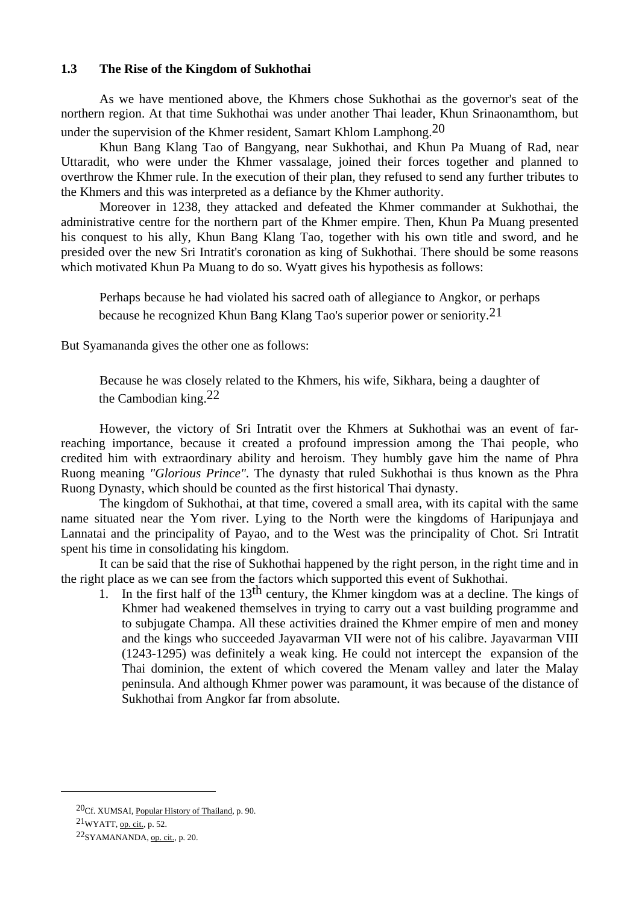#### **1.3 The Rise of the Kingdom of Sukhothai**

 As we have mentioned above, the Khmers chose Sukhothai as the governor's seat of the northern region. At that time Sukhothai was under another Thai leader, Khun Srinaonamthom, but under the supervision of the Khmer resident, Samart Khlom Lamphong.<sup>20</sup>

 Khun Bang Klang Tao of Bangyang, near Sukhothai, and Khun Pa Muang of Rad, near Uttaradit, who were under the Khmer vassalage, joined their forces together and planned to overthrow the Khmer rule. In the execution of their plan, they refused to send any further tributes to the Khmers and this was interpreted as a defiance by the Khmer authority.

 Moreover in 1238, they attacked and defeated the Khmer commander at Sukhothai, the administrative centre for the northern part of the Khmer empire. Then, Khun Pa Muang presented his conquest to his ally, Khun Bang Klang Tao, together with his own title and sword, and he presided over the new Sri Intratit's coronation as king of Sukhothai. There should be some reasons which motivated Khun Pa Muang to do so. Wyatt gives his hypothesis as follows:

 Perhaps because he had violated his sacred oath of allegiance to Angkor, or perhaps because he recognized Khun Bang Klang Tao's superior power or seniority.21

But Syamananda gives the other one as follows:

 Because he was closely related to the Khmers, his wife, Sikhara, being a daughter of the Cambodian king.22

 However, the victory of Sri Intratit over the Khmers at Sukhothai was an event of farreaching importance, because it created a profound impression among the Thai people, who credited him with extraordinary ability and heroism. They humbly gave him the name of Phra Ruong meaning *"Glorious Prince"*. The dynasty that ruled Sukhothai is thus known as the Phra Ruong Dynasty, which should be counted as the first historical Thai dynasty.

 The kingdom of Sukhothai, at that time, covered a small area, with its capital with the same name situated near the Yom river. Lying to the North were the kingdoms of Haripunjaya and Lannatai and the principality of Payao, and to the West was the principality of Chot. Sri Intratit spent his time in consolidating his kingdom.

 It can be said that the rise of Sukhothai happened by the right person, in the right time and in the right place as we can see from the factors which supported this event of Sukhothai.

1. In the first half of the 13<sup>th</sup> century, the Khmer kingdom was at a decline. The kings of Khmer had weakened themselves in trying to carry out a vast building programme and to subjugate Champa. All these activities drained the Khmer empire of men and money and the kings who succeeded Jayavarman VII were not of his calibre. Jayavarman VIII (1243-1295) was definitely a weak king. He could not intercept the expansion of the Thai dominion, the extent of which covered the Menam valley and later the Malay peninsula. And although Khmer power was paramount, it was because of the distance of Sukhothai from Angkor far from absolute.

<sup>20</sup>Cf. XUMSAI, Popular History of Thailand, p. 90.

<sup>21</sup>WYATT, op. cit., p. 52.

<sup>22</sup>SYAMANANDA, op. cit., p. 20.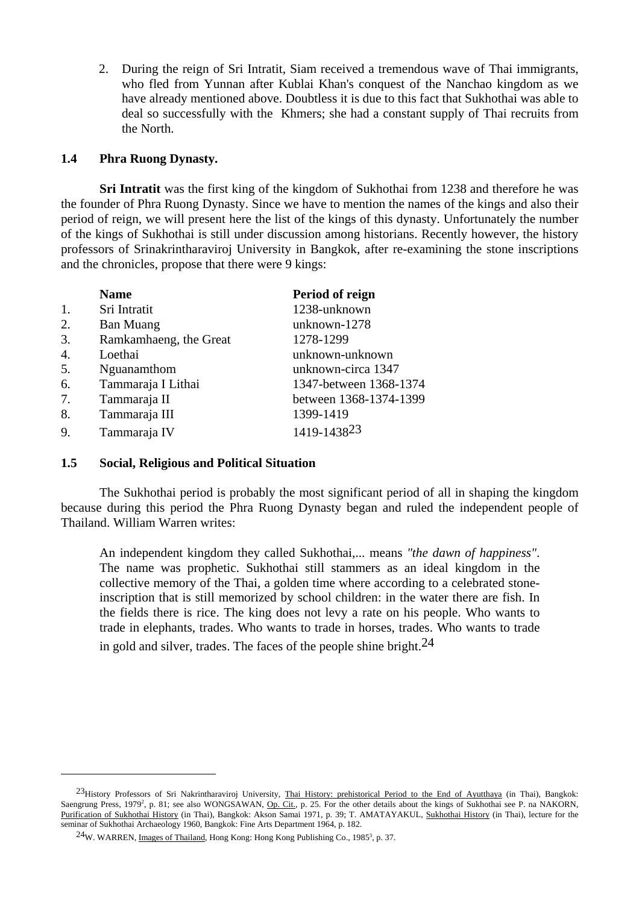2. During the reign of Sri Intratit, Siam received a tremendous wave of Thai immigrants, who fled from Yunnan after Kublai Khan's conquest of the Nanchao kingdom as we have already mentioned above. Doubtless it is due to this fact that Sukhothai was able to deal so successfully with the Khmers; she had a constant supply of Thai recruits from the North.

#### **1.4 Phra Ruong Dynasty.**

 **Sri Intratit** was the first king of the kingdom of Sukhothai from 1238 and therefore he was the founder of Phra Ruong Dynasty. Since we have to mention the names of the kings and also their period of reign, we will present here the list of the kings of this dynasty. Unfortunately the number of the kings of Sukhothai is still under discussion among historians. Recently however, the history professors of Srinakrintharaviroj University in Bangkok, after re-examining the stone inscriptions and the chronicles, propose that there were 9 kings:

|    | <b>Name</b>            | Period of reign        |
|----|------------------------|------------------------|
| 1. | Sri Intratit           | 1238-unknown           |
| 2. | <b>Ban Muang</b>       | unknown-1278           |
| 3. | Ramkamhaeng, the Great | 1278-1299              |
| 4. | Loethai                | unknown-unknown        |
| 5. | Nguanamthom            | unknown-circa 1347     |
| 6. | Tammaraja I Lithai     | 1347-between 1368-1374 |
| 7. | Tammaraja II           | between 1368-1374-1399 |
| 8. | Tammaraja III          | 1399-1419              |
| 9. | Tammaraja IV           | 1419-143823            |

#### **1.5 Social, Religious and Political Situation**

 The Sukhothai period is probably the most significant period of all in shaping the kingdom because during this period the Phra Ruong Dynasty began and ruled the independent people of Thailand. William Warren writes:

 An independent kingdom they called Sukhothai,... means *"the dawn of happiness"*. The name was prophetic. Sukhothai still stammers as an ideal kingdom in the collective memory of the Thai, a golden time where according to a celebrated stoneinscription that is still memorized by school children: in the water there are fish. In the fields there is rice. The king does not levy a rate on his people. Who wants to trade in elephants, trades. Who wants to trade in horses, trades. Who wants to trade in gold and silver, trades. The faces of the people shine bright.  $24$ 

<sup>&</sup>lt;sup>23</sup>History Professors of Sri Nakrintharaviroj University, *Thai History: prehistorical Period to the End of Ayutthaya* (in Thai), Bangkok: Saengrung Press, 1979<sup>2</sup>, p. 81; see also WONGSAWAN, Op. Cit., p. 25. For the other details about the kings of Sukhothai see P. na NAKORN, Purification of Sukhothai History (in Thai), Bangkok: Akson Samai 1971, p. 39; T. AMATAYAKUL, Sukhothai History (in Thai), lecture for the seminar of Sukhothai Archaeology 1960, Bangkok: Fine Arts Department 1964, p. 182.

 $^{24}$ W. WARREN, Images of Thailand, Hong Kong: Hong Kong Publishing Co., 1985<sup>3</sup>, p. 37.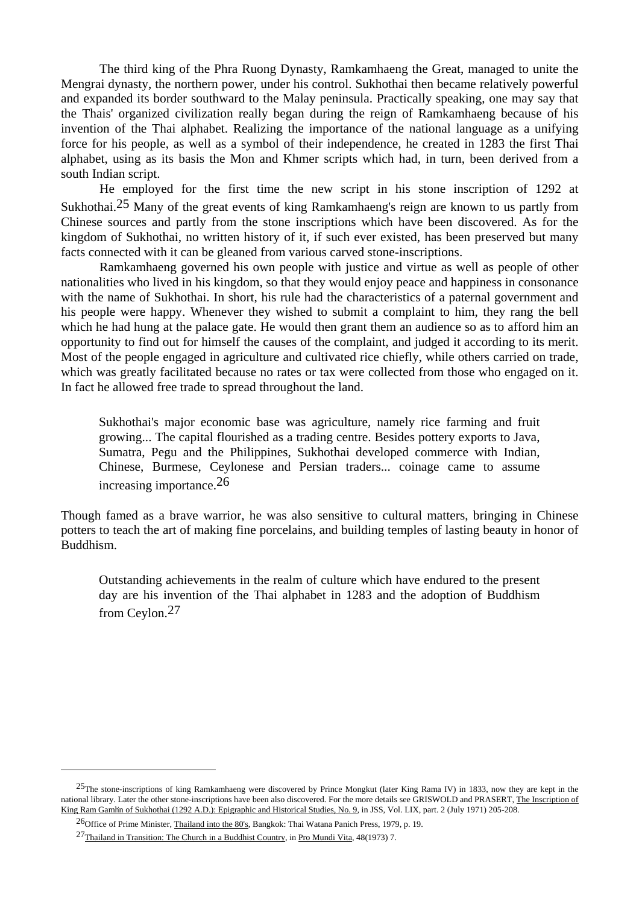The third king of the Phra Ruong Dynasty, Ramkamhaeng the Great, managed to unite the Mengrai dynasty, the northern power, under his control. Sukhothai then became relatively powerful and expanded its border southward to the Malay peninsula. Practically speaking, one may say that the Thais' organized civilization really began during the reign of Ramkamhaeng because of his invention of the Thai alphabet. Realizing the importance of the national language as a unifying force for his people, as well as a symbol of their independence, he created in 1283 the first Thai alphabet, using as its basis the Mon and Khmer scripts which had, in turn, been derived from a south Indian script.

 He employed for the first time the new script in his stone inscription of 1292 at Sukhothai.25 Many of the great events of king Ramkamhaeng's reign are known to us partly from Chinese sources and partly from the stone inscriptions which have been discovered. As for the kingdom of Sukhothai, no written history of it, if such ever existed, has been preserved but many facts connected with it can be gleaned from various carved stone-inscriptions.

 Ramkamhaeng governed his own people with justice and virtue as well as people of other nationalities who lived in his kingdom, so that they would enjoy peace and happiness in consonance with the name of Sukhothai. In short, his rule had the characteristics of a paternal government and his people were happy. Whenever they wished to submit a complaint to him, they rang the bell which he had hung at the palace gate. He would then grant them an audience so as to afford him an opportunity to find out for himself the causes of the complaint, and judged it according to its merit. Most of the people engaged in agriculture and cultivated rice chiefly, while others carried on trade, which was greatly facilitated because no rates or tax were collected from those who engaged on it. In fact he allowed free trade to spread throughout the land.

 Sukhothai's major economic base was agriculture, namely rice farming and fruit growing... The capital flourished as a trading centre. Besides pottery exports to Java, Sumatra, Pegu and the Philippines, Sukhothai developed commerce with Indian, Chinese, Burmese, Ceylonese and Persian traders... coinage came to assume increasing importance.26

Though famed as a brave warrior, he was also sensitive to cultural matters, bringing in Chinese potters to teach the art of making fine porcelains, and building temples of lasting beauty in honor of Buddhism.

 Outstanding achievements in the realm of culture which have endured to the present day are his invention of the Thai alphabet in 1283 and the adoption of Buddhism from Ceylon.27

<sup>&</sup>lt;sup>25</sup>The stone-inscriptions of king Ramkamhaeng were discovered by Prince Mongkut (later King Rama IV) in 1833, now they are kept in the national library. Later the other stone-inscriptions have been also discovered. For the more details see GRISWOLD and PRASERT, The Inscription of King Ram Gamhn of Sukhothai (1292 A.D.): Epigraphic and Historical Studies, No. 9, in JSS, Vol. LIX, part. 2 (July 1971) 205-208.

<sup>26</sup>Office of Prime Minister, Thailand into the 80's, Bangkok: Thai Watana Panich Press, 1979, p. 19.

<sup>27</sup>Thailand in Transition: The Church in a Buddhist Country, in Pro Mundi Vita, 48(1973) 7.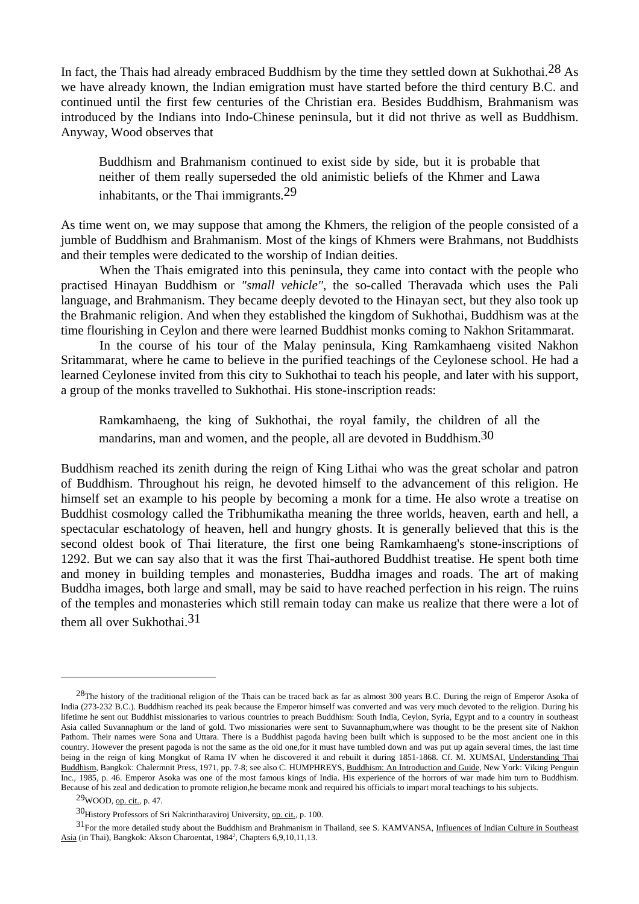In fact, the Thais had already embraced Buddhism by the time they settled down at Sukhothai.<sup>28</sup> As we have already known, the Indian emigration must have started before the third century B.C. and continued until the first few centuries of the Christian era. Besides Buddhism, Brahmanism was introduced by the Indians into Indo-Chinese peninsula, but it did not thrive as well as Buddhism. Anyway, Wood observes that

 Buddhism and Brahmanism continued to exist side by side, but it is probable that neither of them really superseded the old animistic beliefs of the Khmer and Lawa inhabitants, or the Thai immigrants.29

As time went on, we may suppose that among the Khmers, the religion of the people consisted of a jumble of Buddhism and Brahmanism. Most of the kings of Khmers were Brahmans, not Buddhists and their temples were dedicated to the worship of Indian deities.

 When the Thais emigrated into this peninsula, they came into contact with the people who practised Hinayan Buddhism or *"small vehicle"*, the so-called Theravada which uses the Pali language, and Brahmanism. They became deeply devoted to the Hinayan sect, but they also took up the Brahmanic religion. And when they established the kingdom of Sukhothai, Buddhism was at the time flourishing in Ceylon and there were learned Buddhist monks coming to Nakhon Sritammarat.

 In the course of his tour of the Malay peninsula, King Ramkamhaeng visited Nakhon Sritammarat, where he came to believe in the purified teachings of the Ceylonese school. He had a learned Ceylonese invited from this city to Sukhothai to teach his people, and later with his support, a group of the monks travelled to Sukhothai. His stone-inscription reads:

 Ramkamhaeng, the king of Sukhothai, the royal family, the children of all the mandarins, man and women, and the people, all are devoted in Buddhism.30

Buddhism reached its zenith during the reign of King Lithai who was the great scholar and patron of Buddhism. Throughout his reign, he devoted himself to the advancement of this religion. He himself set an example to his people by becoming a monk for a time. He also wrote a treatise on Buddhist cosmology called the Tribhumikatha meaning the three worlds, heaven, earth and hell, a spectacular eschatology of heaven, hell and hungry ghosts. It is generally believed that this is the second oldest book of Thai literature, the first one being Ramkamhaeng's stone-inscriptions of 1292. But we can say also that it was the first Thai-authored Buddhist treatise. He spent both time and money in building temples and monasteries, Buddha images and roads. The art of making Buddha images, both large and small, may be said to have reached perfection in his reign. The ruins of the temples and monasteries which still remain today can make us realize that there were a lot of them all over Sukhothai.<sup>31</sup>

 $^{28}$ The history of the traditional religion of the Thais can be traced back as far as almost 300 years B.C. During the reign of Emperor Asoka of India (273-232 B.C.). Buddhism reached its peak because the Emperor himself was converted and was very much devoted to the religion. During his lifetime he sent out Buddhist missionaries to various countries to preach Buddhism: South India, Ceylon, Syria, Egypt and to a country in southeast Asia called Suvannaphum or the land of gold. Two missionaries were sent to Suvannaphum,where was thought to be the present site of Nakhon Pathom. Their names were Sona and Uttara. There is a Buddhist pagoda having been built which is supposed to be the most ancient one in this country. However the present pagoda is not the same as the old one,for it must have tumbled down and was put up again several times, the last time being in the reign of king Mongkut of Rama IV when he discovered it and rebuilt it during 1851-1868. Cf. M. XUMSAI, Understanding Thai Buddhism, Bangkok: Chalermnit Press, 1971, pp. 7-8; see also C. HUMPHREYS, Buddhism: An Introduction and Guide, New York: Viking Penguin Inc., 1985, p. 46. Emperor Asoka was one of the most famous kings of India. His experience of the horrors of war made him turn to Buddhism. Because of his zeal and dedication to promote religion,he became monk and required his officials to impart moral teachings to his subjects.

<sup>29</sup>WOOD, op. cit., p. 47.

<sup>30</sup>History Professors of Sri Nakrintharaviroj University, op. cit., p. 100.

 $31$  For the more detailed study about the Buddhism and Brahmanism in Thailand, see S. KAMVANSA, Influences of Indian Culture in Southeast Asia (in Thai), Bangkok: Akson Charoentat, 1984<sup>2</sup>, Chapters 6,9,10,11,13.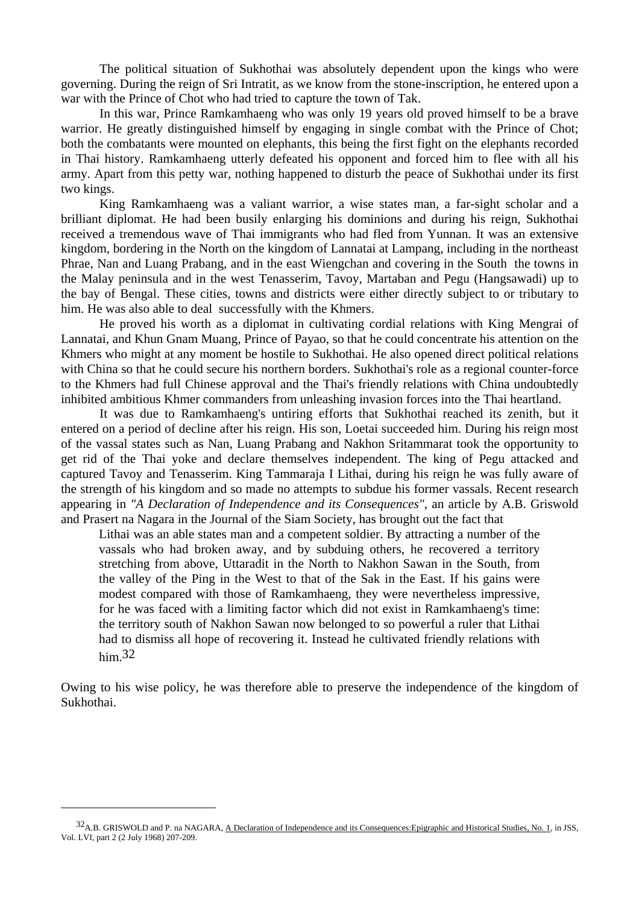The political situation of Sukhothai was absolutely dependent upon the kings who were governing. During the reign of Sri Intratit, as we know from the stone-inscription, he entered upon a war with the Prince of Chot who had tried to capture the town of Tak.

 In this war, Prince Ramkamhaeng who was only 19 years old proved himself to be a brave warrior. He greatly distinguished himself by engaging in single combat with the Prince of Chot; both the combatants were mounted on elephants, this being the first fight on the elephants recorded in Thai history. Ramkamhaeng utterly defeated his opponent and forced him to flee with all his army. Apart from this petty war, nothing happened to disturb the peace of Sukhothai under its first two kings.

 King Ramkamhaeng was a valiant warrior, a wise states man, a far-sight scholar and a brilliant diplomat. He had been busily enlarging his dominions and during his reign, Sukhothai received a tremendous wave of Thai immigrants who had fled from Yunnan. It was an extensive kingdom, bordering in the North on the kingdom of Lannatai at Lampang, including in the northeast Phrae, Nan and Luang Prabang, and in the east Wiengchan and covering in the South the towns in the Malay peninsula and in the west Tenasserim, Tavoy, Martaban and Pegu (Hangsawadi) up to the bay of Bengal. These cities, towns and districts were either directly subject to or tributary to him. He was also able to deal successfully with the Khmers.

 He proved his worth as a diplomat in cultivating cordial relations with King Mengrai of Lannatai, and Khun Gnam Muang, Prince of Payao, so that he could concentrate his attention on the Khmers who might at any moment be hostile to Sukhothai. He also opened direct political relations with China so that he could secure his northern borders. Sukhothai's role as a regional counter-force to the Khmers had full Chinese approval and the Thai's friendly relations with China undoubtedly inhibited ambitious Khmer commanders from unleashing invasion forces into the Thai heartland.

 It was due to Ramkamhaeng's untiring efforts that Sukhothai reached its zenith, but it entered on a period of decline after his reign. His son, Loetai succeeded him. During his reign most of the vassal states such as Nan, Luang Prabang and Nakhon Sritammarat took the opportunity to get rid of the Thai yoke and declare themselves independent. The king of Pegu attacked and captured Tavoy and Tenasserim. King Tammaraja I Lithai, during his reign he was fully aware of the strength of his kingdom and so made no attempts to subdue his former vassals. Recent research appearing in *"A Declaration of Independence and its Consequences"*, an article by A.B. Griswold and Prasert na Nagara in the Journal of the Siam Society, has brought out the fact that

 Lithai was an able states man and a competent soldier. By attracting a number of the vassals who had broken away, and by subduing others, he recovered a territory stretching from above, Uttaradit in the North to Nakhon Sawan in the South, from the valley of the Ping in the West to that of the Sak in the East. If his gains were modest compared with those of Ramkamhaeng, they were nevertheless impressive, for he was faced with a limiting factor which did not exist in Ramkamhaeng's time: the territory south of Nakhon Sawan now belonged to so powerful a ruler that Lithai had to dismiss all hope of recovering it. Instead he cultivated friendly relations with him.32

Owing to his wise policy, he was therefore able to preserve the independence of the kingdom of Sukhothai.

<sup>32&</sup>lt;sub>A.B.</sub> GRISWOLD and P. na NAGARA, <u>A Declaration of Independence and its Consequences: Epigraphic and Historical Studies, No. 1, in JSS,</u> Vol. LVI, part 2 (2 July 1968) 207-209.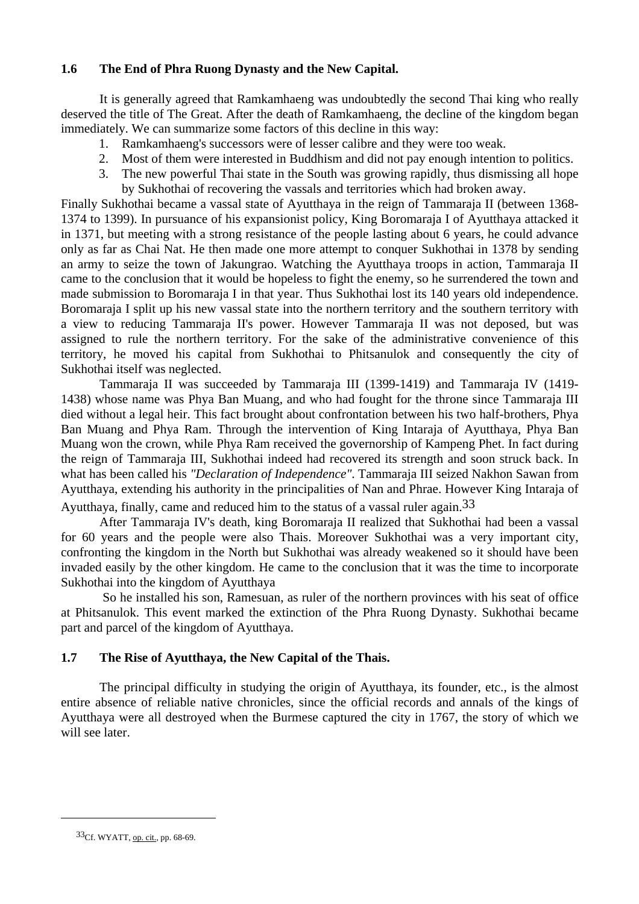#### **1.6 The End of Phra Ruong Dynasty and the New Capital.**

It is generally agreed that Ramkamhaeng was undoubtedly the second Thai king who really deserved the title of The Great. After the death of Ramkamhaeng, the decline of the kingdom began immediately. We can summarize some factors of this decline in this way:

- 1. Ramkamhaeng's successors were of lesser calibre and they were too weak.
- 2. Most of them were interested in Buddhism and did not pay enough intention to politics.
- 3. The new powerful Thai state in the South was growing rapidly, thus dismissing all hope by Sukhothai of recovering the vassals and territories which had broken away.

Finally Sukhothai became a vassal state of Ayutthaya in the reign of Tammaraja II (between 1368- 1374 to 1399). In pursuance of his expansionist policy, King Boromaraja I of Ayutthaya attacked it in 1371, but meeting with a strong resistance of the people lasting about 6 years, he could advance only as far as Chai Nat. He then made one more attempt to conquer Sukhothai in 1378 by sending an army to seize the town of Jakungrao. Watching the Ayutthaya troops in action, Tammaraja II came to the conclusion that it would be hopeless to fight the enemy, so he surrendered the town and made submission to Boromaraja I in that year. Thus Sukhothai lost its 140 years old independence. Boromaraja I split up his new vassal state into the northern territory and the southern territory with a view to reducing Tammaraja II's power. However Tammaraja II was not deposed, but was assigned to rule the northern territory. For the sake of the administrative convenience of this territory, he moved his capital from Sukhothai to Phitsanulok and consequently the city of Sukhothai itself was neglected.

 Tammaraja II was succeeded by Tammaraja III (1399-1419) and Tammaraja IV (1419- 1438) whose name was Phya Ban Muang, and who had fought for the throne since Tammaraja III died without a legal heir. This fact brought about confrontation between his two half-brothers, Phya Ban Muang and Phya Ram. Through the intervention of King Intaraja of Ayutthaya, Phya Ban Muang won the crown, while Phya Ram received the governorship of Kampeng Phet. In fact during the reign of Tammaraja III, Sukhothai indeed had recovered its strength and soon struck back. In what has been called his *"Declaration of Independence"*. Tammaraja III seized Nakhon Sawan from Ayutthaya, extending his authority in the principalities of Nan and Phrae. However King Intaraja of

Ayutthaya, finally, came and reduced him to the status of a vassal ruler again.33

 After Tammaraja IV's death, king Boromaraja II realized that Sukhothai had been a vassal for 60 years and the people were also Thais. Moreover Sukhothai was a very important city, confronting the kingdom in the North but Sukhothai was already weakened so it should have been invaded easily by the other kingdom. He came to the conclusion that it was the time to incorporate Sukhothai into the kingdom of Ayutthaya

 So he installed his son, Ramesuan, as ruler of the northern provinces with his seat of office at Phitsanulok. This event marked the extinction of the Phra Ruong Dynasty. Sukhothai became part and parcel of the kingdom of Ayutthaya.

### **1.7 The Rise of Ayutthaya, the New Capital of the Thais.**

The principal difficulty in studying the origin of Ayutthaya, its founder, etc., is the almost entire absence of reliable native chronicles, since the official records and annals of the kings of Ayutthaya were all destroyed when the Burmese captured the city in 1767, the story of which we will see later.

<sup>33</sup>Cf. WYATT, op. cit., pp. 68-69.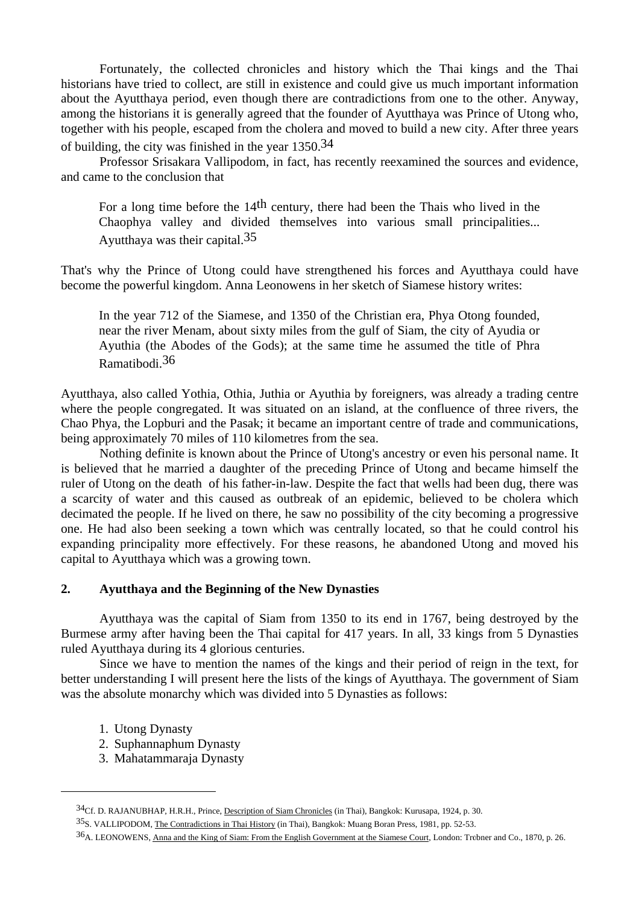Fortunately, the collected chronicles and history which the Thai kings and the Thai historians have tried to collect, are still in existence and could give us much important information about the Ayutthaya period, even though there are contradictions from one to the other. Anyway, among the historians it is generally agreed that the founder of Ayutthaya was Prince of Utong who, together with his people, escaped from the cholera and moved to build a new city. After three years of building, the city was finished in the year 1350.34

 Professor Srisakara Vallipodom, in fact, has recently reexamined the sources and evidence, and came to the conclusion that

 For a long time before the 14th century, there had been the Thais who lived in the Chaophya valley and divided themselves into various small principalities... Ayutthaya was their capital.35

That's why the Prince of Utong could have strengthened his forces and Ayutthaya could have become the powerful kingdom. Anna Leonowens in her sketch of Siamese history writes:

 In the year 712 of the Siamese, and 1350 of the Christian era, Phya Otong founded, near the river Menam, about sixty miles from the gulf of Siam, the city of Ayudia or Ayuthia (the Abodes of the Gods); at the same time he assumed the title of Phra Ramatibodi.36

Ayutthaya, also called Yothia, Othia, Juthia or Ayuthia by foreigners, was already a trading centre where the people congregated. It was situated on an island, at the confluence of three rivers, the Chao Phya, the Lopburi and the Pasak; it became an important centre of trade and communications, being approximately 70 miles of 110 kilometres from the sea.

 Nothing definite is known about the Prince of Utong's ancestry or even his personal name. It is believed that he married a daughter of the preceding Prince of Utong and became himself the ruler of Utong on the death of his father-in-law. Despite the fact that wells had been dug, there was a scarcity of water and this caused as outbreak of an epidemic, believed to be cholera which decimated the people. If he lived on there, he saw no possibility of the city becoming a progressive one. He had also been seeking a town which was centrally located, so that he could control his expanding principality more effectively. For these reasons, he abandoned Utong and moved his capital to Ayutthaya which was a growing town.

#### **2. Ayutthaya and the Beginning of the New Dynasties**

 Ayutthaya was the capital of Siam from 1350 to its end in 1767, being destroyed by the Burmese army after having been the Thai capital for 417 years. In all, 33 kings from 5 Dynasties ruled Ayutthaya during its 4 glorious centuries.

 Since we have to mention the names of the kings and their period of reign in the text, for better understanding I will present here the lists of the kings of Ayutthaya. The government of Siam was the absolute monarchy which was divided into 5 Dynasties as follows:

1. Utong Dynasty

- 2. Suphannaphum Dynasty
- 3. Mahatammaraja Dynasty

<sup>34</sup>Cf. D. RAJANUBHAP, H.R.H., Prince, Description of Siam Chronicles (in Thai), Bangkok: Kurusapa, 1924, p. 30.

<sup>35</sup>S. VALLIPODOM, The Contradictions in Thai History (in Thai), Bangkok: Muang Boran Press, 1981, pp. 52-53.

<sup>36</sup>A. LEONOWENS, Anna and the King of Siam: From the English Government at the Siamese Court, London: Tr**Ü**bner and Co., 1870, p. 26.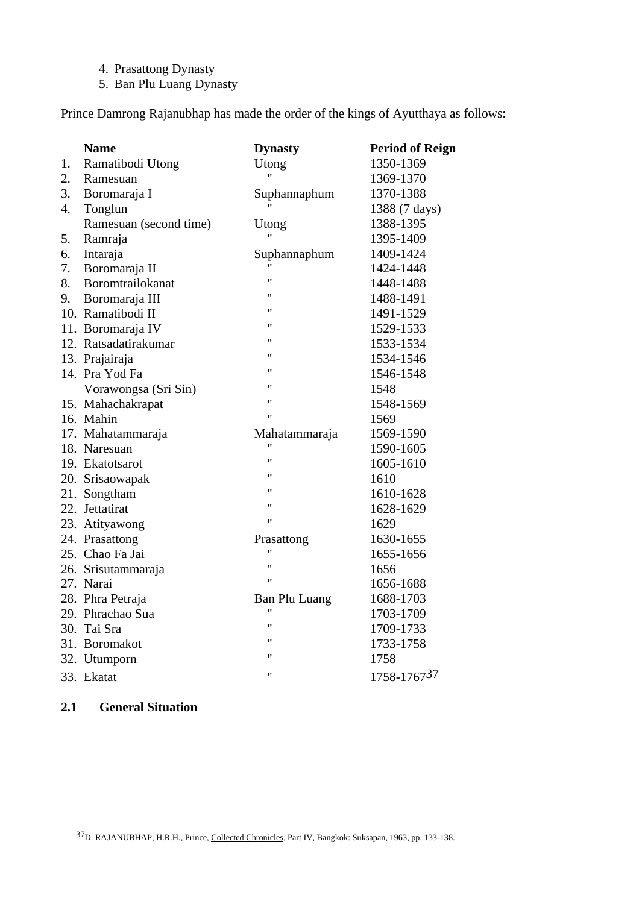- 4. Prasattong Dynasty
- 5. Ban Plu Luang Dynasty

Prince Damrong Rajanubhap has made the order of the kings of Ayutthaya as follows:

|    | <b>Name</b>            | <b>Dynasty</b>       | <b>Period of Reign</b> |
|----|------------------------|----------------------|------------------------|
| 1. | Ramatibodi Utong       | Utong                | 1350-1369              |
| 2. | Ramesuan               | $^{\prime\prime}$    | 1369-1370              |
| 3. | Boromaraja I           | Suphannaphum         | 1370-1388              |
| 4. | Tonglun                |                      | 1388 (7 days)          |
|    | Ramesuan (second time) | Utong                | 1388-1395              |
| 5. | Ramraja                |                      | 1395-1409              |
| 6. | Intaraja               | Suphannaphum         | 1409-1424              |
| 7. | Boromaraja II          |                      | 1424-1448              |
| 8. | Boromtrailokanat       | 11                   | 1448-1488              |
| 9. | Boromaraja III         | $^{\prime}$          | 1488-1491              |
|    | 10. Ramatibodi II      | "                    | 1491-1529              |
|    | 11. Boromaraja IV      | "                    | 1529-1533              |
|    | 12. Ratsadatirakumar   | "                    | 1533-1534              |
|    | 13. Prajairaja         | "                    | 1534-1546              |
|    | 14. Pra Yod Fa         | 11                   | 1546-1548              |
|    | Vorawongsa (Sri Sin)   | 11                   | 1548                   |
|    | 15. Mahachakrapat      | "                    | 1548-1569              |
|    | 16. Mahin              | Ħ                    | 1569                   |
|    | 17. Mahatammaraja      | Mahatammaraja        | 1569-1590              |
|    | 18. Naresuan           | 11                   | 1590-1605              |
|    | 19. Ekatotsarot        | Ħ                    | 1605-1610              |
|    | 20. Srisaowapak        | "                    | 1610                   |
|    | 21. Songtham           | 11                   | 1610-1628              |
|    | 22. Jettatirat         | Ħ                    | 1628-1629              |
|    | 23. Atityawong         | Ħ                    | 1629                   |
|    | 24. Prasattong         | Prasattong           | 1630-1655              |
|    | 25. Chao Fa Jai        | 11                   | 1655-1656              |
|    | 26. Srisutammaraja     | Ħ                    | 1656                   |
|    | 27. Narai              | Ħ                    | 1656-1688              |
|    | 28. Phra Petraja       | <b>Ban Plu Luang</b> | 1688-1703              |
|    | 29. Phrachao Sua       |                      | 1703-1709              |
|    | 30. Tai Sra            | Ħ                    | 1709-1733              |
|    | 31. Boromakot          | 11                   | 1733-1758              |
|    | 32. Utumporn           | 11                   | 1758                   |
|    | 33. Ekatat             | Ħ                    | 1758-176737            |

#### **2.1 General Situation**

<sup>37</sup>D. RAJANUBHAP, H.R.H., Prince, Collected Chronicles, Part IV, Bangkok: Suksapan, 1963, pp. 133-138.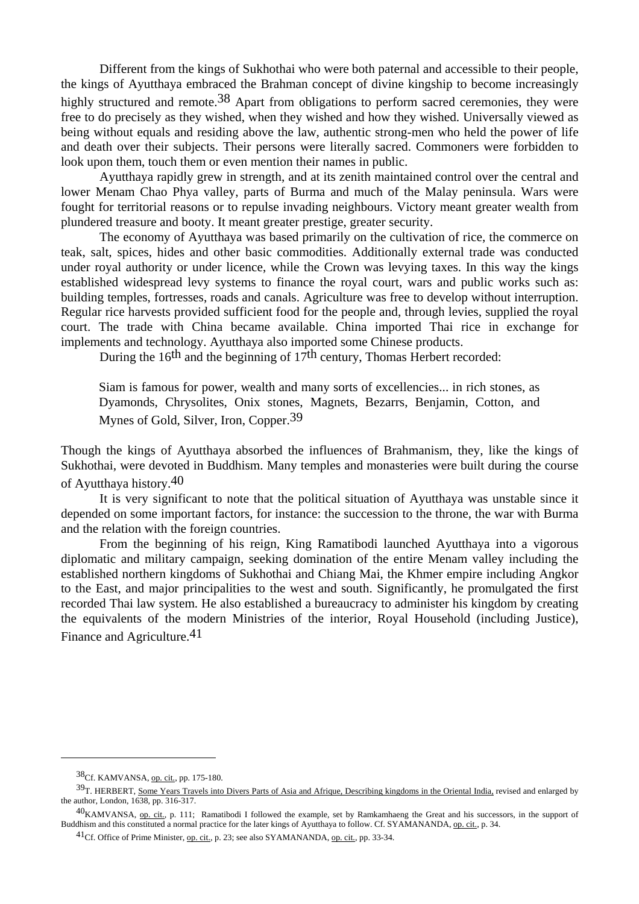Different from the kings of Sukhothai who were both paternal and accessible to their people, the kings of Ayutthaya embraced the Brahman concept of divine kingship to become increasingly highly structured and remote.<sup>38</sup> Apart from obligations to perform sacred ceremonies, they were free to do precisely as they wished, when they wished and how they wished. Universally viewed as being without equals and residing above the law, authentic strong-men who held the power of life and death over their subjects. Their persons were literally sacred. Commoners were forbidden to look upon them, touch them or even mention their names in public.

 Ayutthaya rapidly grew in strength, and at its zenith maintained control over the central and lower Menam Chao Phya valley, parts of Burma and much of the Malay peninsula. Wars were fought for territorial reasons or to repulse invading neighbours. Victory meant greater wealth from plundered treasure and booty. It meant greater prestige, greater security.

 The economy of Ayutthaya was based primarily on the cultivation of rice, the commerce on teak, salt, spices, hides and other basic commodities. Additionally external trade was conducted under royal authority or under licence, while the Crown was levying taxes. In this way the kings established widespread levy systems to finance the royal court, wars and public works such as: building temples, fortresses, roads and canals. Agriculture was free to develop without interruption. Regular rice harvests provided sufficient food for the people and, through levies, supplied the royal court. The trade with China became available. China imported Thai rice in exchange for implements and technology. Ayutthaya also imported some Chinese products.

During the  $16<sup>th</sup>$  and the beginning of  $17<sup>th</sup>$  century, Thomas Herbert recorded:

 Siam is famous for power, wealth and many sorts of excellencies... in rich stones, as Dyamonds, Chrysolites, Onix stones, Magnets, Bezarrs, Benjamin, Cotton, and Mynes of Gold, Silver, Iron, Copper.39

Though the kings of Ayutthaya absorbed the influences of Brahmanism, they, like the kings of Sukhothai, were devoted in Buddhism. Many temples and monasteries were built during the course of Ayutthaya history.40

 It is very significant to note that the political situation of Ayutthaya was unstable since it depended on some important factors, for instance: the succession to the throne, the war with Burma and the relation with the foreign countries.

 From the beginning of his reign, King Ramatibodi launched Ayutthaya into a vigorous diplomatic and military campaign, seeking domination of the entire Menam valley including the established northern kingdoms of Sukhothai and Chiang Mai, the Khmer empire including Angkor to the East, and major principalities to the west and south. Significantly, he promulgated the first recorded Thai law system. He also established a bureaucracy to administer his kingdom by creating the equivalents of the modern Ministries of the interior, Royal Household (including Justice), Finance and Agriculture.41

<sup>38&</sup>lt;sub>Cf.</sub> KAMVANSA, op. cit., pp. 175-180.

<sup>39</sup>T. HERBERT, Some Years Travels into Divers Parts of Asia and Afrique, Describing kingdoms in the Oriental India, revised and enlarged by the author, London, 1638, pp. 316-317.

<sup>40</sup>KAMVANSA, op. cit., p. 111; Ramatibodi I followed the example, set by Ramkamhaeng the Great and his successors, in the support of Buddhism and this constituted a normal practice for the later kings of Ayutthaya to follow. Cf. SYAMANANDA, op. cit., p. 34.

<sup>41</sup>Cf. Office of Prime Minister, op. cit., p. 23; see also SYAMANANDA, op. cit., pp. 33-34.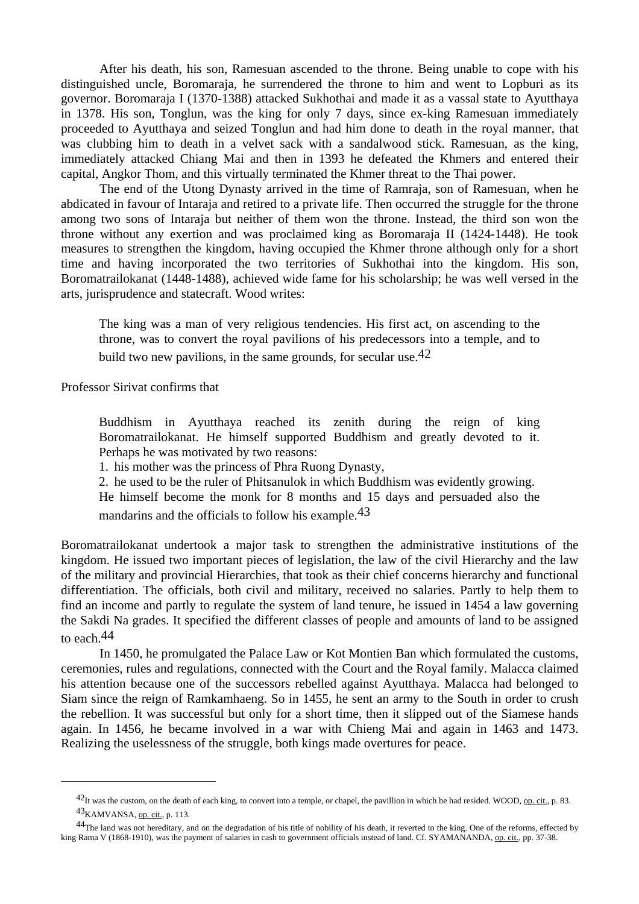After his death, his son, Ramesuan ascended to the throne. Being unable to cope with his distinguished uncle, Boromaraja, he surrendered the throne to him and went to Lopburi as its governor. Boromaraja I (1370-1388) attacked Sukhothai and made it as a vassal state to Ayutthaya in 1378. His son, Tonglun, was the king for only 7 days, since ex-king Ramesuan immediately proceeded to Ayutthaya and seized Tonglun and had him done to death in the royal manner, that was clubbing him to death in a velvet sack with a sandalwood stick. Ramesuan, as the king, immediately attacked Chiang Mai and then in 1393 he defeated the Khmers and entered their capital, Angkor Thom, and this virtually terminated the Khmer threat to the Thai power.

 The end of the Utong Dynasty arrived in the time of Ramraja, son of Ramesuan, when he abdicated in favour of Intaraja and retired to a private life. Then occurred the struggle for the throne among two sons of Intaraja but neither of them won the throne. Instead, the third son won the throne without any exertion and was proclaimed king as Boromaraja II (1424-1448). He took measures to strengthen the kingdom, having occupied the Khmer throne although only for a short time and having incorporated the two territories of Sukhothai into the kingdom. His son, Boromatrailokanat (1448-1488), achieved wide fame for his scholarship; he was well versed in the arts, jurisprudence and statecraft. Wood writes:

 The king was a man of very religious tendencies. His first act, on ascending to the throne, was to convert the royal pavilions of his predecessors into a temple, and to build two new pavilions, in the same grounds, for secular use.<sup>42</sup>

Professor Sirivat confirms that

 $\overline{a}$ 

 Buddhism in Ayutthaya reached its zenith during the reign of king Boromatrailokanat. He himself supported Buddhism and greatly devoted to it. Perhaps he was motivated by two reasons:

1. his mother was the princess of Phra Ruong Dynasty,

2. he used to be the ruler of Phitsanulok in which Buddhism was evidently growing.

 He himself become the monk for 8 months and 15 days and persuaded also the mandarins and the officials to follow his example.43

Boromatrailokanat undertook a major task to strengthen the administrative institutions of the kingdom. He issued two important pieces of legislation, the law of the civil Hierarchy and the law of the military and provincial Hierarchies, that took as their chief concerns hierarchy and functional differentiation. The officials, both civil and military, received no salaries. Partly to help them to find an income and partly to regulate the system of land tenure, he issued in 1454 a law governing the Sakdi Na grades. It specified the different classes of people and amounts of land to be assigned to each.44

 In 1450, he promulgated the Palace Law or Kot Montien Ban which formulated the customs, ceremonies, rules and regulations, connected with the Court and the Royal family. Malacca claimed his attention because one of the successors rebelled against Ayutthaya. Malacca had belonged to Siam since the reign of Ramkamhaeng. So in 1455, he sent an army to the South in order to crush the rebellion. It was successful but only for a short time, then it slipped out of the Siamese hands again. In 1456, he became involved in a war with Chieng Mai and again in 1463 and 1473. Realizing the uselessness of the struggle, both kings made overtures for peace.

<sup>&</sup>lt;sup>42</sup>It was the custom, on the death of each king, to convert into a temple, or chapel, the pavillion in which he had resided. WOOD, op. cit., p. 83. 43KAMVANSA, op. cit., p. 113.

<sup>&</sup>lt;sup>44</sup>The land was not hereditary, and on the degradation of his title of nobility of his death, it reverted to the king. One of the reforms, effected by king Rama V (1868-1910), was the payment of salaries in cash to government officials instead of land. Cf. SYAMANANDA, op. cit., pp. 37-38.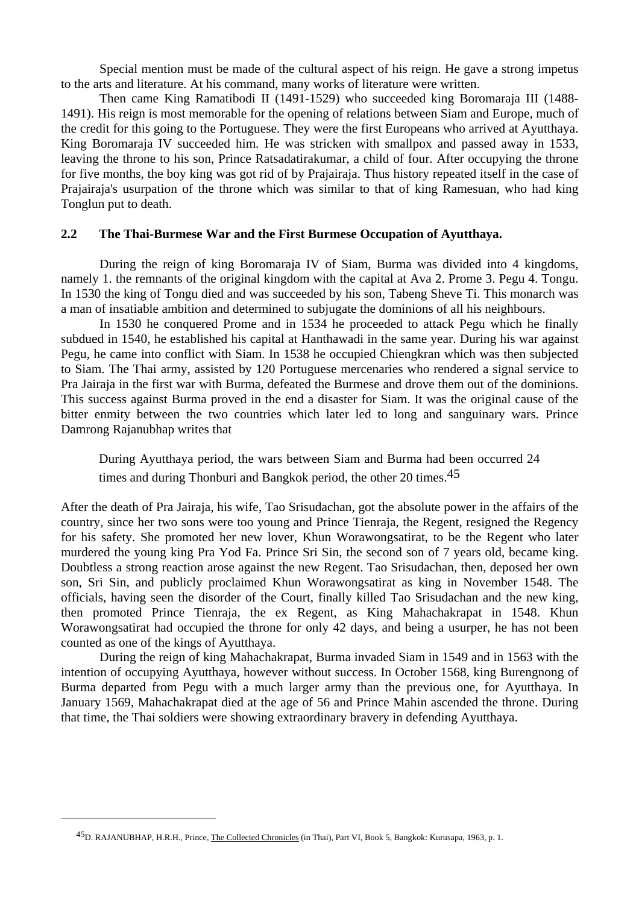Special mention must be made of the cultural aspect of his reign. He gave a strong impetus to the arts and literature. At his command, many works of literature were written.

 Then came King Ramatibodi II (1491-1529) who succeeded king Boromaraja III (1488- 1491). His reign is most memorable for the opening of relations between Siam and Europe, much of the credit for this going to the Portuguese. They were the first Europeans who arrived at Ayutthaya. King Boromaraja IV succeeded him. He was stricken with smallpox and passed away in 1533, leaving the throne to his son, Prince Ratsadatirakumar, a child of four. After occupying the throne for five months, the boy king was got rid of by Prajairaja. Thus history repeated itself in the case of Prajairaja's usurpation of the throne which was similar to that of king Ramesuan, who had king Tonglun put to death.

#### **2.2 The Thai-Burmese War and the First Burmese Occupation of Ayutthaya.**

During the reign of king Boromaraja IV of Siam, Burma was divided into 4 kingdoms, namely 1. the remnants of the original kingdom with the capital at Ava 2. Prome 3. Pegu 4. Tongu. In 1530 the king of Tongu died and was succeeded by his son, Tabeng Sheve Ti. This monarch was a man of insatiable ambition and determined to subjugate the dominions of all his neighbours.

 In 1530 he conquered Prome and in 1534 he proceeded to attack Pegu which he finally subdued in 1540, he established his capital at Hanthawadi in the same year. During his war against Pegu, he came into conflict with Siam. In 1538 he occupied Chiengkran which was then subjected to Siam. The Thai army, assisted by 120 Portuguese mercenaries who rendered a signal service to Pra Jairaja in the first war with Burma, defeated the Burmese and drove them out of the dominions. This success against Burma proved in the end a disaster for Siam. It was the original cause of the bitter enmity between the two countries which later led to long and sanguinary wars. Prince Damrong Rajanubhap writes that

 During Ayutthaya period, the wars between Siam and Burma had been occurred 24 times and during Thonburi and Bangkok period, the other 20 times.<sup>45</sup>

After the death of Pra Jairaja, his wife, Tao Srisudachan, got the absolute power in the affairs of the country, since her two sons were too young and Prince Tienraja, the Regent, resigned the Regency for his safety. She promoted her new lover, Khun Worawongsatirat, to be the Regent who later murdered the young king Pra Yod Fa. Prince Sri Sin, the second son of 7 years old, became king. Doubtless a strong reaction arose against the new Regent. Tao Srisudachan, then, deposed her own son, Sri Sin, and publicly proclaimed Khun Worawongsatirat as king in November 1548. The officials, having seen the disorder of the Court, finally killed Tao Srisudachan and the new king, then promoted Prince Tienraja, the ex Regent, as King Mahachakrapat in 1548. Khun Worawongsatirat had occupied the throne for only 42 days, and being a usurper, he has not been counted as one of the kings of Ayutthaya.

 During the reign of king Mahachakrapat, Burma invaded Siam in 1549 and in 1563 with the intention of occupying Ayutthaya, however without success. In October 1568, king Burengnong of Burma departed from Pegu with a much larger army than the previous one, for Ayutthaya. In January 1569, Mahachakrapat died at the age of 56 and Prince Mahin ascended the throne. During that time, the Thai soldiers were showing extraordinary bravery in defending Ayutthaya.

<sup>45</sup>D. RAJANUBHAP, H.R.H., Prince, The Collected Chronicles (in Thai), Part VI, Book 5, Bangkok: Kurusapa, 1963, p. 1.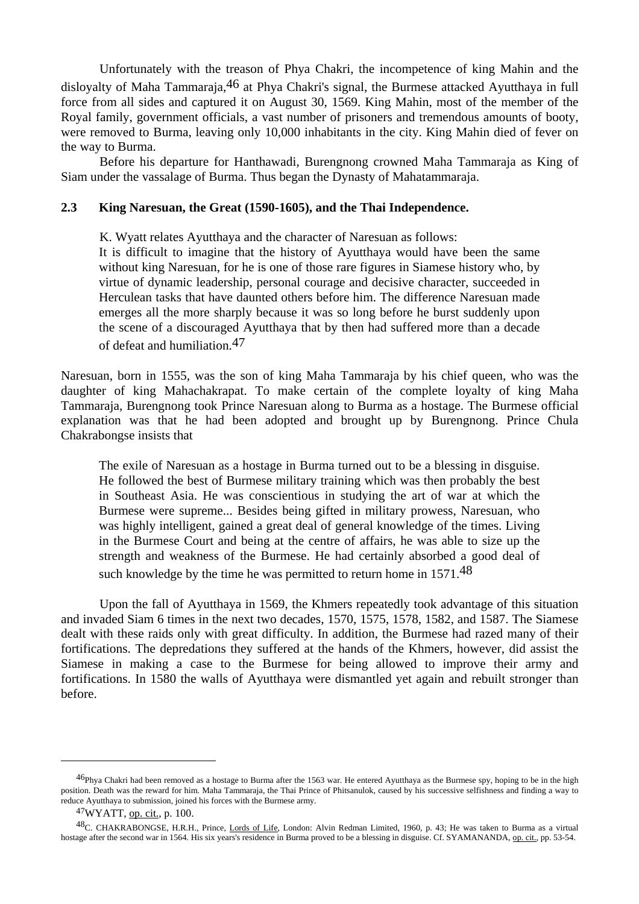Unfortunately with the treason of Phya Chakri, the incompetence of king Mahin and the disloyalty of Maha Tammaraja,46 at Phya Chakri's signal, the Burmese attacked Ayutthaya in full force from all sides and captured it on August 30, 1569. King Mahin, most of the member of the Royal family, government officials, a vast number of prisoners and tremendous amounts of booty, were removed to Burma, leaving only 10,000 inhabitants in the city. King Mahin died of fever on the way to Burma.

 Before his departure for Hanthawadi, Burengnong crowned Maha Tammaraja as King of Siam under the vassalage of Burma. Thus began the Dynasty of Mahatammaraja.

### **2.3 King Naresuan, the Great (1590-1605), and the Thai Independence.**

K. Wyatt relates Ayutthaya and the character of Naresuan as follows:

 It is difficult to imagine that the history of Ayutthaya would have been the same without king Naresuan, for he is one of those rare figures in Siamese history who, by virtue of dynamic leadership, personal courage and decisive character, succeeded in Herculean tasks that have daunted others before him. The difference Naresuan made emerges all the more sharply because it was so long before he burst suddenly upon the scene of a discouraged Ayutthaya that by then had suffered more than a decade of defeat and humiliation.47

Naresuan, born in 1555, was the son of king Maha Tammaraja by his chief queen, who was the daughter of king Mahachakrapat. To make certain of the complete loyalty of king Maha Tammaraja, Burengnong took Prince Naresuan along to Burma as a hostage. The Burmese official explanation was that he had been adopted and brought up by Burengnong. Prince Chula Chakrabongse insists that

 The exile of Naresuan as a hostage in Burma turned out to be a blessing in disguise. He followed the best of Burmese military training which was then probably the best in Southeast Asia. He was conscientious in studying the art of war at which the Burmese were supreme... Besides being gifted in military prowess, Naresuan, who was highly intelligent, gained a great deal of general knowledge of the times. Living in the Burmese Court and being at the centre of affairs, he was able to size up the strength and weakness of the Burmese. He had certainly absorbed a good deal of such knowledge by the time he was permitted to return home in 1571.<sup>48</sup>

 Upon the fall of Ayutthaya in 1569, the Khmers repeatedly took advantage of this situation and invaded Siam 6 times in the next two decades, 1570, 1575, 1578, 1582, and 1587. The Siamese dealt with these raids only with great difficulty. In addition, the Burmese had razed many of their fortifications. The depredations they suffered at the hands of the Khmers, however, did assist the Siamese in making a case to the Burmese for being allowed to improve their army and fortifications. In 1580 the walls of Ayutthaya were dismantled yet again and rebuilt stronger than before.

<sup>&</sup>lt;sup>46</sup>Phya Chakri had been removed as a hostage to Burma after the 1563 war. He entered Ayutthaya as the Burmese spy, hoping to be in the high position. Death was the reward for him. Maha Tammaraja, the Thai Prince of Phitsanulok, caused by his successive selfishness and finding a way to reduce Ayutthaya to submission, joined his forces with the Burmese army.

<sup>47</sup>WYATT, op. cit., p. 100.

<sup>48</sup>C. CHAKRABONGSE, H.R.H., Prince, Lords of Life, London: Alvin Redman Limited, 1960, p. 43; He was taken to Burma as a virtual hostage after the second war in 1564. His six years's residence in Burma proved to be a blessing in disguise. Cf. SYAMANANDA, op. cit., pp. 53-54.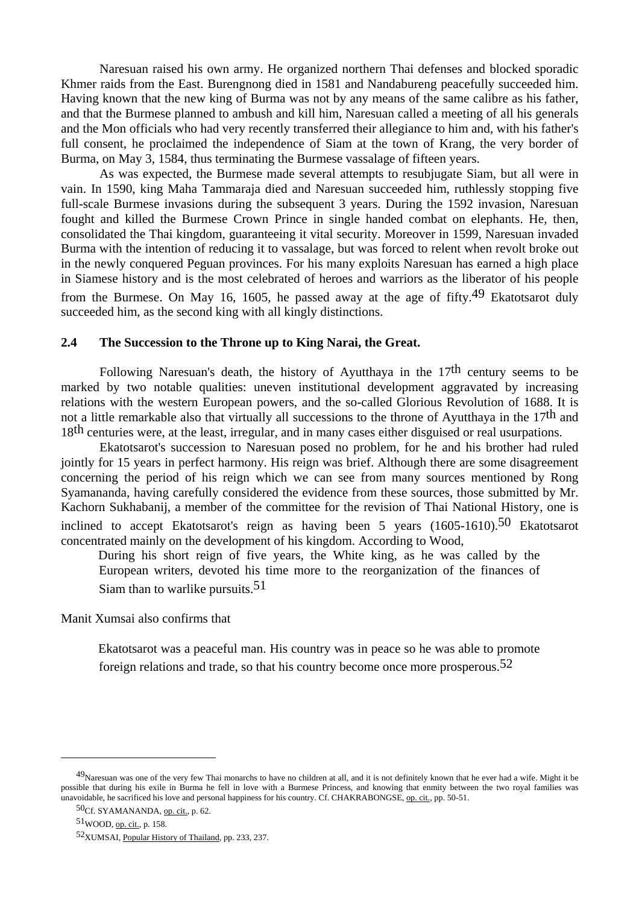Naresuan raised his own army. He organized northern Thai defenses and blocked sporadic Khmer raids from the East. Burengnong died in 1581 and Nandabureng peacefully succeeded him. Having known that the new king of Burma was not by any means of the same calibre as his father, and that the Burmese planned to ambush and kill him, Naresuan called a meeting of all his generals and the Mon officials who had very recently transferred their allegiance to him and, with his father's full consent, he proclaimed the independence of Siam at the town of Krang, the very border of Burma, on May 3, 1584, thus terminating the Burmese vassalage of fifteen years.

 As was expected, the Burmese made several attempts to resubjugate Siam, but all were in vain. In 1590, king Maha Tammaraja died and Naresuan succeeded him, ruthlessly stopping five full-scale Burmese invasions during the subsequent 3 years. During the 1592 invasion, Naresuan fought and killed the Burmese Crown Prince in single handed combat on elephants. He, then, consolidated the Thai kingdom, guaranteeing it vital security. Moreover in 1599, Naresuan invaded Burma with the intention of reducing it to vassalage, but was forced to relent when revolt broke out in the newly conquered Peguan provinces. For his many exploits Naresuan has earned a high place in Siamese history and is the most celebrated of heroes and warriors as the liberator of his people from the Burmese. On May 16, 1605, he passed away at the age of fifty.49 Ekatotsarot duly succeeded him, as the second king with all kingly distinctions.

#### **2.4 The Succession to the Throne up to King Narai, the Great.**

Following Naresuan's death, the history of Ayutthaya in the  $17<sup>th</sup>$  century seems to be marked by two notable qualities: uneven institutional development aggravated by increasing relations with the western European powers, and the so-called Glorious Revolution of 1688. It is not a little remarkable also that virtually all successions to the throne of Ayutthaya in the 17th and 18th centuries were, at the least, irregular, and in many cases either disguised or real usurpations.

 Ekatotsarot's succession to Naresuan posed no problem, for he and his brother had ruled jointly for 15 years in perfect harmony. His reign was brief. Although there are some disagreement concerning the period of his reign which we can see from many sources mentioned by Rong Syamananda, having carefully considered the evidence from these sources, those submitted by Mr. Kachorn Sukhabanij, a member of the committee for the revision of Thai National History, one is inclined to accept Ekatotsarot's reign as having been 5 years  $(1605-1610)$ .<sup>50</sup> Ekatotsarot concentrated mainly on the development of his kingdom. According to Wood,

During his short reign of five years, the White king, as he was called by the European writers, devoted his time more to the reorganization of the finances of Siam than to warlike pursuits.51

Manit Xumsai also confirms that

Ekatotsarot was a peaceful man. His country was in peace so he was able to promote foreign relations and trade, so that his country become once more prosperous.<sup>52</sup>

 $^{49}$ Naresuan was one of the very few Thai monarchs to have no children at all, and it is not definitely known that he ever had a wife. Might it be possible that during his exile in Burma he fell in love with a Burmese Princess, and knowing that enmity between the two royal families was unavoidable, he sacrificed his love and personal happiness for his country. Cf. CHAKRABONGSE, op. cit., pp. 50-51.

<sup>50</sup>Cf. SYAMANANDA, op. cit., p. 62.

<sup>51</sup>WOOD, op. cit., p. 158.

<sup>52</sup>XUMSAI, Popular History of Thailand, pp. 233, 237.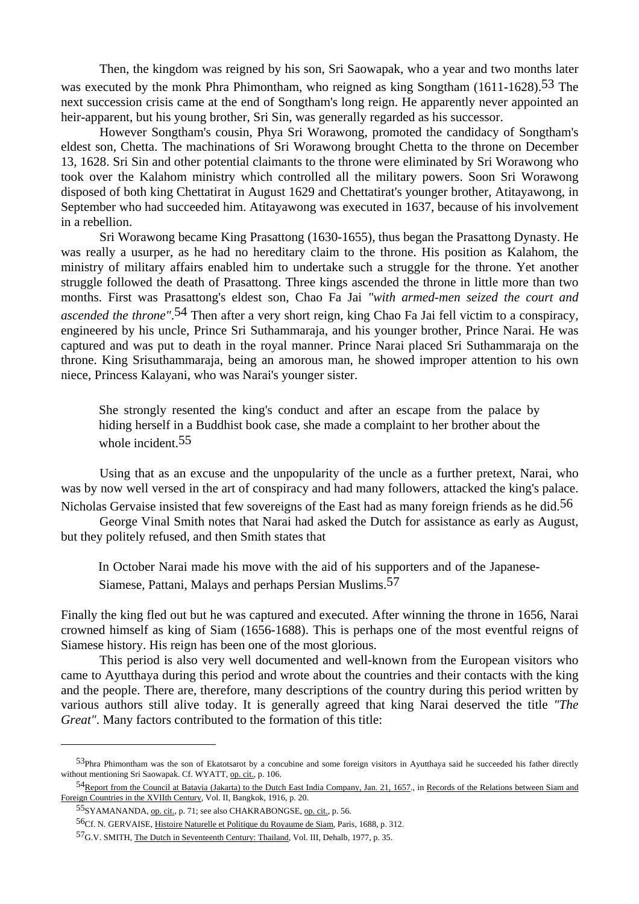Then, the kingdom was reigned by his son, Sri Saowapak, who a year and two months later was executed by the monk Phra Phimontham, who reigned as king Songtham (1611-1628).<sup>53</sup> The next succession crisis came at the end of Songtham's long reign. He apparently never appointed an heir-apparent, but his young brother, Sri Sin, was generally regarded as his successor.

 However Songtham's cousin, Phya Sri Worawong, promoted the candidacy of Songtham's eldest son, Chetta. The machinations of Sri Worawong brought Chetta to the throne on December 13, 1628. Sri Sin and other potential claimants to the throne were eliminated by Sri Worawong who took over the Kalahom ministry which controlled all the military powers. Soon Sri Worawong disposed of both king Chettatirat in August 1629 and Chettatirat's younger brother, Atitayawong, in September who had succeeded him. Atitayawong was executed in 1637, because of his involvement in a rebellion.

 Sri Worawong became King Prasattong (1630-1655), thus began the Prasattong Dynasty. He was really a usurper, as he had no hereditary claim to the throne. His position as Kalahom, the ministry of military affairs enabled him to undertake such a struggle for the throne. Yet another struggle followed the death of Prasattong. Three kings ascended the throne in little more than two months. First was Prasattong's eldest son, Chao Fa Jai *"with armed-men seized the court and ascended the throne"*.54 Then after a very short reign, king Chao Fa Jai fell victim to a conspiracy, engineered by his uncle, Prince Sri Suthammaraja, and his younger brother, Prince Narai. He was captured and was put to death in the royal manner. Prince Narai placed Sri Suthammaraja on the throne. King Srisuthammaraja, being an amorous man, he showed improper attention to his own niece, Princess Kalayani, who was Narai's younger sister.

 She strongly resented the king's conduct and after an escape from the palace by hiding herself in a Buddhist book case, she made a complaint to her brother about the whole incident.<sup>55</sup>

 Using that as an excuse and the unpopularity of the uncle as a further pretext, Narai, who was by now well versed in the art of conspiracy and had many followers, attacked the king's palace.

Nicholas Gervaise insisted that few sovereigns of the East had as many foreign friends as he did.<sup>56</sup> George Vinal Smith notes that Narai had asked the Dutch for assistance as early as August,

but they politely refused, and then Smith states that

In October Narai made his move with the aid of his supporters and of the Japanese-

Siamese, Pattani, Malays and perhaps Persian Muslims.57

Finally the king fled out but he was captured and executed. After winning the throne in 1656, Narai crowned himself as king of Siam (1656-1688). This is perhaps one of the most eventful reigns of Siamese history. His reign has been one of the most glorious.

 This period is also very well documented and well-known from the European visitors who came to Ayutthaya during this period and wrote about the countries and their contacts with the king and the people. There are, therefore, many descriptions of the country during this period written by various authors still alive today. It is generally agreed that king Narai deserved the title *"The Great"*. Many factors contributed to the formation of this title:

<sup>53</sup>Phra Phimontham was the son of Ekatotsarot by a concubine and some foreign visitors in Ayutthaya said he succeeded his father directly without mentioning Sri Saowapak. Cf. WYATT, op. cit., p. 106.

<sup>54&</sup>lt;sub>Report from the Council at Batavia (Jakarta) to the Dutch East India Company, Jan. 21, 1657., in Records of the Relations between Siam and</sub> Foreign Countries in the XVIIth Century, Vol. II, Bangkok, 1916, p. 20.

<sup>55</sup>SYAMANANDA, op. cit., p. 71; see also CHAKRABONGSE, op. cit., p. 56.

<sup>56</sup>Cf. N. GERVAISE, Histoire Naturelle et Politique du Royaume de Siam, Paris, 1688, p. 312.

<sup>57</sup>G.V. SMITH, The Dutch in Seventeenth Century: Thailand, Vol. III, Dehalb, 1977, p. 35.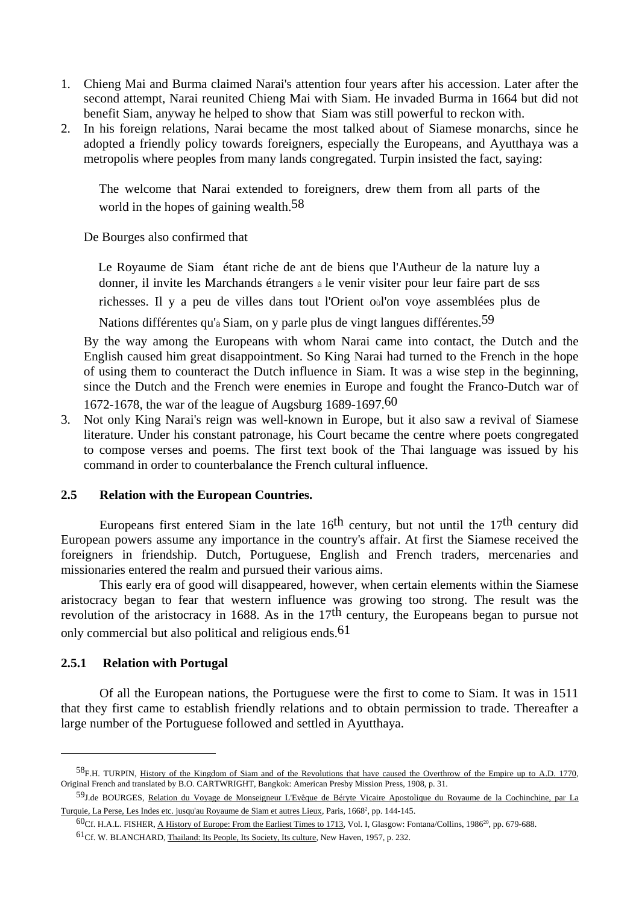- 1. Chieng Mai and Burma claimed Narai's attention four years after his accession. Later after the second attempt, Narai reunited Chieng Mai with Siam. He invaded Burma in 1664 but did not benefit Siam, anyway he helped to show that Siam was still powerful to reckon with.
- 2. In his foreign relations, Narai became the most talked about of Siamese monarchs, since he adopted a friendly policy towards foreigners, especially the Europeans, and Ayutthaya was a metropolis where peoples from many lands congregated. Turpin insisted the fact, saying:

The welcome that Narai extended to foreigners, drew them from all parts of the world in the hopes of gaining wealth.<sup>58</sup>

De Bourges also confirmed that

Le Royaume de Siam étant riche de ant de biens que l'Autheur de la nature luy a donner, il invite les Marchands étrangers à le venir visiter pour leur faire part de sεs richesses. Il y a peu de villes dans tout l'Orient oùl'on voye assemblées plus de

Nations différentes qu'à Siam, on y parle plus de vingt langues différentes.<sup>59</sup>

 By the way among the Europeans with whom Narai came into contact, the Dutch and the English caused him great disappointment. So King Narai had turned to the French in the hope of using them to counteract the Dutch influence in Siam. It was a wise step in the beginning, since the Dutch and the French were enemies in Europe and fought the Franco-Dutch war of 1672-1678, the war of the league of Augsburg 1689-1697.60

3. Not only King Narai's reign was well-known in Europe, but it also saw a revival of Siamese literature. Under his constant patronage, his Court became the centre where poets congregated to compose verses and poems. The first text book of the Thai language was issued by his command in order to counterbalance the French cultural influence.

#### **2.5 Relation with the European Countries.**

Europeans first entered Siam in the late 16<sup>th</sup> century, but not until the 17<sup>th</sup> century did European powers assume any importance in the country's affair. At first the Siamese received the foreigners in friendship. Dutch, Portuguese, English and French traders, mercenaries and missionaries entered the realm and pursued their various aims.

 This early era of good will disappeared, however, when certain elements within the Siamese aristocracy began to fear that western influence was growing too strong. The result was the revolution of the aristocracy in 1688. As in the 17th century, the Europeans began to pursue not only commercial but also political and religious ends.61

#### **2.5.1 Relation with Portugal**

 $\overline{a}$ 

 Of all the European nations, the Portuguese were the first to come to Siam. It was in 1511 that they first came to establish friendly relations and to obtain permission to trade. Thereafter a large number of the Portuguese followed and settled in Ayutthaya.

<sup>58&</sup>lt;sub>F.H.</sub> TURPIN, History of the Kingdom of Siam and of the Revolutions that have caused the Overthrow of the Empire up to A.D. 1770, Original French and translated by B.O. CARTWRIGHT, Bangkok: American Presby Mission Press, 1908, p. 31.

<sup>59</sup>J.de BOURGES, Relation du Voyage de Monseigneur L'Evêque de Béryte Vicaire Apostolique du Royaume de la Cochinchine, par La Turquie, La Perse, Les Indes etc. jusqu'au Royaume de Siam et autres Lieux, Paris, 1668<sup>2</sup>, pp. 144-145.

 $^{60}$ Cf. H.A.L. FISHER, A History of Europe: From the Earliest Times to 1713, Vol. I, Glasgow: Fontana/Collins, 1986<sup>20</sup>, pp. 679-688. 61Cf. W. BLANCHARD, Thailand: Its People, Its Society, Its culture, New Haven, 1957, p. 232.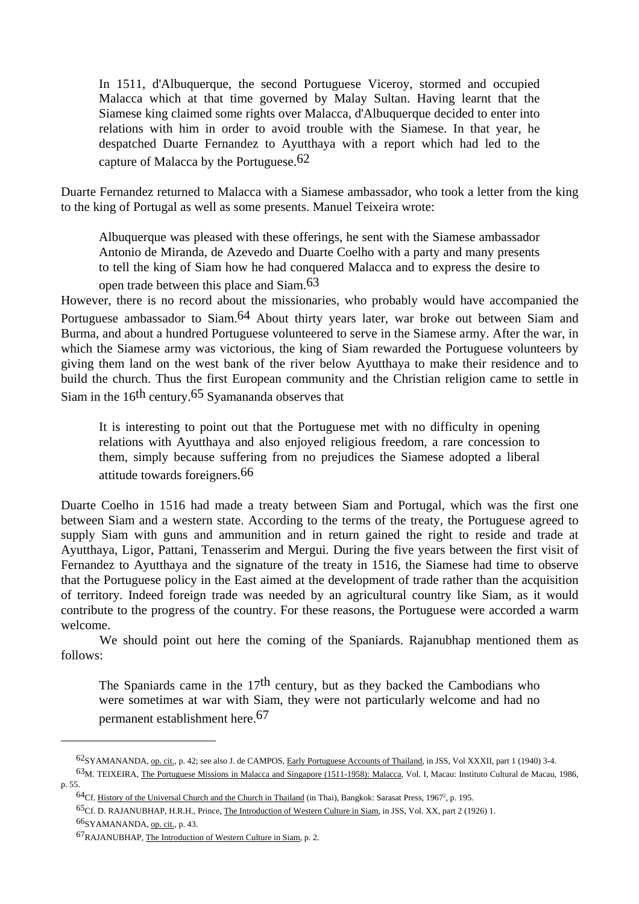In 1511, d'Albuquerque, the second Portuguese Viceroy, stormed and occupied Malacca which at that time governed by Malay Sultan. Having learnt that the Siamese king claimed some rights over Malacca, d'Albuquerque decided to enter into relations with him in order to avoid trouble with the Siamese. In that year, he despatched Duarte Fernandez to Ayutthaya with a report which had led to the capture of Malacca by the Portuguese.62

Duarte Fernandez returned to Malacca with a Siamese ambassador, who took a letter from the king to the king of Portugal as well as some presents. Manuel Teixeira wrote:

 Albuquerque was pleased with these offerings, he sent with the Siamese ambassador Antonio de Miranda, de Azevedo and Duarte Coelho with a party and many presents to tell the king of Siam how he had conquered Malacca and to express the desire to

open trade between this place and Siam.63

However, there is no record about the missionaries, who probably would have accompanied the Portuguese ambassador to Siam.<sup>64</sup> About thirty years later, war broke out between Siam and Burma, and about a hundred Portuguese volunteered to serve in the Siamese army. After the war, in which the Siamese army was victorious, the king of Siam rewarded the Portuguese volunteers by giving them land on the west bank of the river below Ayutthaya to make their residence and to build the church. Thus the first European community and the Christian religion came to settle in Siam in the 16th century.65 Syamananda observes that

 It is interesting to point out that the Portuguese met with no difficulty in opening relations with Ayutthaya and also enjoyed religious freedom, a rare concession to them, simply because suffering from no prejudices the Siamese adopted a liberal attitude towards foreigners.66

Duarte Coelho in 1516 had made a treaty between Siam and Portugal, which was the first one between Siam and a western state. According to the terms of the treaty, the Portuguese agreed to supply Siam with guns and ammunition and in return gained the right to reside and trade at Ayutthaya, Ligor, Pattani, Tenasserim and Mergui. During the five years between the first visit of Fernandez to Ayutthaya and the signature of the treaty in 1516, the Siamese had time to observe that the Portuguese policy in the East aimed at the development of trade rather than the acquisition of territory. Indeed foreign trade was needed by an agricultural country like Siam, as it would contribute to the progress of the country. For these reasons, the Portuguese were accorded a warm welcome.

 We should point out here the coming of the Spaniards. Rajanubhap mentioned them as follows:

The Spaniards came in the  $17<sup>th</sup>$  century, but as they backed the Cambodians who were sometimes at war with Siam, they were not particularly welcome and had no permanent establishment here.67

<sup>62</sup>SYAMANANDA, op. cit., p. 42; see also J. de CAMPOS, Early Portuguese Accounts of Thailand, in JSS, Vol XXXII, part 1 (1940) 3-4.

<sup>63</sup>M. TEIXEIRA, The Portuguese Missions in Malacca and Singapore (1511-1958): Malacca, Vol. I, Macau: Instituto Cultural de Macau, 1986, p. 55.

<sup>&</sup>lt;sup>64</sup>Cf. History of the Universal Church and the Church in Thailand (in Thai), Bangkok: Sarasat Press, 1967<sup>2</sup>, p. 195.

<sup>65</sup>Cf. D. RAJANUBHAP, H.R.H., Prince, The Introduction of Western Culture in Siam, in JSS, Vol. XX, part 2 (1926) 1.

<sup>66</sup>SYAMANANDA, op. cit., p. 43.

<sup>67</sup>RAJANUBHAP, The Introduction of Western Culture in Siam, p. 2.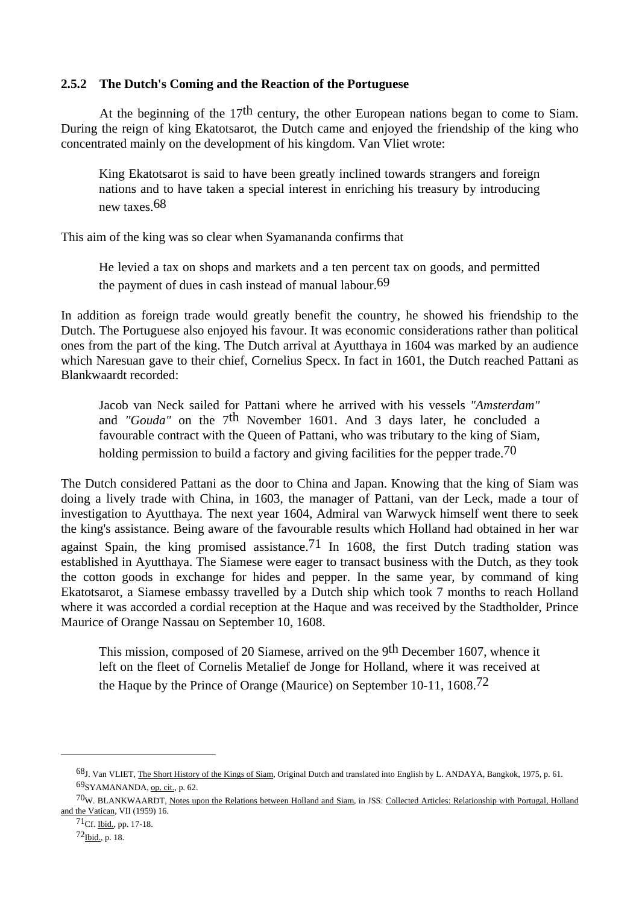#### **2.5.2 The Dutch's Coming and the Reaction of the Portuguese**

At the beginning of the  $17<sup>th</sup>$  century, the other European nations began to come to Siam. During the reign of king Ekatotsarot, the Dutch came and enjoyed the friendship of the king who concentrated mainly on the development of his kingdom. Van Vliet wrote:

 King Ekatotsarot is said to have been greatly inclined towards strangers and foreign nations and to have taken a special interest in enriching his treasury by introducing new taxes.68

This aim of the king was so clear when Syamananda confirms that

 He levied a tax on shops and markets and a ten percent tax on goods, and permitted the payment of dues in cash instead of manual labour.<sup>69</sup>

In addition as foreign trade would greatly benefit the country, he showed his friendship to the Dutch. The Portuguese also enjoyed his favour. It was economic considerations rather than political ones from the part of the king. The Dutch arrival at Ayutthaya in 1604 was marked by an audience which Naresuan gave to their chief, Cornelius Specx. In fact in 1601, the Dutch reached Pattani as Blankwaardt recorded:

 Jacob van Neck sailed for Pattani where he arrived with his vessels *"Amsterdam"* and *"Gouda"* on the 7th November 1601. And 3 days later, he concluded a favourable contract with the Queen of Pattani, who was tributary to the king of Siam, holding permission to build a factory and giving facilities for the pepper trade.<sup>70</sup>

The Dutch considered Pattani as the door to China and Japan. Knowing that the king of Siam was doing a lively trade with China, in 1603, the manager of Pattani, van der Leck, made a tour of investigation to Ayutthaya. The next year 1604, Admiral van Warwyck himself went there to seek the king's assistance. Being aware of the favourable results which Holland had obtained in her war against Spain, the king promised assistance.<sup>71</sup> In 1608, the first Dutch trading station was established in Ayutthaya. The Siamese were eager to transact business with the Dutch, as they took the cotton goods in exchange for hides and pepper. In the same year, by command of king Ekatotsarot, a Siamese embassy travelled by a Dutch ship which took 7 months to reach Holland where it was accorded a cordial reception at the Haque and was received by the Stadtholder, Prince Maurice of Orange Nassau on September 10, 1608.

 This mission, composed of 20 Siamese, arrived on the 9th December 1607, whence it left on the fleet of Cornelis Metalief de Jonge for Holland, where it was received at the Haque by the Prince of Orange (Maurice) on September 10-11, 1608.72

<sup>68</sup>J. Van VLIET, The Short History of the Kings of Siam, Original Dutch and translated into English by L. ANDAYA, Bangkok, 1975, p. 61. 69SYAMANANDA, op. cit., p. 62.

<sup>70</sup>W. BLANKWAARDT, Notes upon the Relations between Holland and Siam, in JSS: Collected Articles: Relationship with Portugal, Holland and the Vatican, VII (1959) 16.

<sup>71</sup>Cf. Ibid., pp. 17-18.

 $72$ Ibid., p. 18.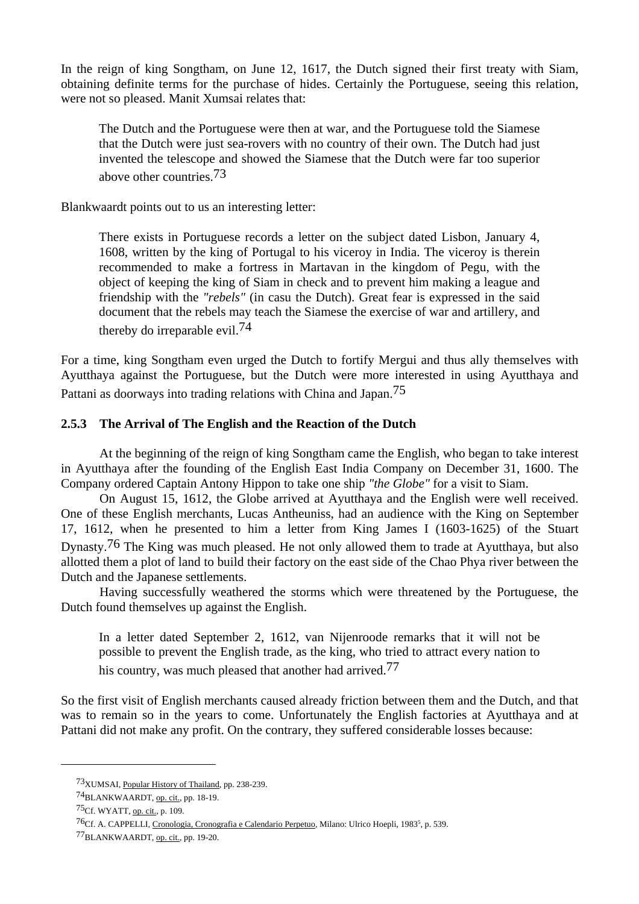In the reign of king Songtham, on June 12, 1617, the Dutch signed their first treaty with Siam, obtaining definite terms for the purchase of hides. Certainly the Portuguese, seeing this relation, were not so pleased. Manit Xumsai relates that:

 The Dutch and the Portuguese were then at war, and the Portuguese told the Siamese that the Dutch were just sea-rovers with no country of their own. The Dutch had just invented the telescope and showed the Siamese that the Dutch were far too superior above other countries.73

Blankwaardt points out to us an interesting letter:

 There exists in Portuguese records a letter on the subject dated Lisbon, January 4, 1608, written by the king of Portugal to his viceroy in India. The viceroy is therein recommended to make a fortress in Martavan in the kingdom of Pegu, with the object of keeping the king of Siam in check and to prevent him making a league and friendship with the *"rebels"* (in casu the Dutch). Great fear is expressed in the said document that the rebels may teach the Siamese the exercise of war and artillery, and thereby do irreparable evil.74

For a time, king Songtham even urged the Dutch to fortify Mergui and thus ally themselves with Ayutthaya against the Portuguese, but the Dutch were more interested in using Ayutthaya and Pattani as doorways into trading relations with China and Japan.75

#### **2.5.3 The Arrival of The English and the Reaction of the Dutch**

 At the beginning of the reign of king Songtham came the English, who began to take interest in Ayutthaya after the founding of the English East India Company on December 31, 1600. The Company ordered Captain Antony Hippon to take one ship *"the Globe"* for a visit to Siam.

 On August 15, 1612, the Globe arrived at Ayutthaya and the English were well received. One of these English merchants, Lucas Antheuniss, had an audience with the King on September 17, 1612, when he presented to him a letter from King James I (1603-1625) of the Stuart Dynasty.76 The King was much pleased. He not only allowed them to trade at Ayutthaya, but also allotted them a plot of land to build their factory on the east side of the Chao Phya river between the Dutch and the Japanese settlements.

 Having successfully weathered the storms which were threatened by the Portuguese, the Dutch found themselves up against the English.

 In a letter dated September 2, 1612, van Nijenroode remarks that it will not be possible to prevent the English trade, as the king, who tried to attract every nation to his country, was much pleased that another had arrived.<sup>77</sup>

So the first visit of English merchants caused already friction between them and the Dutch, and that was to remain so in the years to come. Unfortunately the English factories at Ayutthaya and at Pattani did not make any profit. On the contrary, they suffered considerable losses because:

<sup>73</sup>XUMSAI, Popular History of Thailand, pp. 238-239.

<sup>74</sup>BLANKWAARDT, op. cit., pp. 18-19.

<sup>75</sup>Cf. WYATT, op. cit., p. 109.

<sup>&</sup>lt;sup>76</sup>Cf. A. CAPPELLI, Cronologia, Cronografia e Calendario Perpetuo, Milano: Ulrico Hoepli, 1983<sup>5</sup>, p. 539.

<sup>77</sup>BLANKWAARDT, op. cit., pp. 19-20.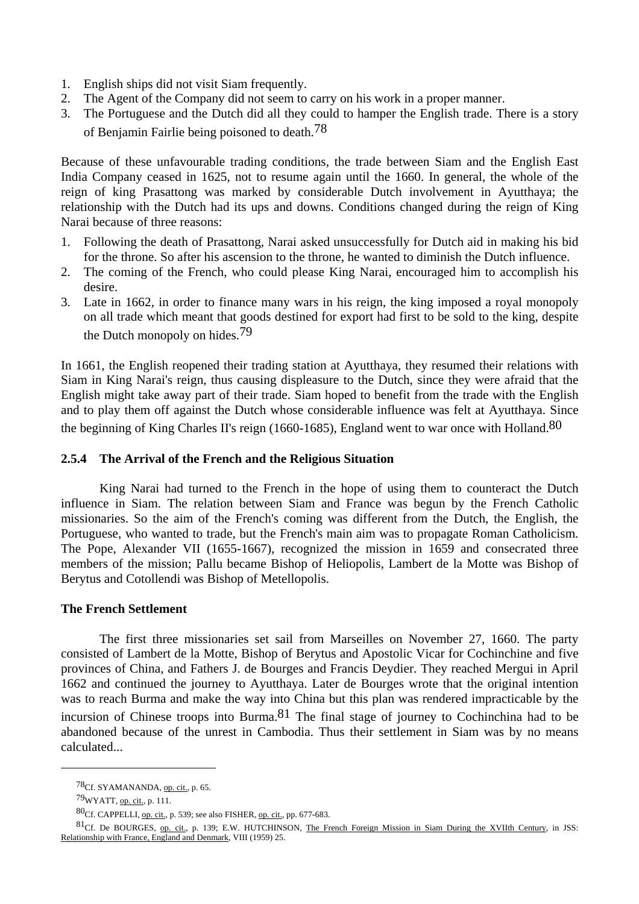- 1. English ships did not visit Siam frequently.
- 2. The Agent of the Company did not seem to carry on his work in a proper manner.
- 3. The Portuguese and the Dutch did all they could to hamper the English trade. There is a story of Benjamin Fairlie being poisoned to death.78

Because of these unfavourable trading conditions, the trade between Siam and the English East India Company ceased in 1625, not to resume again until the 1660. In general, the whole of the reign of king Prasattong was marked by considerable Dutch involvement in Ayutthaya; the relationship with the Dutch had its ups and downs. Conditions changed during the reign of King Narai because of three reasons:

- 1. Following the death of Prasattong, Narai asked unsuccessfully for Dutch aid in making his bid for the throne. So after his ascension to the throne, he wanted to diminish the Dutch influence.
- 2. The coming of the French, who could please King Narai, encouraged him to accomplish his desire.
- 3. Late in 1662, in order to finance many wars in his reign, the king imposed a royal monopoly on all trade which meant that goods destined for export had first to be sold to the king, despite the Dutch monopoly on hides.79

In 1661, the English reopened their trading station at Ayutthaya, they resumed their relations with Siam in King Narai's reign, thus causing displeasure to the Dutch, since they were afraid that the English might take away part of their trade. Siam hoped to benefit from the trade with the English and to play them off against the Dutch whose considerable influence was felt at Ayutthaya. Since the beginning of King Charles II's reign (1660-1685), England went to war once with Holland.<sup>80</sup>

#### **2.5.4 The Arrival of the French and the Religious Situation**

 King Narai had turned to the French in the hope of using them to counteract the Dutch influence in Siam. The relation between Siam and France was begun by the French Catholic missionaries. So the aim of the French's coming was different from the Dutch, the English, the Portuguese, who wanted to trade, but the French's main aim was to propagate Roman Catholicism. The Pope, Alexander VII (1655-1667), recognized the mission in 1659 and consecrated three members of the mission; Pallu became Bishop of Heliopolis, Lambert de la Motte was Bishop of Berytus and Cotollendi was Bishop of Metellopolis.

#### **The French Settlement**

 The first three missionaries set sail from Marseilles on November 27, 1660. The party consisted of Lambert de la Motte, Bishop of Berytus and Apostolic Vicar for Cochinchine and five provinces of China, and Fathers J. de Bourges and Francis Deydier. They reached Mergui in April 1662 and continued the journey to Ayutthaya. Later de Bourges wrote that the original intention was to reach Burma and make the way into China but this plan was rendered impracticable by the incursion of Chinese troops into Burma. <sup>81</sup> The final stage of journey to Cochinchina had to be abandoned because of the unrest in Cambodia. Thus their settlement in Siam was by no means calculated...

<sup>78</sup>Cf. SYAMANANDA, op. cit., p. 65.

<sup>79</sup>WYATT, op. cit., p. 111.

<sup>80</sup>Cf. CAPPELLI, op. cit., p. 539; see also FISHER, op. cit., pp. 677-683.

<sup>81</sup>Cf. De BOURGES, op. cit., p. 139; E.W. HUTCHINSON, The French Foreign Mission in Siam During the XVIIth Century, in JSS: Relationship with France, England and Denmark, VIII (1959) 25.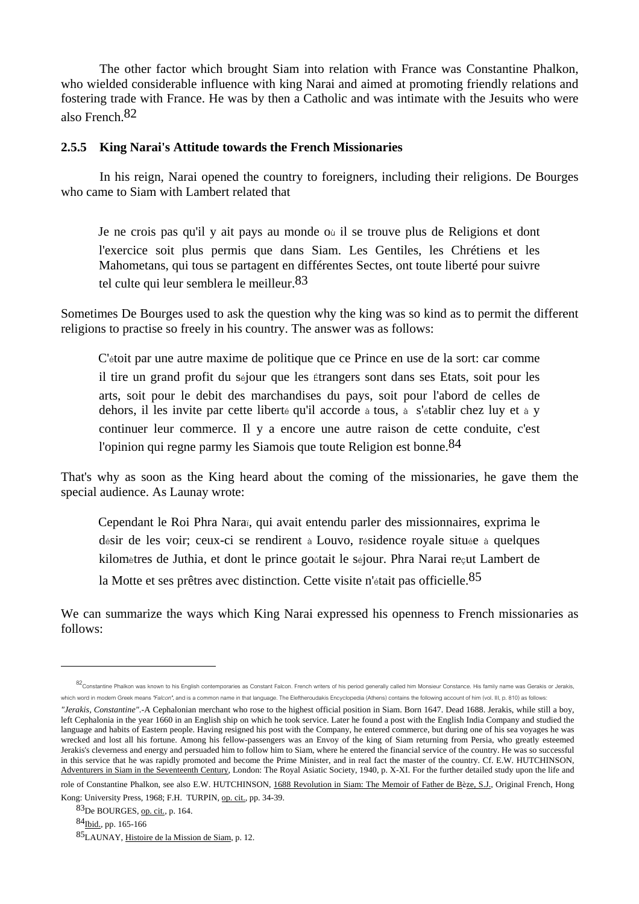The other factor which brought Siam into relation with France was Constantine Phalkon, who wielded considerable influence with king Narai and aimed at promoting friendly relations and fostering trade with France. He was by then a Catholic and was intimate with the Jesuits who were also French.82

#### **2.5.5 King Narai's Attitude towards the French Missionaries**

 In his reign, Narai opened the country to foreigners, including their religions. De Bourges who came to Siam with Lambert related that

Je ne crois pas qu'il y ait pays au monde où il se trouve plus de Religions et dont l'exercice soit plus permis que dans Siam. Les Gentiles, les Chrétiens et les Mahometans, qui tous se partagent en différentes Sectes, ont toute liberté pour suivre tel culte qui leur semblera le meilleur.<sup>83</sup>

Sometimes De Bourges used to ask the question why the king was so kind as to permit the different religions to practise so freely in his country. The answer was as follows:

C'étoit par une autre maxime de politique que ce Prince en use de la sort: car comme il tire un grand profit du séjour que les Étrangers sont dans ses Etats, soit pour les arts, soit pour le debit des marchandises du pays, soit pour l'abord de celles de dehors, il les invite par cette liberté qu'il accorde à tous, à s'établir chez luy et à y continuer leur commerce. Il y a encore une autre raison de cette conduite, c'est l'opinion qui regne parmy les Siamois que toute Religion est bonne.<sup>84</sup>

That's why as soon as the King heard about the coming of the missionaries, he gave them the special audience. As Launay wrote:

Cependant le Roi Phra Naraï, qui avait entendu parler des missionnaires, exprima le désir de les voir; ceux-ci se rendirent à Louvo, résidence royale située à quelques kilomètres de Juthia, et dont le prince goûtait le séjour. Phra Narai reçut Lambert de la Motte et ses prêtres avec distinction. Cette visite n'était pas officielle.<sup>85</sup>

We can summarize the ways which King Narai expressed his openness to French missionaries as follows:

<sup>82</sup>Constantine Phalkon was known to his English contemporaries as Constant Falcon. French writers of his period generally called him Monsieur Constance. His family name was Gerakis or Jerakis, which word in modern Greek means "Falcon", and is a common name in that language. The Eleftheroudakis Encyclopedia (Athens) contains the following account of him (vol. III, p. 810) as follows:

*<sup>&</sup>quot;Jerakis, Constantine"*.-A Cephalonian merchant who rose to the highest official position in Siam. Born 1647. Dead 1688. Jerakis, while still a boy, left Cephalonia in the year 1660 in an English ship on which he took service. Later he found a post with the English India Company and studied the language and habits of Eastern people. Having resigned his post with the Company, he entered commerce, but during one of his sea voyages he was wrecked and lost all his fortune. Among his fellow-passengers was an Envoy of the king of Siam returning from Persia, who greatly esteemed Jerakis's cleverness and energy and persuaded him to follow him to Siam, where he entered the financial service of the country. He was so successful in this service that he was rapidly promoted and become the Prime Minister, and in real fact the master of the country. Cf. E.W. HUTCHINSON, Adventurers in Siam in the Seventeenth Century, London: The Royal Asiatic Society, 1940, p. X-XI. For the further detailed study upon the life and

role of Constantine Phalkon, see also E.W. HUTCHINSON, 1688 Revolution in Siam: The Memoir of Father de Bèze, S.J., Original French, Hong Kong: University Press, 1968; F.H. TURPIN, op. cit., pp. 34-39.

<sup>83</sup>De BOURGES, op. cit., p. 164.

<sup>84</sup>Ibid., pp. 165-166

<sup>85</sup>LAUNAY, Histoire de la Mission de Siam, p. 12.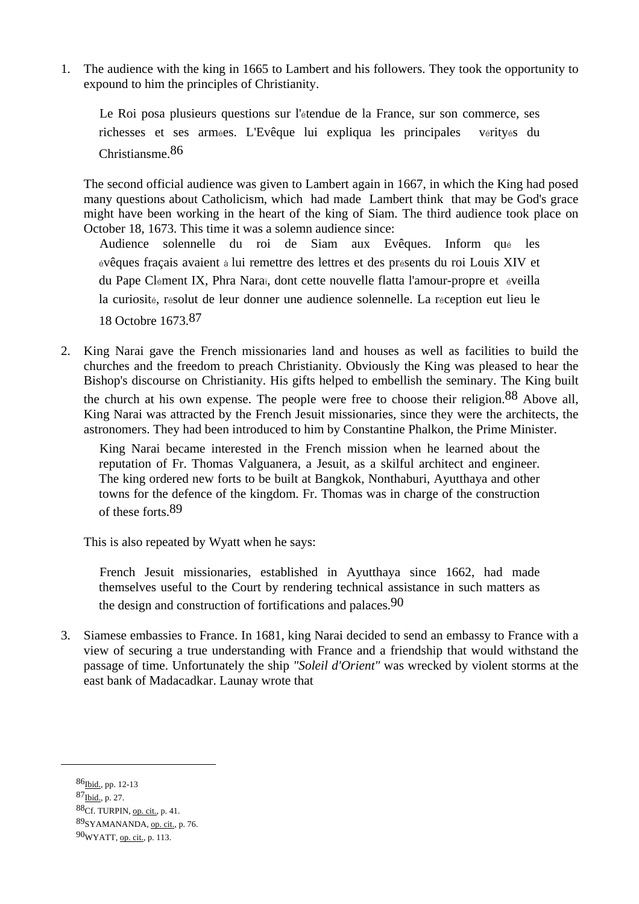1. The audience with the king in 1665 to Lambert and his followers. They took the opportunity to expound to him the principles of Christianity.

 Le Roi posa plusieurs questions sur l'étendue de la France, sur son commerce, ses richesses et ses armées. L'Evêque lui expliqua les principales vérityés du Christiansme.86

 The second official audience was given to Lambert again in 1667, in which the King had posed many questions about Catholicism, which had made Lambert think that may be God's grace might have been working in the heart of the king of Siam. The third audience took place on October 18, 1673. This time it was a solemn audience since:

 Audience solennelle du roi de Siam aux Evêques. Inform qué les évêques fraçais avaient à lui remettre des lettres et des présents du roi Louis XIV et du Pape Clément IX, Phra Naraï, dont cette nouvelle flatta l'amour-propre et éveilla la curiosité, résolut de leur donner une audience solennelle. La réception eut lieu le 18 Octobre 1673.87

2. King Narai gave the French missionaries land and houses as well as facilities to build the churches and the freedom to preach Christianity. Obviously the King was pleased to hear the Bishop's discourse on Christianity. His gifts helped to embellish the seminary. The King built the church at his own expense. The people were free to choose their religion.88 Above all, King Narai was attracted by the French Jesuit missionaries, since they were the architects, the astronomers. They had been introduced to him by Constantine Phalkon, the Prime Minister.

 King Narai became interested in the French mission when he learned about the reputation of Fr. Thomas Valguanera, a Jesuit, as a skilful architect and engineer. The king ordered new forts to be built at Bangkok, Nonthaburi, Ayutthaya and other towns for the defence of the kingdom. Fr. Thomas was in charge of the construction of these forts.89

This is also repeated by Wyatt when he says:

 French Jesuit missionaries, established in Ayutthaya since 1662, had made themselves useful to the Court by rendering technical assistance in such matters as the design and construction of fortifications and palaces.<sup>90</sup>

3. Siamese embassies to France. In 1681, king Narai decided to send an embassy to France with a view of securing a true understanding with France and a friendship that would withstand the passage of time. Unfortunately the ship *"Soleil d'Orient"* was wrecked by violent storms at the east bank of Madacadkar. Launay wrote that

<sup>86&</sup>lt;sub>Ibid.</sub>, pp. 12-13

<sup>87</sup>**Ibid.**, p. 27.

<sup>88</sup>Cf. TURPIN, op. cit., p. 41.

<sup>89</sup>SYAMANANDA, op. cit., p. 76.

<sup>90</sup>WYATT, op. cit., p. 113.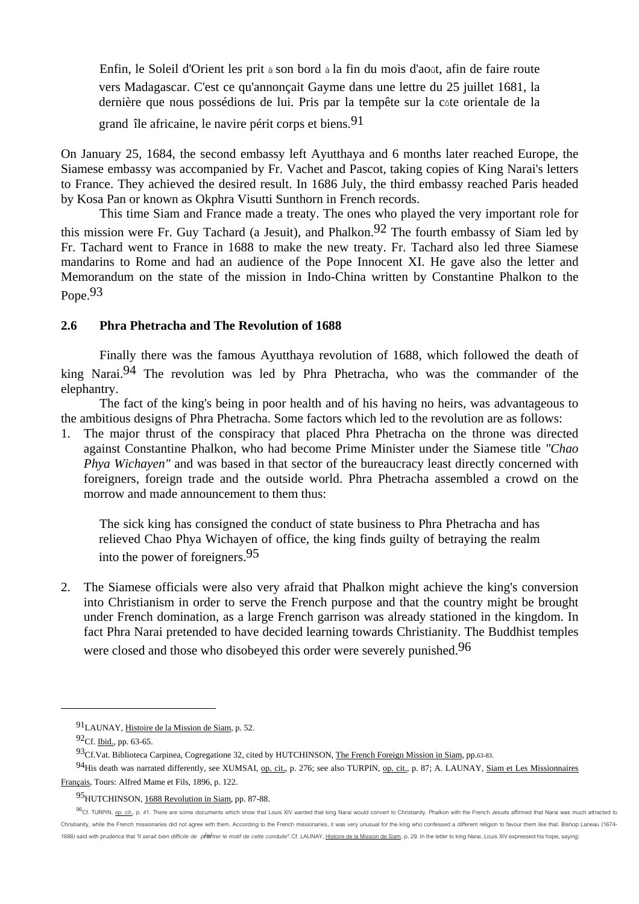Enfin, le Soleil d'Orient les prit à son bord à la fin du mois d'août, afin de faire route vers Madagascar. C'est ce qu'annonçait Gayme dans une lettre du 25 juillet 1681, la dernière que nous possédions de lui. Pris par la tempête sur la côte orientale de la

grand île africaine, le navire périt corps et biens.91

On January 25, 1684, the second embassy left Ayutthaya and 6 months later reached Europe, the Siamese embassy was accompanied by Fr. Vachet and Pascot, taking copies of King Narai's letters to France. They achieved the desired result. In 1686 July, the third embassy reached Paris headed by Kosa Pan or known as Okphra Visutti Sunthorn in French records.

 This time Siam and France made a treaty. The ones who played the very important role for this mission were Fr. Guy Tachard (a Jesuit), and Phalkon.<sup>92</sup> The fourth embassy of Siam led by Fr. Tachard went to France in 1688 to make the new treaty. Fr. Tachard also led three Siamese mandarins to Rome and had an audience of the Pope Innocent XI. He gave also the letter and Memorandum on the state of the mission in Indo-China written by Constantine Phalkon to the Pope.<sup>93</sup>

#### **2.6 Phra Phetracha and The Revolution of 1688**

 Finally there was the famous Ayutthaya revolution of 1688, which followed the death of king Narai.<sup>94</sup> The revolution was led by Phra Phetracha, who was the commander of the elephantry.

 The fact of the king's being in poor health and of his having no heirs, was advantageous to the ambitious designs of Phra Phetracha. Some factors which led to the revolution are as follows:

1. The major thrust of the conspiracy that placed Phra Phetracha on the throne was directed against Constantine Phalkon, who had become Prime Minister under the Siamese title *"Chao Phya Wichayen"* and was based in that sector of the bureaucracy least directly concerned with foreigners, foreign trade and the outside world. Phra Phetracha assembled a crowd on the morrow and made announcement to them thus:

 The sick king has consigned the conduct of state business to Phra Phetracha and has relieved Chao Phya Wichayen of office, the king finds guilty of betraying the realm into the power of foreigners.95

2. The Siamese officials were also very afraid that Phalkon might achieve the king's conversion into Christianism in order to serve the French purpose and that the country might be brought under French domination, as a large French garrison was already stationed in the kingdom. In fact Phra Narai pretended to have decided learning towards Christianity. The Buddhist temples were closed and those who disobeyed this order were severely punished.<sup>96</sup>

<sup>91</sup>LAUNAY, Histoire de la Mission de Siam, p. 52.

<sup>92</sup>Cf. Ibid., pp. 63-65.

<sup>93</sup> Cf. Vat. Biblioteca Carpinea, Cogregatione 32, cited by HUTCHINSON, The French Foreign Mission in Siam, pp.63-83.

<sup>94</sup>His death was narrated differently, see XUMSAI, op. cit., p. 276; see also TURPIN, op. cit., p. 87; A. LAUNAY, Siam et Les Missionnaires Français, Tours: Alfred Mame et Fils, 1896, p. 122.

<sup>95</sup> HUTCHINSON, 1688 Revolution in Siam, pp. 87-88.

<sup>96</sup>Cf. TURPIN, op. cit., p. 41. There are some documents which show that Louis XIV wanted that king Narai would convert to Christianity. Phalkon with the French Jesuits affirmed that Narai was much attracted to Christianity, while the French missionaries did not agree with them. According to the French missionaries, it was very unusual for the king who confessed a different religion to favour them like that. Bishop Laneau (1674-1688) said with prudence that "il serait bien difficile de penetrer le motif de cette conduite". Cf. LAUNAY, Histoire de la Mission de Siam, p. 29. In the letter to king Narai, Louis XIV expressed his hope, saying: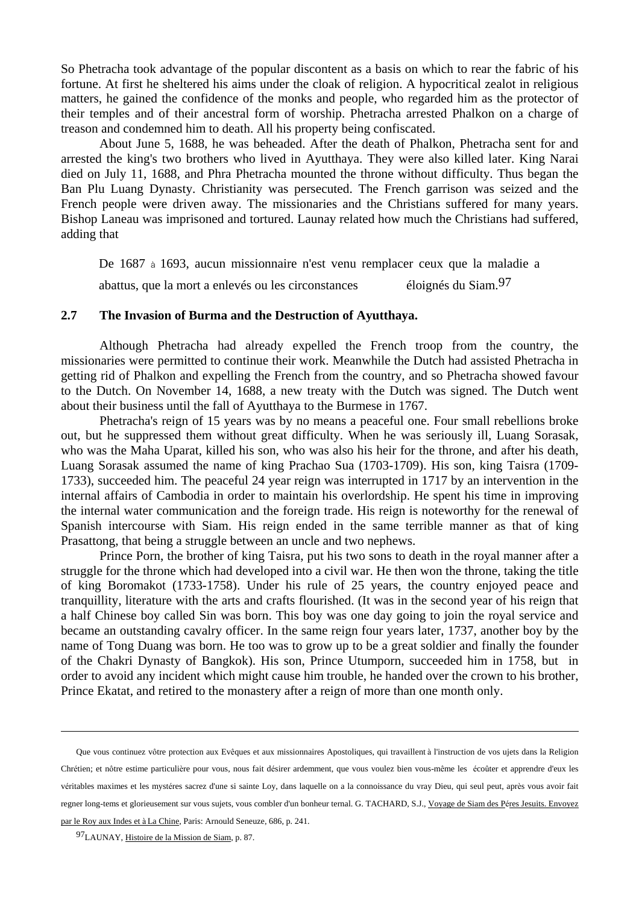So Phetracha took advantage of the popular discontent as a basis on which to rear the fabric of his fortune. At first he sheltered his aims under the cloak of religion. A hypocritical zealot in religious matters, he gained the confidence of the monks and people, who regarded him as the protector of their temples and of their ancestral form of worship. Phetracha arrested Phalkon on a charge of treason and condemned him to death. All his property being confiscated.

 About June 5, 1688, he was beheaded. After the death of Phalkon, Phetracha sent for and arrested the king's two brothers who lived in Ayutthaya. They were also killed later. King Narai died on July 11, 1688, and Phra Phetracha mounted the throne without difficulty. Thus began the Ban Plu Luang Dynasty. Christianity was persecuted. The French garrison was seized and the French people were driven away. The missionaries and the Christians suffered for many years. Bishop Laneau was imprisoned and tortured. Launay related how much the Christians had suffered, adding that

 De 1687 à 1693, aucun missionnaire n'est venu remplacer ceux que la maladie a abattus, que la mort a enlevés ou les circonstances éloignés du Siam.97

### **2.7 The Invasion of Burma and the Destruction of Ayutthaya.**

 Although Phetracha had already expelled the French troop from the country, the missionaries were permitted to continue their work. Meanwhile the Dutch had assisted Phetracha in getting rid of Phalkon and expelling the French from the country, and so Phetracha showed favour to the Dutch. On November 14, 1688, a new treaty with the Dutch was signed. The Dutch went about their business until the fall of Ayutthaya to the Burmese in 1767.

 Phetracha's reign of 15 years was by no means a peaceful one. Four small rebellions broke out, but he suppressed them without great difficulty. When he was seriously ill, Luang Sorasak, who was the Maha Uparat, killed his son, who was also his heir for the throne, and after his death, Luang Sorasak assumed the name of king Prachao Sua (1703-1709). His son, king Taisra (1709- 1733), succeeded him. The peaceful 24 year reign was interrupted in 1717 by an intervention in the internal affairs of Cambodia in order to maintain his overlordship. He spent his time in improving the internal water communication and the foreign trade. His reign is noteworthy for the renewal of Spanish intercourse with Siam. His reign ended in the same terrible manner as that of king Prasattong, that being a struggle between an uncle and two nephews.

 Prince Porn, the brother of king Taisra, put his two sons to death in the royal manner after a struggle for the throne which had developed into a civil war. He then won the throne, taking the title of king Boromakot (1733-1758). Under his rule of 25 years, the country enjoyed peace and tranquillity, literature with the arts and crafts flourished. (It was in the second year of his reign that a half Chinese boy called Sin was born. This boy was one day going to join the royal service and became an outstanding cavalry officer. In the same reign four years later, 1737, another boy by the name of Tong Duang was born. He too was to grow up to be a great soldier and finally the founder of the Chakri Dynasty of Bangkok). His son, Prince Utumporn, succeeded him in 1758, but in order to avoid any incident which might cause him trouble, he handed over the crown to his brother, Prince Ekatat, and retired to the monastery after a reign of more than one month only.

Que vous continuez vôtre protection aux Evêques et aux missionnaires Apostoliques, qui travaillentà l'instruction de vos ujets dans la Religion Chrétien; et nôtre estime particulière pour vous, nous fait désirer ardemment, que vous voulez bien vous-même les écoûter et apprendre d'eux les <sup>v</sup>éritables maximes et les mystéres sacrez d'une si sainte Loy, dans laquelle on a la connoissance du vray Dieu, qui seul peut, après vous avoir fait regner long-tems et glorieusement sur vous sujets, vous combler d'un bonheur ternal. G. TACHARD, S.J., Voyage de Siam des Péres Jesuits. Envoyez par le Roy aux Indes et à La Chine, Paris: Arnould Seneuze, 686, p. 241.

<sup>97</sup>LAUNAY, Histoire de la Mission de Siam, p. 87.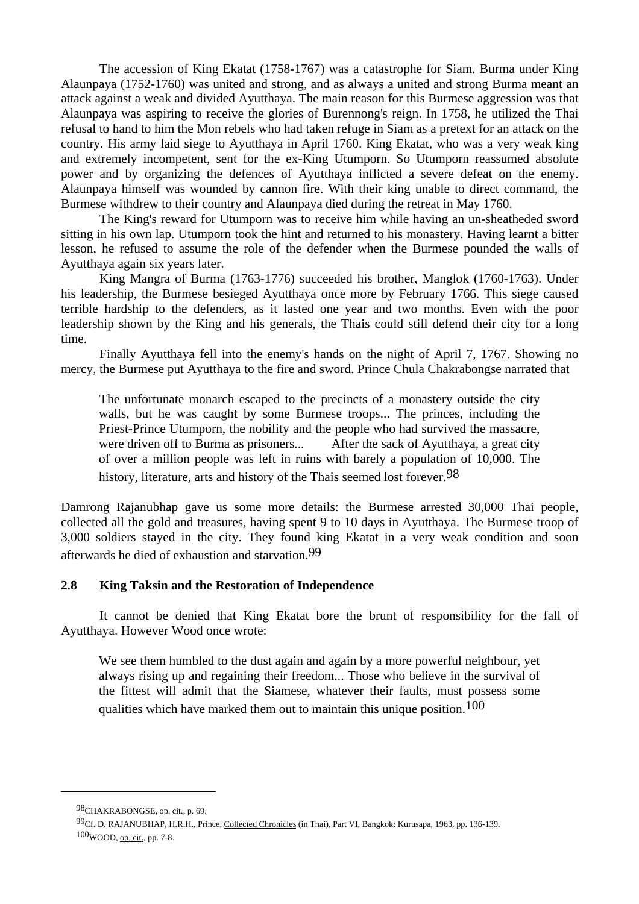The accession of King Ekatat (1758-1767) was a catastrophe for Siam. Burma under King Alaunpaya (1752-1760) was united and strong, and as always a united and strong Burma meant an attack against a weak and divided Ayutthaya. The main reason for this Burmese aggression was that Alaunpaya was aspiring to receive the glories of Burennong's reign. In 1758, he utilized the Thai refusal to hand to him the Mon rebels who had taken refuge in Siam as a pretext for an attack on the country. His army laid siege to Ayutthaya in April 1760. King Ekatat, who was a very weak king and extremely incompetent, sent for the ex-King Utumporn. So Utumporn reassumed absolute power and by organizing the defences of Ayutthaya inflicted a severe defeat on the enemy. Alaunpaya himself was wounded by cannon fire. With their king unable to direct command, the Burmese withdrew to their country and Alaunpaya died during the retreat in May 1760.

 The King's reward for Utumporn was to receive him while having an un-sheatheded sword sitting in his own lap. Utumporn took the hint and returned to his monastery. Having learnt a bitter lesson, he refused to assume the role of the defender when the Burmese pounded the walls of Ayutthaya again six years later.

 King Mangra of Burma (1763-1776) succeeded his brother, Manglok (1760-1763). Under his leadership, the Burmese besieged Ayutthaya once more by February 1766. This siege caused terrible hardship to the defenders, as it lasted one year and two months. Even with the poor leadership shown by the King and his generals, the Thais could still defend their city for a long time.

 Finally Ayutthaya fell into the enemy's hands on the night of April 7, 1767. Showing no mercy, the Burmese put Ayutthaya to the fire and sword. Prince Chula Chakrabongse narrated that

 The unfortunate monarch escaped to the precincts of a monastery outside the city walls, but he was caught by some Burmese troops... The princes, including the Priest-Prince Utumporn, the nobility and the people who had survived the massacre, were driven off to Burma as prisoners... After the sack of Ayutthaya, a great city of over a million people was left in ruins with barely a population of 10,000. The history, literature, arts and history of the Thais seemed lost forever.<sup>98</sup>

Damrong Rajanubhap gave us some more details: the Burmese arrested 30,000 Thai people, collected all the gold and treasures, having spent 9 to 10 days in Ayutthaya. The Burmese troop of 3,000 soldiers stayed in the city. They found king Ekatat in a very weak condition and soon afterwards he died of exhaustion and starvation.99

#### **2.8 King Taksin and the Restoration of Independence**

 It cannot be denied that King Ekatat bore the brunt of responsibility for the fall of Ayutthaya. However Wood once wrote:

We see them humbled to the dust again and again by a more powerful neighbour, yet always rising up and regaining their freedom... Those who believe in the survival of the fittest will admit that the Siamese, whatever their faults, must possess some qualities which have marked them out to maintain this unique position.100

98CHAKRABONGSE, op. cit., p. 69.

<sup>99</sup>Cf. D. RAJANUBHAP, H.R.H., Prince, Collected Chronicles (in Thai), Part VI, Bangkok: Kurusapa, 1963, pp. 136-139. 100WOOD, op. cit., pp. 7-8.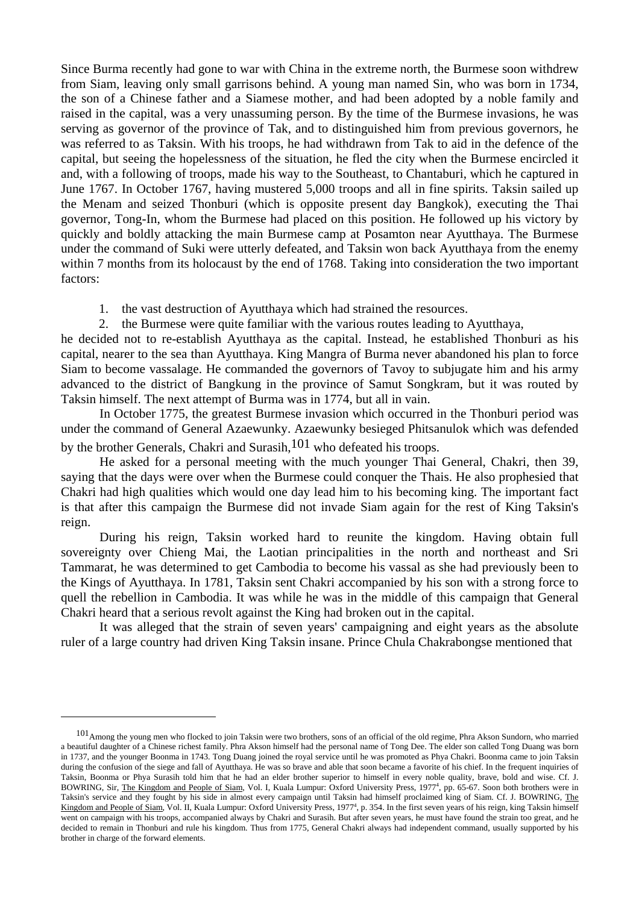Since Burma recently had gone to war with China in the extreme north, the Burmese soon withdrew from Siam, leaving only small garrisons behind. A young man named Sin, who was born in 1734, the son of a Chinese father and a Siamese mother, and had been adopted by a noble family and raised in the capital, was a very unassuming person. By the time of the Burmese invasions, he was serving as governor of the province of Tak, and to distinguished him from previous governors, he was referred to as Taksin. With his troops, he had withdrawn from Tak to aid in the defence of the capital, but seeing the hopelessness of the situation, he fled the city when the Burmese encircled it and, with a following of troops, made his way to the Southeast, to Chantaburi, which he captured in June 1767. In October 1767, having mustered 5,000 troops and all in fine spirits. Taksin sailed up the Menam and seized Thonburi (which is opposite present day Bangkok), executing the Thai governor, Tong-In, whom the Burmese had placed on this position. He followed up his victory by quickly and boldly attacking the main Burmese camp at Posamton near Ayutthaya. The Burmese under the command of Suki were utterly defeated, and Taksin won back Ayutthaya from the enemy within 7 months from its holocaust by the end of 1768. Taking into consideration the two important factors:

1. the vast destruction of Ayutthaya which had strained the resources.

2. the Burmese were quite familiar with the various routes leading to Ayutthaya,

he decided not to re-establish Ayutthaya as the capital. Instead, he established Thonburi as his capital, nearer to the sea than Ayutthaya. King Mangra of Burma never abandoned his plan to force Siam to become vassalage. He commanded the governors of Tavoy to subjugate him and his army advanced to the district of Bangkung in the province of Samut Songkram, but it was routed by Taksin himself. The next attempt of Burma was in 1774, but all in vain.

 In October 1775, the greatest Burmese invasion which occurred in the Thonburi period was under the command of General Azaewunky. Azaewunky besieged Phitsanulok which was defended by the brother Generals, Chakri and Surasih,101 who defeated his troops.

 He asked for a personal meeting with the much younger Thai General, Chakri, then 39, saying that the days were over when the Burmese could conquer the Thais. He also prophesied that Chakri had high qualities which would one day lead him to his becoming king. The important fact is that after this campaign the Burmese did not invade Siam again for the rest of King Taksin's reign.

 During his reign, Taksin worked hard to reunite the kingdom. Having obtain full sovereignty over Chieng Mai, the Laotian principalities in the north and northeast and Sri Tammarat, he was determined to get Cambodia to become his vassal as she had previously been to the Kings of Ayutthaya. In 1781, Taksin sent Chakri accompanied by his son with a strong force to quell the rebellion in Cambodia. It was while he was in the middle of this campaign that General Chakri heard that a serious revolt against the King had broken out in the capital.

 It was alleged that the strain of seven years' campaigning and eight years as the absolute ruler of a large country had driven King Taksin insane. Prince Chula Chakrabongse mentioned that

<sup>101</sup> Among the young men who flocked to join Taksin were two brothers, sons of an official of the old regime, Phra Akson Sundorn, who married a beautiful daughter of a Chinese richest family. Phra Akson himself had the personal name of Tong Dee. The elder son called Tong Duang was born in 1737, and the younger Boonma in 1743. Tong Duang joined the royal service until he was promoted as Phya Chakri. Boonma came to join Taksin during the confusion of the siege and fall of Ayutthaya. He was so brave and able that soon became a favorite of his chief. In the frequent inquiries of Taksin, Boonma or Phya Surasih told him that he had an elder brother superior to himself in every noble quality, brave, bold and wise. Cf. J. BOWRING, Sir, The Kingdom and People of Siam, Vol. I, Kuala Lumpur: Oxford University Press, 1977<sup>4</sup>, pp. 65-67. Soon both brothers were in Taksin's service and they fought by his side in almost every campaign until Taksin had himself proclaimed king of Siam. Cf. J. BOWRING, The Kingdom and People of Siam, Vol. II, Kuala Lumpur: Oxford University Press, 1977<sup>4</sup>, p. 354. In the first seven years of his reign, king Taksin himself went on campaign with his troops, accompanied always by Chakri and Surasih. But after seven years, he must have found the strain too great, and he decided to remain in Thonburi and rule his kingdom. Thus from 1775, General Chakri always had independent command, usually supported by his brother in charge of the forward elements.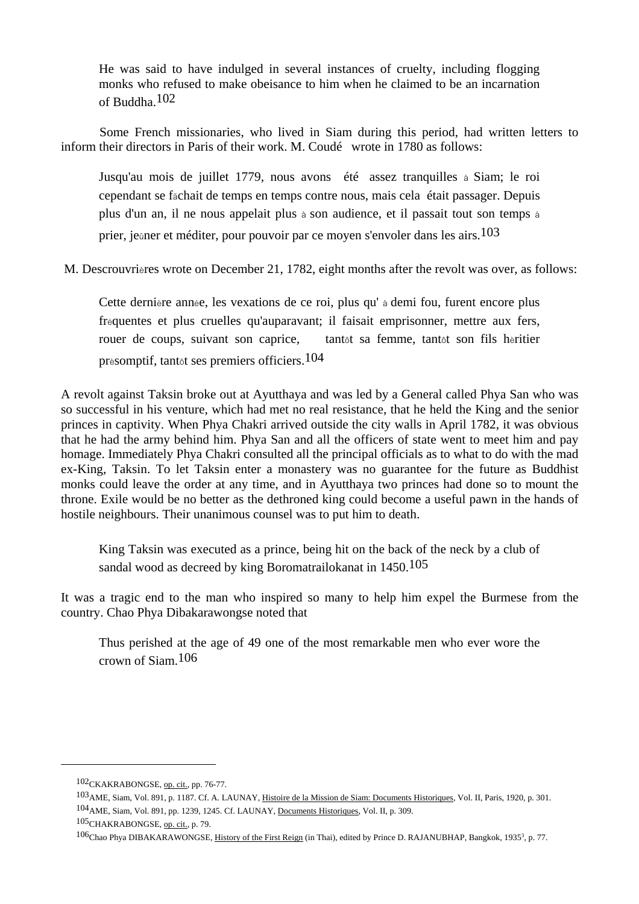He was said to have indulged in several instances of cruelty, including flogging monks who refused to make obeisance to him when he claimed to be an incarnation of Buddha.102

 Some French missionaries, who lived in Siam during this period, had written letters to inform their directors in Paris of their work. M. Coudé wrote in 1780 as follows:

 Jusqu'au mois de juillet 1779, nous avons été assez tranquilles à Siam; le roi cependant se fãchait de temps en temps contre nous, mais cela était passager. Depuis plus d'un an, il ne nous appelait plus à son audience, et il passait tout son temps à prier, jeûner et méditer, pour pouvoir par ce moyen s'envoler dans les airs.103

M. Descrouvrières wrote on December 21, 1782, eight months after the revolt was over, as follows:

 Cette dernière année, les vexations de ce roi, plus qu' à demi fou, furent encore plus fréquentes et plus cruelles qu'auparavant; il faisait emprisonner, mettre aux fers, rouer de coups, suivant son caprice, tantôt sa femme, tantôt son fils hèritier prèsomptif, tantôt ses premiers officiers.104

A revolt against Taksin broke out at Ayutthaya and was led by a General called Phya San who was so successful in his venture, which had met no real resistance, that he held the King and the senior princes in captivity. When Phya Chakri arrived outside the city walls in April 1782, it was obvious that he had the army behind him. Phya San and all the officers of state went to meet him and pay homage. Immediately Phya Chakri consulted all the principal officials as to what to do with the mad ex-King, Taksin. To let Taksin enter a monastery was no guarantee for the future as Buddhist monks could leave the order at any time, and in Ayutthaya two princes had done so to mount the throne. Exile would be no better as the dethroned king could become a useful pawn in the hands of hostile neighbours. Their unanimous counsel was to put him to death.

 King Taksin was executed as a prince, being hit on the back of the neck by a club of sandal wood as decreed by king Boromatrailokanat in 1450.<sup>105</sup>

It was a tragic end to the man who inspired so many to help him expel the Burmese from the country. Chao Phya Dibakarawongse noted that

 Thus perished at the age of 49 one of the most remarkable men who ever wore the crown of Siam.106

<sup>102</sup>CKAKRABONGSE, op. cit., pp. 76-77.

<sup>103</sup>AME, Siam, Vol. 891, p. 1187. Cf. A. LAUNAY, Histoire de la Mission de Siam: Documents Historiques, Vol. II, Paris, 1920, p. 301. 104AME, Siam, Vol. 891, pp. 1239, 1245. Cf. LAUNAY, Documents Historiques, Vol. II, p. 309.

<sup>105</sup>CHAKRABONGSE, op. cit., p. 79.

<sup>106</sup>Chao Phya DIBAKARAWONGSE, History of the First Reign (in Thai), edited by Prince D. RAJANUBHAP, Bangkok, 1935<sup>3</sup>, p. 77.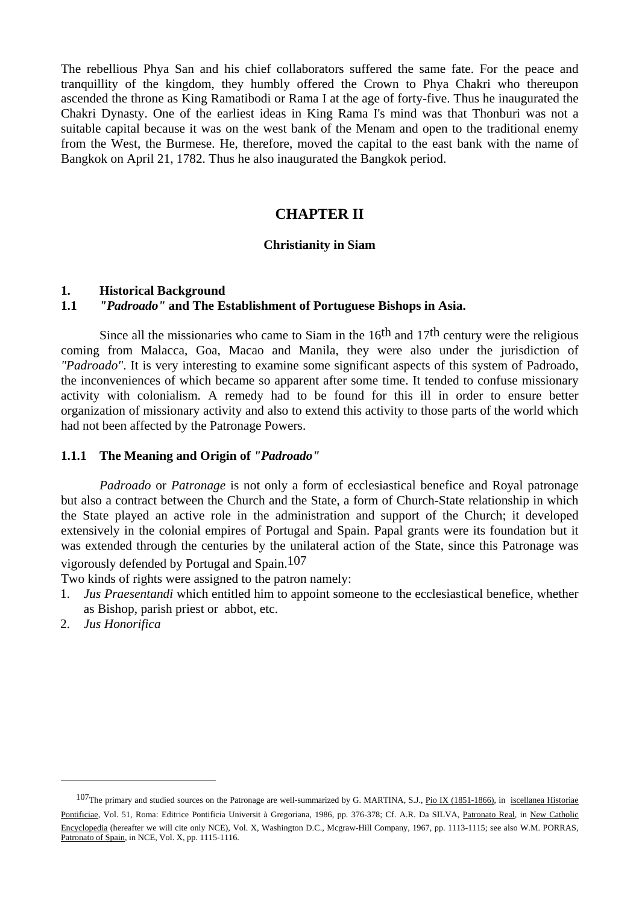The rebellious Phya San and his chief collaborators suffered the same fate. For the peace and tranquillity of the kingdom, they humbly offered the Crown to Phya Chakri who thereupon ascended the throne as King Ramatibodi or Rama I at the age of forty-five. Thus he inaugurated the Chakri Dynasty. One of the earliest ideas in King Rama I's mind was that Thonburi was not a suitable capital because it was on the west bank of the Menam and open to the traditional enemy from the West, the Burmese. He, therefore, moved the capital to the east bank with the name of Bangkok on April 21, 1782. Thus he also inaugurated the Bangkok period.

# **CHAPTER II**

#### **Christianity in Siam**

#### **1. Historical Background**

# **1.1** *"Padroado"* **and The Establishment of Portuguese Bishops in Asia.**

Since all the missionaries who came to Siam in the  $16<sup>th</sup>$  and  $17<sup>th</sup>$  century were the religious coming from Malacca, Goa, Macao and Manila, they were also under the jurisdiction of *"Padroado"*. It is very interesting to examine some significant aspects of this system of Padroado, the inconveniences of which became so apparent after some time. It tended to confuse missionary activity with colonialism. A remedy had to be found for this ill in order to ensure better organization of missionary activity and also to extend this activity to those parts of the world which had not been affected by the Patronage Powers.

#### **1.1.1 The Meaning and Origin of** *"Padroado"*

*Padroado* or *Patronage* is not only a form of ecclesiastical benefice and Royal patronage but also a contract between the Church and the State, a form of Church-State relationship in which the State played an active role in the administration and support of the Church; it developed extensively in the colonial empires of Portugal and Spain. Papal grants were its foundation but it was extended through the centuries by the unilateral action of the State, since this Patronage was vigorously defended by Portugal and Spain.107

Two kinds of rights were assigned to the patron namely:

- 1. *Jus Praesentandi* which entitled him to appoint someone to the ecclesiastical benefice, whether as Bishop, parish priest or abbot, etc.
- 2. *Jus Honorifica*

<sup>&</sup>lt;sup>107</sup>The primary and studied sources on the Patronage are well-summarized by G. MARTINA, S.J., *Pio IX (1851-1866)*, in *iscellanea Historiae* Pontificiae, Vol. 51, Roma: Editrice Pontificia Universit à Gregoriana, 1986, pp. 376-378; Cf. A.R. Da SILVA, Patronato Real, in New Catholic Encyclopedia (hereafter we will cite only NCE), Vol. X, Washington D.C., Mcgraw-Hill Company, 1967, pp. 1113-1115; see also W.M. PORRAS, Patronato of Spain, in NCE, Vol. X, pp. 1115-1116.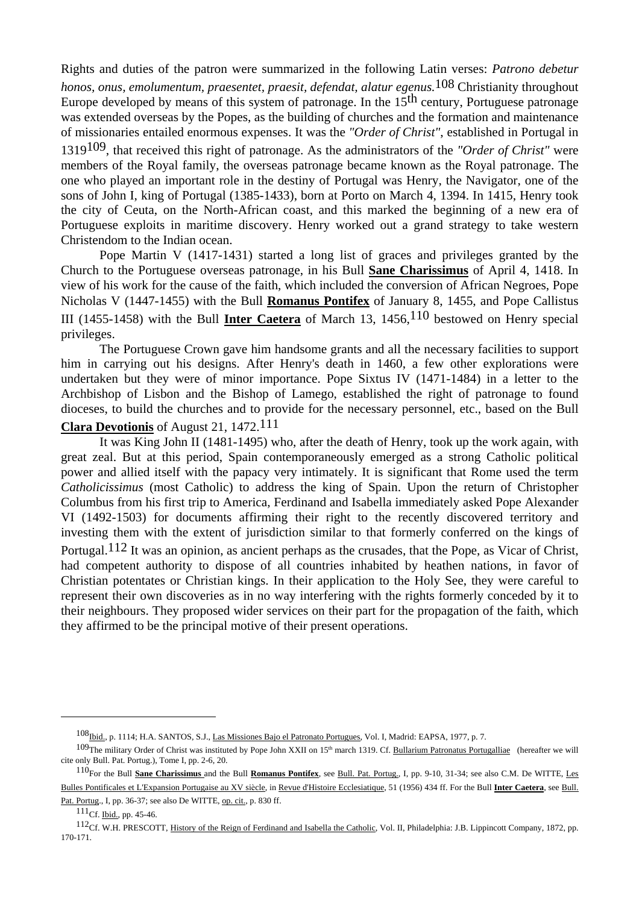Rights and duties of the patron were summarized in the following Latin verses: *Patrono debetur honos, onus, emolumentum, praesentet, praesit, defendat, alatur egenus.*108 Christianity throughout Europe developed by means of this system of patronage. In the 15<sup>th</sup> century, Portuguese patronage was extended overseas by the Popes, as the building of churches and the formation and maintenance of missionaries entailed enormous expenses. It was the *"Order of Christ"*, established in Portugal in 1319109, that received this right of patronage. As the administrators of the *"Order of Christ"* were members of the Royal family, the overseas patronage became known as the Royal patronage. The one who played an important role in the destiny of Portugal was Henry, the Navigator, one of the sons of John I, king of Portugal (1385-1433), born at Porto on March 4, 1394. In 1415, Henry took the city of Ceuta, on the North-African coast, and this marked the beginning of a new era of Portuguese exploits in maritime discovery. Henry worked out a grand strategy to take western Christendom to the Indian ocean.

 Pope Martin V (1417-1431) started a long list of graces and privileges granted by the Church to the Portuguese overseas patronage, in his Bull **Sane Charissimus** of April 4, 1418. In view of his work for the cause of the faith, which included the conversion of African Negroes, Pope Nicholas V (1447-1455) with the Bull **Romanus Pontifex** of January 8, 1455, and Pope Callistus III (1455-1458) with the Bull **Inter Caetera** of March 13, 1456,110 bestowed on Henry special privileges.

 The Portuguese Crown gave him handsome grants and all the necessary facilities to support him in carrying out his designs. After Henry's death in 1460, a few other explorations were undertaken but they were of minor importance. Pope Sixtus IV (1471-1484) in a letter to the Archbishop of Lisbon and the Bishop of Lamego, established the right of patronage to found dioceses, to build the churches and to provide for the necessary personnel, etc., based on the Bull

# **Clara Devotionis** of August 21, 1472.111

 It was King John II (1481-1495) who, after the death of Henry, took up the work again, with great zeal. But at this period, Spain contemporaneously emerged as a strong Catholic political power and allied itself with the papacy very intimately. It is significant that Rome used the term *Catholicissimus* (most Catholic) to address the king of Spain. Upon the return of Christopher Columbus from his first trip to America, Ferdinand and Isabella immediately asked Pope Alexander VI (1492-1503) for documents affirming their right to the recently discovered territory and investing them with the extent of jurisdiction similar to that formerly conferred on the kings of Portugal.112 It was an opinion, as ancient perhaps as the crusades, that the Pope, as Vicar of Christ, had competent authority to dispose of all countries inhabited by heathen nations, in favor of Christian potentates or Christian kings. In their application to the Holy See, they were careful to represent their own discoveries as in no way interfering with the rights formerly conceded by it to their neighbours. They proposed wider services on their part for the propagation of the faith, which they affirmed to be the principal motive of their present operations.

<sup>108&</sup>lt;sub>Ibid.</sub>, p. 1114; H.A. SANTOS, S.J., Las Missiones Bajo el Patronato Portugues, Vol. I, Madrid: EAPSA, 1977, p. 7.

<sup>&</sup>lt;sup>109</sup>The military Order of Christ was instituted by Pope John XXII on 15<sup>th</sup> march 1319. Cf. Bullarium Patronatus Portugalliae (hereafter we will cite only Bull. Pat. Portug.), Tome I, pp. 2-6, 20.

<sup>110</sup>For the Bull **Sane Charissimus** and the Bull **Romanus Pontifex**, see Bull. Pat. Portug., I, pp. 9-10, 31-34; see also C.M. De WITTE, Les Bulles Pontificales et L'Expansion Portugaise au XV siècle, in Revue d'Histoire Ecclesiatique, 51 (1956) 434 ff. For the Bull **Inter Caetera**, see Bull. Pat. Portug., I, pp. 36-37; see also De WITTE, op. cit., p. 830 ff.

<sup>111</sup>Cf. Ibid., pp. 45-46.

<sup>112</sup>Cf. W.H. PRESCOTT, History of the Reign of Ferdinand and Isabella the Catholic, Vol. II, Philadelphia: J.B. Lippincott Company, 1872, pp. 170-171.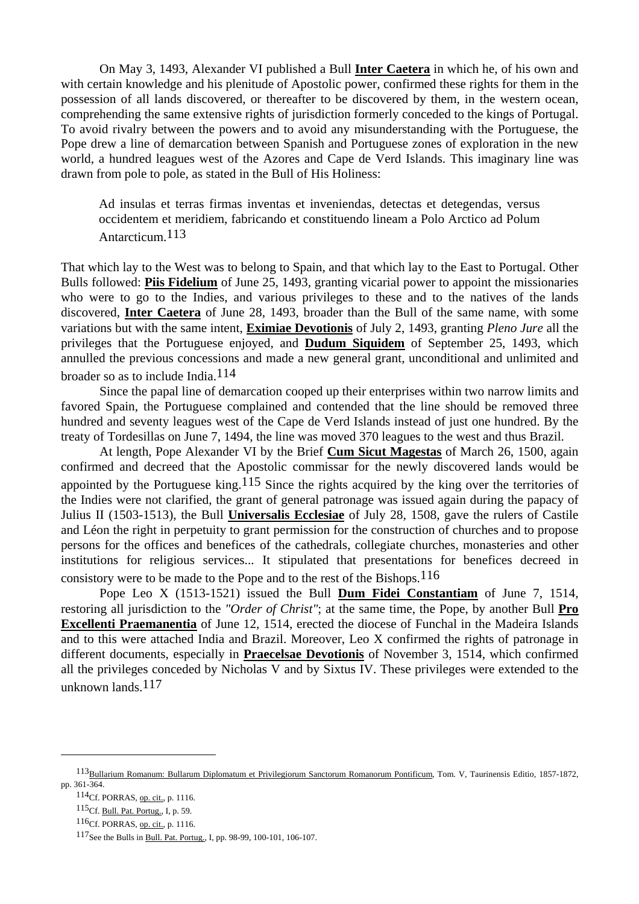On May 3, 1493, Alexander VI published a Bull **Inter Caetera** in which he, of his own and with certain knowledge and his plenitude of Apostolic power, confirmed these rights for them in the possession of all lands discovered, or thereafter to be discovered by them, in the western ocean, comprehending the same extensive rights of jurisdiction formerly conceded to the kings of Portugal. To avoid rivalry between the powers and to avoid any misunderstanding with the Portuguese, the Pope drew a line of demarcation between Spanish and Portuguese zones of exploration in the new world, a hundred leagues west of the Azores and Cape de Verd Islands. This imaginary line was drawn from pole to pole, as stated in the Bull of His Holiness:

 Ad insulas et terras firmas inventas et inveniendas, detectas et detegendas, versus occidentem et meridiem, fabricando et constituendo lineam a Polo Arctico ad Polum Antarcticum.113

That which lay to the West was to belong to Spain, and that which lay to the East to Portugal. Other Bulls followed: **Piis Fidelium** of June 25, 1493, granting vicarial power to appoint the missionaries who were to go to the Indies, and various privileges to these and to the natives of the lands discovered, **Inter Caetera** of June 28, 1493, broader than the Bull of the same name, with some variations but with the same intent, **Eximiae Devotionis** of July 2, 1493, granting *Pleno Jure* all the privileges that the Portuguese enjoyed, and **Dudum Siquidem** of September 25, 1493, which annulled the previous concessions and made a new general grant, unconditional and unlimited and broader so as to include India. $114$ 

 Since the papal line of demarcation cooped up their enterprises within two narrow limits and favored Spain, the Portuguese complained and contended that the line should be removed three hundred and seventy leagues west of the Cape de Verd Islands instead of just one hundred. By the treaty of Tordesillas on June 7, 1494, the line was moved 370 leagues to the west and thus Brazil.

 At length, Pope Alexander VI by the Brief **Cum Sicut Magestas** of March 26, 1500, again confirmed and decreed that the Apostolic commissar for the newly discovered lands would be appointed by the Portuguese king.115 Since the rights acquired by the king over the territories of the Indies were not clarified, the grant of general patronage was issued again during the papacy of Julius II (1503-1513), the Bull **Universalis Ecclesiae** of July 28, 1508, gave the rulers of Castile and Léon the right in perpetuity to grant permission for the construction of churches and to propose persons for the offices and benefices of the cathedrals, collegiate churches, monasteries and other institutions for religious services... It stipulated that presentations for benefices decreed in consistory were to be made to the Pope and to the rest of the Bishops.116

 Pope Leo X (1513-1521) issued the Bull **Dum Fidei Constantiam** of June 7, 1514, restoring all jurisdiction to the *"Order of Christ"*; at the same time, the Pope, by another Bull **Pro Excellenti Praemanentia** of June 12, 1514, erected the diocese of Funchal in the Madeira Islands and to this were attached India and Brazil. Moreover, Leo X confirmed the rights of patronage in different documents, especially in **Praecelsae Devotionis** of November 3, 1514, which confirmed all the privileges conceded by Nicholas V and by Sixtus IV. These privileges were extended to the unknown lands.<sup>117</sup>

<sup>113</sup>Bullarium Romanum: Bullarum Diplomatum et Privilegiorum Sanctorum Romanorum Pontificum, Tom. V, Taurinensis Editio, 1857-1872, pp. 361-364.

<sup>114</sup>Cf. PORRAS, op. cit., p. 1116.

<sup>115</sup>Cf. Bull. Pat. Portug., I, p. 59.

<sup>116</sup>Cf. PORRAS, op. cit., p. 1116.

<sup>117</sup>See the Bulls in Bull. Pat. Portug., I, pp. 98-99, 100-101, 106-107.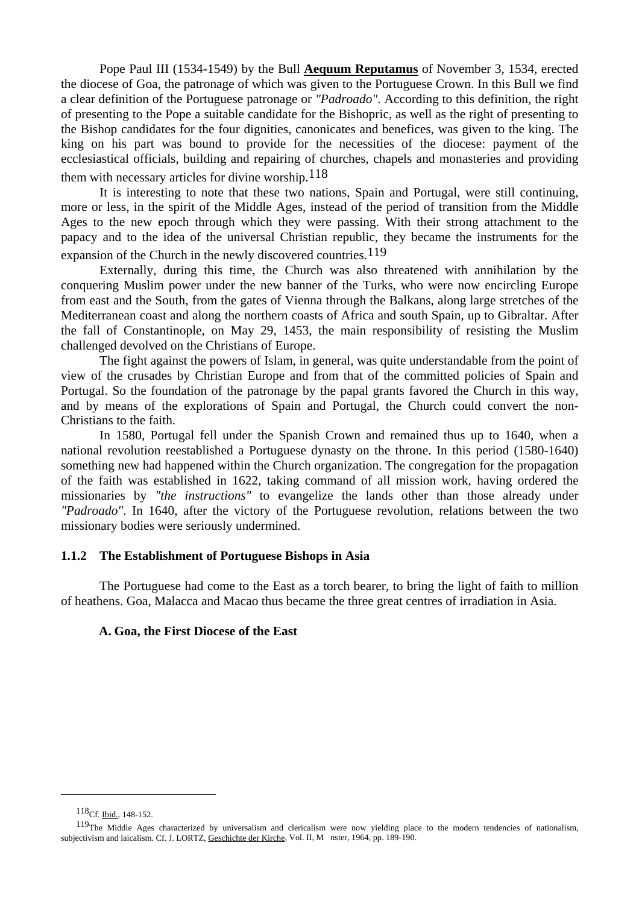Pope Paul III (1534-1549) by the Bull **Aequum Reputamus** of November 3, 1534, erected the diocese of Goa, the patronage of which was given to the Portuguese Crown. In this Bull we find a clear definition of the Portuguese patronage or *"Padroado"*. According to this definition, the right of presenting to the Pope a suitable candidate for the Bishopric, as well as the right of presenting to the Bishop candidates for the four dignities, canonicates and benefices, was given to the king. The king on his part was bound to provide for the necessities of the diocese: payment of the ecclesiastical officials, building and repairing of churches, chapels and monasteries and providing them with necessary articles for divine worship.118

 It is interesting to note that these two nations, Spain and Portugal, were still continuing, more or less, in the spirit of the Middle Ages, instead of the period of transition from the Middle Ages to the new epoch through which they were passing. With their strong attachment to the papacy and to the idea of the universal Christian republic, they became the instruments for the expansion of the Church in the newly discovered countries.  $119$ 

 Externally, during this time, the Church was also threatened with annihilation by the conquering Muslim power under the new banner of the Turks, who were now encircling Europe from east and the South, from the gates of Vienna through the Balkans, along large stretches of the Mediterranean coast and along the northern coasts of Africa and south Spain, up to Gibraltar. After the fall of Constantinople, on May 29, 1453, the main responsibility of resisting the Muslim challenged devolved on the Christians of Europe.

 The fight against the powers of Islam, in general, was quite understandable from the point of view of the crusades by Christian Europe and from that of the committed policies of Spain and Portugal. So the foundation of the patronage by the papal grants favored the Church in this way, and by means of the explorations of Spain and Portugal, the Church could convert the non-Christians to the faith.

 In 1580, Portugal fell under the Spanish Crown and remained thus up to 1640, when a national revolution reestablished a Portuguese dynasty on the throne. In this period (1580-1640) something new had happened within the Church organization. The congregation for the propagation of the faith was established in 1622, taking command of all mission work, having ordered the missionaries by *"the instructions"* to evangelize the lands other than those already under *"Padroado"*. In 1640, after the victory of the Portuguese revolution, relations between the two missionary bodies were seriously undermined.

### **1.1.2 The Establishment of Portuguese Bishops in Asia**

 The Portuguese had come to the East as a torch bearer, to bring the light of faith to million of heathens. Goa, Malacca and Macao thus became the three great centres of irradiation in Asia.

### **A. Goa, the First Diocese of the East**

<sup>118</sup>Cf. Ibid., 148-152.

<sup>&</sup>lt;sup>119</sup>The Middle Ages characterized by universalism and clericalism were now yielding place to the modern tendencies of nationalism, subjectivism and laicalism. Cf. J. LORTZ, Geschichte der Kirche, Vol. II, M nster, 1964, pp. 189-190.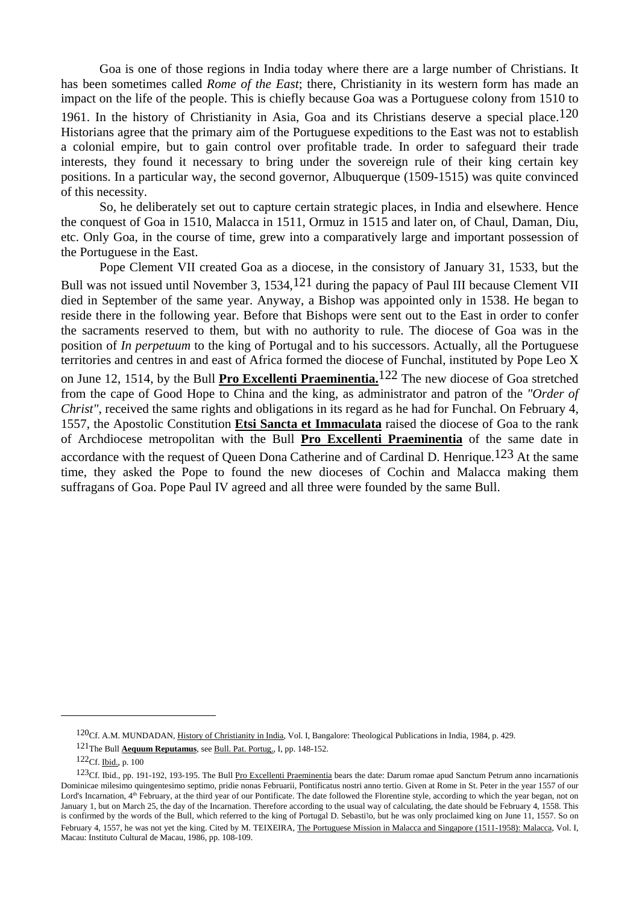Goa is one of those regions in India today where there are a large number of Christians. It has been sometimes called *Rome of the East*; there, Christianity in its western form has made an impact on the life of the people. This is chiefly because Goa was a Portuguese colony from 1510 to 1961. In the history of Christianity in Asia, Goa and its Christians deserve a special place.<sup>120</sup> Historians agree that the primary aim of the Portuguese expeditions to the East was not to establish a colonial empire, but to gain control over profitable trade. In order to safeguard their trade interests, they found it necessary to bring under the sovereign rule of their king certain key positions. In a particular way, the second governor, Albuquerque (1509-1515) was quite convinced of this necessity.

 So, he deliberately set out to capture certain strategic places, in India and elsewhere. Hence the conquest of Goa in 1510, Malacca in 1511, Ormuz in 1515 and later on, of Chaul, Daman, Diu, etc. Only Goa, in the course of time, grew into a comparatively large and important possession of the Portuguese in the East.

 Pope Clement VII created Goa as a diocese, in the consistory of January 31, 1533, but the Bull was not issued until November 3, 1534,  $121$  during the papacy of Paul III because Clement VII died in September of the same year. Anyway, a Bishop was appointed only in 1538. He began to reside there in the following year. Before that Bishops were sent out to the East in order to confer the sacraments reserved to them, but with no authority to rule. The diocese of Goa was in the position of *In perpetuum* to the king of Portugal and to his successors. Actually, all the Portuguese territories and centres in and east of Africa formed the diocese of Funchal, instituted by Pope Leo X on June 12, 1514, by the Bull **Pro Excellenti Praeminentia.**122 The new diocese of Goa stretched from the cape of Good Hope to China and the king, as administrator and patron of the *"Order of Christ"*, received the same rights and obligations in its regard as he had for Funchal. On February 4, 1557, the Apostolic Constitution **Etsi Sancta et Immaculata** raised the diocese of Goa to the rank of Archdiocese metropolitan with the Bull **Pro Excellenti Praeminentia** of the same date in accordance with the request of Queen Dona Catherine and of Cardinal D. Henrique.<sup>123</sup> At the same time, they asked the Pope to found the new dioceses of Cochin and Malacca making them suffragans of Goa. Pope Paul IV agreed and all three were founded by the same Bull.

<sup>120</sup>Cf. A.M. MUNDADAN, History of Christianity in India, Vol. I, Bangalore: Theological Publications in India, 1984, p. 429.

<sup>121</sup>The Bull **Aequum Reputamus**, see Bull. Pat. Portug., I, pp. 148-152.

<sup>122</sup>Cf. Ibid., p. 100

<sup>123</sup>Cf. Ibid., pp. 191-192, 193-195. The Bull Pro Excellenti Praeminentia bears the date: Darum romae apud Sanctum Petrum anno incarnationis Dominicae milesimo quingentesimo septimo, pridie nonas Februarii, Pontificatus nostri anno tertio. Given at Rome in St. Peter in the year 1557 of our Lord's Incarnation,  $4<sup>th</sup>$  February, at the third year of our Pontificate. The date followed the Florentine style, according to which the year began, not on January 1, but on March 25, the day of the Incarnation. Therefore according to the usual way of calculating, the date should be February 4, 1558. This is confirmed by the words of the Bull, which referred to the king of Portugal D. Sebastiใo, but he was only proclaimed king on June 11, 1557. So on February 4, 1557, he was not yet the king. Cited by M. TEIXEIRA, The Portuguese Mission in Malacca and Singapore (1511-1958): Malacca, Vol. I, Macau: Instituto Cultural de Macau, 1986, pp. 108-109.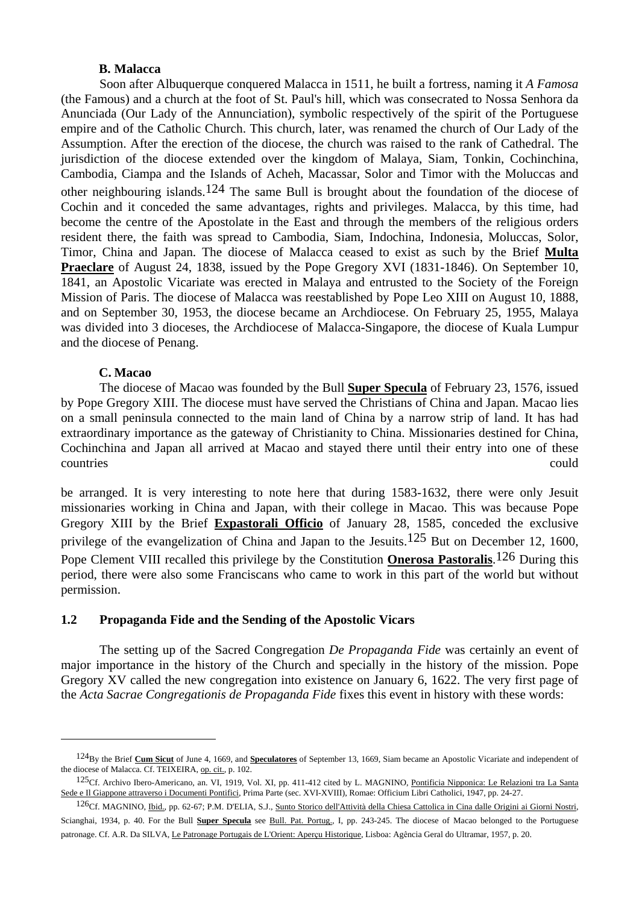#### **B. Malacca**

 Soon after Albuquerque conquered Malacca in 1511, he built a fortress, naming it *A Famosa* (the Famous) and a church at the foot of St. Paul's hill, which was consecrated to Nossa Senhora da Anunciada (Our Lady of the Annunciation), symbolic respectively of the spirit of the Portuguese empire and of the Catholic Church. This church, later, was renamed the church of Our Lady of the Assumption. After the erection of the diocese, the church was raised to the rank of Cathedral. The jurisdiction of the diocese extended over the kingdom of Malaya, Siam, Tonkin, Cochinchina, Cambodia, Ciampa and the Islands of Acheh, Macassar, Solor and Timor with the Moluccas and other neighbouring islands.<sup>124</sup> The same Bull is brought about the foundation of the diocese of Cochin and it conceded the same advantages, rights and privileges. Malacca, by this time, had become the centre of the Apostolate in the East and through the members of the religious orders resident there, the faith was spread to Cambodia, Siam, Indochina, Indonesia, Moluccas, Solor, Timor, China and Japan. The diocese of Malacca ceased to exist as such by the Brief **Multa Praeclare** of August 24, 1838, issued by the Pope Gregory XVI (1831-1846). On September 10, 1841, an Apostolic Vicariate was erected in Malaya and entrusted to the Society of the Foreign Mission of Paris. The diocese of Malacca was reestablished by Pope Leo XIII on August 10, 1888, and on September 30, 1953, the diocese became an Archdiocese. On February 25, 1955, Malaya was divided into 3 dioceses, the Archdiocese of Malacca-Singapore, the diocese of Kuala Lumpur and the diocese of Penang.

### **C. Macao**

 $\overline{a}$ 

 The diocese of Macao was founded by the Bull **Super Specula** of February 23, 1576, issued by Pope Gregory XIII. The diocese must have served the Christians of China and Japan. Macao lies on a small peninsula connected to the main land of China by a narrow strip of land. It has had extraordinary importance as the gateway of Christianity to China. Missionaries destined for China, Cochinchina and Japan all arrived at Macao and stayed there until their entry into one of these countries could

be arranged. It is very interesting to note here that during 1583-1632, there were only Jesuit missionaries working in China and Japan, with their college in Macao. This was because Pope Gregory XIII by the Brief **Expastorali Officio** of January 28, 1585, conceded the exclusive privilege of the evangelization of China and Japan to the Jesuits.<sup>125</sup> But on December 12, 1600, Pope Clement VIII recalled this privilege by the Constitution **Onerosa Pastoralis**. 126 During this period, there were also some Franciscans who came to work in this part of the world but without permission.

## **1.2 Propaganda Fide and the Sending of the Apostolic Vicars**

The setting up of the Sacred Congregation *De Propaganda Fide* was certainly an event of major importance in the history of the Church and specially in the history of the mission. Pope Gregory XV called the new congregation into existence on January 6, 1622. The very first page of the *Acta Sacrae Congregationis de Propaganda Fide* fixes this event in history with these words:

<sup>124</sup>By the Brief **Cum Sicut** of June 4, 1669, and **Speculatores** of September 13, 1669, Siam became an Apostolic Vicariate and independent of the diocese of Malacca. Cf. TEIXEIRA, op. cit., p. 102.

<sup>125</sup>Cf. Archivo Ibero-Americano, an. VI, 1919, Vol. XI, pp. 411-412 cited by L. MAGNINO, Pontificia Nipponica: Le Relazioni tra La Santa Sede e Il Giappone attraverso i Documenti Pontifici, Prima Parte (sec. XVI-XVIII), Romae: Officium Libri Catholici, 1947, pp. 24-27.

<sup>126</sup>Cf. MAGNINO, Ibid., pp. 62-67; P.M. D'ELIA, S.J., Sunto Storico dell'Attività della Chiesa Cattolica in Cina dalle Origini ai Giorni Nostri, Scianghai, 1934, p. 40. For the Bull **Super Specula** see Bull. Pat. Portug., I, pp. 243-245. The diocese of Macao belonged to the Portuguese patronage. Cf. A.R. Da SILVA, Le Patronage Portugais de L'Orient: Aperçu Historique, Lisboa: Agência Geral do Ultramar, 1957, p. 20.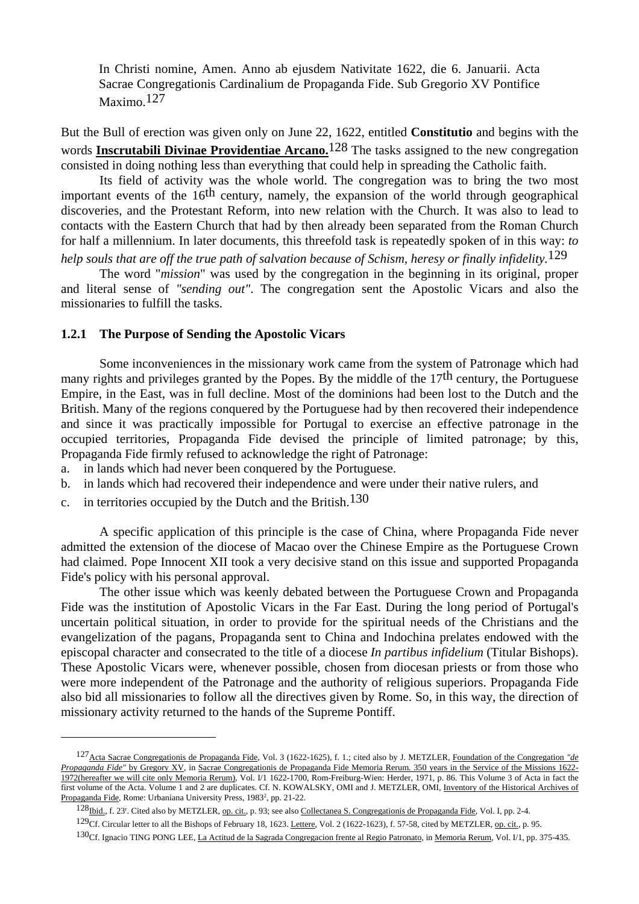In Christi nomine, Amen. Anno ab ejusdem Nativitate 1622, die 6. Januarii. Acta Sacrae Congregationis Cardinalium de Propaganda Fide. Sub Gregorio XV Pontifice Maximo.<sup>127</sup>

But the Bull of erection was given only on June 22, 1622, entitled **Constitutio** and begins with the words **Inscrutabili Divinae Providentiae Arcano.**128 The tasks assigned to the new congregation consisted in doing nothing less than everything that could help in spreading the Catholic faith.

 Its field of activity was the whole world. The congregation was to bring the two most important events of the  $16<sup>th</sup>$  century, namely, the expansion of the world through geographical discoveries, and the Protestant Reform, into new relation with the Church. It was also to lead to contacts with the Eastern Church that had by then already been separated from the Roman Church for half a millennium. In later documents, this threefold task is repeatedly spoken of in this way: *to* 

*help souls that are off the true path of salvation because of Schism, heresy or finally infidelity.*129

 The word "*mission*" was used by the congregation in the beginning in its original, proper and literal sense of *"sending out"*. The congregation sent the Apostolic Vicars and also the missionaries to fulfill the tasks.

#### **1.2.1 The Purpose of Sending the Apostolic Vicars**

 Some inconveniences in the missionary work came from the system of Patronage which had many rights and privileges granted by the Popes. By the middle of the 17<sup>th</sup> century, the Portuguese Empire, in the East, was in full decline. Most of the dominions had been lost to the Dutch and the British. Many of the regions conquered by the Portuguese had by then recovered their independence and since it was practically impossible for Portugal to exercise an effective patronage in the occupied territories, Propaganda Fide devised the principle of limited patronage; by this, Propaganda Fide firmly refused to acknowledge the right of Patronage:

- a. in lands which had never been conquered by the Portuguese.
- b. in lands which had recovered their independence and were under their native rulers, and
- c. in territories occupied by the Dutch and the British.<sup>130</sup>

 $\overline{a}$ 

 A specific application of this principle is the case of China, where Propaganda Fide never admitted the extension of the diocese of Macao over the Chinese Empire as the Portuguese Crown had claimed. Pope Innocent XII took a very decisive stand on this issue and supported Propaganda Fide's policy with his personal approval.

 The other issue which was keenly debated between the Portuguese Crown and Propaganda Fide was the institution of Apostolic Vicars in the Far East. During the long period of Portugal's uncertain political situation, in order to provide for the spiritual needs of the Christians and the evangelization of the pagans, Propaganda sent to China and Indochina prelates endowed with the episcopal character and consecrated to the title of a diocese *In partibus infidelium* (Titular Bishops). These Apostolic Vicars were, whenever possible, chosen from diocesan priests or from those who were more independent of the Patronage and the authority of religious superiors. Propaganda Fide also bid all missionaries to follow all the directives given by Rome. So, in this way, the direction of missionary activity returned to the hands of the Supreme Pontiff.

<sup>127</sup>Acta Sacrae Congregationis de Propaganda Fide, Vol. 3 (1622-1625), f. 1.; cited also by J. METZLER, Foundation of the Congregation *"de Propaganda Fide"* by Gregory XV, in Sacrae Congregationis de Propaganda Fide Memoria Rerum. 350 years in the Service of the Missions 1622- 1972(hereafter we will cite only Memoria Rerum), Vol. I/1 1622-1700, Rom-Freiburg-Wien: Herder, 1971, p. 86. This Volume 3 of Acta in fact the first volume of the Acta. Volume 1 and 2 are duplicates. Cf. N. KOWALSKY, OMI and J. METZLER, OMI, Inventory of the Historical Archives of Propaganda Fide, Rome: Urbaniana University Press, 1983<sup>2</sup>, pp. 21-22.

<sup>128&</sup>lt;sub>Ibid.</sub>, f. 23<sup>r</sup>. Cited also by METZLER, op. cit., p. 93; see also Collectanea S. Congregationis de Propaganda Fide, Vol. I, pp. 2-4.

<sup>129</sup>Cf. Circular letter to all the Bishops of February 18, 1623. Lettere, Vol. 2 (1622-1623), f. 57-58, cited by METZLER, op. cit., p. 95.

<sup>130</sup>Cf. Ignacio TING PONG LEE, La Actitud de la Sagrada Congregacion frente al Regio Patronato, in Memoria Rerum, Vol. I/1, pp. 375-435.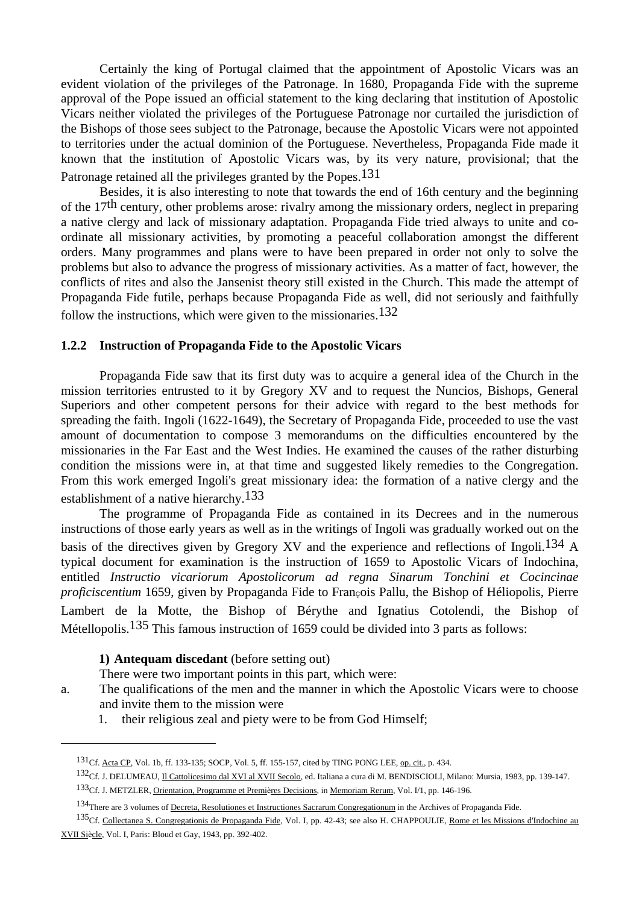Certainly the king of Portugal claimed that the appointment of Apostolic Vicars was an evident violation of the privileges of the Patronage. In 1680, Propaganda Fide with the supreme approval of the Pope issued an official statement to the king declaring that institution of Apostolic Vicars neither violated the privileges of the Portuguese Patronage nor curtailed the jurisdiction of the Bishops of those sees subject to the Patronage, because the Apostolic Vicars were not appointed to territories under the actual dominion of the Portuguese. Nevertheless, Propaganda Fide made it known that the institution of Apostolic Vicars was, by its very nature, provisional; that the Patronage retained all the privileges granted by the Popes.<sup>131</sup>

 Besides, it is also interesting to note that towards the end of 16th century and the beginning of the 17th century, other problems arose: rivalry among the missionary orders, neglect in preparing a native clergy and lack of missionary adaptation. Propaganda Fide tried always to unite and coordinate all missionary activities, by promoting a peaceful collaboration amongst the different orders. Many programmes and plans were to have been prepared in order not only to solve the problems but also to advance the progress of missionary activities. As a matter of fact, however, the conflicts of rites and also the Jansenist theory still existed in the Church. This made the attempt of Propaganda Fide futile, perhaps because Propaganda Fide as well, did not seriously and faithfully follow the instructions, which were given to the missionaries.<sup>132</sup>

#### **1.2.2 Instruction of Propaganda Fide to the Apostolic Vicars**

 Propaganda Fide saw that its first duty was to acquire a general idea of the Church in the mission territories entrusted to it by Gregory XV and to request the Nuncios, Bishops, General Superiors and other competent persons for their advice with regard to the best methods for spreading the faith. Ingoli (1622-1649), the Secretary of Propaganda Fide, proceeded to use the vast amount of documentation to compose 3 memorandums on the difficulties encountered by the missionaries in the Far East and the West Indies. He examined the causes of the rather disturbing condition the missions were in, at that time and suggested likely remedies to the Congregation. From this work emerged Ingoli's great missionary idea: the formation of a native clergy and the establishment of a native hierarchy.133

 The programme of Propaganda Fide as contained in its Decrees and in the numerous instructions of those early years as well as in the writings of Ingoli was gradually worked out on the basis of the directives given by Gregory XV and the experience and reflections of Ingoli.134 A typical document for examination is the instruction of 1659 to Apostolic Vicars of Indochina, entitled *Instructio vicariorum Apostolicorum ad regna Sinarum Tonchini et Cocincinae proficiscentium* 1659, given by Propaganda Fide to François Pallu, the Bishop of Héliopolis, Pierre Lambert de la Motte, the Bishop of Bérythe and Ignatius Cotolendi, the Bishop of Métellopolis.<sup>135</sup> This famous instruction of 1659 could be divided into 3 parts as follows:

#### **1) Antequam discedant** (before setting out)

 $\overline{a}$ 

There were two important points in this part, which were:

- a. The qualifications of the men and the manner in which the Apostolic Vicars were to choose and invite them to the mission were
	- 1. their religious zeal and piety were to be from God Himself;

<sup>131</sup>Cf. Acta CP, Vol. 1b, ff. 133-135; SOCP, Vol. 5, ff. 155-157, cited by TING PONG LEE, op. cit., p. 434.

<sup>132</sup>Cf. J. DELUMEAU, Il Cattolicesimo dal XVI al XVII Secolo, ed. Italiana a cura di M. BENDISCIOLI, Milano: Mursia, 1983, pp. 139-147. 133<sub>Cf.</sub> J. METZLER, Orientation, Programme et Premières Decisions, in Memoriam Rerum, Vol. I/1, pp. 146-196.

<sup>134</sup>There are 3 volumes of Decreta, Resolutiones et Instructiones Sacrarum Congregationum in the Archives of Propaganda Fide.

<sup>135</sup>Cf. Collectanea S. Congregationis de Propaganda Fide, Vol. I, pp. 42-43; see also H. CHAPPOULIE, Rome et les Missions d'Indochine au XVII Siècle, Vol. I, Paris: Bloud et Gay, 1943, pp. 392-402.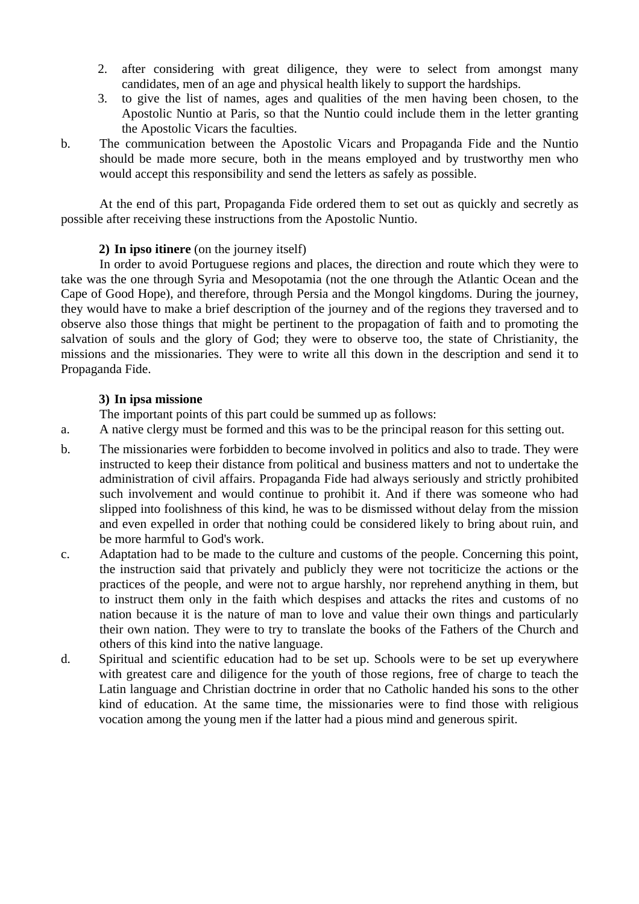- 2. after considering with great diligence, they were to select from amongst many candidates, men of an age and physical health likely to support the hardships.
- 3. to give the list of names, ages and qualities of the men having been chosen, to the Apostolic Nuntio at Paris, so that the Nuntio could include them in the letter granting the Apostolic Vicars the faculties.
- b. The communication between the Apostolic Vicars and Propaganda Fide and the Nuntio should be made more secure, both in the means employed and by trustworthy men who would accept this responsibility and send the letters as safely as possible.

 At the end of this part, Propaganda Fide ordered them to set out as quickly and secretly as possible after receiving these instructions from the Apostolic Nuntio.

# **2) In ipso itinere** (on the journey itself)

 In order to avoid Portuguese regions and places, the direction and route which they were to take was the one through Syria and Mesopotamia (not the one through the Atlantic Ocean and the Cape of Good Hope), and therefore, through Persia and the Mongol kingdoms. During the journey, they would have to make a brief description of the journey and of the regions they traversed and to observe also those things that might be pertinent to the propagation of faith and to promoting the salvation of souls and the glory of God; they were to observe too, the state of Christianity, the missions and the missionaries. They were to write all this down in the description and send it to Propaganda Fide.

# **3) In ipsa missione**

The important points of this part could be summed up as follows:

a. A native clergy must be formed and this was to be the principal reason for this setting out.

- b. The missionaries were forbidden to become involved in politics and also to trade. They were instructed to keep their distance from political and business matters and not to undertake the administration of civil affairs. Propaganda Fide had always seriously and strictly prohibited such involvement and would continue to prohibit it. And if there was someone who had slipped into foolishness of this kind, he was to be dismissed without delay from the mission and even expelled in order that nothing could be considered likely to bring about ruin, and be more harmful to God's work.
- c. Adaptation had to be made to the culture and customs of the people. Concerning this point, the instruction said that privately and publicly they were not tocriticize the actions or the practices of the people, and were not to argue harshly, nor reprehend anything in them, but to instruct them only in the faith which despises and attacks the rites and customs of no nation because it is the nature of man to love and value their own things and particularly their own nation. They were to try to translate the books of the Fathers of the Church and others of this kind into the native language.
- d. Spiritual and scientific education had to be set up. Schools were to be set up everywhere with greatest care and diligence for the youth of those regions, free of charge to teach the Latin language and Christian doctrine in order that no Catholic handed his sons to the other kind of education. At the same time, the missionaries were to find those with religious vocation among the young men if the latter had a pious mind and generous spirit.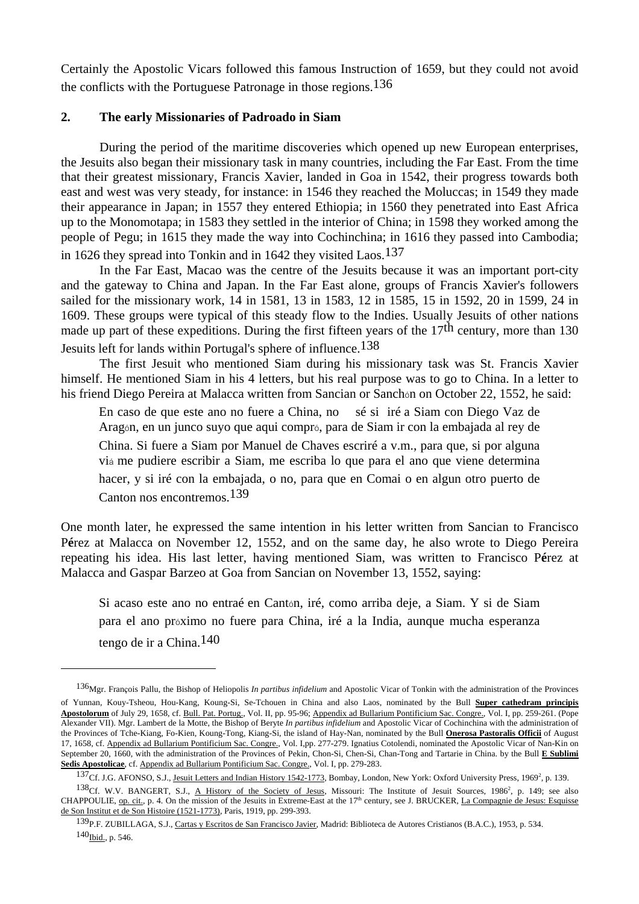Certainly the Apostolic Vicars followed this famous Instruction of 1659, but they could not avoid the conflicts with the Portuguese Patronage in those regions.  $136$ 

# **2. The early Missionaries of Padroado in Siam**

 $\overline{a}$ 

During the period of the maritime discoveries which opened up new European enterprises, the Jesuits also began their missionary task in many countries, including the Far East. From the time that their greatest missionary, Francis Xavier, landed in Goa in 1542, their progress towards both east and west was very steady, for instance: in 1546 they reached the Moluccas; in 1549 they made their appearance in Japan; in 1557 they entered Ethiopia; in 1560 they penetrated into East Africa up to the Monomotapa; in 1583 they settled in the interior of China; in 1598 they worked among the people of Pegu; in 1615 they made the way into Cochinchina; in 1616 they passed into Cambodia; in 1626 they spread into Tonkin and in 1642 they visited Laos.<sup>137</sup>

 In the Far East, Macao was the centre of the Jesuits because it was an important port-city and the gateway to China and Japan. In the Far East alone, groups of Francis Xavier's followers sailed for the missionary work, 14 in 1581, 13 in 1583, 12 in 1585, 15 in 1592, 20 in 1599, 24 in 1609. These groups were typical of this steady flow to the Indies. Usually Jesuits of other nations made up part of these expeditions. During the first fifteen years of the 17<sup>th</sup> century, more than 130 Jesuits left for lands within Portugal's sphere of influence.138

 The first Jesuit who mentioned Siam during his missionary task was St. Francis Xavier himself. He mentioned Siam in his 4 letters, but his real purpose was to go to China. In a letter to his friend Diego Pereira at Malacca written from Sancian or Sanchon on October 22, 1552, he said:

 En caso de que este ano no fuere a China, no sé siiré a Siam con Diego Vaz de Aragón, en un junco suyo que aqui compró, para de Siam ir con la embajada al rey de China. Si fuere a Siam por Manuel de Chaves escriré a v.m., para que, si por alguna viá me pudiere escribir a Siam, me escriba lo que para el ano que viene determina hacer, y si iré con la embajada, o no, para que en Comai o en algun otro puerto de Canton nos encontremos.139

One month later, he expressed the same intention in his letter written from Sancian to Francisco P**é**rez at Malacca on November 12, 1552, and on the same day, he also wrote to Diego Pereira repeating his idea. His last letter, having mentioned Siam, was written to Francisco P**é**rez at Malacca and Gaspar Barzeo at Goa from Sancian on November 13, 1552, saying:

 Si acaso este ano no entraé en Cantón, iré, como arriba deje, a Siam. Y si de Siam para el ano próximo no fuere para China, iré a la India, aunque mucha esperanza tengo de ir a China.140

<sup>136</sup>Mgr. François Pallu, the Bishop of Heliopolis *In partibus infidelium* and Apostolic Vicar of Tonkin with the administration of the Provinces of Yunnan, Kouy-Tsheou, Hou-Kang, Koung-Si, Se-Tchouen in China and also Laos, nominated by the Bull **Super cathedram principis Apostolorum** of July 29, 1658, cf. Bull. Pat. Portug., Vol. II, pp. 95-96; Appendix ad Bullarium Pontificium Sac. Congre., Vol. I, pp. 259-261. (Pope Alexander VII). Mgr. Lambert de la Motte, the Bishop of Beryte *In partibus infidelium* and Apostolic Vicar of Cochinchina with the administration of the Provinces of Tche-Kiang, Fo-Kien, Koung-Tong, Kiang-Si, the island of Hay-Nan, nominated by the Bull **Onerosa Pastoralis Officii** of August 17, 1658, cf. Appendix ad Bullarium Pontificium Sac. Congre., Vol. I,pp. 277-279. Ignatius Cotolendi, nominated the Apostolic Vicar of Nan-Kin on September 20, 1660, with the administration of the Provinces of Pekin, Chon-Si, Chen-Si, Chan-Tong and Tartarie in China. by the Bull **E Sublimi Sedis Apostolicae**, cf. Appendix ad Bullarium Pontificium Sac. Congre., Vol. I, pp. 279-283.

<sup>137</sup>Cf. J.G. AFONSO, S.J., Jesuit Letters and Indian History 1542-1773, Bombay, London, New York: Oxford University Press, 1969<sup>2</sup>, p. 139.

<sup>138</sup>Cf. W.V. BANGERT, S.J., A History of the Society of Jesus, Missouri: The Institute of Jesuit Sources, 1986<sup>2</sup>, p. 149; see also CHAPPOULIE, op. cit., p. 4. On the mission of the Jesuits in Extreme-East at the 17<sup>th</sup> century, see J. BRUCKER, La Compagnie de Jesus: Esquisse de Son Institut et de Son Histoire (1521-1773), Paris, 1919, pp. 299-393.

<sup>139</sup> P.F. ZUBILLAGA, S.J., Cartas y Escritos de San Francisco Javier, Madrid: Biblioteca de Autores Cristianos (B.A.C.), 1953, p. 534. 140<sub>Ibid.</sub>, p. 546.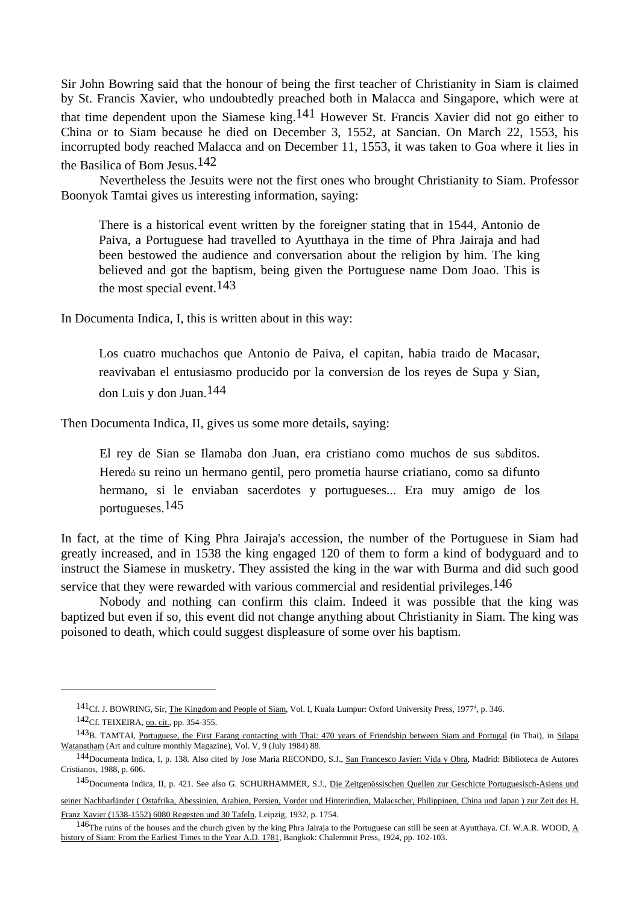Sir John Bowring said that the honour of being the first teacher of Christianity in Siam is claimed by St. Francis Xavier, who undoubtedly preached both in Malacca and Singapore, which were at that time dependent upon the Siamese king.<sup>141</sup> However St. Francis Xavier did not go either to China or to Siam because he died on December 3, 1552, at Sancian. On March 22, 1553, his incorrupted body reached Malacca and on December 11, 1553, it was taken to Goa where it lies in the Basilica of Bom Jesus.142

 Nevertheless the Jesuits were not the first ones who brought Christianity to Siam. Professor Boonyok Tamtai gives us interesting information, saying:

 There is a historical event written by the foreigner stating that in 1544, Antonio de Paiva, a Portuguese had travelled to Ayutthaya in the time of Phra Jairaja and had been bestowed the audience and conversation about the religion by him. The king believed and got the baptism, being given the Portuguese name Dom Joao. This is the most special event.143

In Documenta Indica, I, this is written about in this way:

 Los cuatro muchachos que Antonio de Paiva, el capitán, habia traído de Macasar, reavivaban el entusiasmo producido por la conversión de los reyes de Supa y Sian, don Luis y don Juan.144

Then Documenta Indica, II, gives us some more details, saying:

 El rey de Sian se Ilamaba don Juan, era cristiano como muchos de sus súbditos. Heredó su reino un hermano gentil, pero prometia haurse criatiano, como sa difunto hermano, si le enviaban sacerdotes y portugueses... Era muy amigo de los portugueses.145

In fact, at the time of King Phra Jairaja's accession, the number of the Portuguese in Siam had greatly increased, and in 1538 the king engaged 120 of them to form a kind of bodyguard and to instruct the Siamese in musketry. They assisted the king in the war with Burma and did such good service that they were rewarded with various commercial and residential privileges.<sup>146</sup>

 Nobody and nothing can confirm this claim. Indeed it was possible that the king was baptized but even if so, this event did not change anything about Christianity in Siam. The king was poisoned to death, which could suggest displeasure of some over his baptism.

 $\overline{a}$ 

145Documenta Indica, II, p. 421. See also G. SCHURHAMMER, S.J., Die Zeitgenössischen Quellen zur Geschicte Portuguesisch-Asiens und

<sup>&</sup>lt;sup>141</sup>Cf. J. BOWRING, Sir, The Kingdom and People of Siam, Vol. I, Kuala Lumpur: Oxford University Press, 1977<sup>4</sup>, p. 346. 142Cf. TEIXEIRA, op. cit., pp. 354-355.

<sup>&</sup>lt;sup>143</sup>B. TAMTAI, Portuguese, the First Farang contacting with Thai: 470 years of Friendship between Siam and Portugal (in Thai), in Silapa Watanatham (Art and culture monthly Magazine), Vol. V, 9 (July 1984) 88.

<sup>144</sup>Documenta Indica, I, p. 138. Also cited by Jose Maria RECONDO, S.J., San Francesco Javier: Vida y Obra, Madrid: Biblioteca de Autores Cristianos, 1988, p. 606.

seiner Nachbarländer (Ostafrika, Abessinien, Arabien, Persien, Vorder und Hinterindien, Malaöscher, Philippinen, China und Japan ) zur Zeit des H. Franz Xavier (1538-1552) 6080 Regesten und 30 Tafeln, Leipzig, 1932, p. 1754.

<sup>&</sup>lt;sup>146</sup>The ruins of the houses and the church given by the king Phra Jairaja to the Portuguese can still be seen at Ayutthaya. Cf. W.A.R. WOOD,  $\underline{A}$ history of Siam: From the Earliest Times to the Year A.D. 1781, Bangkok: Chalermnit Press, 1924, pp. 102-103.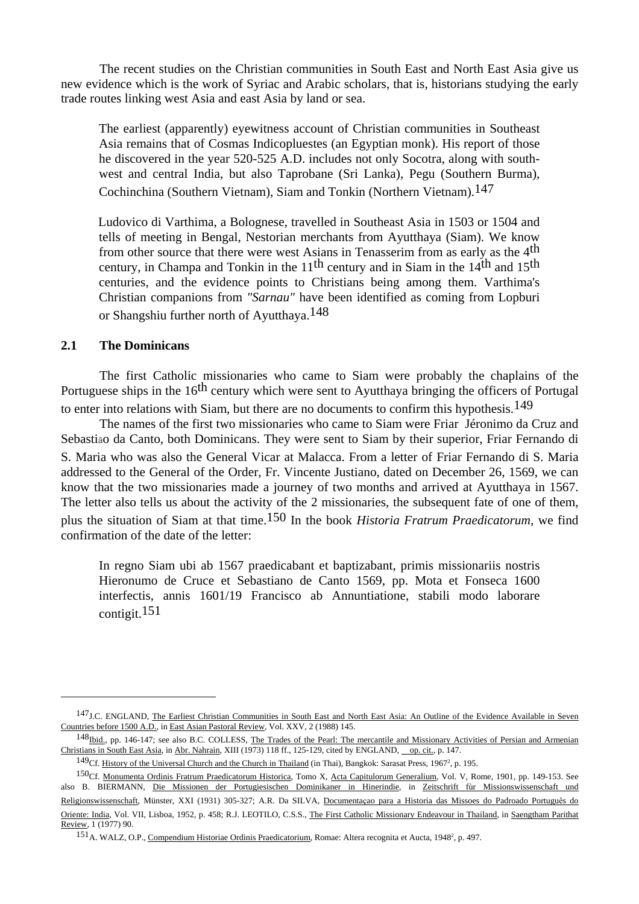The recent studies on the Christian communities in South East and North East Asia give us new evidence which is the work of Syriac and Arabic scholars, that is, historians studying the early trade routes linking west Asia and east Asia by land or sea.

 The earliest (apparently) eyewitness account of Christian communities in Southeast Asia remains that of Cosmas Indicopluestes (an Egyptian monk). His report of those he discovered in the year 520-525 A.D. includes not only Socotra, along with southwest and central India, but also Taprobane (Sri Lanka), Pegu (Southern Burma), Cochinchina (Southern Vietnam), Siam and Tonkin (Northern Vietnam).147

Ludovico di Varthima, a Bolognese, travelled in Southeast Asia in 1503 or 1504 and tells of meeting in Bengal, Nestorian merchants from Ayutthaya (Siam). We know from other source that there were west Asians in Tenasserim from as early as the 4th century, in Champa and Tonkin in the  $11<sup>th</sup>$  century and in Siam in the  $14<sup>th</sup>$  and  $15<sup>th</sup>$ centuries, and the evidence points to Christians being among them. Varthima's Christian companions from *"Sarnau"* have been identified as coming from Lopburi or Shangshiu further north of Ayutthaya.148

# **2.1 The Dominicans**

 $\overline{a}$ 

 The first Catholic missionaries who came to Siam were probably the chaplains of the Portuguese ships in the 16<sup>th</sup> century which were sent to Ayutthaya bringing the officers of Portugal to enter into relations with Siam, but there are no documents to confirm this hypothesis.<sup>149</sup>

 The names of the first two missionaries who came to Siam were Friar Jéronimo da Cruz and Sebastião da Canto, both Dominicans. They were sent to Siam by their superior, Friar Fernando di S. Maria who was also the General Vicar at Malacca. From a letter of Friar Fernando di S. Maria addressed to the General of the Order, Fr. Vincente Justiano, dated on December 26, 1569, we can know that the two missionaries made a journey of two months and arrived at Ayutthaya in 1567. The letter also tells us about the activity of the 2 missionaries, the subsequent fate of one of them, plus the situation of Siam at that time.150 In the book *Historia Fratrum Praedicatorum*, we find confirmation of the date of the letter:

 In regno Siam ubi ab 1567 praedicabant et baptizabant, primis missionariis nostris Hieronumo de Cruce et Sebastiano de Canto 1569, pp. Mota et Fonseca 1600 interfectis, annis 1601/19 Francisco ab Annuntiatione, stabili modo laborare contigit.<sup>151</sup>

<sup>147</sup> J.C. ENGLAND, The Earliest Christian Communities in South East and North East Asia: An Outline of the Evidence Available in Seven Countries before 1500 A.D., in East Asian Pastoral Review, Vol. XXV, 2 (1988) 145.

<sup>148</sup>Ibid., pp. 146-147; see also B.C. COLLESS, The Trades of the Pearl: The mercantile and Missionary Activities of Persian and Armenian Christians in South East Asia, in Abr. Nahrain, XIII (1973) 118 ff., 125-129, cited by ENGLAND, op. cit., p. 147.

<sup>149</sup>Cf. History of the Universal Church and the Church in Thailand (in Thai), Bangkok: Sarasat Press, 1967<sup>2</sup>, p. 195.

<sup>150</sup>Cf. Monumenta Ordinis Fratrum Praedicatorum Historica, Tomo X, Acta Capitulorum Generalium, Vol. V, Rome, 1901, pp. 149-153. See also B. BIERMANN, Die Missionen der Portugiesischen Dominikaner in Hinerindie, in Zeitschrift fùr Missionswissenschaft und Religionswissenschaft, Münster, XXI (1931) 305-327; A.R. Da SILVA, Documentaçao para a Historia das Missoes do Padroado Português do Oriente: India, Vol. VII, Lisboa, 1952, p. 458; R.J. LEOTILO, C.S.S., The First Catholic Missionary Endeavour in Thailand, in Saengtham Parithat Review, 1 (1977) 90.

<sup>151</sup> A. WALZ, O.P., Compendium Historiae Ordinis Praedicatorium, Romae: Altera recognita et Aucta, 1948<sup>2</sup>, p. 497.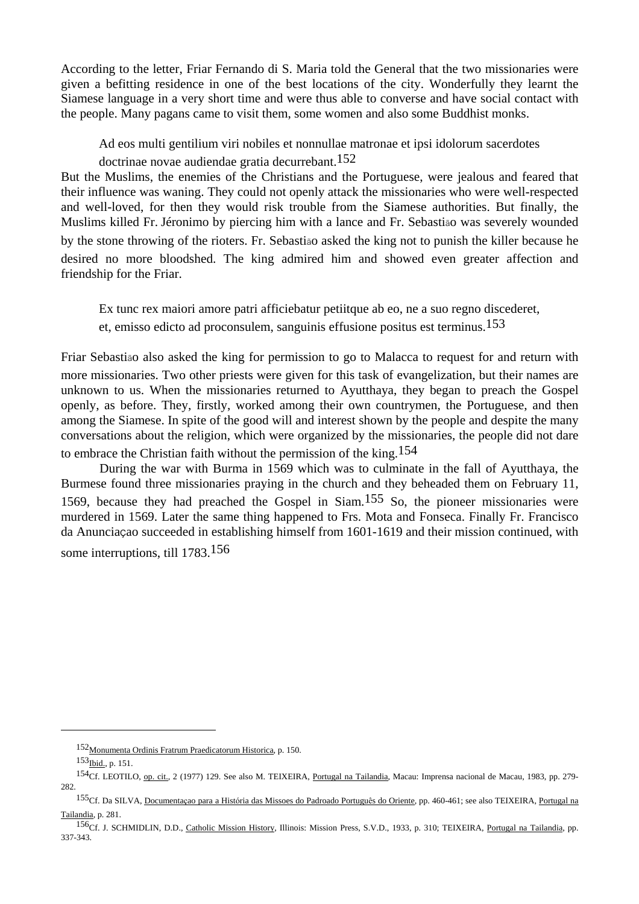According to the letter, Friar Fernando di S. Maria told the General that the two missionaries were given a befitting residence in one of the best locations of the city. Wonderfully they learnt the Siamese language in a very short time and were thus able to converse and have social contact with the people. Many pagans came to visit them, some women and also some Buddhist monks.

Ad eos multi gentilium viri nobiles et nonnullae matronae et ipsi idolorum sacerdotes

doctrinae novae audiendae gratia decurrebant.152

But the Muslims, the enemies of the Christians and the Portuguese, were jealous and feared that their influence was waning. They could not openly attack the missionaries who were well-respected and well-loved, for then they would risk trouble from the Siamese authorities. But finally, the Muslims killed Fr. Jéronimo by piercing him with a lance and Fr. Sebastião was severely wounded by the stone throwing of the rioters. Fr. Sebastião asked the king not to punish the killer because he desired no more bloodshed. The king admired him and showed even greater affection and friendship for the Friar.

 Ex tunc rex maiori amore patri afficiebatur petiitque ab eo, ne a suo regno discederet, et, emisso edicto ad proconsulem, sanguinis effusione positus est terminus.153

Friar Sebastião also asked the king for permission to go to Malacca to request for and return with more missionaries. Two other priests were given for this task of evangelization, but their names are unknown to us. When the missionaries returned to Ayutthaya, they began to preach the Gospel openly, as before. They, firstly, worked among their own countrymen, the Portuguese, and then among the Siamese. In spite of the good will and interest shown by the people and despite the many conversations about the religion, which were organized by the missionaries, the people did not dare to embrace the Christian faith without the permission of the king.154

 During the war with Burma in 1569 which was to culminate in the fall of Ayutthaya, the Burmese found three missionaries praying in the church and they beheaded them on February 11, 1569, because they had preached the Gospel in Siam.155 So, the pioneer missionaries were murdered in 1569. Later the same thing happened to Frs. Mota and Fonseca. Finally Fr. Francisco da Anuncia**Ç**ao succeeded in establishing himself from 1601-1619 and their mission continued, with some interruptions, till 1783.156

<sup>152&</sup>lt;sub>Monumenta Ordinis Fratrum Praedicatorum Historica, p. 150.</sub>

<sup>153</sup>Ibid., p. 151.

<sup>&</sup>lt;sup>154</sup>Cf. LEOTILO, op. cit., 2 (1977) 129. See also M. TEIXEIRA, Portugal na Tailandia, Macau: Imprensa nacional de Macau, 1983, pp. 279-282.

<sup>155</sup>Cf. Da SILVA, Documentaçao para a História das Missoes do Padroado Português do Oriente, pp. 460-461; see also TEIXEIRA, Portugal na Tailandia, p. 281.

<sup>156</sup>Cf. J. SCHMIDLIN, D.D., Catholic Mission History, Illinois: Mission Press, S.V.D., 1933, p. 310; TEIXEIRA, Portugal na Tailandia, pp. 337-343.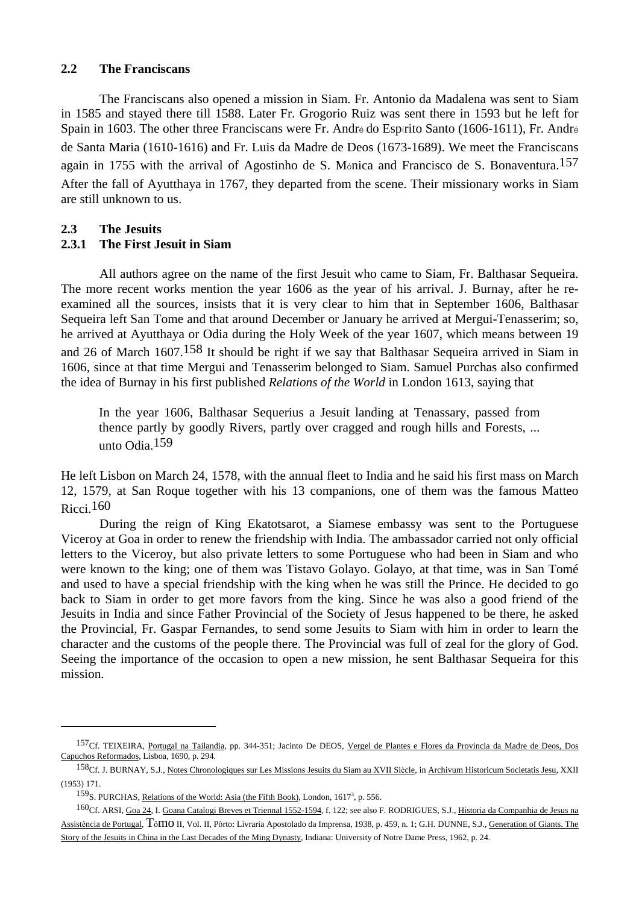### **2.2 The Franciscans**

 The Franciscans also opened a mission in Siam. Fr. Antonio da Madalena was sent to Siam in 1585 and stayed there till 1588. Later Fr. Grogorio Ruiz was sent there in 1593 but he left for Spain in 1603. The other three Franciscans were Fr. André do Espírito Santo (1606-1611), Fr. André de Santa Maria (1610-1616) and Fr. Luis da Madre de Deos (1673-1689). We meet the Franciscans again in 1755 with the arrival of Agostinho de S. Mónica and Francisco de S. Bonaventura.<sup>157</sup> After the fall of Ayutthaya in 1767, they departed from the scene. Their missionary works in Siam are still unknown to us.

# **2.3 The Jesuits**

 $\overline{a}$ 

# **2.3.1 The First Jesuit in Siam**

All authors agree on the name of the first Jesuit who came to Siam, Fr. Balthasar Sequeira. The more recent works mention the year 1606 as the year of his arrival. J. Burnay, after he reexamined all the sources, insists that it is very clear to him that in September 1606, Balthasar Sequeira left San Tome and that around December or January he arrived at Mergui-Tenasserim; so, he arrived at Ayutthaya or Odia during the Holy Week of the year 1607, which means between 19 and 26 of March 1607.<sup>158</sup> It should be right if we say that Balthasar Sequeira arrived in Siam in 1606, since at that time Mergui and Tenasserim belonged to Siam. Samuel Purchas also confirmed the idea of Burnay in his first published *Relations of the World* in London 1613, saying that

 In the year 1606, Balthasar Sequerius a Jesuit landing at Tenassary, passed from thence partly by goodly Rivers, partly over cragged and rough hills and Forests, ... unto Odia.159

He left Lisbon on March 24, 1578, with the annual fleet to India and he said his first mass on March 12, 1579, at San Roque together with his 13 companions, one of them was the famous Matteo Ricci.<sup>160</sup>

 During the reign of King Ekatotsarot, a Siamese embassy was sent to the Portuguese Viceroy at Goa in order to renew the friendship with India. The ambassador carried not only official letters to the Viceroy, but also private letters to some Portuguese who had been in Siam and who were known to the king; one of them was Tistavo Golayo. Golayo, at that time, was in San Tomé and used to have a special friendship with the king when he was still the Prince. He decided to go back to Siam in order to get more favors from the king. Since he was also a good friend of the Jesuits in India and since Father Provincial of the Society of Jesus happened to be there, he asked the Provincial, Fr. Gaspar Fernandes, to send some Jesuits to Siam with him in order to learn the character and the customs of the people there. The Provincial was full of zeal for the glory of God. Seeing the importance of the occasion to open a new mission, he sent Balthasar Sequeira for this mission.

<sup>157</sup>Cf. TEIXEIRA, Portugal na Tailandia, pp. 344-351; Jacinto De DEOS, Vergel de Plantes e Flores da Provincia da Madre de Deos, Dos Capuchos Reformados, Lisboa, 1690, p. 294.

<sup>&</sup>lt;sup>158</sup>Cf. J. BURNAY, S.J., <u>Notes Chronologiques sur Les Missions Jesuits du Siam au XVII Siècle</u>, in Archivum Historicum Societatis Jesu, XXII (1953) 171.

<sup>159&</sup>lt;sub>S</sub>. PURCHAS, Relations of the World: Asia (the Fifth Book), London, 1617<sup>3</sup>, p. 556.

<sup>160</sup>Cf. ARSI, Goa 24, I. Goana Catalogi Breves et Triennal 1552-1594, f. 122; see also F. RODRIGUES, S.J., Historia da Companhia de Jesus na Assistência de Portugal, Tômo II, Vol. II, Pôrto: Livraria Apostolado da Imprensa, 1938, p. 459, n. 1; G.H. DUNNE, S.J., Generation of Giants. The Story of the Jesuits in China in the Last Decades of the Ming Dynasty, Indiana: University of Notre Dame Press, 1962, p. 24.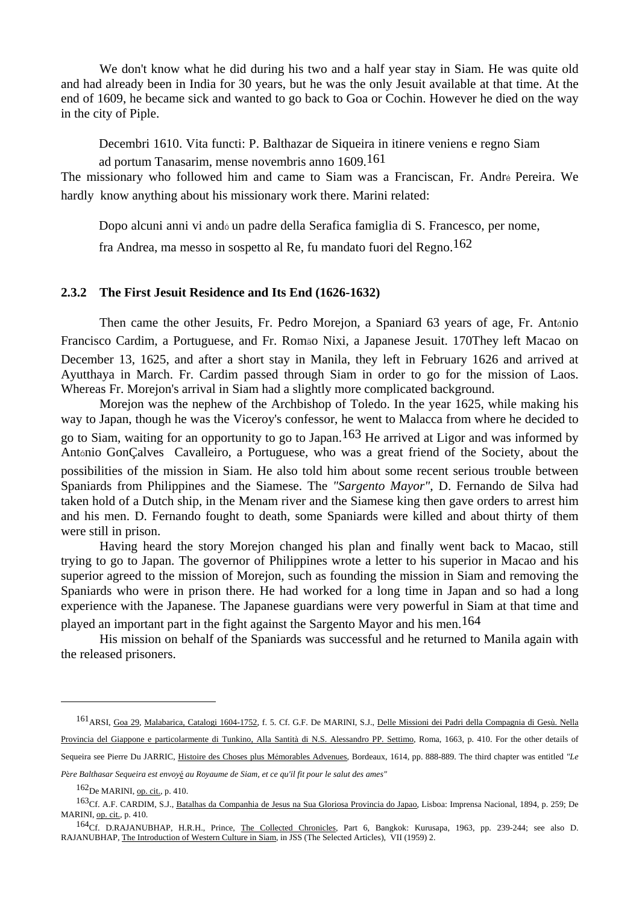We don't know what he did during his two and a half year stay in Siam. He was quite old and had already been in India for 30 years, but he was the only Jesuit available at that time. At the end of 1609, he became sick and wanted to go back to Goa or Cochin. However he died on the way in the city of Piple.

 Decembri 1610. Vita functi: P. Balthazar de Siqueira in itinere veniens e regno Siam ad portum Tanasarim, mense novembris anno 1609.161

The missionary who followed him and came to Siam was a Franciscan, Fr. André Pereira. We hardly know anything about his missionary work there. Marini related:

 Dopo alcuni anni vi andó un padre della Serafica famiglia di S. Francesco, per nome, fra Andrea, ma messo in sospetto al Re, fu mandato fuori del Regno.162

#### **2.3.2 The First Jesuit Residence and Its End (1626-1632)**

 Then came the other Jesuits, Fr. Pedro Morejon, a Spaniard 63 years of age, Fr. António Francisco Cardim, a Portuguese, and Fr. Romão Nixi, a Japanese Jesuit. 170They left Macao on December 13, 1625, and after a short stay in Manila, they left in February 1626 and arrived at Ayutthaya in March. Fr. Cardim passed through Siam in order to go for the mission of Laos. Whereas Fr. Morejon's arrival in Siam had a slightly more complicated background.

 Morejon was the nephew of the Archbishop of Toledo. In the year 1625, while making his way to Japan, though he was the Viceroy's confessor, he went to Malacca from where he decided to go to Siam, waiting for an opportunity to go to Japan.<sup>163</sup> He arrived at Ligor and was informed by António GonÇalves Cavalleiro, a Portuguese, who was a great friend of the Society, about the possibilities of the mission in Siam. He also told him about some recent serious trouble between Spaniards from Philippines and the Siamese. The *"Sargento Mayor"*, D. Fernando de Silva had taken hold of a Dutch ship, in the Menam river and the Siamese king then gave orders to arrest him and his men. D. Fernando fought to death, some Spaniards were killed and about thirty of them were still in prison.

 Having heard the story Morejon changed his plan and finally went back to Macao, still trying to go to Japan. The governor of Philippines wrote a letter to his superior in Macao and his superior agreed to the mission of Morejon, such as founding the mission in Siam and removing the Spaniards who were in prison there. He had worked for a long time in Japan and so had a long experience with the Japanese. The Japanese guardians were very powerful in Siam at that time and played an important part in the fight against the Sargento Mayor and his men.164

 His mission on behalf of the Spaniards was successful and he returned to Manila again with the released prisoners.

*<sup>P</sup>*è*re Balthasar Sequeira est envoy*é *au Royaume de Siam, et ce qu'il fit pour le salut des ames"*

<sup>161</sup>ARSI, Goa 29, Malabarica, Catalogi 1604-1752, f. 5. Cf. G.F. De MARINI, S.J., Delle Missioni dei Padri della Compagnia di Gesù. Nella Provincia del Giappone e particolarmente di Tunkino, Alla Santità di N.S. Alessandro PP. Settimo, Roma, 1663, p. 410. For the other details of Sequeira see Pierre Du JARRIC, Histoire des Choses plus Mémorables Advenues, Bordeaux, 1614, pp. 888-889. The third chapter was entitled *"Le* 

<sup>162</sup>De MARINI, op. cit., p. 410.

<sup>163</sup>Cf. A.F. CARDIM, S.J., Batalhas da Companhia de Jesus na Sua Gloriosa Provincia do Japao, Lisboa: Imprensa Nacional, 1894, p. 259; De MARINI, op. cit., p. 410.

<sup>164</sup>Cf. D.RAJANUBHAP, H.R.H., Prince, The Collected Chronicles, Part 6, Bangkok: Kurusapa, 1963, pp. 239-244; see also D. RAJANUBHAP, The Introduction of Western Culture in Siam, in JSS (The Selected Articles), VII (1959) 2.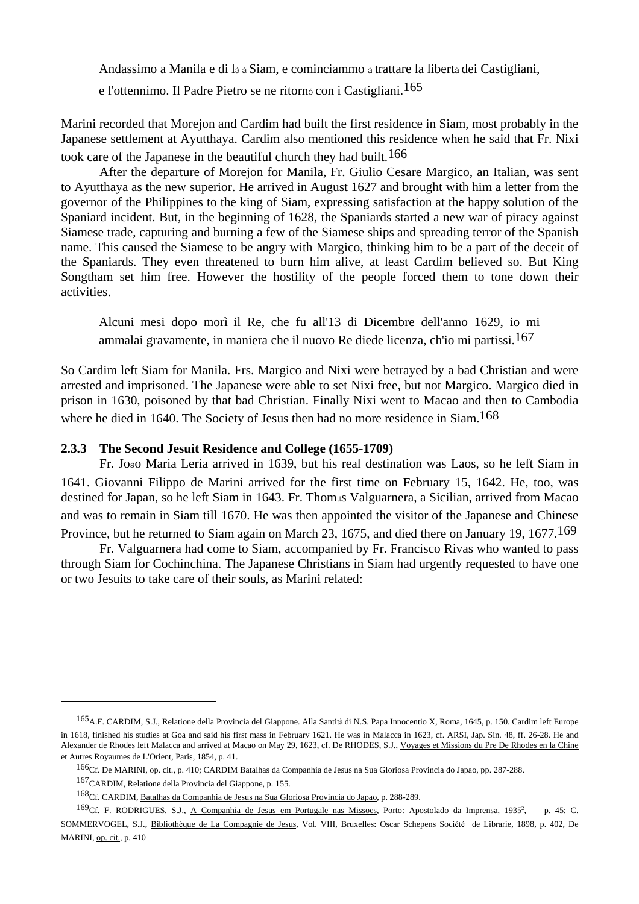Andassimo a Manila e di là à Siam, e cominciammo à trattare la libertà dei Castigliani,

e l'ottennimo. Il Padre Pietro se ne ritornó con i Castigliani.165

Marini recorded that Morejon and Cardim had built the first residence in Siam, most probably in the Japanese settlement at Ayutthaya. Cardim also mentioned this residence when he said that Fr. Nixi took care of the Japanese in the beautiful church they had built.166

 After the departure of Morejon for Manila, Fr. Giulio Cesare Margico, an Italian, was sent to Ayutthaya as the new superior. He arrived in August 1627 and brought with him a letter from the governor of the Philippines to the king of Siam, expressing satisfaction at the happy solution of the Spaniard incident. But, in the beginning of 1628, the Spaniards started a new war of piracy against Siamese trade, capturing and burning a few of the Siamese ships and spreading terror of the Spanish name. This caused the Siamese to be angry with Margico, thinking him to be a part of the deceit of the Spaniards. They even threatened to burn him alive, at least Cardim believed so. But King Songtham set him free. However the hostility of the people forced them to tone down their activities.

 Alcuni mesi dopo morì il Re, che fu all'13 di Dicembre dell'anno 1629, io mi ammalai gravamente, in maniera che il nuovo Re diede licenza, ch'io mi partissi.167

So Cardim left Siam for Manila. Frs. Margico and Nixi were betrayed by a bad Christian and were arrested and imprisoned. The Japanese were able to set Nixi free, but not Margico. Margico died in prison in 1630, poisoned by that bad Christian. Finally Nixi went to Macao and then to Cambodia where he died in 1640. The Society of Jesus then had no more residence in Siam.<sup>168</sup>

### **2.3.3 The Second Jesuit Residence and College (1655-1709)**

 Fr. João Maria Leria arrived in 1639, but his real destination was Laos, so he left Siam in 1641. Giovanni Filippo de Marini arrived for the first time on February 15, 1642. He, too, was destined for Japan, so he left Siam in 1643. Fr. Thomแs Valguarnera, a Sicilian, arrived from Macao and was to remain in Siam till 1670. He was then appointed the visitor of the Japanese and Chinese Province, but he returned to Siam again on March 23, 1675, and died there on January 19, 1677.169

 Fr. Valguarnera had come to Siam, accompanied by Fr. Francisco Rivas who wanted to pass through Siam for Cochinchina. The Japanese Christians in Siam had urgently requested to have one or two Jesuits to take care of their souls, as Marini related:

<sup>165</sup>A.F. CARDIM, S.J., Relatione della Provincia del Giappone. Alla Santità di N.S. Papa Innocentio X, Roma, 1645, p. 150. Cardim left Europe in 1618, finished his studies at Goa and said his first mass in February 1621. He was in Malacca in 1623, cf. ARSI, Jap. Sin. 48, ff. 26-28. He and Alexander de Rhodes left Malacca and arrived at Macao on May 29, 1623, cf. De RHODES, S.J., Voyages et Missions du Pre De Rhodes en la Chine et Autres Royaumes de L'Orient, Paris, 1854, p. 41.

<sup>166</sup>Cf. De MARINI, op. cit., p. 410; CARDIM Batalhas da Companhia de Jesus na Sua Gloriosa Provincia do Japao, pp. 287-288.

<sup>167</sup>CARDIM, Relatione della Provincia del Giappone, p. 155.

<sup>168</sup>Cf. CARDIM, Batalhas da Companhia de Jesus na Sua Gloriosa Provincia do Japao, p. 288-289.

<sup>169</sup>Cf. F. RODRIGUES, S.J., A Companhia de Jesus em Portugale nas Missoes, Porto: Apostolado da Imprensa, 19352 , p. 45; C. SOMMERVOGEL, S.J., Bibliothèque de La Compagnie de Jesus, Vol. VIII, Bruxelles: Oscar Schepens Société de Librarie, 1898, p. 402, De MARINI, op. cit., p. 410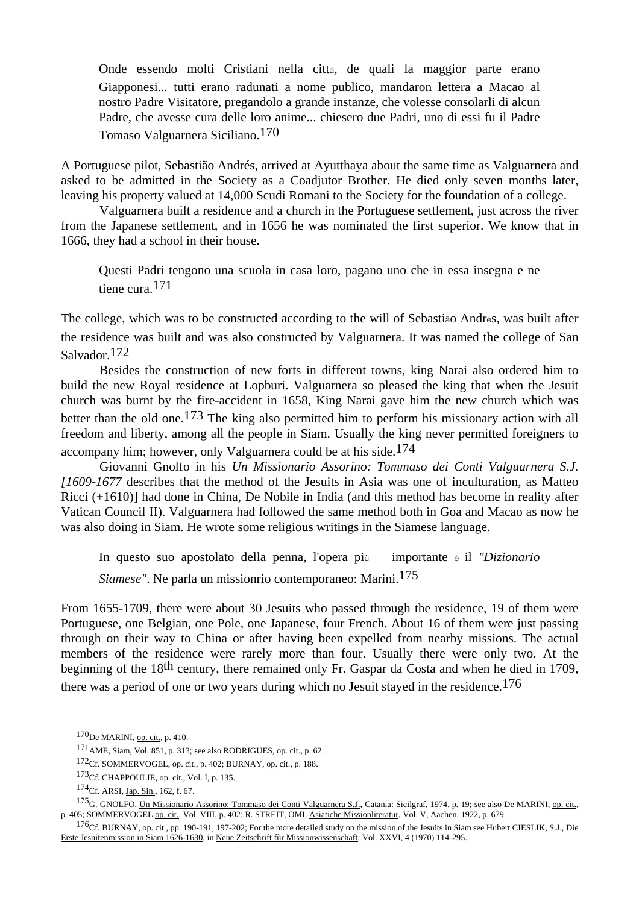Onde essendo molti Cristiani nella città, de quali la maggior parte erano Giapponesi... tutti erano radunati a nome publico, mandaron lettera a Macao al nostro Padre Visitatore, pregandolo a grande instanze, che volesse consolarli di alcun Padre, che avesse cura delle loro anime... chiesero due Padri, uno di essi fu il Padre Tomaso Valguarnera Siciliano.170

A Portuguese pilot, Sebastião Andrés, arrived at Ayutthaya about the same time as Valguarnera and asked to be admitted in the Society as a Coadjutor Brother. He died only seven months later, leaving his property valued at 14,000 Scudi Romani to the Society for the foundation of a college.

 Valguarnera built a residence and a church in the Portuguese settlement, just across the river from the Japanese settlement, and in 1656 he was nominated the first superior. We know that in 1666, they had a school in their house.

 Questi Padri tengono una scuola in casa loro, pagano uno che in essa insegna e ne tiene cura.171

The college, which was to be constructed according to the will of Sebastião Andrés, was built after the residence was built and was also constructed by Valguarnera. It was named the college of San Salvador.172

 Besides the construction of new forts in different towns, king Narai also ordered him to build the new Royal residence at Lopburi. Valguarnera so pleased the king that when the Jesuit church was burnt by the fire-accident in 1658, King Narai gave him the new church which was better than the old one.173 The king also permitted him to perform his missionary action with all freedom and liberty, among all the people in Siam. Usually the king never permitted foreigners to accompany him; however, only Valguarnera could be at his side.<sup>174</sup>

 Giovanni Gnolfo in his *Un Missionario Assorino: Tommaso dei Conti Valguarnera S.J. [1609-1677* describes that the method of the Jesuits in Asia was one of inculturation, as Matteo Ricci (+1610)] had done in China, De Nobile in India (and this method has become in reality after Vatican Council II). Valguarnera had followed the same method both in Goa and Macao as now he was also doing in Siam. He wrote some religious writings in the Siamese language.

In questo suo apostolato della penna, l'opera più importante è il *"Dizionario* 

*Siamese"*. Ne parla un missionrio contemporaneo: Marini.175

From 1655-1709, there were about 30 Jesuits who passed through the residence, 19 of them were Portuguese, one Belgian, one Pole, one Japanese, four French. About 16 of them were just passing through on their way to China or after having been expelled from nearby missions. The actual members of the residence were rarely more than four. Usually there were only two. At the beginning of the 18th century, there remained only Fr. Gaspar da Costa and when he died in 1709, there was a period of one or two years during which no Jesuit stayed in the residence.<sup>176</sup>

<sup>170</sup>De MARINI, op. cit., p. 410.

<sup>171</sup>AME, Siam, Vol. 851, p. 313; see also RODRIGUES, op. cit., p. 62.

<sup>172</sup>Cf. SOMMERVOGEL, op. cit., p. 402; BURNAY, op. cit., p. 188.

<sup>173</sup>Cf. CHAPPOULIE, op. cit., Vol. I, p. 135.

<sup>174</sup>Cf. ARSI, Jap. Sin., 162, f. 67.

<sup>175&</sup>lt;sub>G</sub>. GNOLFO, Un Missionario Assorino: Tommaso dei Conti Valguarnera S.J., Catania: Sicilgraf, 1974, p. 19; see also De MARINI, op. cit., p. 405; SOMMERVOGEL, op. cit., Vol. VIII, p. 402; R. STREIT, OMI, Asiatiche Missionliteratur, Vol. V, Aachen, 1922, p. 679.

<sup>&</sup>lt;sup>176</sup>Cf. BURNAY, op. cit., pp. 190-191, 197-202; For the more detailed study on the mission of the Jesuits in Siam see Hubert CIESLIK, S.J., Die Erste Jesuitenmission in Siam 1626-1630, in Neue Zeitschrift fùr Missionwissenschaft, Vol. XXVI, 4 (1970) 114-295.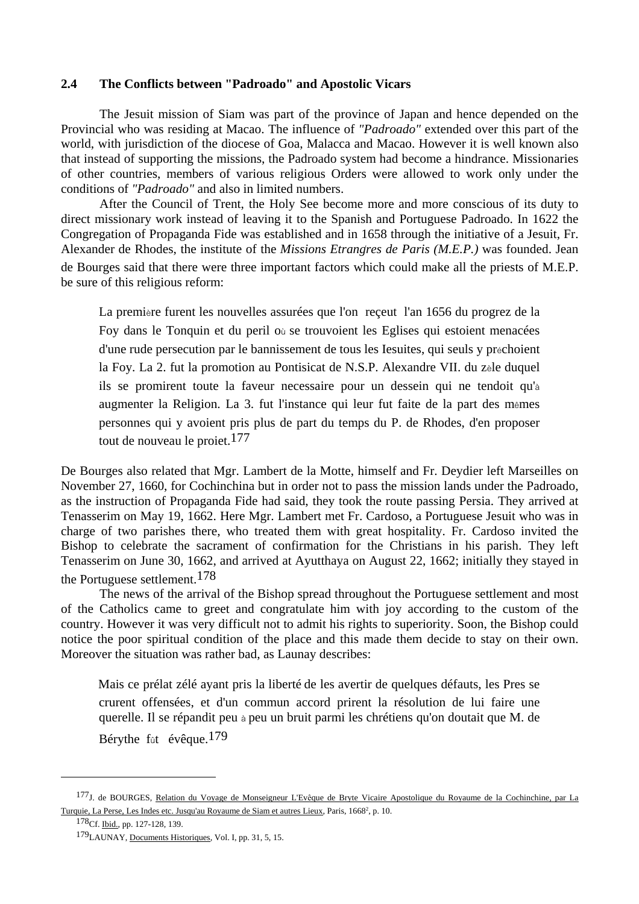### **2.4 The Conflicts between "Padroado" and Apostolic Vicars**

 The Jesuit mission of Siam was part of the province of Japan and hence depended on the Provincial who was residing at Macao. The influence of *"Padroado"* extended over this part of the world, with jurisdiction of the diocese of Goa, Malacca and Macao. However it is well known also that instead of supporting the missions, the Padroado system had become a hindrance. Missionaries of other countries, members of various religious Orders were allowed to work only under the conditions of *"Padroado"* and also in limited numbers.

 After the Council of Trent, the Holy See become more and more conscious of its duty to direct missionary work instead of leaving it to the Spanish and Portuguese Padroado. In 1622 the Congregation of Propaganda Fide was established and in 1658 through the initiative of a Jesuit, Fr. Alexander de Rhodes, the institute of the *Missions Etrangres de Paris (M.E.P.)* was founded. Jean de Bourges said that there were three important factors which could make all the priests of M.E.P. be sure of this religious reform:

 La première furent les nouvelles assurées que l'on reçeut l'an 1656 du progrez de la Foy dans le Tonquin et du peril où se trouvoient les Eglises qui estoient menacées d'une rude persecution par le bannissement de tous les Iesuites, qui seuls y préchoient la Foy. La 2. fut la promotion au Pontisicat de N.S.P. Alexandre VII. du zèle duquel ils se promirent toute la faveur necessaire pour un dessein qui ne tendoit qu'à augmenter la Religion. La 3. fut l'instance qui leur fut faite de la part des mêmes personnes qui y avoient pris plus de part du temps du P. de Rhodes, d'en proposer tout de nouveau le proiet.177

De Bourges also related that Mgr. Lambert de la Motte, himself and Fr. Deydier left Marseilles on November 27, 1660, for Cochinchina but in order not to pass the mission lands under the Padroado, as the instruction of Propaganda Fide had said, they took the route passing Persia. They arrived at Tenasserim on May 19, 1662. Here Mgr. Lambert met Fr. Cardoso, a Portuguese Jesuit who was in charge of two parishes there, who treated them with great hospitality. Fr. Cardoso invited the Bishop to celebrate the sacrament of confirmation for the Christians in his parish. They left Tenasserim on June 30, 1662, and arrived at Ayutthaya on August 22, 1662; initially they stayed in the Portuguese settlement.178

 The news of the arrival of the Bishop spread throughout the Portuguese settlement and most of the Catholics came to greet and congratulate him with joy according to the custom of the country. However it was very difficult not to admit his rights to superiority. Soon, the Bishop could notice the poor spiritual condition of the place and this made them decide to stay on their own. Moreover the situation was rather bad, as Launay describes:

Mais ce prélat zélé ayant pris la liberté de les avertir de quelques défauts, les Pres se crurent offensées, et d'un commun accord prirent la résolution de lui faire une querelle. Il se répandit peu à peu un bruit parmi les chrétiens qu'on doutait que M. de Bérythe fût évêque.179

<sup>177</sup>J. de BOURGES, Relation du Voyage de Monseigneur L'Evêque de Bryte Vicaire Apostolique du Royaume de la Cochinchine, par La Turquie, La Perse, Les Indes etc. Jusqu'au Royaume de Siam et autres Lieux, Paris, 16682 , p. 10.

<sup>178</sup>Cf. Ibid., pp. 127-128, 139.

<sup>179</sup>LAUNAY, Documents Historiques, Vol. I, pp. 31, 5, 15.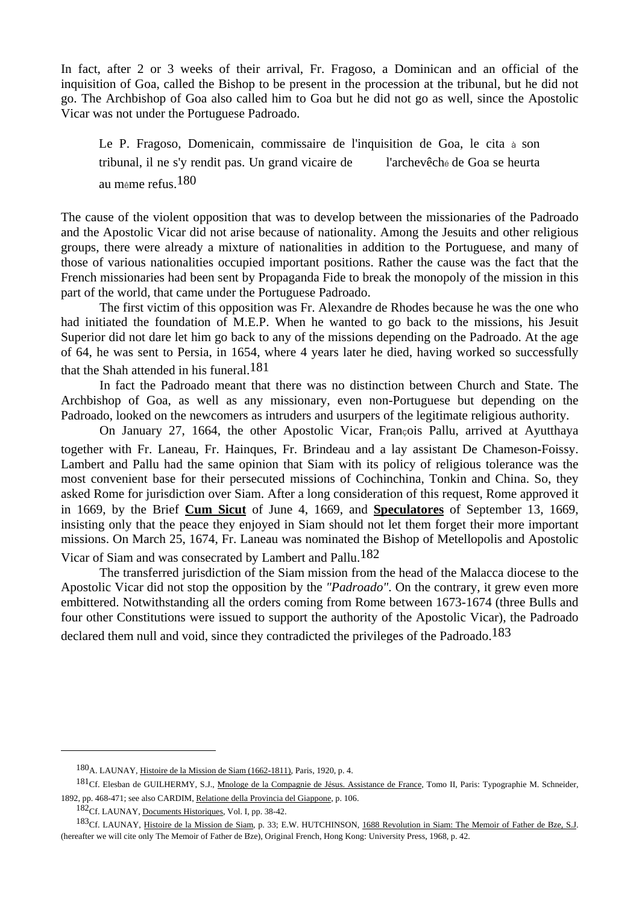In fact, after 2 or 3 weeks of their arrival, Fr. Fragoso, a Dominican and an official of the inquisition of Goa, called the Bishop to be present in the procession at the tribunal, but he did not go. The Archbishop of Goa also called him to Goa but he did not go as well, since the Apostolic Vicar was not under the Portuguese Padroado.

 Le P. Fragoso, Domenicain, commissaire de l'inquisition de Goa, le cita à son tribunal, il ne s'y rendit pas. Un grand vicaire de l'archevêché de Goa se heurta au même refus.180

The cause of the violent opposition that was to develop between the missionaries of the Padroado and the Apostolic Vicar did not arise because of nationality. Among the Jesuits and other religious groups, there were already a mixture of nationalities in addition to the Portuguese, and many of those of various nationalities occupied important positions. Rather the cause was the fact that the French missionaries had been sent by Propaganda Fide to break the monopoly of the mission in this part of the world, that came under the Portuguese Padroado.

 The first victim of this opposition was Fr. Alexandre de Rhodes because he was the one who had initiated the foundation of M.E.P. When he wanted to go back to the missions, his Jesuit Superior did not dare let him go back to any of the missions depending on the Padroado. At the age of 64, he was sent to Persia, in 1654, where 4 years later he died, having worked so successfully that the Shah attended in his funeral.<sup>181</sup>

 In fact the Padroado meant that there was no distinction between Church and State. The Archbishop of Goa, as well as any missionary, even non-Portuguese but depending on the Padroado, looked on the newcomers as intruders and usurpers of the legitimate religious authority.

 On January 27, 1664, the other Apostolic Vicar, François Pallu, arrived at Ayutthaya together with Fr. Laneau, Fr. Hainques, Fr. Brindeau and a lay assistant De Chameson-Foissy. Lambert and Pallu had the same opinion that Siam with its policy of religious tolerance was the most convenient base for their persecuted missions of Cochinchina, Tonkin and China. So, they asked Rome for jurisdiction over Siam. After a long consideration of this request, Rome approved it in 1669, by the Brief **Cum Sicut** of June 4, 1669, and **Speculatores** of September 13, 1669, insisting only that the peace they enjoyed in Siam should not let them forget their more important missions. On March 25, 1674, Fr. Laneau was nominated the Bishop of Metellopolis and Apostolic Vicar of Siam and was consecrated by Lambert and Pallu.182

 The transferred jurisdiction of the Siam mission from the head of the Malacca diocese to the Apostolic Vicar did not stop the opposition by the *"Padroado"*. On the contrary, it grew even more embittered. Notwithstanding all the orders coming from Rome between 1673-1674 (three Bulls and four other Constitutions were issued to support the authority of the Apostolic Vicar), the Padroado declared them null and void, since they contradicted the privileges of the Padroado.<sup>183</sup>

<sup>180</sup>A. LAUNAY, Histoire de la Mission de Siam (1662-1811), Paris, 1920, p. 4.

<sup>181</sup>Cf. Elesban de GUILHERMY, S.J., Mnologe de la Compagnie de Jésus. Assistance de France, Tomo II, Paris: Typographie M. Schneider, 1892, pp. 468-471; see also CARDIM, Relatione della Provincia del Giappone, p. 106.

<sup>182</sup>Cf. LAUNAY, Documents Historiques, Vol. I, pp. 38-42.

<sup>183</sup>Cf. LAUNAY, Histoire de la Mission de Siam, p. 33; E.W. HUTCHINSON, 1688 Revolution in Siam: The Memoir of Father de Bze, S.J. (hereafter we will cite only The Memoir of Father de Bze), Original French, Hong Kong: University Press, 1968, p. 42.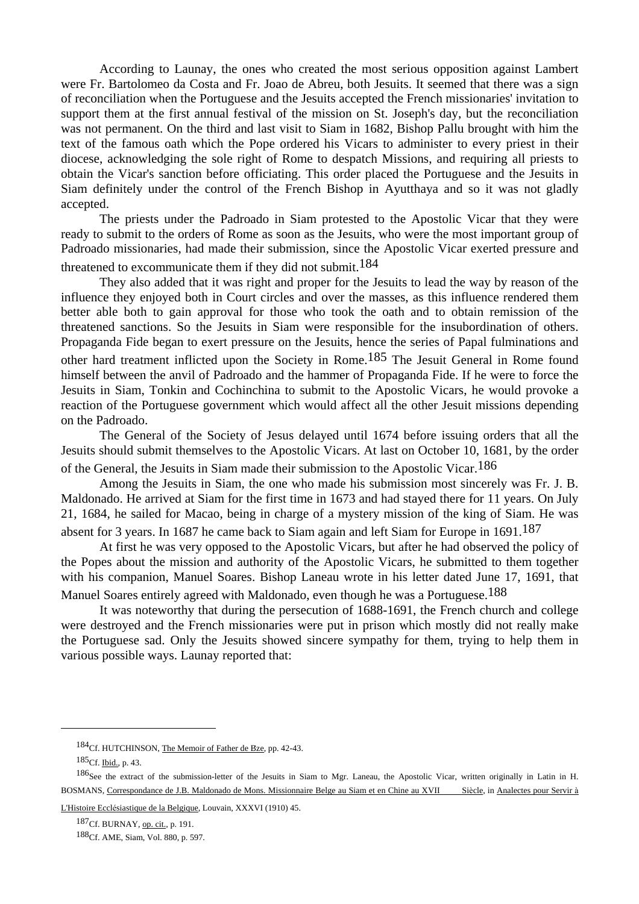According to Launay, the ones who created the most serious opposition against Lambert were Fr. Bartolomeo da Costa and Fr. Joao de Abreu, both Jesuits. It seemed that there was a sign of reconciliation when the Portuguese and the Jesuits accepted the French missionaries' invitation to support them at the first annual festival of the mission on St. Joseph's day, but the reconciliation was not permanent. On the third and last visit to Siam in 1682, Bishop Pallu brought with him the text of the famous oath which the Pope ordered his Vicars to administer to every priest in their diocese, acknowledging the sole right of Rome to despatch Missions, and requiring all priests to obtain the Vicar's sanction before officiating. This order placed the Portuguese and the Jesuits in Siam definitely under the control of the French Bishop in Ayutthaya and so it was not gladly accepted.

 The priests under the Padroado in Siam protested to the Apostolic Vicar that they were ready to submit to the orders of Rome as soon as the Jesuits, who were the most important group of Padroado missionaries, had made their submission, since the Apostolic Vicar exerted pressure and threatened to excommunicate them if they did not submit.184

 They also added that it was right and proper for the Jesuits to lead the way by reason of the influence they enjoyed both in Court circles and over the masses, as this influence rendered them better able both to gain approval for those who took the oath and to obtain remission of the threatened sanctions. So the Jesuits in Siam were responsible for the insubordination of others. Propaganda Fide began to exert pressure on the Jesuits, hence the series of Papal fulminations and other hard treatment inflicted upon the Society in Rome.185 The Jesuit General in Rome found himself between the anvil of Padroado and the hammer of Propaganda Fide. If he were to force the Jesuits in Siam, Tonkin and Cochinchina to submit to the Apostolic Vicars, he would provoke a reaction of the Portuguese government which would affect all the other Jesuit missions depending on the Padroado.

 The General of the Society of Jesus delayed until 1674 before issuing orders that all the Jesuits should submit themselves to the Apostolic Vicars. At last on October 10, 1681, by the order of the General, the Jesuits in Siam made their submission to the Apostolic Vicar.186

 Among the Jesuits in Siam, the one who made his submission most sincerely was Fr. J. B. Maldonado. He arrived at Siam for the first time in 1673 and had stayed there for 11 years. On July 21, 1684, he sailed for Macao, being in charge of a mystery mission of the king of Siam. He was absent for 3 years. In 1687 he came back to Siam again and left Siam for Europe in 1691.<sup>187</sup>

 At first he was very opposed to the Apostolic Vicars, but after he had observed the policy of the Popes about the mission and authority of the Apostolic Vicars, he submitted to them together with his companion, Manuel Soares. Bishop Laneau wrote in his letter dated June 17, 1691, that Manuel Soares entirely agreed with Maldonado, even though he was a Portuguese.<sup>188</sup>

 It was noteworthy that during the persecution of 1688-1691, the French church and college were destroyed and the French missionaries were put in prison which mostly did not really make the Portuguese sad. Only the Jesuits showed sincere sympathy for them, trying to help them in various possible ways. Launay reported that:

<sup>184</sup>Cf. HUTCHINSON, The Memoir of Father de Bze, pp. 42-43.

<sup>185</sup>Cf. Ibid., p. 43.

<sup>186</sup>See the extract of the submission-letter of the Jesuits in Siam to Mgr. Laneau, the Apostolic Vicar, written originally in Latin in H. BOSMANS, Correspondance de J.B. Maldonado de Mons. Missionnaire Belge au Siam et en Chine au XVII Siècle, in Analectes pour Servir à

L'Histoire Ecclésiastique de la Belgique, Louvain, XXXVI (1910) 45.

<sup>187</sup>Cf. BURNAY, op. cit., p. 191.

<sup>188</sup>Cf. AME, Siam, Vol. 880, p. 597.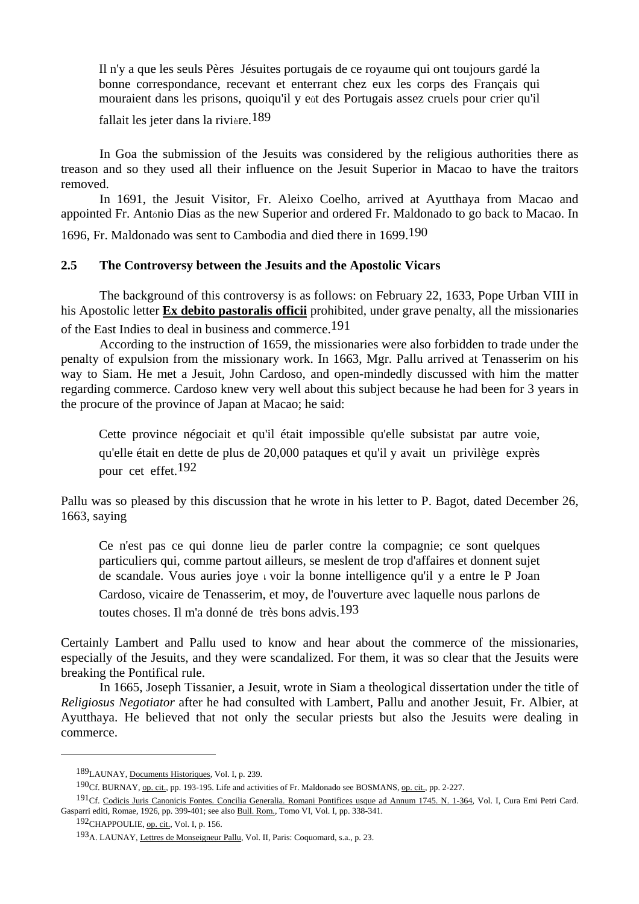Il n'y a que les seuls Pères Jésuites portugais de ce royaume qui ont toujours gardé la bonne correspondance, recevant et enterrant chez eux les corps des Français qui mouraient dans les prisons, quoiqu'il y eût des Portugais assez cruels pour crier qu'il

fallait les jeter dans la rivière.<sup>189</sup>

 In Goa the submission of the Jesuits was considered by the religious authorities there as treason and so they used all their influence on the Jesuit Superior in Macao to have the traitors removed.

 In 1691, the Jesuit Visitor, Fr. Aleixo Coelho, arrived at Ayutthaya from Macao and appointed Fr. António Dias as the new Superior and ordered Fr. Maldonado to go back to Macao. In

1696, Fr. Maldonado was sent to Cambodia and died there in 1699.190

# **2.5 The Controversy between the Jesuits and the Apostolic Vicars**

 The background of this controversy is as follows: on February 22, 1633, Pope Urban VIII in his Apostolic letter **Ex debito pastoralis officii** prohibited, under grave penalty, all the missionaries of the East Indies to deal in business and commerce.191

 According to the instruction of 1659, the missionaries were also forbidden to trade under the penalty of expulsion from the missionary work. In 1663, Mgr. Pallu arrived at Tenasserim on his way to Siam. He met a Jesuit, John Cardoso, and open-mindedly discussed with him the matter regarding commerce. Cardoso knew very well about this subject because he had been for 3 years in the procure of the province of Japan at Macao; he said:

 Cette province négociait et qu'il était impossible qu'elle subsistât par autre voie, qu'elle était en dette de plus de 20,000 pataques et qu'il y avait un privilège exprès pour cet effet.192

Pallu was so pleased by this discussion that he wrote in his letter to P. Bagot, dated December 26, 1663, saying

 Ce n'est pas ce qui donne lieu de parler contre la compagnie; ce sont quelques particuliers qui, comme partout ailleurs, se meslent de trop d'affaires et donnent sujet de scandale. Vous auries joye เ voir la bonne intelligence qu'il y a entre le P Joan Cardoso, vicaire de Tenasserim, et moy, de l'ouverture avec laquelle nous parlons de toutes choses. Il m'a donné de très bons advis.193

Certainly Lambert and Pallu used to know and hear about the commerce of the missionaries, especially of the Jesuits, and they were scandalized. For them, it was so clear that the Jesuits were breaking the Pontifical rule.

 In 1665, Joseph Tissanier, a Jesuit, wrote in Siam a theological dissertation under the title of *Religiosus Negotiator* after he had consulted with Lambert, Pallu and another Jesuit, Fr. Albier, at Ayutthaya. He believed that not only the secular priests but also the Jesuits were dealing in commerce.

<sup>189</sup>LAUNAY, Documents Historiques, Vol. I, p. 239.

<sup>190</sup>Cf. BURNAY, op. cit., pp. 193-195. Life and activities of Fr. Maldonado see BOSMANS, op. cit., pp. 2-227.

<sup>191</sup>Cf. Codicis Juris Canonicis Fontes. Concilia Generalia. Romani Pontifices usque ad Annum 1745. N. 1-364, Vol. I, Cura Emi Petri Card. Gasparri editi, Romae, 1926, pp. 399-401; see also Bull. Rom., Tomo VI, Vol. I, pp. 338-341.

<sup>192</sup>CHAPPOULIE, op. cit., Vol. I, p. 156.

<sup>193</sup>A. LAUNAY, Lettres de Monseigneur Pallu, Vol. II, Paris: Coquomard, s.a., p. 23.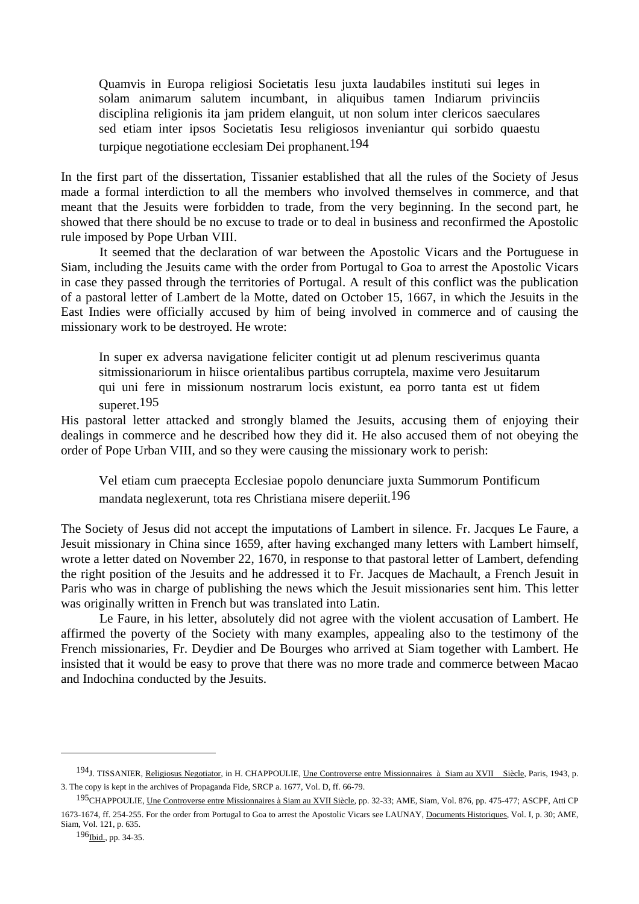Quamvis in Europa religiosi Societatis Iesu juxta laudabiles instituti sui leges in solam animarum salutem incumbant, in aliquibus tamen Indiarum privinciis disciplina religionis ita jam pridem elanguit, ut non solum inter clericos saeculares sed etiam inter ipsos Societatis Iesu religiosos inveniantur qui sorbido quaestu turpique negotiatione ecclesiam Dei prophanent.194

In the first part of the dissertation, Tissanier established that all the rules of the Society of Jesus made a formal interdiction to all the members who involved themselves in commerce, and that meant that the Jesuits were forbidden to trade, from the very beginning. In the second part, he showed that there should be no excuse to trade or to deal in business and reconfirmed the Apostolic rule imposed by Pope Urban VIII.

 It seemed that the declaration of war between the Apostolic Vicars and the Portuguese in Siam, including the Jesuits came with the order from Portugal to Goa to arrest the Apostolic Vicars in case they passed through the territories of Portugal. A result of this conflict was the publication of a pastoral letter of Lambert de la Motte, dated on October 15, 1667, in which the Jesuits in the East Indies were officially accused by him of being involved in commerce and of causing the missionary work to be destroyed. He wrote:

 In super ex adversa navigatione feliciter contigit ut ad plenum resciverimus quanta sitmissionariorum in hiisce orientalibus partibus corruptela, maxime vero Jesuitarum qui uni fere in missionum nostrarum locis existunt, ea porro tanta est ut fidem superet.195

His pastoral letter attacked and strongly blamed the Jesuits, accusing them of enjoying their dealings in commerce and he described how they did it. He also accused them of not obeying the order of Pope Urban VIII, and so they were causing the missionary work to perish:

 Vel etiam cum praecepta Ecclesiae popolo denunciare juxta Summorum Pontificum mandata neglexerunt, tota res Christiana misere deperiit.196

The Society of Jesus did not accept the imputations of Lambert in silence. Fr. Jacques Le Faure, a Jesuit missionary in China since 1659, after having exchanged many letters with Lambert himself, wrote a letter dated on November 22, 1670, in response to that pastoral letter of Lambert, defending the right position of the Jesuits and he addressed it to Fr. Jacques de Machault, a French Jesuit in Paris who was in charge of publishing the news which the Jesuit missionaries sent him. This letter was originally written in French but was translated into Latin.

 Le Faure, in his letter, absolutely did not agree with the violent accusation of Lambert. He affirmed the poverty of the Society with many examples, appealing also to the testimony of the French missionaries, Fr. Deydier and De Bourges who arrived at Siam together with Lambert. He insisted that it would be easy to prove that there was no more trade and commerce between Macao and Indochina conducted by the Jesuits.

<sup>&</sup>lt;sup>194</sup>J. TISSANIER, Religiosus Negotiator, in H. CHAPPOULIE, <u>Une Controverse entre Missionnaires à Siam au XVII Siècle</u>, Paris, 1943, p. 3. The copy is kept in the archives of Propaganda Fide, SRCP a. 1677, Vol. D, ff. 66-79.

<sup>&</sup>lt;sup>195</sup>CHAPPOULIE, Une Controverse entre Missionnaires à Siam au XVII Siècle, pp. 32-33; AME, Siam, Vol. 876, pp. 475-477; ASCPF, Atti CP 1673-1674, ff. 254-255. For the order from Portugal to Goa to arrest the Apostolic Vicars see LAUNAY, Documents Historiques, Vol. I, p. 30; AME, Siam, Vol. 121, p. 635.

<sup>196&</sup>lt;sub>Ibid.</sub>, pp. 34-35.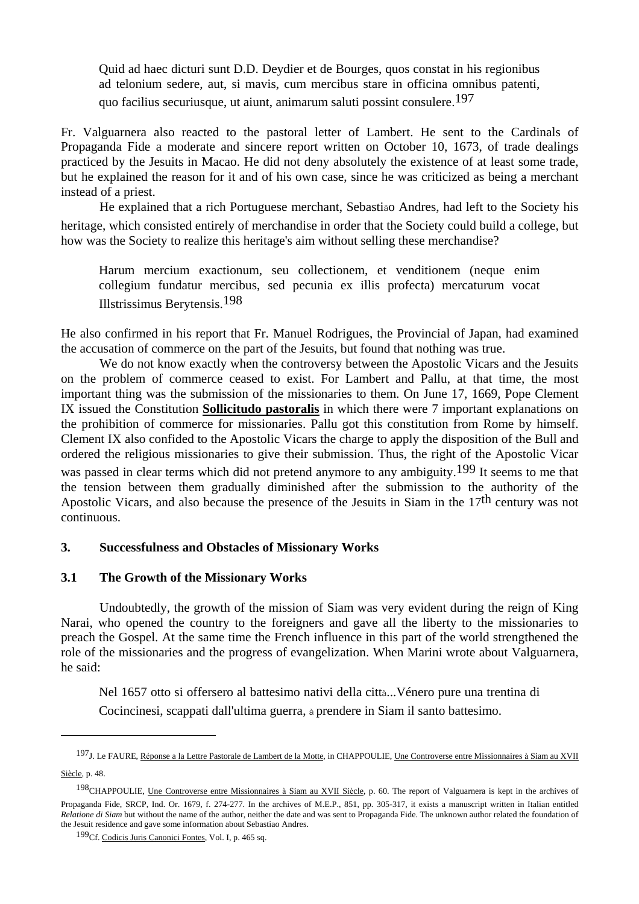Quid ad haec dicturi sunt D.D. Deydier et de Bourges, quos constat in his regionibus ad telonium sedere, aut, si mavis, cum mercibus stare in officina omnibus patenti, quo facilius securiusque, ut aiunt, animarum saluti possint consulere.197

Fr. Valguarnera also reacted to the pastoral letter of Lambert. He sent to the Cardinals of Propaganda Fide a moderate and sincere report written on October 10, 1673, of trade dealings practiced by the Jesuits in Macao. He did not deny absolutely the existence of at least some trade, but he explained the reason for it and of his own case, since he was criticized as being a merchant instead of a priest.

 He explained that a rich Portuguese merchant, Sebastião Andres, had left to the Society his heritage, which consisted entirely of merchandise in order that the Society could build a college, but how was the Society to realize this heritage's aim without selling these merchandise?

 Harum mercium exactionum, seu collectionem, et venditionem (neque enim collegium fundatur mercibus, sed pecunia ex illis profecta) mercaturum vocat Illstrissimus Berytensis.198

He also confirmed in his report that Fr. Manuel Rodrigues, the Provincial of Japan, had examined the accusation of commerce on the part of the Jesuits, but found that nothing was true.

We do not know exactly when the controversy between the Apostolic Vicars and the Jesuits on the problem of commerce ceased to exist. For Lambert and Pallu, at that time, the most important thing was the submission of the missionaries to them. On June 17, 1669, Pope Clement IX issued the Constitution **Sollicitudo pastoralis** in which there were 7 important explanations on the prohibition of commerce for missionaries. Pallu got this constitution from Rome by himself. Clement IX also confided to the Apostolic Vicars the charge to apply the disposition of the Bull and ordered the religious missionaries to give their submission. Thus, the right of the Apostolic Vicar

was passed in clear terms which did not pretend anymore to any ambiguity.<sup>199</sup> It seems to me that the tension between them gradually diminished after the submission to the authority of the Apostolic Vicars, and also because the presence of the Jesuits in Siam in the 17<sup>th</sup> century was not continuous.

### **3. Successfulness and Obstacles of Missionary Works**

### **3.1 The Growth of the Missionary Works**

 Undoubtedly, the growth of the mission of Siam was very evident during the reign of King Narai, who opened the country to the foreigners and gave all the liberty to the missionaries to preach the Gospel. At the same time the French influence in this part of the world strengthened the role of the missionaries and the progress of evangelization. When Marini wrote about Valguarnera, he said:

 Nel 1657 otto si offersero al battesimo nativi della città...Vénero pure una trentina di Cocincinesi, scappati dall'ultima guerra, à prendere in Siam il santo battesimo.

Siècle, p. 48.

<sup>&</sup>lt;sup>197</sup>J. Le FAURE, Réponse a la Lettre Pastorale de Lambert de la Motte, in CHAPPOULIE, <u>Une Controverse entre Missionnaires à Siam au XVII</u>

<sup>198</sup>CHAPPOULIE, Une Controverse entre Missionnaires à Siam au XVII Siècle, p. 60. The report of Valguarnera is kept in the archives of Propaganda Fide, SRCP, Ind. Or. 1679, f. 274-277. In the archives of M.E.P., 851, pp. 305-317, it exists a manuscript written in Italian entitled *Relatione di Siam* but without the name of the author, neither the date and was sent to Propaganda Fide. The unknown author related the foundation of the Jesuit residence and gave some information about Sebastiao Andres.

<sup>199</sup>Cf. Codicis Juris Canonici Fontes, Vol. I, p. 465 sq.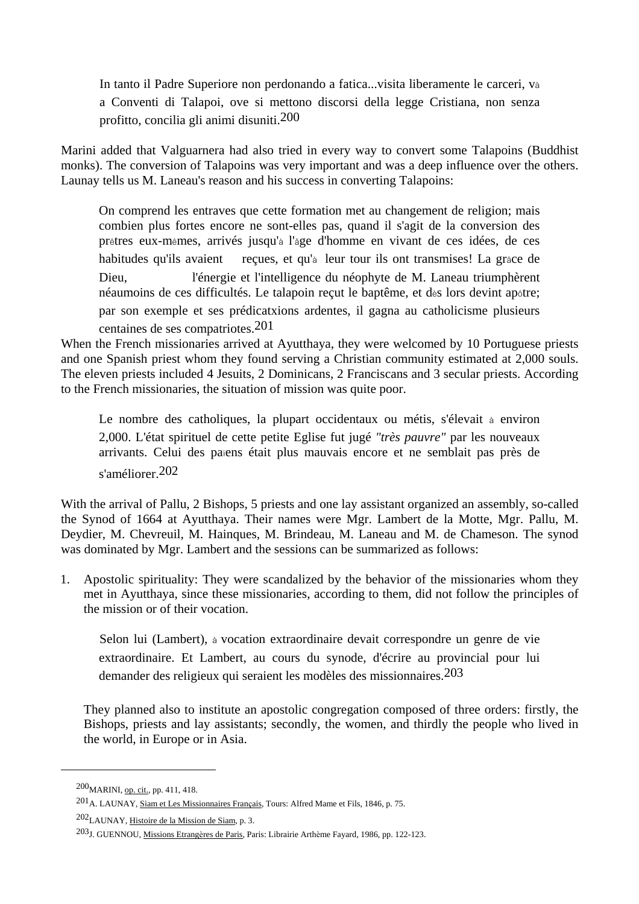In tanto il Padre Superiore non perdonando a fatica...visita liberamente le carceri, và a Conventi di Talapoi, ove si mettono discorsi della legge Cristiana, non senza profitto, concilia gli animi disuniti.200

Marini added that Valguarnera had also tried in every way to convert some Talapoins (Buddhist monks). The conversion of Talapoins was very important and was a deep influence over the others. Launay tells us M. Laneau's reason and his success in converting Talapoins:

 On comprend les entraves que cette formation met au changement de religion; mais combien plus fortes encore ne sont-elles pas, quand il s'agit de la conversion des prêtres eux-mêmes, arrivés jusqu'à l'âge d'homme en vivant de ces idées, de ces habitudes qu'ils avaient reçues, et qu'à leur tour ils ont transmises! La grâce de Dieu, l'énergie et l'intelligence du néophyte de M. Laneau triumphèrent néaumoins de ces difficultés. Le talapoin reçut le baptême, et dès lors devint apôtre; par son exemple et ses prédicatxions ardentes, il gagna au catholicisme plusieurs centaines de ses compatriotes.201

When the French missionaries arrived at Ayutthaya, they were welcomed by 10 Portuguese priests and one Spanish priest whom they found serving a Christian community estimated at 2,000 souls. The eleven priests included 4 Jesuits, 2 Dominicans, 2 Franciscans and 3 secular priests. According to the French missionaries, the situation of mission was quite poor.

 Le nombre des catholiques, la plupart occidentaux ou métis, s'élevait à environ 2,000. L'état spirituel de cette petite Eglise fut jugé *"très pauvre"* par les nouveaux arrivants. Celui des païens était plus mauvais encore et ne semblait pas près de s'améliorer.202

With the arrival of Pallu, 2 Bishops, 5 priests and one lay assistant organized an assembly, so-called the Synod of 1664 at Ayutthaya. Their names were Mgr. Lambert de la Motte, Mgr. Pallu, M. Deydier, M. Chevreuil, M. Hainques, M. Brindeau, M. Laneau and M. de Chameson. The synod was dominated by Mgr. Lambert and the sessions can be summarized as follows:

1. Apostolic spirituality: They were scandalized by the behavior of the missionaries whom they met in Ayutthaya, since these missionaries, according to them, did not follow the principles of the mission or of their vocation.

 Selon lui (Lambert), à vocation extraordinaire devait correspondre un genre de vie extraordinaire. Et Lambert, au cours du synode, d'écrire au provincial pour lui demander des religieux qui seraient les modèles des missionnaires.203

 They planned also to institute an apostolic congregation composed of three orders: firstly, the Bishops, priests and lay assistants; secondly, the women, and thirdly the people who lived in the world, in Europe or in Asia.

<sup>200</sup>MARINI, op. cit., pp. 411, 418.

<sup>201</sup>A. LAUNAY, Siam et Les Missionnaires Français, Tours: Alfred Mame et Fils, 1846, p. 75.

<sup>202</sup>LAUNAY, Histoire de la Mission de Siam, p. 3.

<sup>203</sup>J. GUENNOU, Missions Etrangères de Paris, Paris: Librairie Arthème Fayard, 1986, pp. 122-123.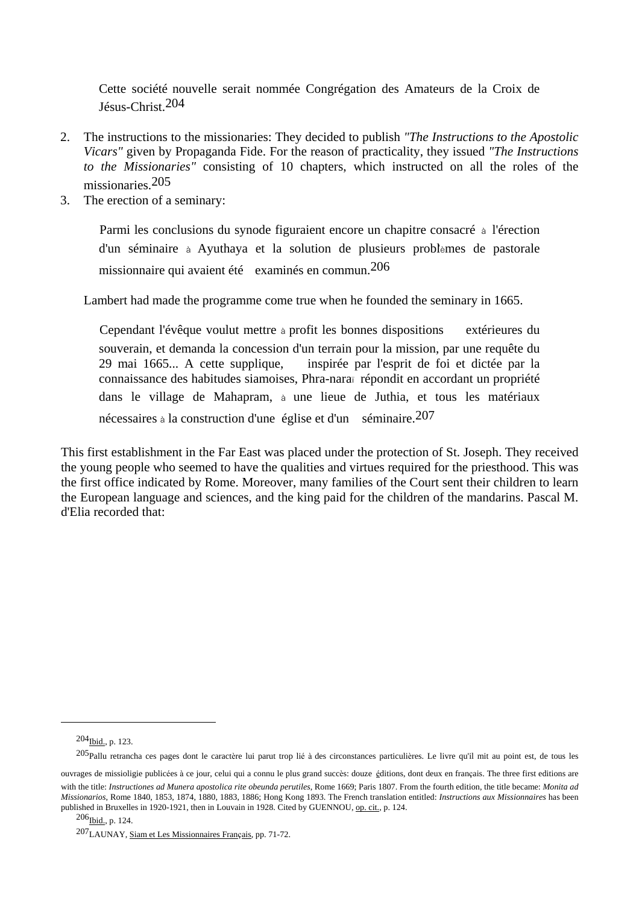Cette société nouvelle serait nommée Congrégation des Amateurs de la Croix de Jésus-Christ.204

- 2. The instructions to the missionaries: They decided to publish *"The Instructions to the Apostolic Vicars"* given by Propaganda Fide. For the reason of practicality, they issued *"The Instructions to the Missionaries"* consisting of 10 chapters, which instructed on all the roles of the missionaries.205
- 3. The erection of a seminary:

 Parmi les conclusions du synode figuraient encore un chapitre consacré à l'érection d'un séminaire à Ayuthaya et la solution de plusieurs problèmes de pastorale missionnaire qui avaient été examinés en commun.206

Lambert had made the programme come true when he founded the seminary in 1665.

Cependant l'évêque voulut mettre à profit les bonnes dispositions extérieures du souverain, et demanda la concession d'un terrain pour la mission, par une requête du 29 mai 1665... A cette supplique, inspirée par l'esprit de foi et dictée par la connaissance des habitudes siamoises, Phra-naraï répondit en accordant un propriété dans le village de Mahapram, à une lieue de Juthia, et tous les matériaux nécessaires à la construction d'une église et d'un séminaire.207

This first establishment in the Far East was placed under the protection of St. Joseph. They received the young people who seemed to have the qualities and virtues required for the priesthood. This was the first office indicated by Rome. Moreover, many families of the Court sent their children to learn the European language and sciences, and the king paid for the children of the mandarins. Pascal M. d'Elia recorded that:

<sup>204</sup>Ibid., p. 123.

<sup>205</sup>Pallu retrancha ces pages dont le caractère lui parut trop lié à des circonstances particulières. Le livre qu'il mit au point est, de tous les

ouvrages de missioligie publicées à ce jour, celui qui a connu le plus grand succès: douze éditions, dont deux en français. The three first editions are with the title: *Instructiones ad Munera apostolica rite obeunda perutiles*, Rome 1669; Paris 1807. From the fourth edition, the title became: *Monita ad Missionarios*, Rome 1840, 1853, 1874, 1880, 1883, 1886; Hong Kong 1893. The French translation entitled: *Instructions aux Missionnaires* has been published in Bruxelles in 1920-1921, then in Louvain in 1928. Cited by GUENNOU, op. cit., p. 124.

 $^{206}$ Ibi $_{\text{d.}}$ , p. 124.

<sup>207</sup>LAUNAY, Siam et Les Missionnaires Français, pp. 71-72.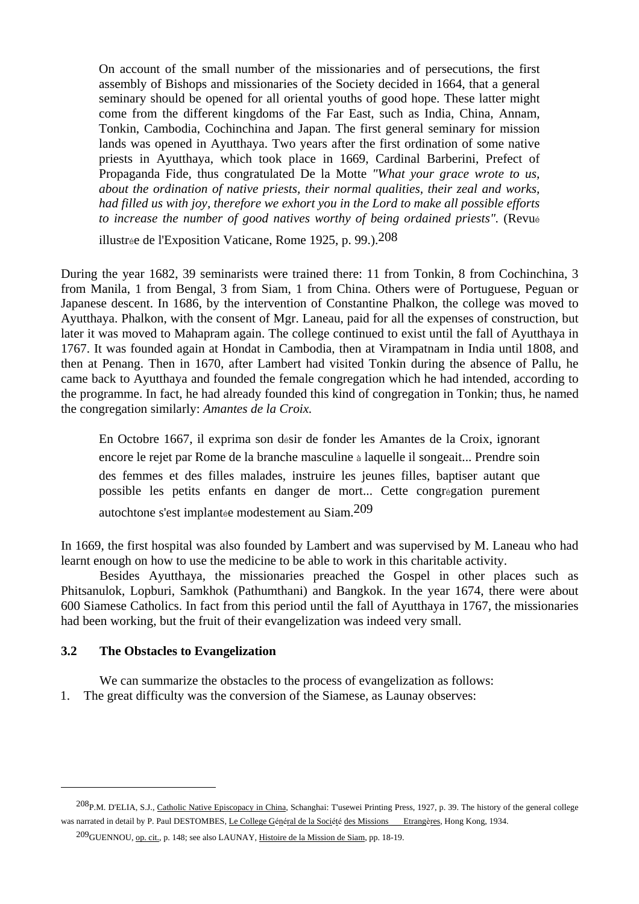On account of the small number of the missionaries and of persecutions, the first assembly of Bishops and missionaries of the Society decided in 1664, that a general seminary should be opened for all oriental youths of good hope. These latter might come from the different kingdoms of the Far East, such as India, China, Annam, Tonkin, Cambodia, Cochinchina and Japan. The first general seminary for mission lands was opened in Ayutthaya. Two years after the first ordination of some native priests in Ayutthaya, which took place in 1669, Cardinal Barberini, Prefect of Propaganda Fide, thus congratulated De la Motte *"What your grace wrote to us, about the ordination of native priests, their normal qualities, their zeal and works, had filled us with joy, therefore we exhort you in the Lord to make all possible efforts to increase the number of good natives worthy of being ordained priests".* (Revué

illustrée de l'Exposition Vaticane, Rome 1925, p. 99.).208

During the year 1682, 39 seminarists were trained there: 11 from Tonkin, 8 from Cochinchina, 3 from Manila, 1 from Bengal, 3 from Siam, 1 from China. Others were of Portuguese, Peguan or Japanese descent. In 1686, by the intervention of Constantine Phalkon, the college was moved to Ayutthaya. Phalkon, with the consent of Mgr. Laneau, paid for all the expenses of construction, but later it was moved to Mahapram again. The college continued to exist until the fall of Ayutthaya in 1767. It was founded again at Hondat in Cambodia, then at Virampatnam in India until 1808, and then at Penang. Then in 1670, after Lambert had visited Tonkin during the absence of Pallu, he came back to Ayutthaya and founded the female congregation which he had intended, according to the programme. In fact, he had already founded this kind of congregation in Tonkin; thus, he named the congregation similarly: *Amantes de la Croix.*

 En Octobre 1667, il exprima son désir de fonder les Amantes de la Croix, ignorant encore le rejet par Rome de la branche masculine à laquelle il songeait... Prendre soin des femmes et des filles malades, instruire les jeunes filles, baptiser autant que possible les petits enfants en danger de mort... Cette congrégation purement autochtone s'est implantée modestement au Siam.209

In 1669, the first hospital was also founded by Lambert and was supervised by M. Laneau who had learnt enough on how to use the medicine to be able to work in this charitable activity.

 Besides Ayutthaya, the missionaries preached the Gospel in other places such as Phitsanulok, Lopburi, Samkhok (Pathumthani) and Bangkok. In the year 1674, there were about 600 Siamese Catholics. In fact from this period until the fall of Ayutthaya in 1767, the missionaries had been working, but the fruit of their evangelization was indeed very small.

#### **3.2 The Obstacles to Evangelization**

 $\overline{a}$ 

 We can summarize the obstacles to the process of evangelization as follows: 1. The great difficulty was the conversion of the Siamese, as Launay observes:

<sup>208</sup>P.M. D'ELIA, S.J., Catholic Native Episcopacy in China, Schanghai: T'usewei Printing Press, 1927, p. 39. The history of the general college was narrated in detail by P. Paul DESTOMBES, Le College Général de la Société des Missions Etrangères, Hong Kong, 1934.

<sup>209</sup>GUENNOU, op. cit., p. 148; see also LAUNAY, Histoire de la Mission de Siam, pp. 18-19.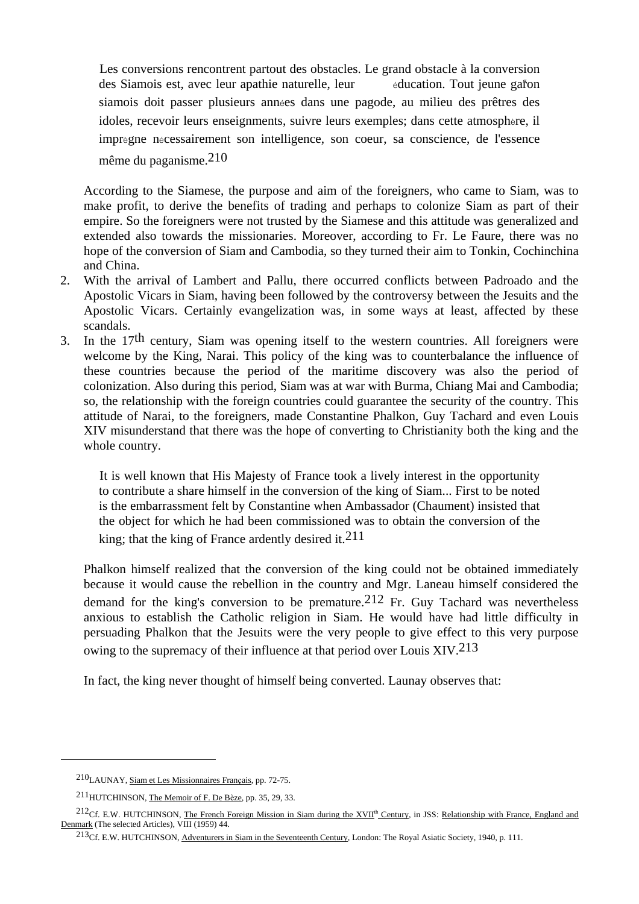Les conversions rencontrent partout des obstacles. Le grand obstacle à la conversion des Siamois est, avec leur apathie naturelle, leur éducation. Tout jeune gar็on siamois doit passer plusieurs années dans une pagode, au milieu des prêtres des idoles, recevoir leurs enseignments, suivre leurs exemples; dans cette atmosphère, il imprègne nécessairement son intelligence, son coeur, sa conscience, de l'essence même du paganisme.210

 According to the Siamese, the purpose and aim of the foreigners, who came to Siam, was to make profit, to derive the benefits of trading and perhaps to colonize Siam as part of their empire. So the foreigners were not trusted by the Siamese and this attitude was generalized and extended also towards the missionaries. Moreover, according to Fr. Le Faure, there was no hope of the conversion of Siam and Cambodia, so they turned their aim to Tonkin, Cochinchina and China.

- 2. With the arrival of Lambert and Pallu, there occurred conflicts between Padroado and the Apostolic Vicars in Siam, having been followed by the controversy between the Jesuits and the Apostolic Vicars. Certainly evangelization was, in some ways at least, affected by these scandals.
- 3. In the 17th century, Siam was opening itself to the western countries. All foreigners were welcome by the King, Narai. This policy of the king was to counterbalance the influence of these countries because the period of the maritime discovery was also the period of colonization. Also during this period, Siam was at war with Burma, Chiang Mai and Cambodia; so, the relationship with the foreign countries could guarantee the security of the country. This attitude of Narai, to the foreigners, made Constantine Phalkon, Guy Tachard and even Louis XIV misunderstand that there was the hope of converting to Christianity both the king and the whole country.

 It is well known that His Majesty of France took a lively interest in the opportunity to contribute a share himself in the conversion of the king of Siam... First to be noted is the embarrassment felt by Constantine when Ambassador (Chaument) insisted that the object for which he had been commissioned was to obtain the conversion of the king; that the king of France ardently desired it.  $211$ 

 Phalkon himself realized that the conversion of the king could not be obtained immediately because it would cause the rebellion in the country and Mgr. Laneau himself considered the demand for the king's conversion to be premature.<sup>212</sup> Fr. Guy Tachard was nevertheless anxious to establish the Catholic religion in Siam. He would have had little difficulty in persuading Phalkon that the Jesuits were the very people to give effect to this very purpose owing to the supremacy of their influence at that period over Louis XIV.213

In fact, the king never thought of himself being converted. Launay observes that:

<sup>210</sup>LAUNAY, Siam et Les Missionnaires Français, pp. 72-75.

<sup>211</sup>HUTCHINSON, The Memoir of F. De Bèze, pp. 35, 29, 33.

<sup>&</sup>lt;sup>212</sup>Cf. E.W. HUTCHINSON, The French Foreign Mission in Siam during the XVII<sup>th</sup> Century, in JSS: Relationship with France, England and Denmark (The selected Articles), VIII (1959) 44.

<sup>213</sup>Cf. E.W. HUTCHINSON, Adventurers in Siam in the Seventeenth Century, London: The Royal Asiatic Society, 1940, p. 111.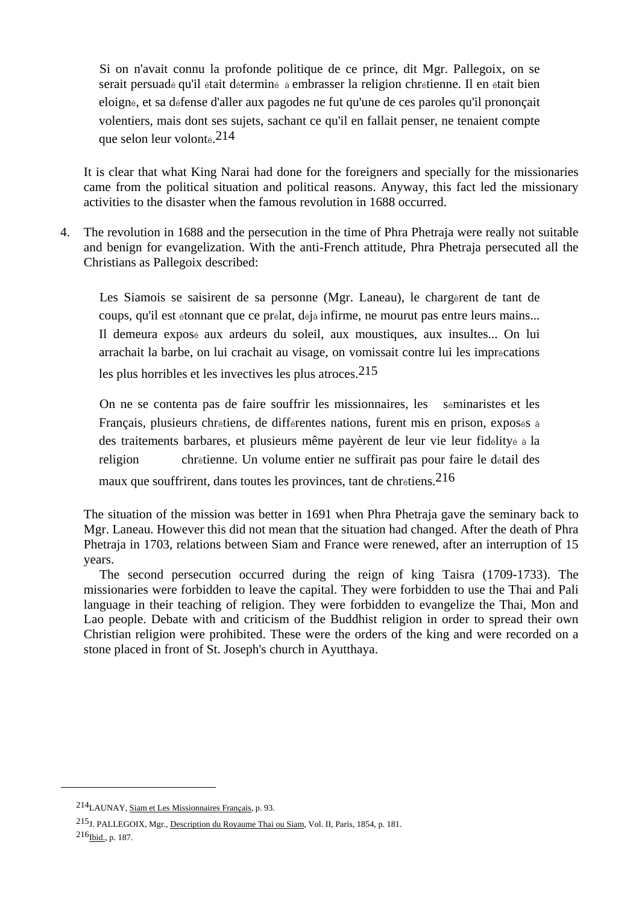Si on n'avait connu la profonde politique de ce prince, dit Mgr. Pallegoix, on se serait persuadé qu'il était déterminé à embrasser la religion chrétienne. Il en était bien eloigné, et sa défense d'aller aux pagodes ne fut qu'une de ces paroles qu'il prononçait volentiers, mais dont ses sujets, sachant ce qu'il en fallait penser, ne tenaient compte que selon leur volonté.214

 It is clear that what King Narai had done for the foreigners and specially for the missionaries came from the political situation and political reasons. Anyway, this fact led the missionary activities to the disaster when the famous revolution in 1688 occurred.

4. The revolution in 1688 and the persecution in the time of Phra Phetraja were really not suitable and benign for evangelization. With the anti-French attitude, Phra Phetraja persecuted all the Christians as Pallegoix described:

 Les Siamois se saisirent de sa personne (Mgr. Laneau), le chargèrent de tant de coups, qu'il est étonnant que ce prélat, déjà infirme, ne mourut pas entre leurs mains... Il demeura exposé aux ardeurs du soleil, aux moustiques, aux insultes... On lui arrachait la barbe, on lui crachait au visage, on vomissait contre lui les imprécations les plus horribles et les invectives les plus atroces.215

 On ne se contenta pas de faire souffrir les missionnaires, les séminaristes et les Français, plusieurs chrétiens, de différentes nations, furent mis en prison, exposés à des traitements barbares, et plusieurs même payèrent de leur vie leur fidélityé à la religion chrétienne. Un volume entier ne suffirait pas pour faire le détail des maux que souffrirent, dans toutes les provinces, tant de chrétiens.<sup>216</sup>

 The situation of the mission was better in 1691 when Phra Phetraja gave the seminary back to Mgr. Laneau. However this did not mean that the situation had changed. After the death of Phra Phetraja in 1703, relations between Siam and France were renewed, after an interruption of 15 years.

 The second persecution occurred during the reign of king Taisra (1709-1733). The missionaries were forbidden to leave the capital. They were forbidden to use the Thai and Pali language in their teaching of religion. They were forbidden to evangelize the Thai, Mon and Lao people. Debate with and criticism of the Buddhist religion in order to spread their own Christian religion were prohibited. These were the orders of the king and were recorded on a stone placed in front of St. Joseph's church in Ayutthaya.

<sup>214</sup>LAUNAY, Siam et Les Missionnaires Français, p. 93.

<sup>215</sup>J. PALLEGOIX, Mgr., Description du Royaume Thai ou Siam, Vol. II, Paris, 1854, p. 181.  $216$ Ibid., p. 187.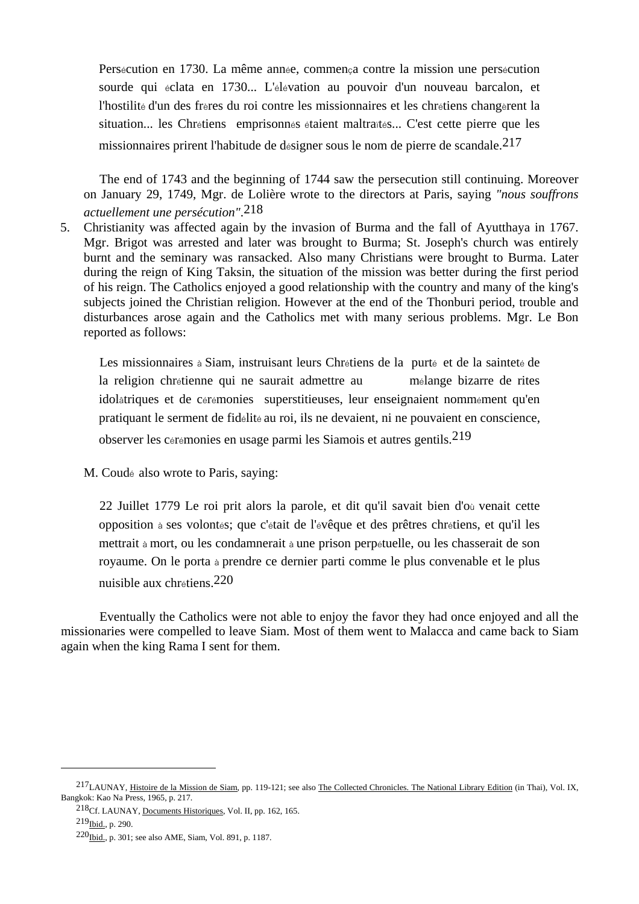Persécution en 1730. La même année, commença contre la mission une persécution sourde qui éclata en 1730... L'élévation au pouvoir d'un nouveau barcalon, et l'hostilité d'un des frères du roi contre les missionnaires et les chrétiens changèrent la situation... les Chrétiens emprisonnés étaient maltraïtés... C'est cette pierre que les missionnaires prirent l'habitude de désigner sous le nom de pierre de scandale.<sup>217</sup>

 The end of 1743 and the beginning of 1744 saw the persecution still continuing. Moreover on January 29, 1749, Mgr. de Lolière wrote to the directors at Paris, saying *"nous souffrons actuellement une persécution"*.218

5. Christianity was affected again by the invasion of Burma and the fall of Ayutthaya in 1767. Mgr. Brigot was arrested and later was brought to Burma; St. Joseph's church was entirely burnt and the seminary was ransacked. Also many Christians were brought to Burma. Later during the reign of King Taksin, the situation of the mission was better during the first period of his reign. The Catholics enjoyed a good relationship with the country and many of the king's subjects joined the Christian religion. However at the end of the Thonburi period, trouble and disturbances arose again and the Catholics met with many serious problems. Mgr. Le Bon reported as follows:

 Les missionnaires à Siam, instruisant leurs Chrétiens de la purté et de la sainteté de la religion chrétienne qui ne saurait admettre au mélange bizarre de rites idolâtriques et de cérémonies superstitieuses, leur enseignaient nommément qu'en pratiquant le serment de fidélité au roi, ils ne devaient, ni ne pouvaient en conscience, observer les cérémonies en usage parmi les Siamois et autres gentils.219

M. Coudé also wrote to Paris, saying:

 22 Juillet 1779 Le roi prit alors la parole, et dit qu'il savait bien d'où venait cette opposition à ses volontés; que c'était de l'évêque et des prêtres chrétiens, et qu'il les mettrait à mort, ou les condamnerait à une prison perpétuelle, ou les chasserait de son royaume. On le porta à prendre ce dernier parti comme le plus convenable et le plus nuisible aux chrétiens.220

 Eventually the Catholics were not able to enjoy the favor they had once enjoyed and all the missionaries were compelled to leave Siam. Most of them went to Malacca and came back to Siam again when the king Rama I sent for them.

 $217$ LAUNAY, Histoire de la Mission de Siam, pp. 119-121; see also The Collected Chronicles. The National Library Edition (in Thai), Vol. IX, Bangkok: Kao Na Press, 1965, p. 217.

<sup>218</sup>Cf. LAUNAY, Documents Historiques, Vol. II, pp. 162, 165.

 $219$ Ibid., p. 290.

<sup>220</sup>Ibid., p. 301; see also AME, Siam, Vol. 891, p. 1187.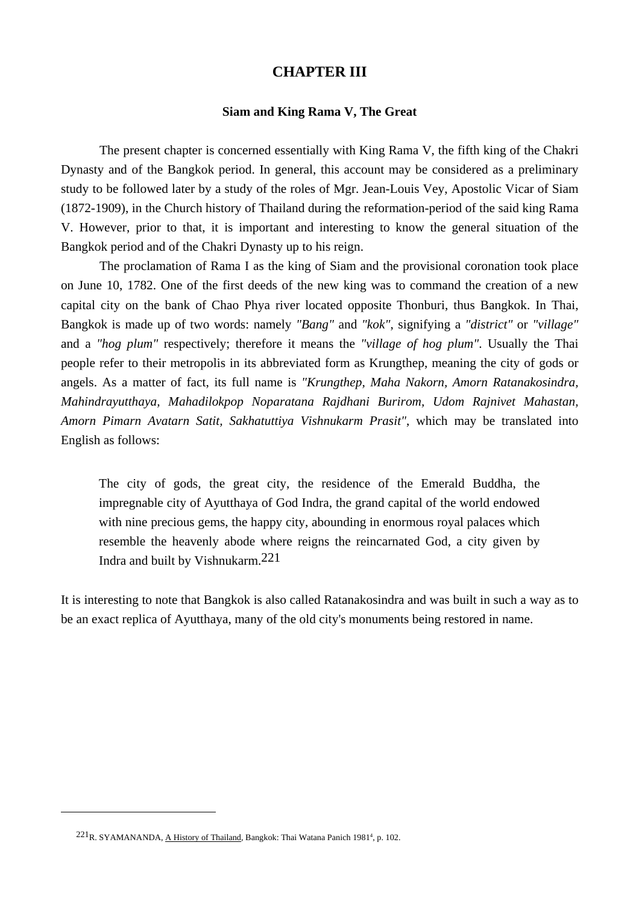# **CHAPTER III**

### **Siam and King Rama V, The Great**

 The present chapter is concerned essentially with King Rama V, the fifth king of the Chakri Dynasty and of the Bangkok period. In general, this account may be considered as a preliminary study to be followed later by a study of the roles of Mgr. Jean-Louis Vey, Apostolic Vicar of Siam (1872-1909), in the Church history of Thailand during the reformation-period of the said king Rama V. However, prior to that, it is important and interesting to know the general situation of the Bangkok period and of the Chakri Dynasty up to his reign.

 The proclamation of Rama I as the king of Siam and the provisional coronation took place on June 10, 1782. One of the first deeds of the new king was to command the creation of a new capital city on the bank of Chao Phya river located opposite Thonburi, thus Bangkok. In Thai, Bangkok is made up of two words: namely *"Bang"* and *"kok"*, signifying a *"district"* or *"village"* and a *"hog plum"* respectively; therefore it means the *"village of hog plum"*. Usually the Thai people refer to their metropolis in its abbreviated form as Krungthep, meaning the city of gods or angels. As a matter of fact, its full name is *"Krungthep, Maha Nakorn, Amorn Ratanakosindra, Mahindrayutthaya, Mahadilokpop Noparatana Rajdhani Burirom, Udom Rajnivet Mahastan, Amorn Pimarn Avatarn Satit, Sakhatuttiya Vishnukarm Prasit"*, which may be translated into English as follows:

 The city of gods, the great city, the residence of the Emerald Buddha, the impregnable city of Ayutthaya of God Indra, the grand capital of the world endowed with nine precious gems, the happy city, abounding in enormous royal palaces which resemble the heavenly abode where reigns the reincarnated God, a city given by Indra and built by Vishnukarm.221

It is interesting to note that Bangkok is also called Ratanakosindra and was built in such a way as to be an exact replica of Ayutthaya, many of the old city's monuments being restored in name.

 $221<sub>R. SYAMANANDA, A History of Thailand, Bangkok: Thai Watana Panich 1981<sup>4</sup>, p. 102.</sub>$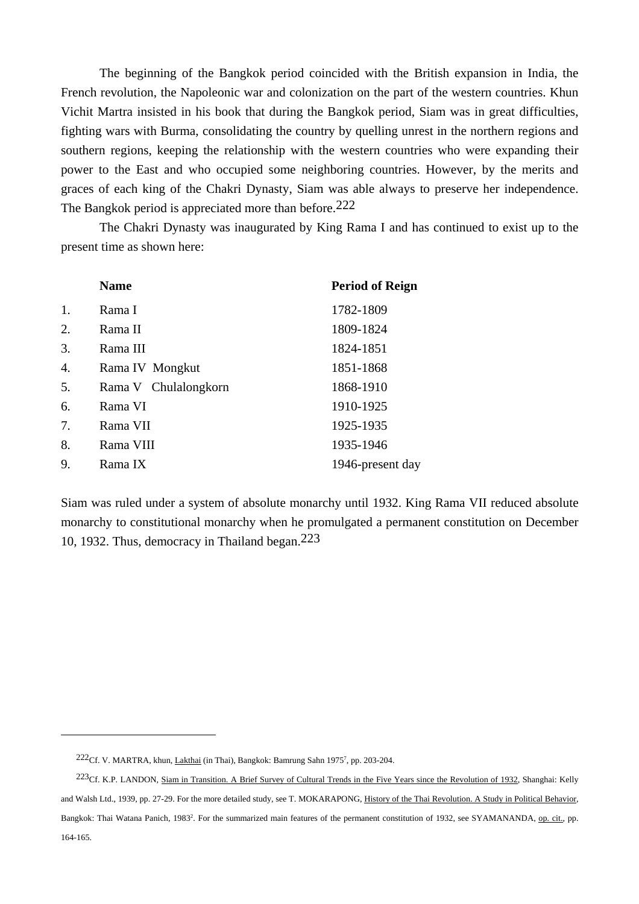The beginning of the Bangkok period coincided with the British expansion in India, the French revolution, the Napoleonic war and colonization on the part of the western countries. Khun Vichit Martra insisted in his book that during the Bangkok period, Siam was in great difficulties, fighting wars with Burma, consolidating the country by quelling unrest in the northern regions and southern regions, keeping the relationship with the western countries who were expanding their power to the East and who occupied some neighboring countries. However, by the merits and graces of each king of the Chakri Dynasty, Siam was able always to preserve her independence. The Bangkok period is appreciated more than before.<sup>222</sup>

 The Chakri Dynasty was inaugurated by King Rama I and has continued to exist up to the present time as shown here:

|                  | <b>Name</b>          | <b>Period of Reign</b> |
|------------------|----------------------|------------------------|
| 1.               | Rama I               | 1782-1809              |
| 2.               | Rama II              | 1809-1824              |
| 3.               | Rama III             | 1824-1851              |
| $\overline{4}$ . | Rama IV Mongkut      | 1851-1868              |
| 5.               | Rama V Chulalongkorn | 1868-1910              |
| 6.               | Rama VI              | 1910-1925              |
| 7.               | Rama VII             | 1925-1935              |
| 8.               | Rama VIII            | 1935-1946              |
| 9.               | Rama IX              | 1946-present day       |

Siam was ruled under a system of absolute monarchy until 1932. King Rama VII reduced absolute monarchy to constitutional monarchy when he promulgated a permanent constitution on December 10, 1932. Thus, democracy in Thailand began.223

 $222$ Cf. V. MARTRA, khun, Lakthai (in Thai), Bangkok: Bamrung Sahn 1975<sup>7</sup>, pp. 203-204.

 $^{223}$ Cf. K.P. LANDON, Siam in Transition. A Brief Survey of Cultural Trends in the Five Years since the Revolution of 1932, Shanghai: Kelly and Walsh Ltd., 1939, pp. 27-29. For the more detailed study, see T. MOKARAPONG, History of the Thai Revolution. A Study in Political Behavior, Bangkok: Thai Watana Panich, 1983<sup>2</sup>. For the summarized main features of the permanent constitution of 1932, see SYAMANANDA, op. cit., pp. 164-165.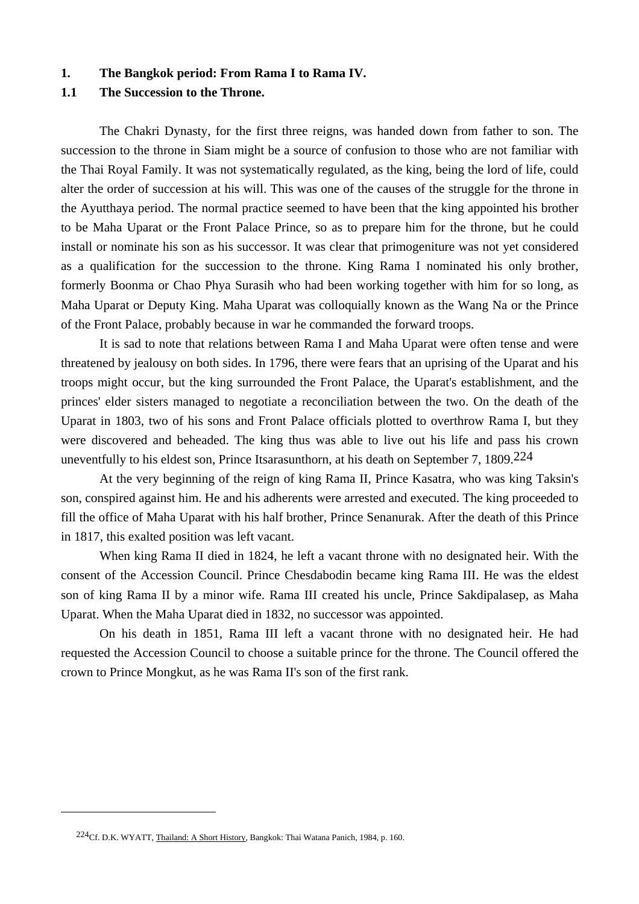#### **1. The Bangkok period: From Rama I to Rama IV.**

# **1.1 The Succession to the Throne.**

The Chakri Dynasty, for the first three reigns, was handed down from father to son. The succession to the throne in Siam might be a source of confusion to those who are not familiar with the Thai Royal Family. It was not systematically regulated, as the king, being the lord of life, could alter the order of succession at his will. This was one of the causes of the struggle for the throne in the Ayutthaya period. The normal practice seemed to have been that the king appointed his brother to be Maha Uparat or the Front Palace Prince, so as to prepare him for the throne, but he could install or nominate his son as his successor. It was clear that primogeniture was not yet considered as a qualification for the succession to the throne. King Rama I nominated his only brother, formerly Boonma or Chao Phya Surasih who had been working together with him for so long, as Maha Uparat or Deputy King. Maha Uparat was colloquially known as the Wang Na or the Prince of the Front Palace, probably because in war he commanded the forward troops.

 It is sad to note that relations between Rama I and Maha Uparat were often tense and were threatened by jealousy on both sides. In 1796, there were fears that an uprising of the Uparat and his troops might occur, but the king surrounded the Front Palace, the Uparat's establishment, and the princes' elder sisters managed to negotiate a reconciliation between the two. On the death of the Uparat in 1803, two of his sons and Front Palace officials plotted to overthrow Rama I, but they were discovered and beheaded. The king thus was able to live out his life and pass his crown uneventfully to his eldest son, Prince Itsarasunthorn, at his death on September 7, 1809.<sup>224</sup>

 At the very beginning of the reign of king Rama II, Prince Kasatra, who was king Taksin's son, conspired against him. He and his adherents were arrested and executed. The king proceeded to fill the office of Maha Uparat with his half brother, Prince Senanurak. After the death of this Prince in 1817, this exalted position was left vacant.

 When king Rama II died in 1824, he left a vacant throne with no designated heir. With the consent of the Accession Council. Prince Chesdabodin became king Rama III. He was the eldest son of king Rama II by a minor wife. Rama III created his uncle, Prince Sakdipalasep, as Maha Uparat. When the Maha Uparat died in 1832, no successor was appointed.

 On his death in 1851, Rama III left a vacant throne with no designated heir. He had requested the Accession Council to choose a suitable prince for the throne. The Council offered the crown to Prince Mongkut, as he was Rama II's son of the first rank.

<sup>224</sup>Cf. D.K. WYATT, Thailand: A Short History, Bangkok: Thai Watana Panich, 1984, p. 160.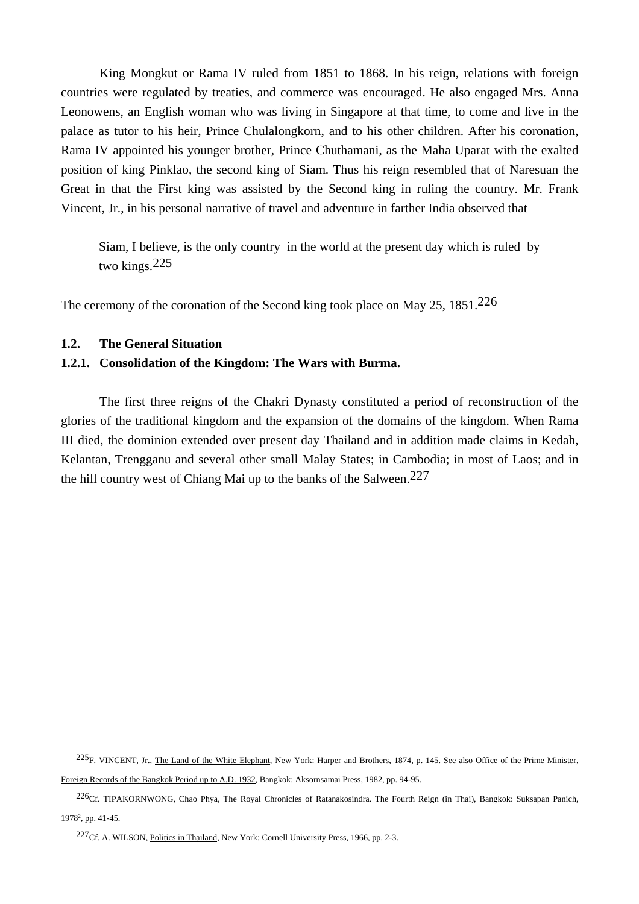King Mongkut or Rama IV ruled from 1851 to 1868. In his reign, relations with foreign countries were regulated by treaties, and commerce was encouraged. He also engaged Mrs. Anna Leonowens, an English woman who was living in Singapore at that time, to come and live in the palace as tutor to his heir, Prince Chulalongkorn, and to his other children. After his coronation, Rama IV appointed his younger brother, Prince Chuthamani, as the Maha Uparat with the exalted position of king Pinklao, the second king of Siam. Thus his reign resembled that of Naresuan the Great in that the First king was assisted by the Second king in ruling the country. Mr. Frank Vincent, Jr., in his personal narrative of travel and adventure in farther India observed that

Siam, I believe, is the only country in the world at the present day which is ruled by two kings.225

The ceremony of the coronation of the Second king took place on May 25, 1851.226

#### **1.2. The General Situation**

 $\overline{a}$ 

# **1.2.1. Consolidation of the Kingdom: The Wars with Burma.**

 The first three reigns of the Chakri Dynasty constituted a period of reconstruction of the glories of the traditional kingdom and the expansion of the domains of the kingdom. When Rama III died, the dominion extended over present day Thailand and in addition made claims in Kedah, Kelantan, Trengganu and several other small Malay States; in Cambodia; in most of Laos; and in the hill country west of Chiang Mai up to the banks of the Salween.227

 $^{225}F$ . VINCENT, Jr., The Land of the White Elephant, New York: Harper and Brothers, 1874, p. 145. See also Office of the Prime Minister, Foreign Records of the Bangkok Period up to A.D. 1932, Bangkok: Aksornsamai Press, 1982, pp. 94-95.

<sup>&</sup>lt;sup>226</sup>Cf. TIPAKORNWONG, Chao Phya, The Royal Chronicles of Ratanakosindra. The Fourth Reign (in Thai), Bangkok: Suksapan Panich, 19782 , pp. 41-45.

<sup>227</sup>Cf. A. WILSON, Politics in Thailand, New York: Cornell University Press, 1966, pp. 2-3.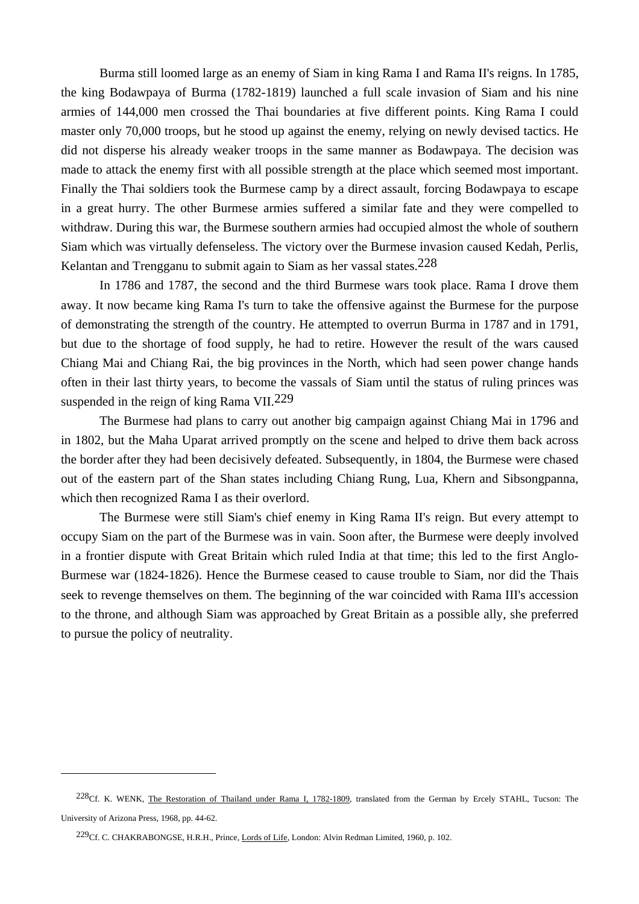Burma still loomed large as an enemy of Siam in king Rama I and Rama II's reigns. In 1785, the king Bodawpaya of Burma (1782-1819) launched a full scale invasion of Siam and his nine armies of 144,000 men crossed the Thai boundaries at five different points. King Rama I could master only 70,000 troops, but he stood up against the enemy, relying on newly devised tactics. He did not disperse his already weaker troops in the same manner as Bodawpaya. The decision was made to attack the enemy first with all possible strength at the place which seemed most important. Finally the Thai soldiers took the Burmese camp by a direct assault, forcing Bodawpaya to escape in a great hurry. The other Burmese armies suffered a similar fate and they were compelled to withdraw. During this war, the Burmese southern armies had occupied almost the whole of southern Siam which was virtually defenseless. The victory over the Burmese invasion caused Kedah, Perlis, Kelantan and Trengganu to submit again to Siam as her vassal states.<sup>228</sup>

 In 1786 and 1787, the second and the third Burmese wars took place. Rama I drove them away. It now became king Rama I's turn to take the offensive against the Burmese for the purpose of demonstrating the strength of the country. He attempted to overrun Burma in 1787 and in 1791, but due to the shortage of food supply, he had to retire. However the result of the wars caused Chiang Mai and Chiang Rai, the big provinces in the North, which had seen power change hands often in their last thirty years, to become the vassals of Siam until the status of ruling princes was suspended in the reign of king Rama VII.<sup>229</sup>

 The Burmese had plans to carry out another big campaign against Chiang Mai in 1796 and in 1802, but the Maha Uparat arrived promptly on the scene and helped to drive them back across the border after they had been decisively defeated. Subsequently, in 1804, the Burmese were chased out of the eastern part of the Shan states including Chiang Rung, Lua, Khern and Sibsongpanna, which then recognized Rama I as their overlord.

 The Burmese were still Siam's chief enemy in King Rama II's reign. But every attempt to occupy Siam on the part of the Burmese was in vain. Soon after, the Burmese were deeply involved in a frontier dispute with Great Britain which ruled India at that time; this led to the first Anglo-Burmese war (1824-1826). Hence the Burmese ceased to cause trouble to Siam, nor did the Thais seek to revenge themselves on them. The beginning of the war coincided with Rama III's accession to the throne, and although Siam was approached by Great Britain as a possible ally, she preferred to pursue the policy of neutrality.

<sup>&</sup>lt;sup>228</sup>Cf. K. WENK, The Restoration of Thailand under Rama I, 1782-1809, translated from the German by Ercely STAHL, Tucson: The University of Arizona Press, 1968, pp. 44-62.

<sup>229</sup>Cf. C. CHAKRABONGSE, H.R.H., Prince, Lords of Life, London: Alvin Redman Limited, 1960, p. 102.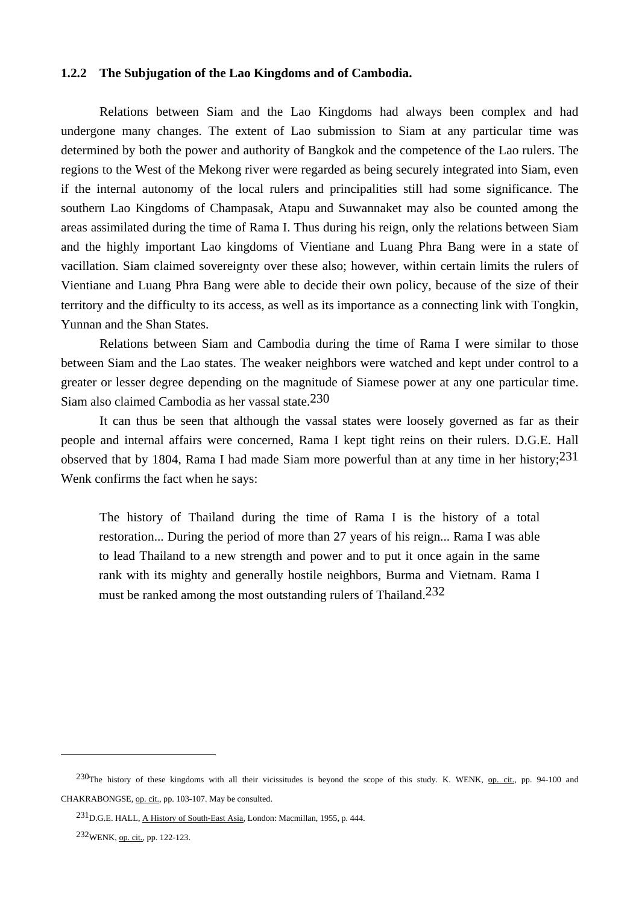## **1.2.2 The Subjugation of the Lao Kingdoms and of Cambodia.**

 Relations between Siam and the Lao Kingdoms had always been complex and had undergone many changes. The extent of Lao submission to Siam at any particular time was determined by both the power and authority of Bangkok and the competence of the Lao rulers. The regions to the West of the Mekong river were regarded as being securely integrated into Siam, even if the internal autonomy of the local rulers and principalities still had some significance. The southern Lao Kingdoms of Champasak, Atapu and Suwannaket may also be counted among the areas assimilated during the time of Rama I. Thus during his reign, only the relations between Siam and the highly important Lao kingdoms of Vientiane and Luang Phra Bang were in a state of vacillation. Siam claimed sovereignty over these also; however, within certain limits the rulers of Vientiane and Luang Phra Bang were able to decide their own policy, because of the size of their territory and the difficulty to its access, as well as its importance as a connecting link with Tongkin, Yunnan and the Shan States.

 Relations between Siam and Cambodia during the time of Rama I were similar to those between Siam and the Lao states. The weaker neighbors were watched and kept under control to a greater or lesser degree depending on the magnitude of Siamese power at any one particular time. Siam also claimed Cambodia as her vassal state.230

 It can thus be seen that although the vassal states were loosely governed as far as their people and internal affairs were concerned, Rama I kept tight reins on their rulers. D.G.E. Hall observed that by 1804, Rama I had made Siam more powerful than at any time in her history;  $231$ Wenk confirms the fact when he says:

 The history of Thailand during the time of Rama I is the history of a total restoration... During the period of more than 27 years of his reign... Rama I was able to lead Thailand to a new strength and power and to put it once again in the same rank with its mighty and generally hostile neighbors, Burma and Vietnam. Rama I must be ranked among the most outstanding rulers of Thailand.<sup>232</sup>

<sup>230</sup>The history of these kingdoms with all their vicissitudes is beyond the scope of this study. K. WENK, op. cit., pp. 94-100 and CHAKRABONGSE, op. cit., pp. 103-107. May be consulted.

<sup>231</sup>D.G.E. HALL, A History of South-East Asia, London: Macmillan, 1955, p. 444.

<sup>232</sup>WENK, op. cit., pp. 122-123.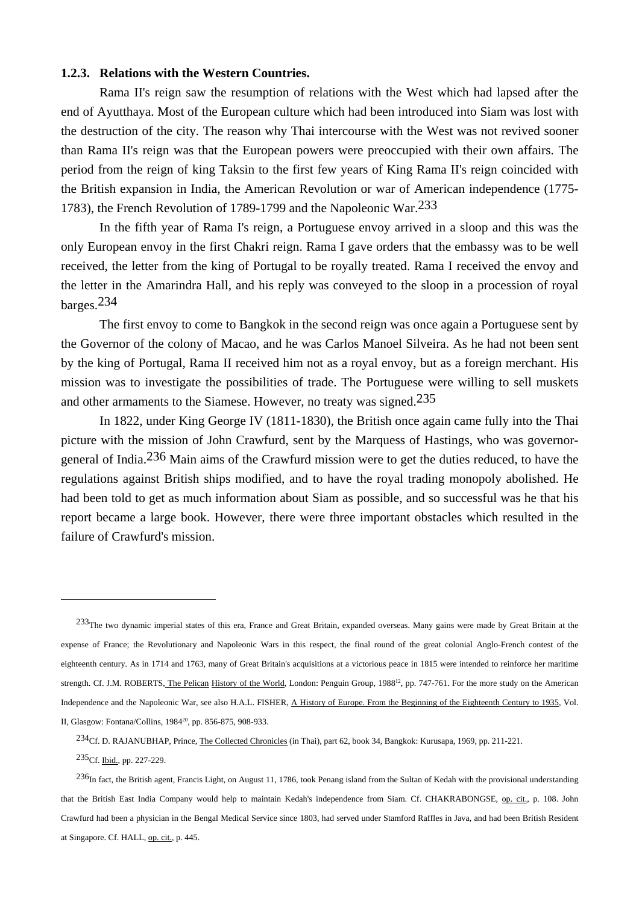## **1.2.3. Relations with the Western Countries.**

 Rama II's reign saw the resumption of relations with the West which had lapsed after the end of Ayutthaya. Most of the European culture which had been introduced into Siam was lost with the destruction of the city. The reason why Thai intercourse with the West was not revived sooner than Rama II's reign was that the European powers were preoccupied with their own affairs. The period from the reign of king Taksin to the first few years of King Rama II's reign coincided with the British expansion in India, the American Revolution or war of American independence (1775- 1783), the French Revolution of 1789-1799 and the Napoleonic War.233

 In the fifth year of Rama I's reign, a Portuguese envoy arrived in a sloop and this was the only European envoy in the first Chakri reign. Rama I gave orders that the embassy was to be well received, the letter from the king of Portugal to be royally treated. Rama I received the envoy and the letter in the Amarindra Hall, and his reply was conveyed to the sloop in a procession of royal barges.234

 The first envoy to come to Bangkok in the second reign was once again a Portuguese sent by the Governor of the colony of Macao, and he was Carlos Manoel Silveira. As he had not been sent by the king of Portugal, Rama II received him not as a royal envoy, but as a foreign merchant. His mission was to investigate the possibilities of trade. The Portuguese were willing to sell muskets and other armaments to the Siamese. However, no treaty was signed.<sup>235</sup>

 In 1822, under King George IV (1811-1830), the British once again came fully into the Thai picture with the mission of John Crawfurd, sent by the Marquess of Hastings, who was governorgeneral of India.236 Main aims of the Crawfurd mission were to get the duties reduced, to have the regulations against British ships modified, and to have the royal trading monopoly abolished. He had been told to get as much information about Siam as possible, and so successful was he that his report became a large book. However, there were three important obstacles which resulted in the failure of Crawfurd's mission.

235Cf. Ibid., pp. 227-229.

 $\overline{a}$ 

236In fact, the British agent, Francis Light, on August 11, 1786, took Penang island from the Sultan of Kedah with the provisional understanding that the British East India Company would help to maintain Kedah's independence from Siam. Cf. CHAKRABONGSE, op. cit., p. 108. John Crawfurd had been a physician in the Bengal Medical Service since 1803, had served under Stamford Raffles in Java, and had been British Resident at Singapore. Cf. HALL, op. cit., p. 445.

<sup>&</sup>lt;sup>233</sup>The two dynamic imperial states of this era, France and Great Britain, expanded overseas. Many gains were made by Great Britain at the expense of France; the Revolutionary and Napoleonic Wars in this respect, the final round of the great colonial Anglo-French contest of the eighteenth century. As in 1714 and 1763, many of Great Britain's acquisitions at a victorious peace in 1815 were intended to reinforce her maritime strength. Cf. J.M. ROBERTS, The Pelican History of the World, London: Penguin Group, 1988<sup>12</sup>, pp. 747-761. For the more study on the American Independence and the Napoleonic War, see also H.A.L. FISHER, A History of Europe. From the Beginning of the Eighteenth Century to 1935, Vol. II, Glasgow: Fontana/Collins, 198420, pp. 856-875, 908-933.

<sup>234</sup>Cf. D. RAJANUBHAP, Prince, The Collected Chronicles (in Thai), part 62, book 34, Bangkok: Kurusapa, 1969, pp. 211-221.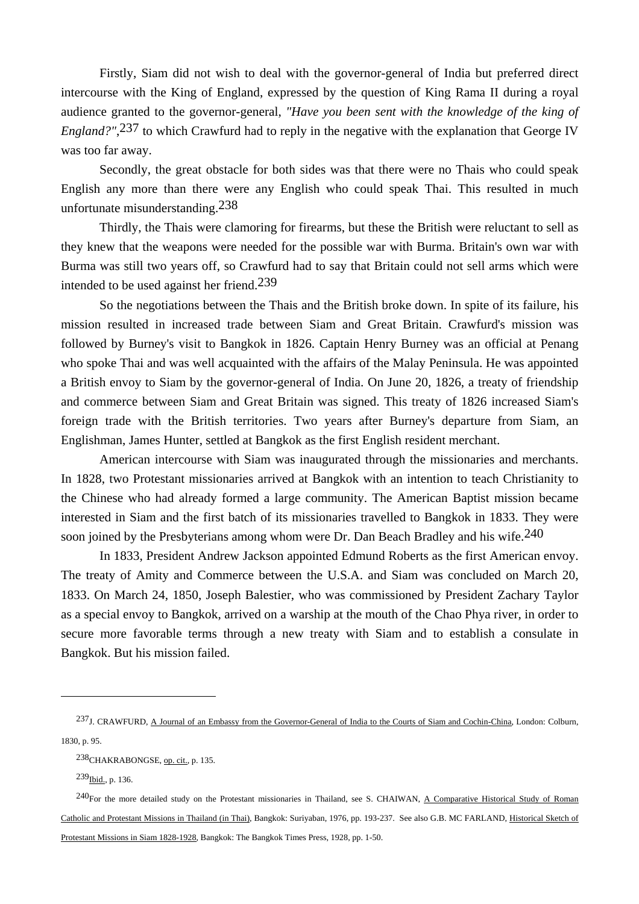Firstly, Siam did not wish to deal with the governor-general of India but preferred direct intercourse with the King of England, expressed by the question of King Rama II during a royal audience granted to the governor-general, *"Have you been sent with the knowledge of the king of England?"*,237 to which Crawfurd had to reply in the negative with the explanation that George IV was too far away.

 Secondly, the great obstacle for both sides was that there were no Thais who could speak English any more than there were any English who could speak Thai. This resulted in much unfortunate misunderstanding.238

 Thirdly, the Thais were clamoring for firearms, but these the British were reluctant to sell as they knew that the weapons were needed for the possible war with Burma. Britain's own war with Burma was still two years off, so Crawfurd had to say that Britain could not sell arms which were intended to be used against her friend.239

 So the negotiations between the Thais and the British broke down. In spite of its failure, his mission resulted in increased trade between Siam and Great Britain. Crawfurd's mission was followed by Burney's visit to Bangkok in 1826. Captain Henry Burney was an official at Penang who spoke Thai and was well acquainted with the affairs of the Malay Peninsula. He was appointed a British envoy to Siam by the governor-general of India. On June 20, 1826, a treaty of friendship and commerce between Siam and Great Britain was signed. This treaty of 1826 increased Siam's foreign trade with the British territories. Two years after Burney's departure from Siam, an Englishman, James Hunter, settled at Bangkok as the first English resident merchant.

 American intercourse with Siam was inaugurated through the missionaries and merchants. In 1828, two Protestant missionaries arrived at Bangkok with an intention to teach Christianity to the Chinese who had already formed a large community. The American Baptist mission became interested in Siam and the first batch of its missionaries travelled to Bangkok in 1833. They were soon joined by the Presbyterians among whom were Dr. Dan Beach Bradley and his wife.<sup>240</sup>

 In 1833, President Andrew Jackson appointed Edmund Roberts as the first American envoy. The treaty of Amity and Commerce between the U.S.A. and Siam was concluded on March 20, 1833. On March 24, 1850, Joseph Balestier, who was commissioned by President Zachary Taylor as a special envoy to Bangkok, arrived on a warship at the mouth of the Chao Phya river, in order to secure more favorable terms through a new treaty with Siam and to establish a consulate in Bangkok. But his mission failed.

<sup>237</sup>J. CRAWFURD, A Journal of an Embassy from the Governor-General of India to the Courts of Siam and Cochin-China, London: Colburn, 1830, p. 95.

<sup>238</sup>CHAKRABONGSE, op. cit., p. 135.

<sup>239</sup>Ibid., p. 136.

 $^{240}$ For the more detailed study on the Protestant missionaries in Thailand, see S. CHAIWAN, A Comparative Historical Study of Roman Catholic and Protestant Missions in Thailand (in Thai), Bangkok: Suriyaban, 1976, pp. 193-237. See also G.B. MC FARLAND, Historical Sketch of Protestant Missions in Siam 1828-1928, Bangkok: The Bangkok Times Press, 1928, pp. 1-50.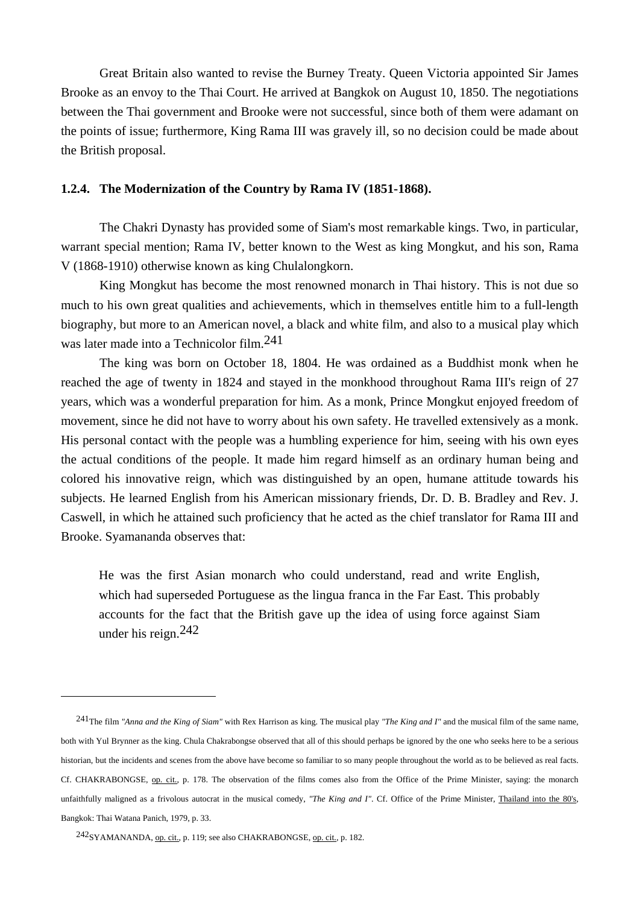Great Britain also wanted to revise the Burney Treaty. Queen Victoria appointed Sir James Brooke as an envoy to the Thai Court. He arrived at Bangkok on August 10, 1850. The negotiations between the Thai government and Brooke were not successful, since both of them were adamant on the points of issue; furthermore, King Rama III was gravely ill, so no decision could be made about the British proposal.

## **1.2.4. The Modernization of the Country by Rama IV (1851-1868).**

 The Chakri Dynasty has provided some of Siam's most remarkable kings. Two, in particular, warrant special mention; Rama IV, better known to the West as king Mongkut, and his son, Rama V (1868-1910) otherwise known as king Chulalongkorn.

 King Mongkut has become the most renowned monarch in Thai history. This is not due so much to his own great qualities and achievements, which in themselves entitle him to a full-length biography, but more to an American novel, a black and white film, and also to a musical play which was later made into a Technicolor film.241

 The king was born on October 18, 1804. He was ordained as a Buddhist monk when he reached the age of twenty in 1824 and stayed in the monkhood throughout Rama III's reign of 27 years, which was a wonderful preparation for him. As a monk, Prince Mongkut enjoyed freedom of movement, since he did not have to worry about his own safety. He travelled extensively as a monk. His personal contact with the people was a humbling experience for him, seeing with his own eyes the actual conditions of the people. It made him regard himself as an ordinary human being and colored his innovative reign, which was distinguished by an open, humane attitude towards his subjects. He learned English from his American missionary friends, Dr. D. B. Bradley and Rev. J. Caswell, in which he attained such proficiency that he acted as the chief translator for Rama III and Brooke. Syamananda observes that:

 He was the first Asian monarch who could understand, read and write English, which had superseded Portuguese as the lingua franca in the Far East. This probably accounts for the fact that the British gave up the idea of using force against Siam under his reign.242

<sup>241</sup>The film *"Anna and the King of Siam"* with Rex Harrison as king. The musical play *"The King and I"* and the musical film of the same name, both with Yul Brynner as the king. Chula Chakrabongse observed that all of this should perhaps be ignored by the one who seeks here to be a serious historian, but the incidents and scenes from the above have become so familiar to so many people throughout the world as to be believed as real facts. Cf. CHAKRABONGSE, op. cit., p. 178. The observation of the films comes also from the Office of the Prime Minister, saying: the monarch unfaithfully maligned as a frivolous autocrat in the musical comedy, *"The King and I"*. Cf. Office of the Prime Minister, Thailand into the 80's, Bangkok: Thai Watana Panich, 1979, p. 33.

<sup>242</sup>SYAMANANDA, op. cit., p. 119; see also CHAKRABONGSE, op. cit., p. 182.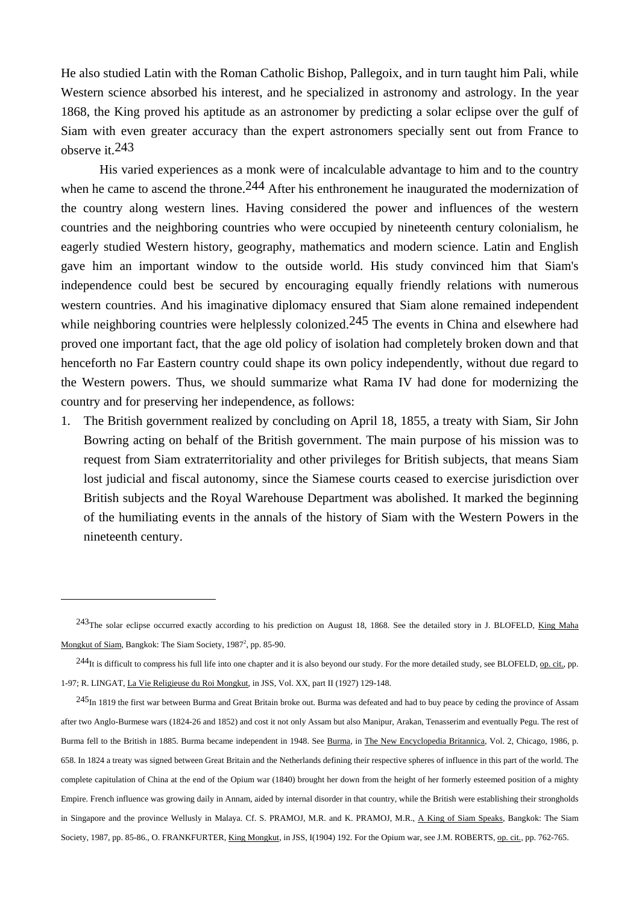He also studied Latin with the Roman Catholic Bishop, Pallegoix, and in turn taught him Pali, while Western science absorbed his interest, and he specialized in astronomy and astrology. In the year 1868, the King proved his aptitude as an astronomer by predicting a solar eclipse over the gulf of Siam with even greater accuracy than the expert astronomers specially sent out from France to observe it.243

 His varied experiences as a monk were of incalculable advantage to him and to the country when he came to ascend the throne.<sup>244</sup> After his enthronement he inaugurated the modernization of the country along western lines. Having considered the power and influences of the western countries and the neighboring countries who were occupied by nineteenth century colonialism, he eagerly studied Western history, geography, mathematics and modern science. Latin and English gave him an important window to the outside world. His study convinced him that Siam's independence could best be secured by encouraging equally friendly relations with numerous western countries. And his imaginative diplomacy ensured that Siam alone remained independent while neighboring countries were helplessly colonized.<sup>245</sup> The events in China and elsewhere had proved one important fact, that the age old policy of isolation had completely broken down and that henceforth no Far Eastern country could shape its own policy independently, without due regard to the Western powers. Thus, we should summarize what Rama IV had done for modernizing the country and for preserving her independence, as follows:

1. The British government realized by concluding on April 18, 1855, a treaty with Siam, Sir John Bowring acting on behalf of the British government. The main purpose of his mission was to request from Siam extraterritoriality and other privileges for British subjects, that means Siam lost judicial and fiscal autonomy, since the Siamese courts ceased to exercise jurisdiction over British subjects and the Royal Warehouse Department was abolished. It marked the beginning of the humiliating events in the annals of the history of Siam with the Western Powers in the nineteenth century.

<sup>&</sup>lt;sup>243</sup>The solar eclipse occurred exactly according to his prediction on August 18, 1868. See the detailed story in J. BLOFELD, King Maha Mongkut of Siam, Bangkok: The Siam Society, 1987<sup>2</sup>, pp. 85-90.

<sup>&</sup>lt;sup>244</sup>It is difficult to compress his full life into one chapter and it is also beyond our study. For the more detailed study, see BLOFELD, op. cit., pp. 1-97; R. LINGAT, La Vie Religieuse du Roi Mongkut, in JSS, Vol. XX, part II (1927) 129-148.

 $^{245}$ In 1819 the first war between Burma and Great Britain broke out. Burma was defeated and had to buy peace by ceding the province of Assam after two Anglo-Burmese wars (1824-26 and 1852) and cost it not only Assam but also Manipur, Arakan, Tenasserim and eventually Pegu. The rest of Burma fell to the British in 1885. Burma became independent in 1948. See Burma, in The New Encyclopedia Britannica, Vol. 2, Chicago, 1986, p. 658. In 1824 a treaty was signed between Great Britain and the Netherlands defining their respective spheres of influence in this part of the world. The complete capitulation of China at the end of the Opium war (1840) brought her down from the height of her formerly esteemed position of a mighty Empire. French influence was growing daily in Annam, aided by internal disorder in that country, while the British were establishing their strongholds in Singapore and the province Wellusly in Malaya. Cf. S. PRAMOJ, M.R. and K. PRAMOJ, M.R., A King of Siam Speaks, Bangkok: The Siam Society, 1987, pp. 85-86., O. FRANKFURTER, King Mongkut, in JSS, I(1904) 192. For the Opium war, see J.M. ROBERTS, op. cit., pp. 762-765.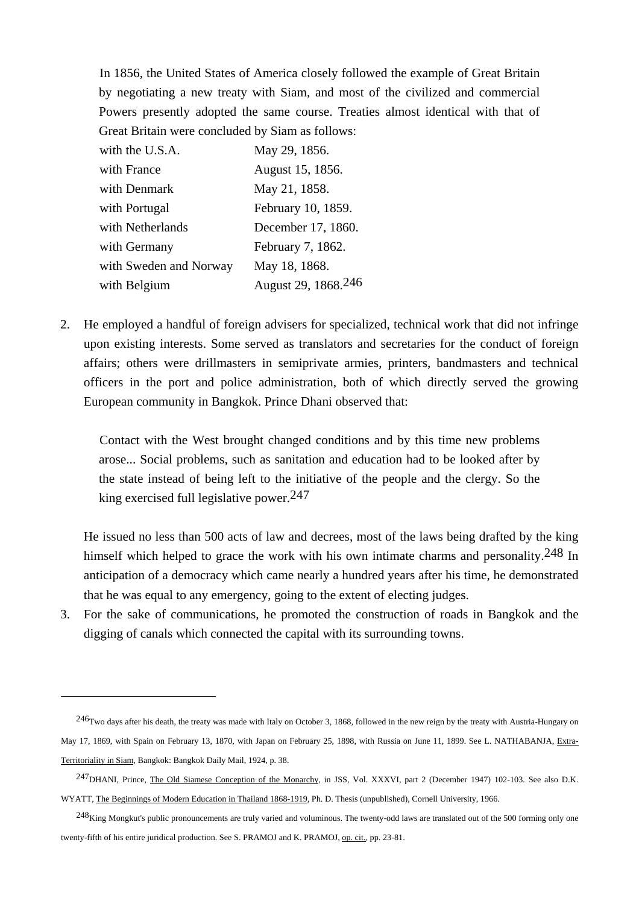In 1856, the United States of America closely followed the example of Great Britain by negotiating a new treaty with Siam, and most of the civilized and commercial Powers presently adopted the same course. Treaties almost identical with that of Great Britain were concluded by Siam as follows:

| with the U.S.A.        | May 29, 1856.       |
|------------------------|---------------------|
| with France            | August 15, 1856.    |
| with Denmark           | May 21, 1858.       |
| with Portugal          | February 10, 1859.  |
| with Netherlands       | December 17, 1860.  |
| with Germany           | February 7, 1862.   |
| with Sweden and Norway | May 18, 1868.       |
| with Belgium           | August 29, 1868.246 |

 $\overline{a}$ 

2. He employed a handful of foreign advisers for specialized, technical work that did not infringe upon existing interests. Some served as translators and secretaries for the conduct of foreign affairs; others were drillmasters in semiprivate armies, printers, bandmasters and technical officers in the port and police administration, both of which directly served the growing European community in Bangkok. Prince Dhani observed that:

 Contact with the West brought changed conditions and by this time new problems arose... Social problems, such as sanitation and education had to be looked after by the state instead of being left to the initiative of the people and the clergy. So the king exercised full legislative power.247

 He issued no less than 500 acts of law and decrees, most of the laws being drafted by the king himself which helped to grace the work with his own intimate charms and personality.<sup>248</sup> In anticipation of a democracy which came nearly a hundred years after his time, he demonstrated that he was equal to any emergency, going to the extent of electing judges.

3. For the sake of communications, he promoted the construction of roads in Bangkok and the digging of canals which connected the capital with its surrounding towns.

 $246$ Two days after his death, the treaty was made with Italy on October 3, 1868, followed in the new reign by the treaty with Austria-Hungary on May 17, 1869, with Spain on February 13, 1870, with Japan on February 25, 1898, with Russia on June 11, 1899. See L. NATHABANJA, Extra-Territoriality in Siam, Bangkok: Bangkok Daily Mail, 1924, p. 38.

<sup>247</sup>DHANI, Prince, The Old Siamese Conception of the Monarchy, in JSS, Vol. XXXVI, part 2 (December 1947) 102-103. See also D.K. WYATT, The Beginnings of Modern Education in Thailand 1868-1919, Ph. D. Thesis (unpublished), Cornell University, 1966.

 $^{248}$ King Mongkut's public pronouncements are truly varied and voluminous. The twenty-odd laws are translated out of the 500 forming only one twenty-fifth of his entire juridical production. See S. PRAMOJ and K. PRAMOJ, op. cit., pp. 23-81.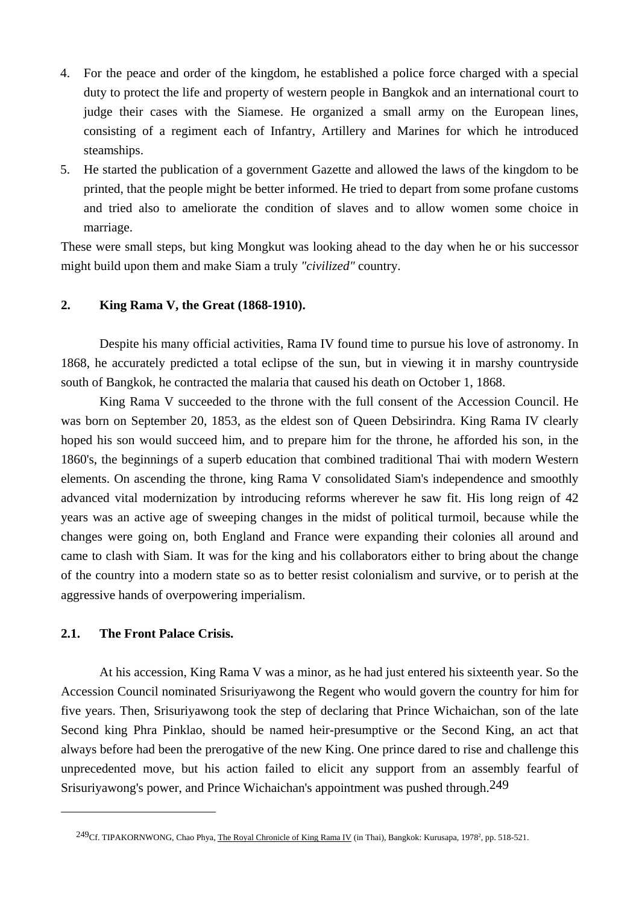- 4. For the peace and order of the kingdom, he established a police force charged with a special duty to protect the life and property of western people in Bangkok and an international court to judge their cases with the Siamese. He organized a small army on the European lines, consisting of a regiment each of Infantry, Artillery and Marines for which he introduced steamships.
- 5. He started the publication of a government Gazette and allowed the laws of the kingdom to be printed, that the people might be better informed. He tried to depart from some profane customs and tried also to ameliorate the condition of slaves and to allow women some choice in marriage.

These were small steps, but king Mongkut was looking ahead to the day when he or his successor might build upon them and make Siam a truly *"civilized"* country.

# **2. King Rama V, the Great (1868-1910).**

 Despite his many official activities, Rama IV found time to pursue his love of astronomy. In 1868, he accurately predicted a total eclipse of the sun, but in viewing it in marshy countryside south of Bangkok, he contracted the malaria that caused his death on October 1, 1868.

 King Rama V succeeded to the throne with the full consent of the Accession Council. He was born on September 20, 1853, as the eldest son of Queen Debsirindra. King Rama IV clearly hoped his son would succeed him, and to prepare him for the throne, he afforded his son, in the 1860's, the beginnings of a superb education that combined traditional Thai with modern Western elements. On ascending the throne, king Rama V consolidated Siam's independence and smoothly advanced vital modernization by introducing reforms wherever he saw fit. His long reign of 42 years was an active age of sweeping changes in the midst of political turmoil, because while the changes were going on, both England and France were expanding their colonies all around and came to clash with Siam. It was for the king and his collaborators either to bring about the change of the country into a modern state so as to better resist colonialism and survive, or to perish at the aggressive hands of overpowering imperialism.

# **2.1. The Front Palace Crisis.**

 $\overline{a}$ 

 At his accession, King Rama V was a minor, as he had just entered his sixteenth year. So the Accession Council nominated Srisuriyawong the Regent who would govern the country for him for five years. Then, Srisuriyawong took the step of declaring that Prince Wichaichan, son of the late Second king Phra Pinklao, should be named heir-presumptive or the Second King, an act that always before had been the prerogative of the new King. One prince dared to rise and challenge this unprecedented move, but his action failed to elicit any support from an assembly fearful of Srisuriyawong's power, and Prince Wichaichan's appointment was pushed through.249

<sup>&</sup>lt;sup>249</sup>Cf. TIPAKORNWONG, Chao Phya, <u>The Royal Chronicle of King Rama IV</u> (in Thai), Bangkok: Kurusapa, 1978<sup>2</sup>, pp. 518-521.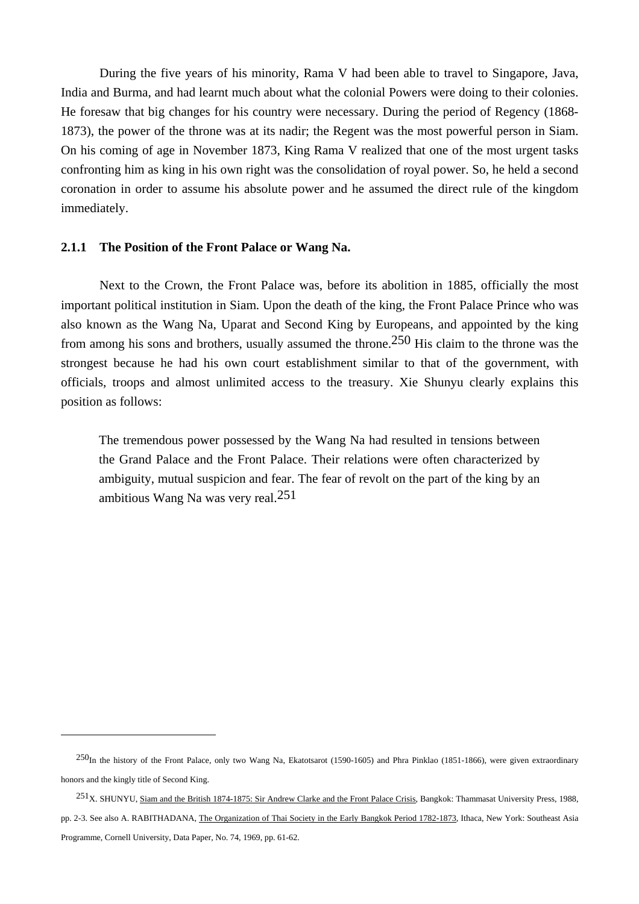During the five years of his minority, Rama V had been able to travel to Singapore, Java, India and Burma, and had learnt much about what the colonial Powers were doing to their colonies. He foresaw that big changes for his country were necessary. During the period of Regency (1868- 1873), the power of the throne was at its nadir; the Regent was the most powerful person in Siam. On his coming of age in November 1873, King Rama V realized that one of the most urgent tasks confronting him as king in his own right was the consolidation of royal power. So, he held a second coronation in order to assume his absolute power and he assumed the direct rule of the kingdom immediately.

## **2.1.1 The Position of the Front Palace or Wang Na.**

 $\overline{a}$ 

 Next to the Crown, the Front Palace was, before its abolition in 1885, officially the most important political institution in Siam. Upon the death of the king, the Front Palace Prince who was also known as the Wang Na, Uparat and Second King by Europeans, and appointed by the king from among his sons and brothers, usually assumed the throne.250 His claim to the throne was the strongest because he had his own court establishment similar to that of the government, with officials, troops and almost unlimited access to the treasury. Xie Shunyu clearly explains this position as follows:

 The tremendous power possessed by the Wang Na had resulted in tensions between the Grand Palace and the Front Palace. Their relations were often characterized by ambiguity, mutual suspicion and fear. The fear of revolt on the part of the king by an ambitious Wang Na was very real.251

<sup>250</sup>In the history of the Front Palace, only two Wang Na, Ekatotsarot (1590-1605) and Phra Pinklao (1851-1866), were given extraordinary honors and the kingly title of Second King.

<sup>251</sup>X. SHUNYU, Siam and the British 1874-1875: Sir Andrew Clarke and the Front Palace Crisis, Bangkok: Thammasat University Press, 1988, pp. 2-3. See also A. RABITHADANA, The Organization of Thai Society in the Early Bangkok Period 1782-1873, Ithaca, New York: Southeast Asia Programme, Cornell University, Data Paper, No. 74, 1969, pp. 61-62.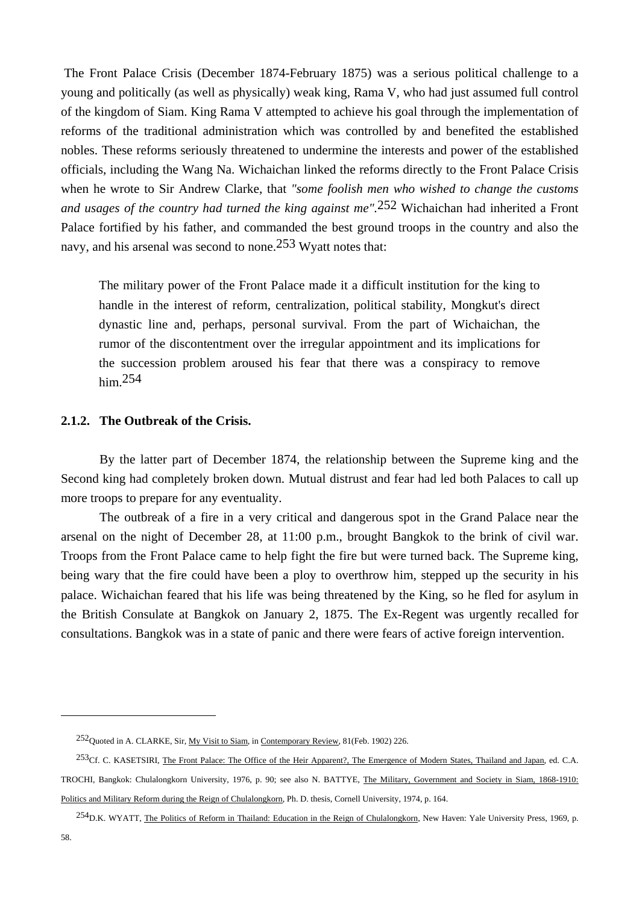The Front Palace Crisis (December 1874-February 1875) was a serious political challenge to a young and politically (as well as physically) weak king, Rama V, who had just assumed full control of the kingdom of Siam. King Rama V attempted to achieve his goal through the implementation of reforms of the traditional administration which was controlled by and benefited the established nobles. These reforms seriously threatened to undermine the interests and power of the established officials, including the Wang Na. Wichaichan linked the reforms directly to the Front Palace Crisis when he wrote to Sir Andrew Clarke, that *"some foolish men who wished to change the customs and usages of the country had turned the king against me".*252 Wichaichan had inherited a Front Palace fortified by his father, and commanded the best ground troops in the country and also the navy, and his arsenal was second to none.253 Wyatt notes that:

 The military power of the Front Palace made it a difficult institution for the king to handle in the interest of reform, centralization, political stability, Mongkut's direct dynastic line and, perhaps, personal survival. From the part of Wichaichan, the rumor of the discontentment over the irregular appointment and its implications for the succession problem aroused his fear that there was a conspiracy to remove him.254

# **2.1.2. The Outbreak of the Crisis.**

 By the latter part of December 1874, the relationship between the Supreme king and the Second king had completely broken down. Mutual distrust and fear had led both Palaces to call up more troops to prepare for any eventuality.

 The outbreak of a fire in a very critical and dangerous spot in the Grand Palace near the arsenal on the night of December 28, at 11:00 p.m., brought Bangkok to the brink of civil war. Troops from the Front Palace came to help fight the fire but were turned back. The Supreme king, being wary that the fire could have been a ploy to overthrow him, stepped up the security in his palace. Wichaichan feared that his life was being threatened by the King, so he fled for asylum in the British Consulate at Bangkok on January 2, 1875. The Ex-Regent was urgently recalled for consultations. Bangkok was in a state of panic and there were fears of active foreign intervention.

<sup>252</sup>Quoted in A. CLARKE, Sir, My Visit to Siam, in Contemporary Review, 81(Feb. 1902) 226.

<sup>&</sup>lt;sup>253</sup>Cf. C. KASETSIRI, The Front Palace: The Office of the Heir Apparent?, The Emergence of Modern States, Thailand and Japan, ed. C.A. TROCHI, Bangkok: Chulalongkorn University, 1976, p. 90; see also N. BATTYE, The Military, Government and Society in Siam, 1868-1910: Politics and Military Reform during the Reign of Chulalongkorn, Ph. D. thesis, Cornell University, 1974, p. 164.

<sup>&</sup>lt;sup>254</sup>D.K. WYATT. The Politics of Reform in Thailand: Education in the Reign of Chulalongkorn, New Haven: Yale University Press, 1969, p.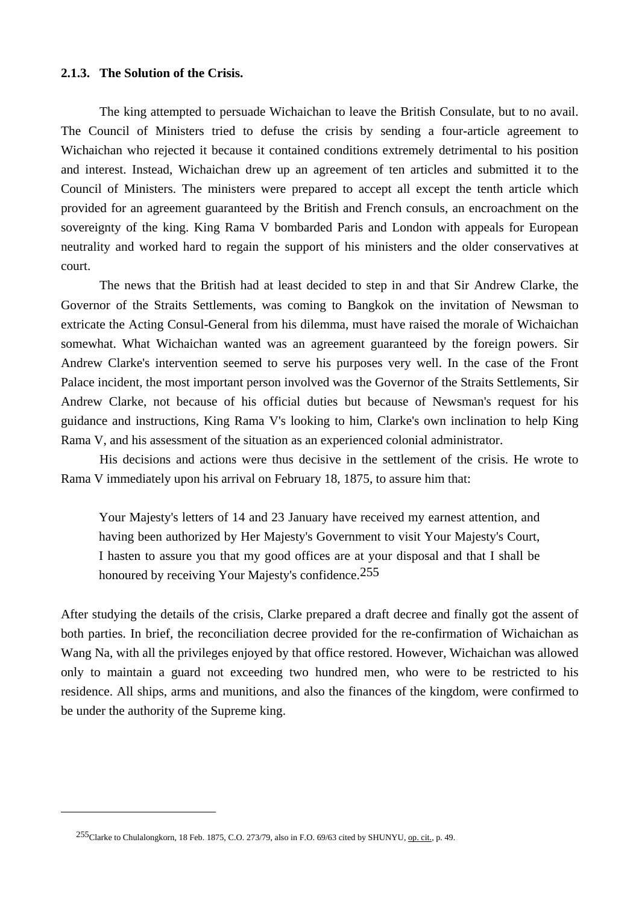## **2.1.3. The Solution of the Crisis.**

 The king attempted to persuade Wichaichan to leave the British Consulate, but to no avail. The Council of Ministers tried to defuse the crisis by sending a four-article agreement to Wichaichan who rejected it because it contained conditions extremely detrimental to his position and interest. Instead, Wichaichan drew up an agreement of ten articles and submitted it to the Council of Ministers. The ministers were prepared to accept all except the tenth article which provided for an agreement guaranteed by the British and French consuls, an encroachment on the sovereignty of the king. King Rama V bombarded Paris and London with appeals for European neutrality and worked hard to regain the support of his ministers and the older conservatives at court.

 The news that the British had at least decided to step in and that Sir Andrew Clarke, the Governor of the Straits Settlements, was coming to Bangkok on the invitation of Newsman to extricate the Acting Consul-General from his dilemma, must have raised the morale of Wichaichan somewhat. What Wichaichan wanted was an agreement guaranteed by the foreign powers. Sir Andrew Clarke's intervention seemed to serve his purposes very well. In the case of the Front Palace incident, the most important person involved was the Governor of the Straits Settlements, Sir Andrew Clarke, not because of his official duties but because of Newsman's request for his guidance and instructions, King Rama V's looking to him, Clarke's own inclination to help King Rama V, and his assessment of the situation as an experienced colonial administrator.

 His decisions and actions were thus decisive in the settlement of the crisis. He wrote to Rama V immediately upon his arrival on February 18, 1875, to assure him that:

 Your Majesty's letters of 14 and 23 January have received my earnest attention, and having been authorized by Her Majesty's Government to visit Your Majesty's Court, I hasten to assure you that my good offices are at your disposal and that I shall be honoured by receiving Your Majesty's confidence.<sup>255</sup>

After studying the details of the crisis, Clarke prepared a draft decree and finally got the assent of both parties. In brief, the reconciliation decree provided for the re-confirmation of Wichaichan as Wang Na, with all the privileges enjoyed by that office restored. However, Wichaichan was allowed only to maintain a guard not exceeding two hundred men, who were to be restricted to his residence. All ships, arms and munitions, and also the finances of the kingdom, were confirmed to be under the authority of the Supreme king.

<sup>255</sup>Clarke to Chulalongkorn, 18 Feb. 1875, C.O. 273/79, also in F.O. 69/63 cited by SHUNYU, op. cit., p. 49.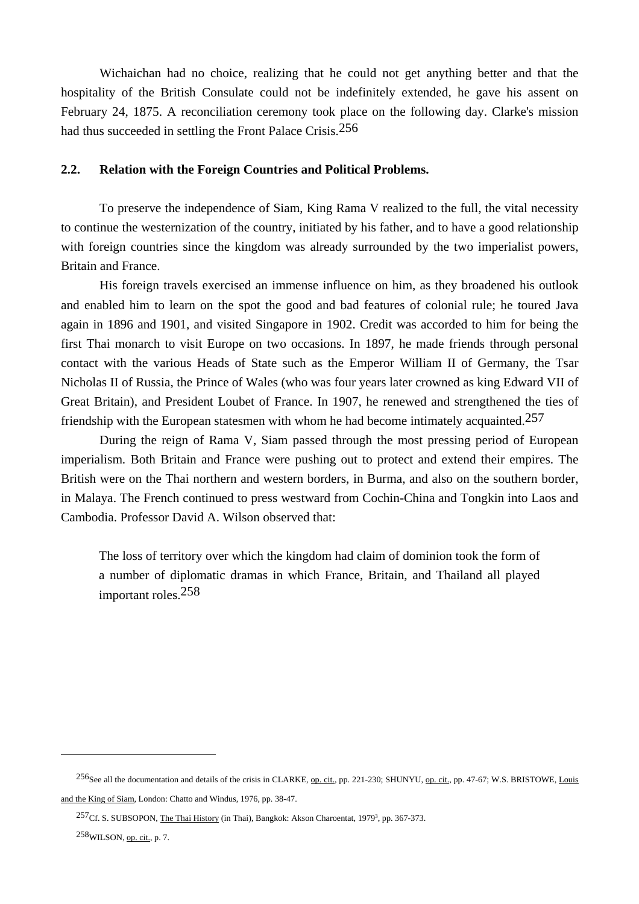Wichaichan had no choice, realizing that he could not get anything better and that the hospitality of the British Consulate could not be indefinitely extended, he gave his assent on February 24, 1875. A reconciliation ceremony took place on the following day. Clarke's mission had thus succeeded in settling the Front Palace Crisis.256

## **2.2. Relation with the Foreign Countries and Political Problems.**

 To preserve the independence of Siam, King Rama V realized to the full, the vital necessity to continue the westernization of the country, initiated by his father, and to have a good relationship with foreign countries since the kingdom was already surrounded by the two imperialist powers, Britain and France.

 His foreign travels exercised an immense influence on him, as they broadened his outlook and enabled him to learn on the spot the good and bad features of colonial rule; he toured Java again in 1896 and 1901, and visited Singapore in 1902. Credit was accorded to him for being the first Thai monarch to visit Europe on two occasions. In 1897, he made friends through personal contact with the various Heads of State such as the Emperor William II of Germany, the Tsar Nicholas II of Russia, the Prince of Wales (who was four years later crowned as king Edward VII of Great Britain), and President Loubet of France. In 1907, he renewed and strengthened the ties of friendship with the European statesmen with whom he had become intimately acquainted.<sup>257</sup>

 During the reign of Rama V, Siam passed through the most pressing period of European imperialism. Both Britain and France were pushing out to protect and extend their empires. The British were on the Thai northern and western borders, in Burma, and also on the southern border, in Malaya. The French continued to press westward from Cochin-China and Tongkin into Laos and Cambodia. Professor David A. Wilson observed that:

 The loss of territory over which the kingdom had claim of dominion took the form of a number of diplomatic dramas in which France, Britain, and Thailand all played important roles.258

<sup>&</sup>lt;sup>256</sup>See all the documentation and details of the crisis in CLARKE, op. cit., pp. 221-230; SHUNYU, op. cit., pp. 47-67; W.S. BRISTOWE, Louis and the King of Siam, London: Chatto and Windus, 1976, pp. 38-47.

 $^{257}$ Cf. S. SUBSOPON, The Thai History (in Thai), Bangkok: Akson Charoentat, 1979<sup>3</sup>, pp. 367-373.

<sup>258</sup>WILSON, op. cit., p. 7.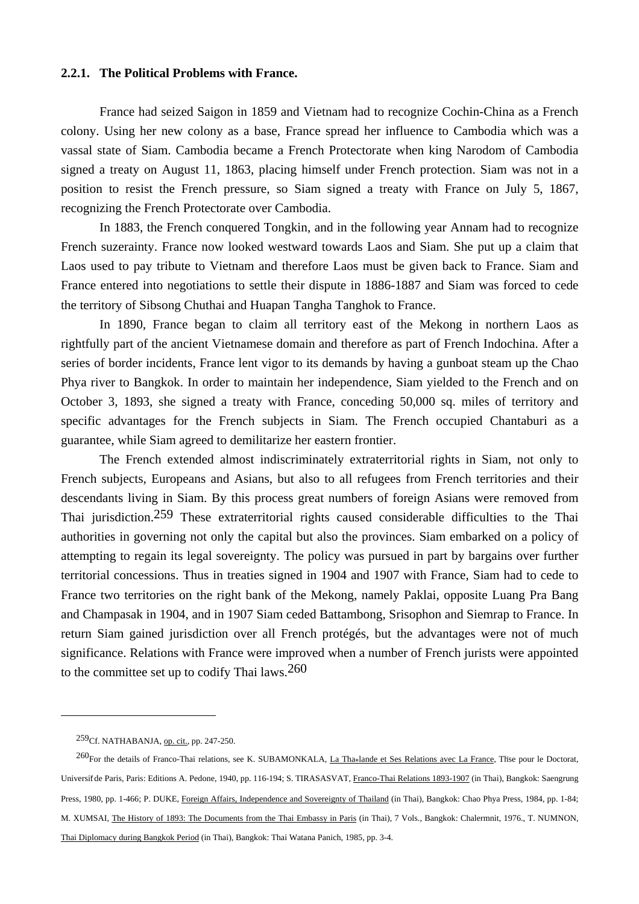## **2.2.1. The Political Problems with France.**

 France had seized Saigon in 1859 and Vietnam had to recognize Cochin-China as a French colony. Using her new colony as a base, France spread her influence to Cambodia which was a vassal state of Siam. Cambodia became a French Protectorate when king Narodom of Cambodia signed a treaty on August 11, 1863, placing himself under French protection. Siam was not in a position to resist the French pressure, so Siam signed a treaty with France on July 5, 1867, recognizing the French Protectorate over Cambodia.

 In 1883, the French conquered Tongkin, and in the following year Annam had to recognize French suzerainty. France now looked westward towards Laos and Siam. She put up a claim that Laos used to pay tribute to Vietnam and therefore Laos must be given back to France. Siam and France entered into negotiations to settle their dispute in 1886-1887 and Siam was forced to cede the territory of Sibsong Chuthai and Huapan Tangha Tanghok to France.

 In 1890, France began to claim all territory east of the Mekong in northern Laos as rightfully part of the ancient Vietnamese domain and therefore as part of French Indochina. After a series of border incidents, France lent vigor to its demands by having a gunboat steam up the Chao Phya river to Bangkok. In order to maintain her independence, Siam yielded to the French and on October 3, 1893, she signed a treaty with France, conceding 50,000 sq. miles of territory and specific advantages for the French subjects in Siam. The French occupied Chantaburi as a guarantee, while Siam agreed to demilitarize her eastern frontier.

 The French extended almost indiscriminately extraterritorial rights in Siam, not only to French subjects, Europeans and Asians, but also to all refugees from French territories and their descendants living in Siam. By this process great numbers of foreign Asians were removed from Thai jurisdiction.259 These extraterritorial rights caused considerable difficulties to the Thai authorities in governing not only the capital but also the provinces. Siam embarked on a policy of attempting to regain its legal sovereignty. The policy was pursued in part by bargains over further territorial concessions. Thus in treaties signed in 1904 and 1907 with France, Siam had to cede to France two territories on the right bank of the Mekong, namely Paklai, opposite Luang Pra Bang and Champasak in 1904, and in 1907 Siam ceded Battambong, Srisophon and Siemrap to France. In return Siam gained jurisdiction over all French protégés, but the advantages were not of much significance. Relations with France were improved when a number of French jurists were appointed to the committee set up to codify Thai laws.260

<sup>259</sup>Cf. NATHABANJA, op. cit., pp. 247-250.

<sup>&</sup>lt;sup>260</sup>For the details of Franco-Thai relations, see K. SUBAMONKALA, La Thaolande et Ses Relations avec La France, Thse pour le Doctorat, Universit de Paris, Paris: Editions A. Pedone, 1940, pp. 116-194; S. TIRASASVAT, Franco-Thai Relations 1893-1907 (in Thai), Bangkok: Saengrung Press, 1980, pp. 1-466; P. DUKE, Foreign Affairs, Independence and Sovereignty of Thailand (in Thai), Bangkok: Chao Phya Press, 1984, pp. 1-84; M. XUMSAI, The History of 1893: The Documents from the Thai Embassy in Paris (in Thai), 7 Vols., Bangkok: Chalermnit, 1976., T. NUMNON, Thai Diplomacy during Bangkok Period (in Thai), Bangkok: Thai Watana Panich, 1985, pp. 3-4.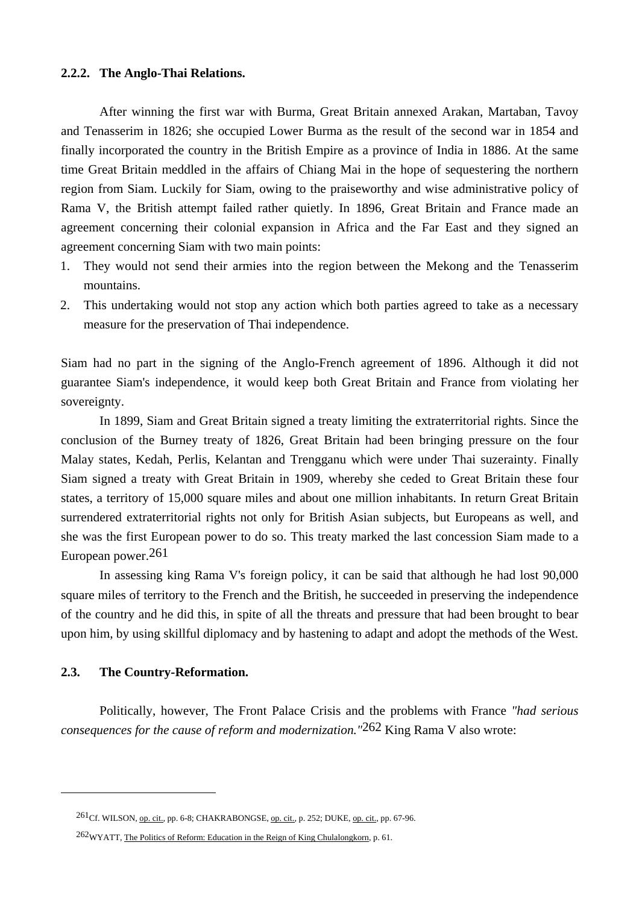## **2.2.2. The Anglo-Thai Relations.**

 After winning the first war with Burma, Great Britain annexed Arakan, Martaban, Tavoy and Tenasserim in 1826; she occupied Lower Burma as the result of the second war in 1854 and finally incorporated the country in the British Empire as a province of India in 1886. At the same time Great Britain meddled in the affairs of Chiang Mai in the hope of sequestering the northern region from Siam. Luckily for Siam, owing to the praiseworthy and wise administrative policy of Rama V, the British attempt failed rather quietly. In 1896, Great Britain and France made an agreement concerning their colonial expansion in Africa and the Far East and they signed an agreement concerning Siam with two main points:

- 1. They would not send their armies into the region between the Mekong and the Tenasserim mountains.
- 2. This undertaking would not stop any action which both parties agreed to take as a necessary measure for the preservation of Thai independence.

Siam had no part in the signing of the Anglo-French agreement of 1896. Although it did not guarantee Siam's independence, it would keep both Great Britain and France from violating her sovereignty.

 In 1899, Siam and Great Britain signed a treaty limiting the extraterritorial rights. Since the conclusion of the Burney treaty of 1826, Great Britain had been bringing pressure on the four Malay states, Kedah, Perlis, Kelantan and Trengganu which were under Thai suzerainty. Finally Siam signed a treaty with Great Britain in 1909, whereby she ceded to Great Britain these four states, a territory of 15,000 square miles and about one million inhabitants. In return Great Britain surrendered extraterritorial rights not only for British Asian subjects, but Europeans as well, and she was the first European power to do so. This treaty marked the last concession Siam made to a European power.261

 In assessing king Rama V's foreign policy, it can be said that although he had lost 90,000 square miles of territory to the French and the British, he succeeded in preserving the independence of the country and he did this, in spite of all the threats and pressure that had been brought to bear upon him, by using skillful diplomacy and by hastening to adapt and adopt the methods of the West.

## **2.3. The Country-Reformation.**

 $\overline{a}$ 

Politically, however, The Front Palace Crisis and the problems with France *"had serious consequences for the cause of reform and modernization."*262 King Rama V also wrote:

<sup>261</sup>Cf. WILSON, op. cit., pp. 6-8; CHAKRABONGSE, op. cit., p. 252; DUKE, op. cit., pp. 67-96.

<sup>262</sup>WYATT, The Politics of Reform: Education in the Reign of King Chulalongkorn, p. 61.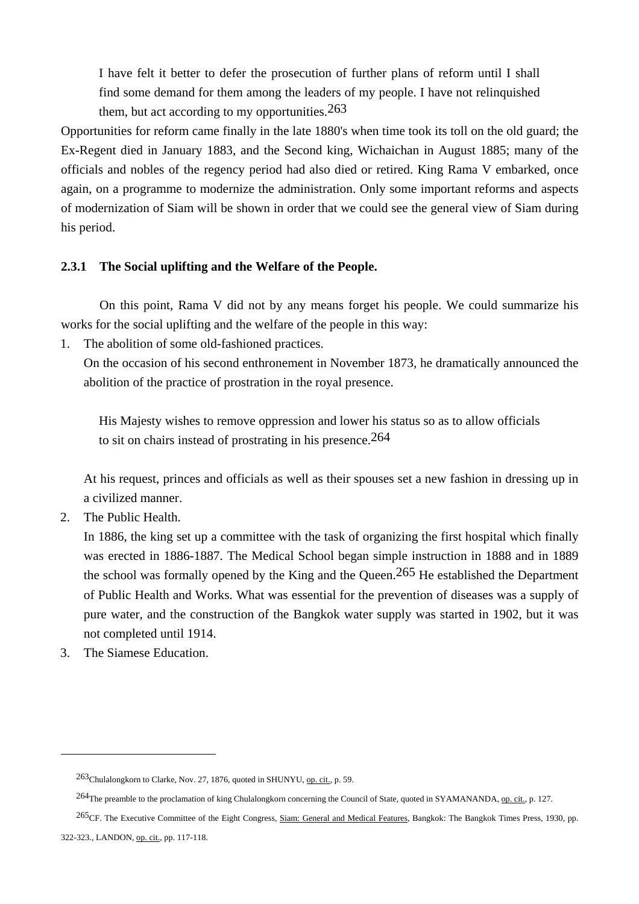I have felt it better to defer the prosecution of further plans of reform until I shall find some demand for them among the leaders of my people. I have not relinquished them, but act according to my opportunities.  $263$ 

Opportunities for reform came finally in the late 1880's when time took its toll on the old guard; the Ex-Regent died in January 1883, and the Second king, Wichaichan in August 1885; many of the officials and nobles of the regency period had also died or retired. King Rama V embarked, once again, on a programme to modernize the administration. Only some important reforms and aspects of modernization of Siam will be shown in order that we could see the general view of Siam during his period.

# **2.3.1 The Social uplifting and the Welfare of the People.**

 On this point, Rama V did not by any means forget his people. We could summarize his works for the social uplifting and the welfare of the people in this way:

1. The abolition of some old-fashioned practices.

 On the occasion of his second enthronement in November 1873, he dramatically announced the abolition of the practice of prostration in the royal presence.

 His Majesty wishes to remove oppression and lower his status so as to allow officials to sit on chairs instead of prostrating in his presence.264

 At his request, princes and officials as well as their spouses set a new fashion in dressing up in a civilized manner.

2. The Public Health.

 In 1886, the king set up a committee with the task of organizing the first hospital which finally was erected in 1886-1887. The Medical School began simple instruction in 1888 and in 1889 the school was formally opened by the King and the Queen.265 He established the Department of Public Health and Works. What was essential for the prevention of diseases was a supply of pure water, and the construction of the Bangkok water supply was started in 1902, but it was not completed until 1914.

3. The Siamese Education.

<sup>263</sup>Chulalongkorn to Clarke, Nov. 27, 1876, quoted in SHUNYU, op. cit., p. 59.

<sup>&</sup>lt;sup>264</sup>The preamble to the proclamation of king Chulalongkorn concerning the Council of State, quoted in SYAMANANDA, op. cit., p. 127.

<sup>265</sup>CF. The Executive Committee of the Eight Congress, Siam: General and Medical Features, Bangkok: The Bangkok Times Press, 1930, pp.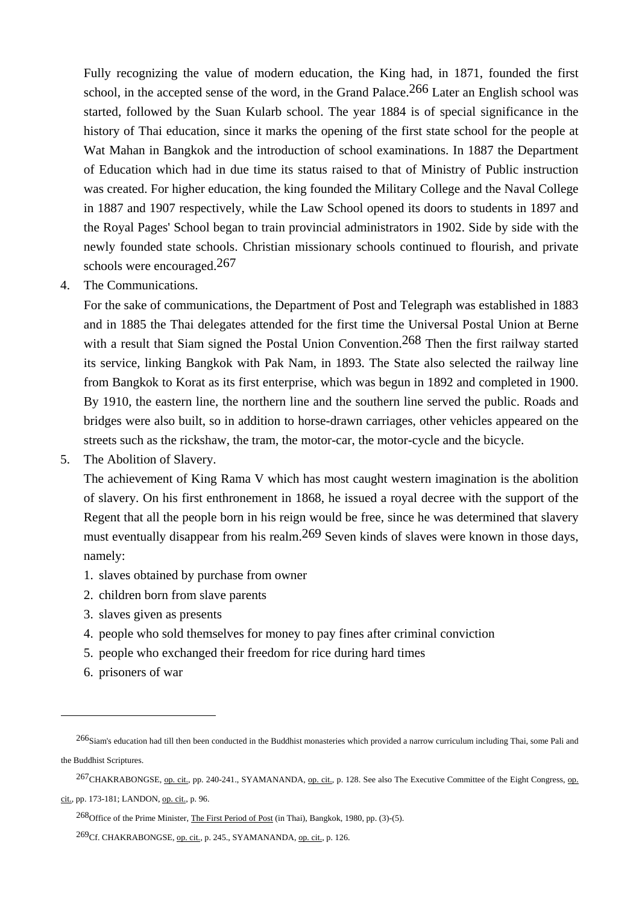Fully recognizing the value of modern education, the King had, in 1871, founded the first school, in the accepted sense of the word, in the Grand Palace.<sup>266</sup> Later an English school was started, followed by the Suan Kularb school. The year 1884 is of special significance in the history of Thai education, since it marks the opening of the first state school for the people at Wat Mahan in Bangkok and the introduction of school examinations. In 1887 the Department of Education which had in due time its status raised to that of Ministry of Public instruction was created. For higher education, the king founded the Military College and the Naval College in 1887 and 1907 respectively, while the Law School opened its doors to students in 1897 and the Royal Pages' School began to train provincial administrators in 1902. Side by side with the newly founded state schools. Christian missionary schools continued to flourish, and private schools were encouraged.267

4. The Communications.

 For the sake of communications, the Department of Post and Telegraph was established in 1883 and in 1885 the Thai delegates attended for the first time the Universal Postal Union at Berne with a result that Siam signed the Postal Union Convention.<sup>268</sup> Then the first railway started its service, linking Bangkok with Pak Nam, in 1893. The State also selected the railway line from Bangkok to Korat as its first enterprise, which was begun in 1892 and completed in 1900. By 1910, the eastern line, the northern line and the southern line served the public. Roads and bridges were also built, so in addition to horse-drawn carriages, other vehicles appeared on the streets such as the rickshaw, the tram, the motor-car, the motor-cycle and the bicycle.

5. The Abolition of Slavery.

 The achievement of King Rama V which has most caught western imagination is the abolition of slavery. On his first enthronement in 1868, he issued a royal decree with the support of the Regent that all the people born in his reign would be free, since he was determined that slavery must eventually disappear from his realm.<sup>269</sup> Seven kinds of slaves were known in those days, namely:

- 1. slaves obtained by purchase from owner
- 2. children born from slave parents
- 3. slaves given as presents
- 4. people who sold themselves for money to pay fines after criminal conviction
- 5. people who exchanged their freedom for rice during hard times
- 6. prisoners of war

 $\overline{a}$ 

cit., pp. 173-181; LANDON, op. cit., p. 96.

<sup>266</sup>Siam's education had till then been conducted in the Buddhist monasteries which provided a narrow curriculum including Thai, some Pali and the Buddhist Scriptures.

<sup>267</sup>CHAKRABONGSE, op. cit., pp. 240-241., SYAMANANDA, op. cit., p. 128. See also The Executive Committee of the Eight Congress, op.

<sup>268</sup>Office of the Prime Minister, The First Period of Post (in Thai), Bangkok, 1980, pp. (3)-(5).

<sup>269</sup>Cf. CHAKRABONGSE, op. cit., p. 245., SYAMANANDA, op. cit., p. 126.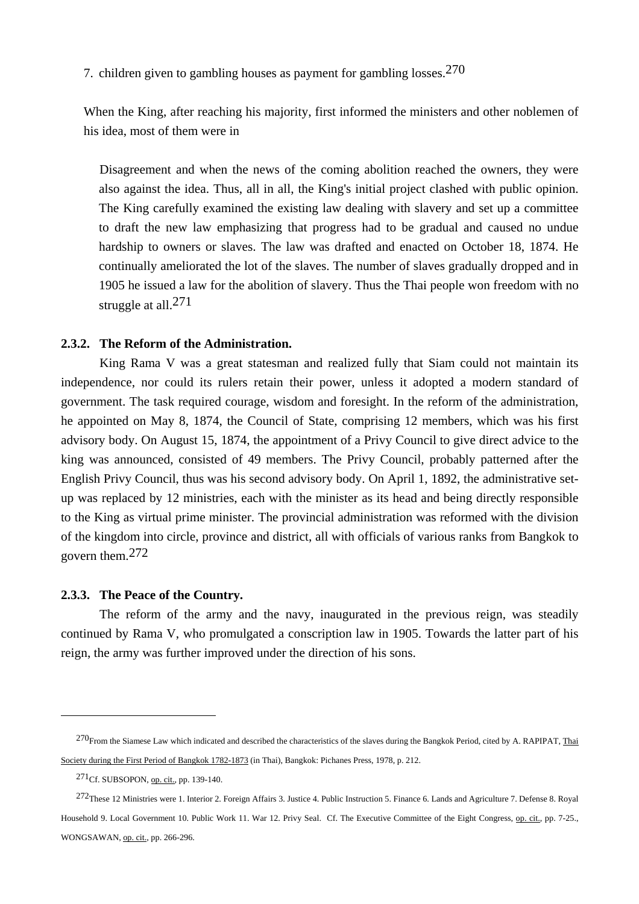7. children given to gambling houses as payment for gambling losses.270

 When the King, after reaching his majority, first informed the ministers and other noblemen of his idea, most of them were in

 Disagreement and when the news of the coming abolition reached the owners, they were also against the idea. Thus, all in all, the King's initial project clashed with public opinion. The King carefully examined the existing law dealing with slavery and set up a committee to draft the new law emphasizing that progress had to be gradual and caused no undue hardship to owners or slaves. The law was drafted and enacted on October 18, 1874. He continually ameliorated the lot of the slaves. The number of slaves gradually dropped and in 1905 he issued a law for the abolition of slavery. Thus the Thai people won freedom with no struggle at all.<sup>271</sup>

# **2.3.2. The Reform of the Administration.**

 King Rama V was a great statesman and realized fully that Siam could not maintain its independence, nor could its rulers retain their power, unless it adopted a modern standard of government. The task required courage, wisdom and foresight. In the reform of the administration, he appointed on May 8, 1874, the Council of State, comprising 12 members, which was his first advisory body. On August 15, 1874, the appointment of a Privy Council to give direct advice to the king was announced, consisted of 49 members. The Privy Council, probably patterned after the English Privy Council, thus was his second advisory body. On April 1, 1892, the administrative setup was replaced by 12 ministries, each with the minister as its head and being directly responsible to the King as virtual prime minister. The provincial administration was reformed with the division of the kingdom into circle, province and district, all with officials of various ranks from Bangkok to govern them.272

#### **2.3.3. The Peace of the Country.**

 The reform of the army and the navy, inaugurated in the previous reign, was steadily continued by Rama V, who promulgated a conscription law in 1905. Towards the latter part of his reign, the army was further improved under the direction of his sons.

<sup>&</sup>lt;sup>270</sup>From the Siamese Law which indicated and described the characteristics of the slaves during the Bangkok Period, cited by A. RAPIPAT, Thai Society during the First Period of Bangkok 1782-1873 (in Thai), Bangkok: Pichanes Press, 1978, p. 212.

<sup>271</sup>Cf. SUBSOPON, op. cit., pp. 139-140.

<sup>272</sup>These 12 Ministries were 1. Interior 2. Foreign Affairs 3. Justice 4. Public Instruction 5. Finance 6. Lands and Agriculture 7. Defense 8. Royal Household 9. Local Government 10. Public Work 11. War 12. Privy Seal. Cf. The Executive Committee of the Eight Congress, op. cit., pp. 7-25., WONGSAWAN, op. cit., pp. 266-296.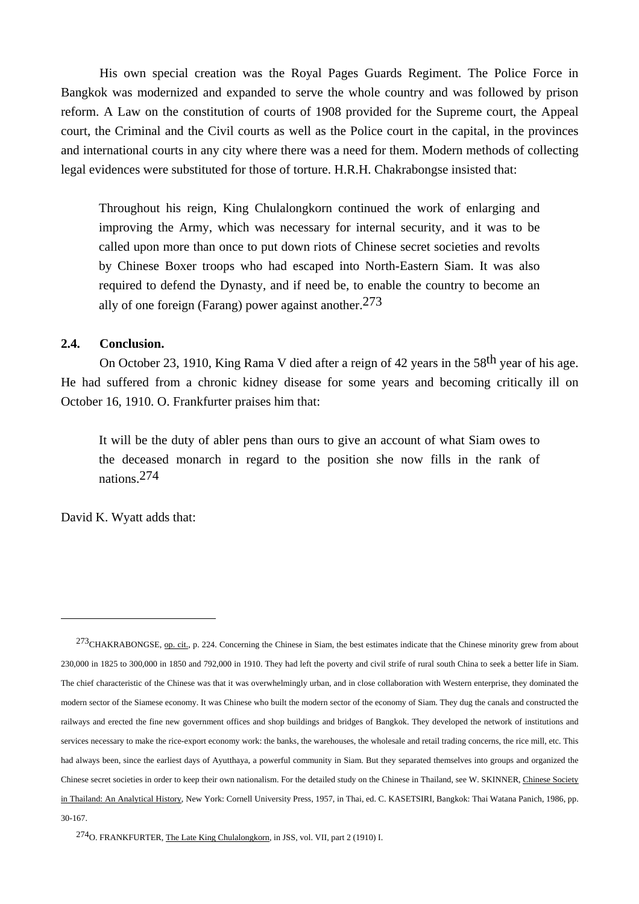His own special creation was the Royal Pages Guards Regiment. The Police Force in Bangkok was modernized and expanded to serve the whole country and was followed by prison reform. A Law on the constitution of courts of 1908 provided for the Supreme court, the Appeal court, the Criminal and the Civil courts as well as the Police court in the capital, in the provinces and international courts in any city where there was a need for them. Modern methods of collecting legal evidences were substituted for those of torture. H.R.H. Chakrabongse insisted that:

 Throughout his reign, King Chulalongkorn continued the work of enlarging and improving the Army, which was necessary for internal security, and it was to be called upon more than once to put down riots of Chinese secret societies and revolts by Chinese Boxer troops who had escaped into North-Eastern Siam. It was also required to defend the Dynasty, and if need be, to enable the country to become an ally of one foreign (Farang) power against another.  $273$ 

# **2.4. Conclusion.**

On October 23, 1910, King Rama V died after a reign of 42 years in the 58<sup>th</sup> year of his age. He had suffered from a chronic kidney disease for some years and becoming critically ill on October 16, 1910. O. Frankfurter praises him that:

 It will be the duty of abler pens than ours to give an account of what Siam owes to the deceased monarch in regard to the position she now fills in the rank of nations.274

David K. Wyatt adds that:

<sup>&</sup>lt;sup>273</sup>CHAKRABONGSE, op. cit., p. 224. Concerning the Chinese in Siam, the best estimates indicate that the Chinese minority grew from about 230,000 in 1825 to 300,000 in 1850 and 792,000 in 1910. They had left the poverty and civil strife of rural south China to seek a better life in Siam. The chief characteristic of the Chinese was that it was overwhelmingly urban, and in close collaboration with Western enterprise, they dominated the modern sector of the Siamese economy. It was Chinese who built the modern sector of the economy of Siam. They dug the canals and constructed the railways and erected the fine new government offices and shop buildings and bridges of Bangkok. They developed the network of institutions and services necessary to make the rice-export economy work: the banks, the warehouses, the wholesale and retail trading concerns, the rice mill, etc. This had always been, since the earliest days of Ayutthaya, a powerful community in Siam. But they separated themselves into groups and organized the Chinese secret societies in order to keep their own nationalism. For the detailed study on the Chinese in Thailand, see W. SKINNER, Chinese Society in Thailand: An Analytical History, New York: Cornell University Press, 1957, in Thai, ed. C. KASETSIRI, Bangkok: Thai Watana Panich, 1986, pp. 30-167.

<sup>274</sup>O. FRANKFURTER, The Late King Chulalongkorn, in JSS, vol. VII, part 2 (1910) I.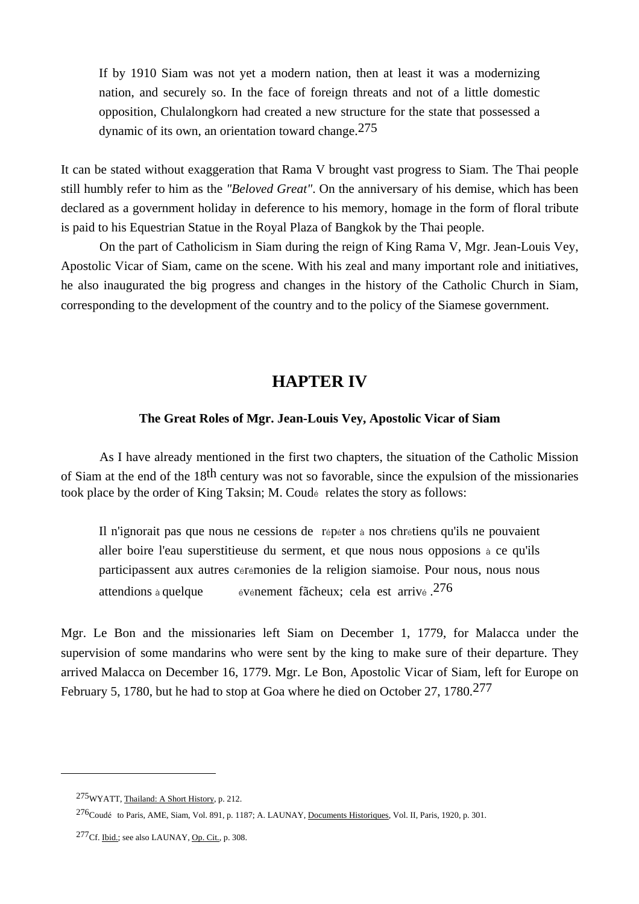If by 1910 Siam was not yet a modern nation, then at least it was a modernizing nation, and securely so. In the face of foreign threats and not of a little domestic opposition, Chulalongkorn had created a new structure for the state that possessed a dynamic of its own, an orientation toward change.275

It can be stated without exaggeration that Rama V brought vast progress to Siam. The Thai people still humbly refer to him as the *"Beloved Great"*. On the anniversary of his demise, which has been declared as a government holiday in deference to his memory, homage in the form of floral tribute is paid to his Equestrian Statue in the Royal Plaza of Bangkok by the Thai people.

 On the part of Catholicism in Siam during the reign of King Rama V, Mgr. Jean-Louis Vey, Apostolic Vicar of Siam, came on the scene. With his zeal and many important role and initiatives, he also inaugurated the big progress and changes in the history of the Catholic Church in Siam, corresponding to the development of the country and to the policy of the Siamese government.

# **HAPTER IV**

# **The Great Roles of Mgr. Jean-Louis Vey, Apostolic Vicar of Siam**

As I have already mentioned in the first two chapters, the situation of the Catholic Mission of Siam at the end of the 18th century was not so favorable, since the expulsion of the missionaries took place by the order of King Taksin; M. Coudé relates the story as follows:

 Il n'ignorait pas que nous ne cessions de répéter à nos chrétiens qu'ils ne pouvaient aller boire l'eau superstitieuse du serment, et que nous nous opposions à ce qu'ils participassent aux autres cérémonies de la religion siamoise. Pour nous, nous nous attendions à quelque événement fãcheux; cela est arrivé .276

Mgr. Le Bon and the missionaries left Siam on December 1, 1779, for Malacca under the supervision of some mandarins who were sent by the king to make sure of their departure. They arrived Malacca on December 16, 1779. Mgr. Le Bon, Apostolic Vicar of Siam, left for Europe on February 5, 1780, but he had to stop at Goa where he died on October 27, 1780.277

<sup>275</sup>WYATT, Thailand: A Short History, p. 212.

 <sup>276</sup>Coudé to Paris, AME, Siam, Vol. 891, p. 1187; A. LAUNAY, Documents Historiques, Vol. II, Paris, 1920, p. 301.

<sup>277</sup>Cf. Ibid.; see also LAUNAY, Op. Cit., p. 308.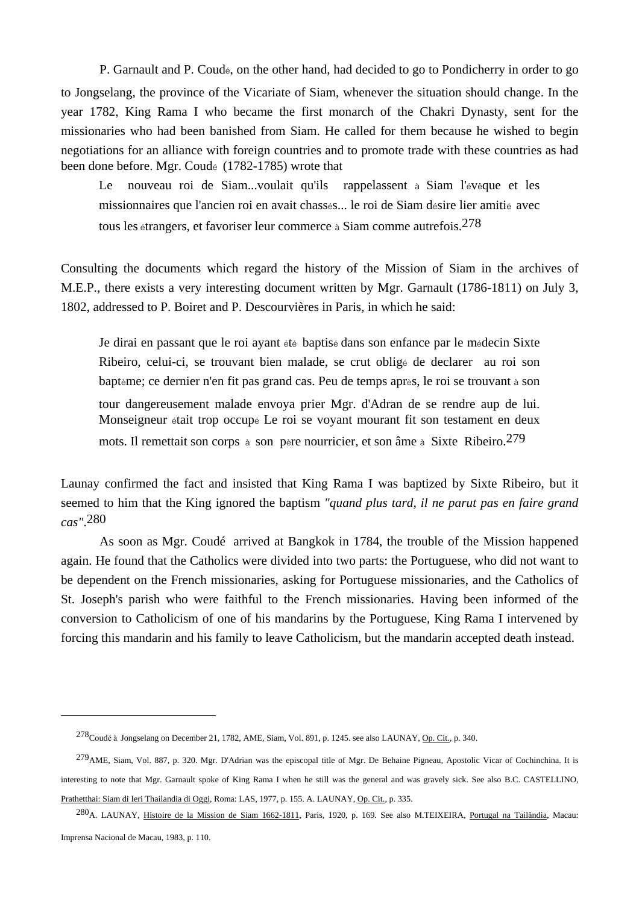P. Garnault and P. Coudé, on the other hand, had decided to go to Pondicherry in order to go to Jongselang, the province of the Vicariate of Siam, whenever the situation should change. In the year 1782, King Rama I who became the first monarch of the Chakri Dynasty, sent for the missionaries who had been banished from Siam. He called for them because he wished to begin negotiations for an alliance with foreign countries and to promote trade with these countries as had been done before. Mgr. Coudé (1782-1785) wrote that

Le nouveau roi de Siam...voulait qu'ils rappelassent à Siam l'évêque et les missionnaires que l'ancien roi en avait chassés... le roi de Siam désire lier amitié avec tous les étrangers, et favoriser leur commerce à Siam comme autrefois.278

Consulting the documents which regard the history of the Mission of Siam in the archives of M.E.P., there exists a very interesting document written by Mgr. Garnault (1786-1811) on July 3, 1802, addressed to P. Boiret and P. Descourvières in Paris, in which he said:

 Je dirai en passant que le roi ayant été baptisé dans son enfance par le médecin Sixte Ribeiro, celui-ci, se trouvant bien malade, se crut obligé de declarer au roi son baptème; ce dernier n'en fit pas grand cas. Peu de temps après, le roi se trouvant à son tour dangereusement malade envoya prier Mgr. d'Adran de se rendre aup de lui. Monseigneur était trop occupé Le roi se voyant mourant fit son testament en deux mots. Il remettait son corps à son père nourricier, et son âme à Sixte Ribeiro.279

Launay confirmed the fact and insisted that King Rama I was baptized by Sixte Ribeiro, but it seemed to him that the King ignored the baptism *"quand plus tard, il ne parut pas en faire grand cas"*.280

 As soon as Mgr. Coudé arrived at Bangkok in 1784, the trouble of the Mission happened again. He found that the Catholics were divided into two parts: the Portuguese, who did not want to be dependent on the French missionaries, asking for Portuguese missionaries, and the Catholics of St. Joseph's parish who were faithful to the French missionaries. Having been informed of the conversion to Catholicism of one of his mandarins by the Portuguese, King Rama I intervened by forcing this mandarin and his family to leave Catholicism, but the mandarin accepted death instead.

<sup>278</sup>Coudéà Jongselang on December 21, 1782, AME, Siam, Vol. 891, p. 1245. see also LAUNAY, Op. Cit., p. 340.

 $^{279}$ AME, Siam, Vol. 887, p. 320. Mgr. D'Adrian was the episcopal title of Mgr. De Behaine Pigneau, Apostolic Vicar of Cochinchina. It is interesting to note that Mgr. Garnault spoke of King Rama I when he still was the general and was gravely sick. See also B.C. CASTELLINO, Prathetthai: Siam di Ieri Thailandia di Oggi, Roma: LAS, 1977, p. 155. A. LAUNAY, Op. Cit., p. 335.

<sup>280</sup>A. LAUNAY, Histoire de la Mission de Siam 1662-1811, Paris, 1920, p. 169. See also M.TEIXEIRA, Portugal na Tailândia, Macau: Imprensa Nacional de Macau, 1983, p. 110.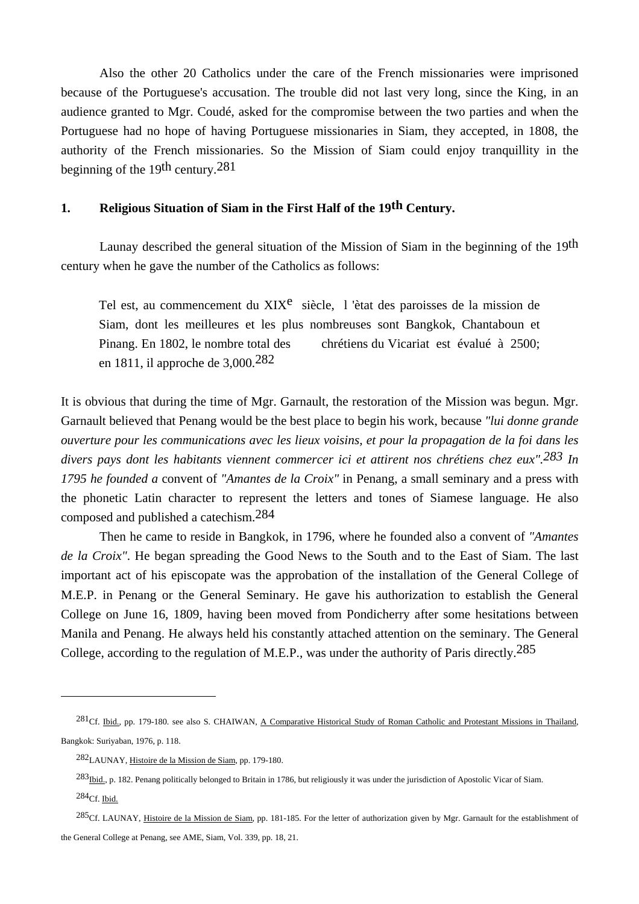Also the other 20 Catholics under the care of the French missionaries were imprisoned because of the Portuguese's accusation. The trouble did not last very long, since the King, in an audience granted to Mgr. Coudé, asked for the compromise between the two parties and when the Portuguese had no hope of having Portuguese missionaries in Siam, they accepted, in 1808, the authority of the French missionaries. So the Mission of Siam could enjoy tranquillity in the beginning of the 19th century.281

# **1. Religious Situation of Siam in the First Half of the 19th Century.**

Launay described the general situation of the Mission of Siam in the beginning of the 19th century when he gave the number of the Catholics as follows:

Tel est, au commencement du XIX<sup>e</sup> siècle, l'ètat des paroisses de la mission de Siam, dont les meilleures et les plus nombreuses sont Bangkok, Chantaboun et Pinang. En 1802, le nombre total des chrétiens du Vicariat est évalué à 2500; en 1811, il approche de 3,000.282

It is obvious that during the time of Mgr. Garnault, the restoration of the Mission was begun. Mgr. Garnault believed that Penang would be the best place to begin his work, because *"lui donne grande ouverture pour les communications avec les lieux voisins, et pour la propagation de la foi dans les divers pays dont les habitants viennent commercer ici et attirent nos chrétiens chez eux".283 In 1795 he founded a* convent of *"Amantes de la Croix"* in Penang, a small seminary and a press with the phonetic Latin character to represent the letters and tones of Siamese language. He also composed and published a catechism.284

 Then he came to reside in Bangkok, in 1796, where he founded also a convent of *"Amantes de la Croix"*. He began spreading the Good News to the South and to the East of Siam. The last important act of his episcopate was the approbation of the installation of the General College of M.E.P. in Penang or the General Seminary. He gave his authorization to establish the General College on June 16, 1809, having been moved from Pondicherry after some hesitations between Manila and Penang. He always held his constantly attached attention on the seminary. The General College, according to the regulation of M.E.P., was under the authority of Paris directly.<sup>285</sup>

 $^{281}$ Cf. Ibid., pp. 179-180. see also S. CHAIWAN, A Comparative Historical Study of Roman Catholic and Protestant Missions in Thailand, Bangkok: Suriyaban, 1976, p. 118.

<sup>282</sup>LAUNAY, Histoire de la Mission de Siam, pp. 179-180.

<sup>283&</sup>lt;sub>Ibid.</sub>, p. 182. Penang politically belonged to Britain in 1786, but religiously it was under the jurisdiction of Apostolic Vicar of Siam.  $284$ Cf. Ibid.

<sup>&</sup>lt;sup>285</sup>Cf. LAUNAY, *Histoire de la Mission de Siam*, pp. 181-185. For the letter of authorization given by Mgr. Garnault for the establishment of the General College at Penang, see AME, Siam, Vol. 339, pp. 18, 21.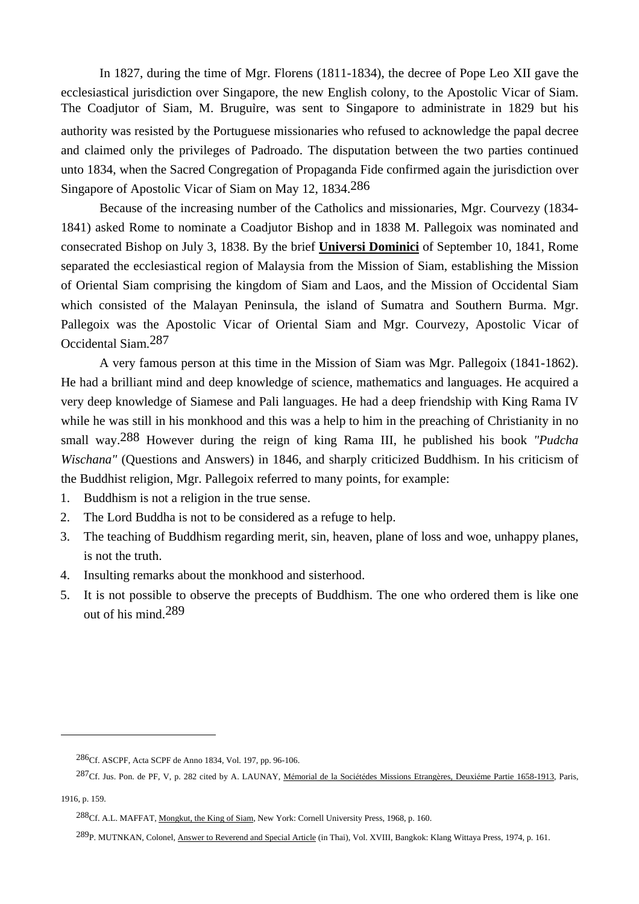In 1827, during the time of Mgr. Florens (1811-1834), the decree of Pope Leo XII gave the ecclesiastical jurisdiction over Singapore, the new English colony, to the Apostolic Vicar of Siam. The Coadjutor of Siam, M. Bruguire, was sent to Singapore to administrate in 1829 but his authority was resisted by the Portuguese missionaries who refused to acknowledge the papal decree and claimed only the privileges of Padroado. The disputation between the two parties continued unto 1834, when the Sacred Congregation of Propaganda Fide confirmed again the jurisdiction over Singapore of Apostolic Vicar of Siam on May 12, 1834.286

 Because of the increasing number of the Catholics and missionaries, Mgr. Courvezy (1834- 1841) asked Rome to nominate a Coadjutor Bishop and in 1838 M. Pallegoix was nominated and consecrated Bishop on July 3, 1838. By the brief **Universi Dominici** of September 10, 1841, Rome separated the ecclesiastical region of Malaysia from the Mission of Siam, establishing the Mission of Oriental Siam comprising the kingdom of Siam and Laos, and the Mission of Occidental Siam which consisted of the Malayan Peninsula, the island of Sumatra and Southern Burma. Mgr. Pallegoix was the Apostolic Vicar of Oriental Siam and Mgr. Courvezy, Apostolic Vicar of Occidental Siam.287

 A very famous person at this time in the Mission of Siam was Mgr. Pallegoix (1841-1862). He had a brilliant mind and deep knowledge of science, mathematics and languages. He acquired a very deep knowledge of Siamese and Pali languages. He had a deep friendship with King Rama IV while he was still in his monkhood and this was a help to him in the preaching of Christianity in no small way.288 However during the reign of king Rama III, he published his book *"Pudcha Wischana"* (Questions and Answers) in 1846, and sharply criticized Buddhism. In his criticism of the Buddhist religion, Mgr. Pallegoix referred to many points, for example:

- 1. Buddhism is not a religion in the true sense.
- 2. The Lord Buddha is not to be considered as a refuge to help.
- 3. The teaching of Buddhism regarding merit, sin, heaven, plane of loss and woe, unhappy planes, is not the truth.
- 4. Insulting remarks about the monkhood and sisterhood.
- 5. It is not possible to observe the precepts of Buddhism. The one who ordered them is like one out of his mind.289

<sup>286</sup>Cf. ASCPF, Acta SCPF de Anno 1834, Vol. 197, pp. 96-106.

 $^{287}$ Cf. Jus. Pon. de PF, V, p. 282 cited by A. LAUNAY, Mémorial de la Sociétédes Missions Etrangères, Deuxiéme Partie 1658-1913, Paris,

<sup>1916,</sup> p. 159.

<sup>288</sup>Cf. A.L. MAFFAT, Mongkut, the King of Siam, New York: Cornell University Press, 1968, p. 160.

<sup>289</sup>P. MUTNKAN, Colonel, Answer to Reverend and Special Article (in Thai), Vol. XVIII, Bangkok: Klang Wittaya Press, 1974, p. 161.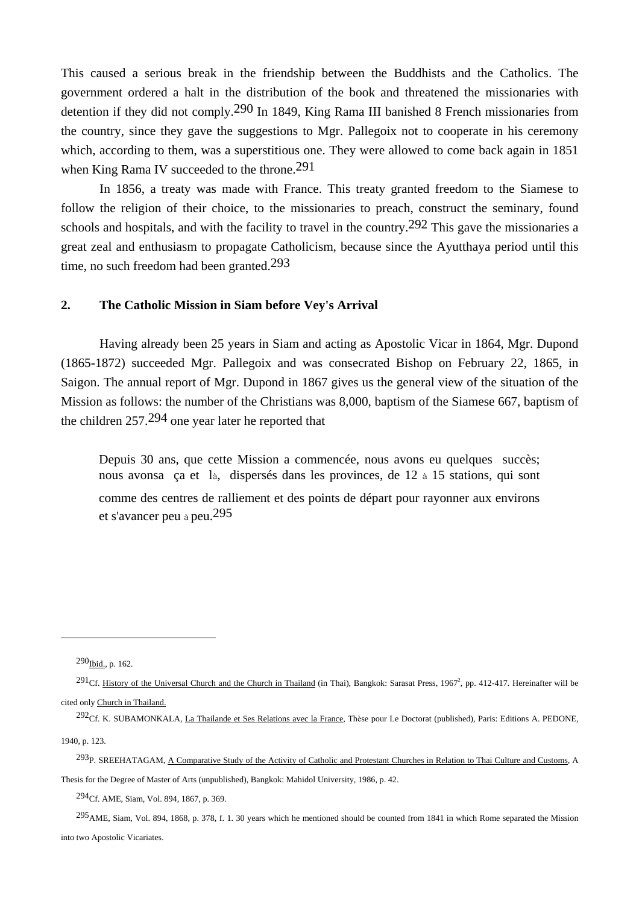This caused a serious break in the friendship between the Buddhists and the Catholics. The government ordered a halt in the distribution of the book and threatened the missionaries with detention if they did not comply.290 In 1849, King Rama III banished 8 French missionaries from the country, since they gave the suggestions to Mgr. Pallegoix not to cooperate in his ceremony which, according to them, was a superstitious one. They were allowed to come back again in 1851 when King Rama IV succeeded to the throne.<sup>291</sup>

 In 1856, a treaty was made with France. This treaty granted freedom to the Siamese to follow the religion of their choice, to the missionaries to preach, construct the seminary, found schools and hospitals, and with the facility to travel in the country.<sup>292</sup> This gave the missionaries a great zeal and enthusiasm to propagate Catholicism, because since the Ayutthaya period until this time, no such freedom had been granted.293

## **2. The Catholic Mission in Siam before Vey's Arrival**

Having already been 25 years in Siam and acting as Apostolic Vicar in 1864, Mgr. Dupond (1865-1872) succeeded Mgr. Pallegoix and was consecrated Bishop on February 22, 1865, in Saigon. The annual report of Mgr. Dupond in 1867 gives us the general view of the situation of the Mission as follows: the number of the Christians was 8,000, baptism of the Siamese 667, baptism of the children 257.294 one year later he reported that

 Depuis 30 ans, que cette Mission a commencée, nous avons eu quelques succès; nous avonsa ça et là, dispersés dans les provinces, de 12 à 15 stations, qui sont comme des centres de ralliement et des points de départ pour rayonner aux environs et s'avancer peu à peu.295

 $\overline{a}$ 

<sup>293</sup>P. SREEHATAGAM, A Comparative Study of the Activity of Catholic and Protestant Churches in Relation to Thai Culture and Customs, A Thesis for the Degree of Master of Arts (unpublished), Bangkok: Mahidol University, 1986, p. 42.

294Cf. AME, Siam, Vol. 894, 1867, p. 369.

 $^{295}$ AME, Siam, Vol. 894, 1868, p. 378, f. 1, 30 years which he mentioned should be counted from 1841 in which Rome separated the Mission into two Apostolic Vicariates.

<sup>290</sup>Ibid., p. 162.

 $^{291}$ Cf. History of the Universal Church and the Church in Thailand (in Thai), Bangkok: Sarasat Press, 1967<sup>2</sup>, pp. 412-417. Hereinafter will be cited only Church in Thailand.

<sup>&</sup>lt;sup>292</sup>Cf. K. SUBAMONKALA, La Thailande et Ses Relations avec la France, Thèse pour Le Doctorat (published), Paris: Editions A. PEDONE, 1940, p. 123.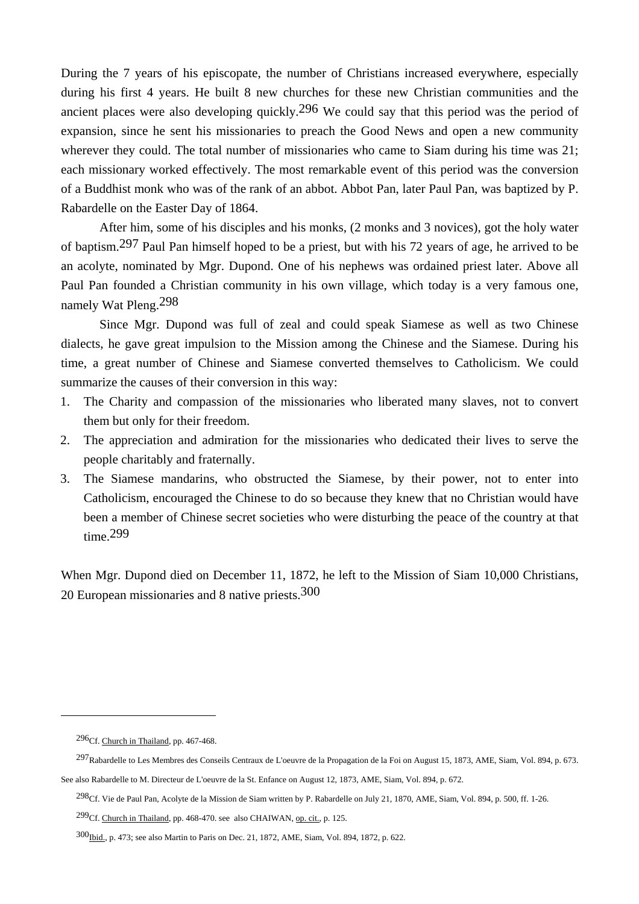During the 7 years of his episcopate, the number of Christians increased everywhere, especially during his first 4 years. He built 8 new churches for these new Christian communities and the ancient places were also developing quickly.<sup>296</sup> We could say that this period was the period of expansion, since he sent his missionaries to preach the Good News and open a new community wherever they could. The total number of missionaries who came to Siam during his time was 21; each missionary worked effectively. The most remarkable event of this period was the conversion of a Buddhist monk who was of the rank of an abbot. Abbot Pan, later Paul Pan, was baptized by P. Rabardelle on the Easter Day of 1864.

 After him, some of his disciples and his monks, (2 monks and 3 novices), got the holy water of baptism.297 Paul Pan himself hoped to be a priest, but with his 72 years of age, he arrived to be an acolyte, nominated by Mgr. Dupond. One of his nephews was ordained priest later. Above all Paul Pan founded a Christian community in his own village, which today is a very famous one, namely Wat Pleng.298

 Since Mgr. Dupond was full of zeal and could speak Siamese as well as two Chinese dialects, he gave great impulsion to the Mission among the Chinese and the Siamese. During his time, a great number of Chinese and Siamese converted themselves to Catholicism. We could summarize the causes of their conversion in this way:

- 1. The Charity and compassion of the missionaries who liberated many slaves, not to convert them but only for their freedom.
- 2. The appreciation and admiration for the missionaries who dedicated their lives to serve the people charitably and fraternally.
- 3. The Siamese mandarins, who obstructed the Siamese, by their power, not to enter into Catholicism, encouraged the Chinese to do so because they knew that no Christian would have been a member of Chinese secret societies who were disturbing the peace of the country at that time.299

When Mgr. Dupond died on December 11, 1872, he left to the Mission of Siam 10,000 Christians, 20 European missionaries and 8 native priests.300

<sup>296</sup>Cf. Church in Thailand, pp. 467-468.

<sup>297</sup>Rabardelle to Les Membres des Conseils Centraux de L'oeuvre de la Propagation de la Foi on August 15, 1873, AME, Siam, Vol. 894, p. 673.

See also Rabardelle to M. Directeur de L'oeuvre de la St. Enfance on August 12, 1873, AME, Siam, Vol. 894, p. 672.

 $^{298}$ Cf. Vie de Paul Pan, Acolyte de la Mission de Siam written by P. Rabardelle on July 21, 1870, AME, Siam, Vol. 894, p. 500, ff. 1-26.

<sup>&</sup>lt;sup>299</sup>Cf. Church in Thailand, pp. 468-470. see also CHAIWAN, <u>op. cit.</u>, p. 125.

<sup>300</sup>Ibid., p. 473; see also Martin to Paris on Dec. 21, 1872, AME, Siam, Vol. 894, 1872, p. 622.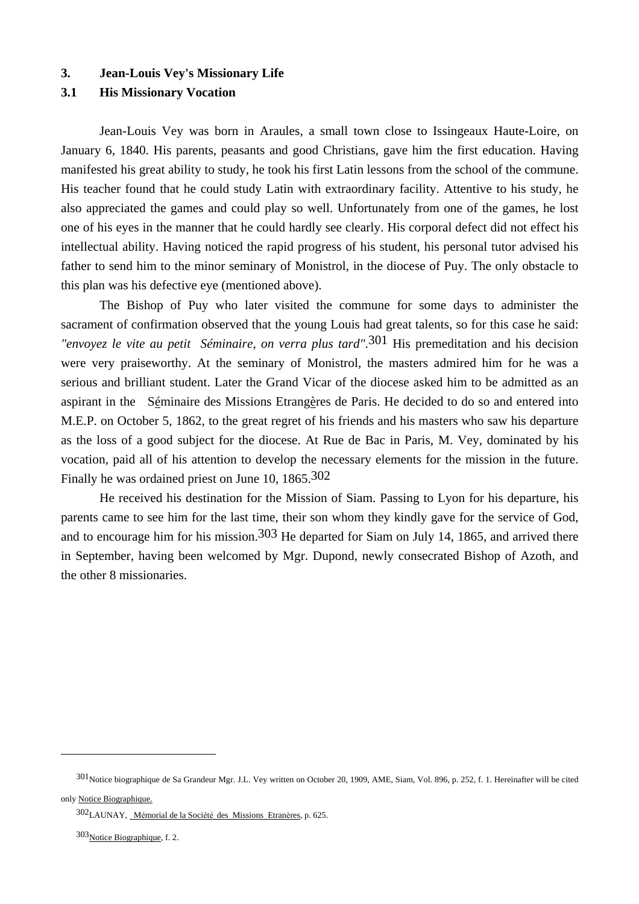#### **3. Jean-Louis Vey's Missionary Life**

## **3.1 His Missionary Vocation**

 Jean-Louis Vey was born in Araules, a small town close to Issingeaux Haute-Loire, on January 6, 1840. His parents, peasants and good Christians, gave him the first education. Having manifested his great ability to study, he took his first Latin lessons from the school of the commune. His teacher found that he could study Latin with extraordinary facility. Attentive to his study, he also appreciated the games and could play so well. Unfortunately from one of the games, he lost one of his eyes in the manner that he could hardly see clearly. His corporal defect did not effect his intellectual ability. Having noticed the rapid progress of his student, his personal tutor advised his father to send him to the minor seminary of Monistrol, in the diocese of Puy. The only obstacle to this plan was his defective eye (mentioned above).

 The Bishop of Puy who later visited the commune for some days to administer the sacrament of confirmation observed that the young Louis had great talents, so for this case he said: *"envoyez le vite au petit Séminaire, on verra plus tard"*.301 His premeditation and his decision were very praiseworthy. At the seminary of Monistrol, the masters admired him for he was a serious and brilliant student. Later the Grand Vicar of the diocese asked him to be admitted as an aspirant in the Séminaire des Missions Etrangères de Paris. He decided to do so and entered into M.E.P. on October 5, 1862, to the great regret of his friends and his masters who saw his departure as the loss of a good subject for the diocese. At Rue de Bac in Paris, M. Vey, dominated by his vocation, paid all of his attention to develop the necessary elements for the mission in the future. Finally he was ordained priest on June 10, 1865.302

 He received his destination for the Mission of Siam. Passing to Lyon for his departure, his parents came to see him for the last time, their son whom they kindly gave for the service of God, and to encourage him for his mission.<sup>303</sup> He departed for Siam on July 14, 1865, and arrived there in September, having been welcomed by Mgr. Dupond, newly consecrated Bishop of Azoth, and the other 8 missionaries.

<sup>301</sup>Notice biographique de Sa Grandeur Mgr. J.L. Vey written on October 20, 1909, AME, Siam, Vol. 896, p. 252, f. 1. Hereinafter will be cited only Notice Biographique.

<sup>302</sup>LAUNAY, Mémorial de la Société des Missions Etranères, p. 625.

<sup>303</sup>Notice Biographique, f. 2.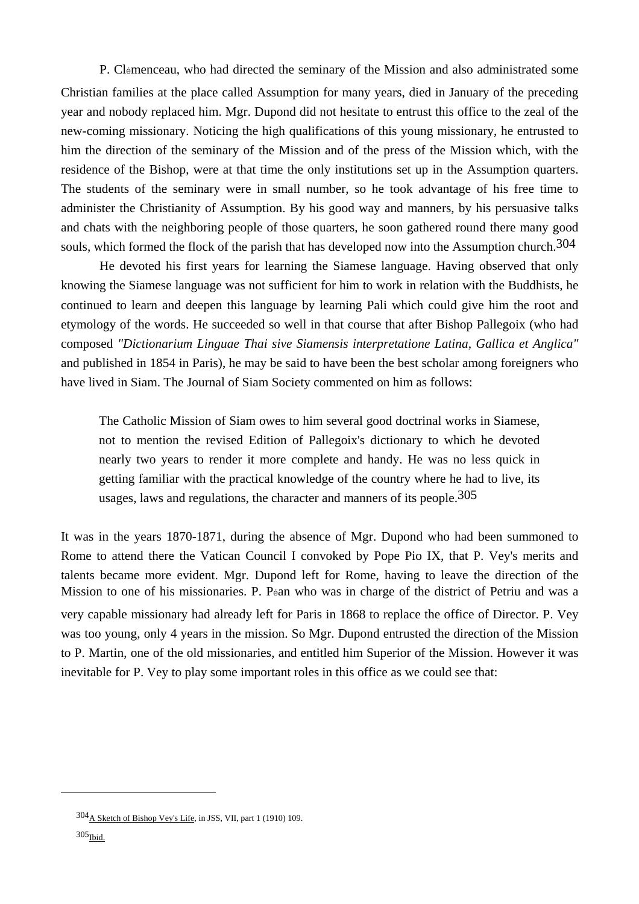P. Clémenceau, who had directed the seminary of the Mission and also administrated some Christian families at the place called Assumption for many years, died in January of the preceding year and nobody replaced him. Mgr. Dupond did not hesitate to entrust this office to the zeal of the new-coming missionary. Noticing the high qualifications of this young missionary, he entrusted to him the direction of the seminary of the Mission and of the press of the Mission which, with the residence of the Bishop, were at that time the only institutions set up in the Assumption quarters. The students of the seminary were in small number, so he took advantage of his free time to administer the Christianity of Assumption. By his good way and manners, by his persuasive talks and chats with the neighboring people of those quarters, he soon gathered round there many good souls, which formed the flock of the parish that has developed now into the Assumption church.<sup>304</sup>

 He devoted his first years for learning the Siamese language. Having observed that only knowing the Siamese language was not sufficient for him to work in relation with the Buddhists, he continued to learn and deepen this language by learning Pali which could give him the root and etymology of the words. He succeeded so well in that course that after Bishop Pallegoix (who had composed *"Dictionarium Linguae Thai sive Siamensis interpretatione Latina, Gallica et Anglica"* and published in 1854 in Paris), he may be said to have been the best scholar among foreigners who have lived in Siam. The Journal of Siam Society commented on him as follows:

 The Catholic Mission of Siam owes to him several good doctrinal works in Siamese, not to mention the revised Edition of Pallegoix's dictionary to which he devoted nearly two years to render it more complete and handy. He was no less quick in getting familiar with the practical knowledge of the country where he had to live, its usages, laws and regulations, the character and manners of its people.<sup>305</sup>

It was in the years 1870-1871, during the absence of Mgr. Dupond who had been summoned to Rome to attend there the Vatican Council I convoked by Pope Pio IX, that P. Vey's merits and talents became more evident. Mgr. Dupond left for Rome, having to leave the direction of the Mission to one of his missionaries. P. Péan who was in charge of the district of Petriu and was a very capable missionary had already left for Paris in 1868 to replace the office of Director. P. Vey was too young, only 4 years in the mission. So Mgr. Dupond entrusted the direction of the Mission to P. Martin, one of the old missionaries, and entitled him Superior of the Mission. However it was inevitable for P. Vey to play some important roles in this office as we could see that:

<sup>304</sup>A Sketch of Bishop Vey's Life, in JSS, VII, part 1 (1910) 109.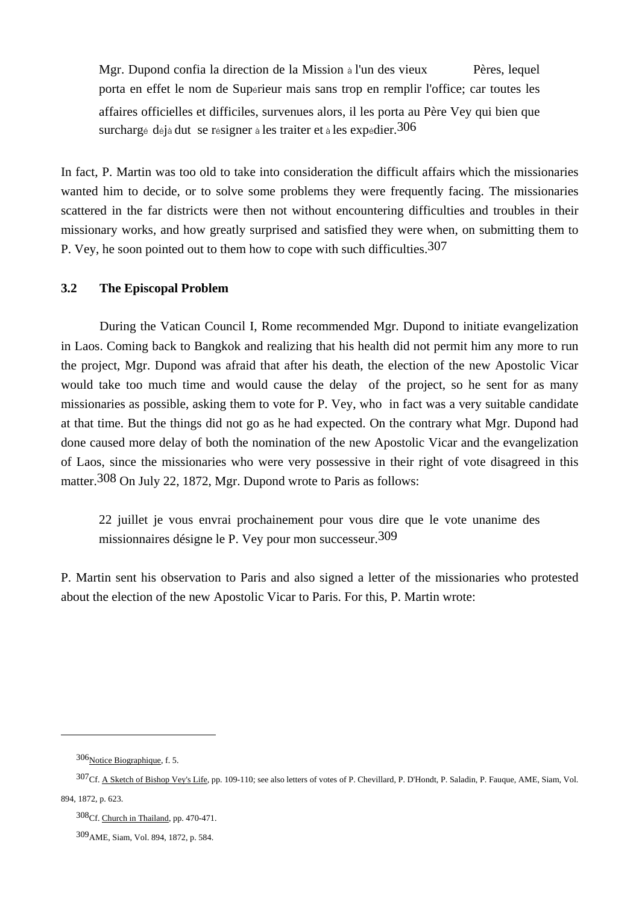Mgr. Dupond confia la direction de la Mission à l'un des vieux Pères, lequel porta en effet le nom de Supérieur mais sans trop en remplir l'office; car toutes les affaires officielles et difficiles, survenues alors, il les porta au Père Vey qui bien que surchargé déjà dut se résigner à les traiter et à les expédier.<sup>306</sup>

In fact, P. Martin was too old to take into consideration the difficult affairs which the missionaries wanted him to decide, or to solve some problems they were frequently facing. The missionaries scattered in the far districts were then not without encountering difficulties and troubles in their missionary works, and how greatly surprised and satisfied they were when, on submitting them to P. Vey, he soon pointed out to them how to cope with such difficulties.<sup>307</sup>

# **3.2 The Episcopal Problem**

During the Vatican Council I, Rome recommended Mgr. Dupond to initiate evangelization in Laos. Coming back to Bangkok and realizing that his health did not permit him any more to run the project, Mgr. Dupond was afraid that after his death, the election of the new Apostolic Vicar would take too much time and would cause the delay of the project, so he sent for as many missionaries as possible, asking them to vote for P. Vey, who in fact was a very suitable candidate at that time. But the things did not go as he had expected. On the contrary what Mgr. Dupond had done caused more delay of both the nomination of the new Apostolic Vicar and the evangelization of Laos, since the missionaries who were very possessive in their right of vote disagreed in this matter.308 On July 22, 1872, Mgr. Dupond wrote to Paris as follows:

 22 juillet je vous envrai prochainement pour vous dire que le vote unanime des missionnaires désigne le P. Vey pour mon successeur.309

P. Martin sent his observation to Paris and also signed a letter of the missionaries who protested about the election of the new Apostolic Vicar to Paris. For this, P. Martin wrote:

<sup>306</sup> Notice Biographique, f. 5.

<sup>307</sup>Cf. A Sketch of Bishop Vey's Life, pp. 109-110; see also letters of votes of P. Chevillard, P. D'Hondt, P. Saladin, P. Fauque, AME, Siam, Vol. 894, 1872, p. 623.

<sup>308</sup>Cf. Church in Thailand, pp. 470-471.

<sup>309</sup>AME, Siam, Vol. 894, 1872, p. 584.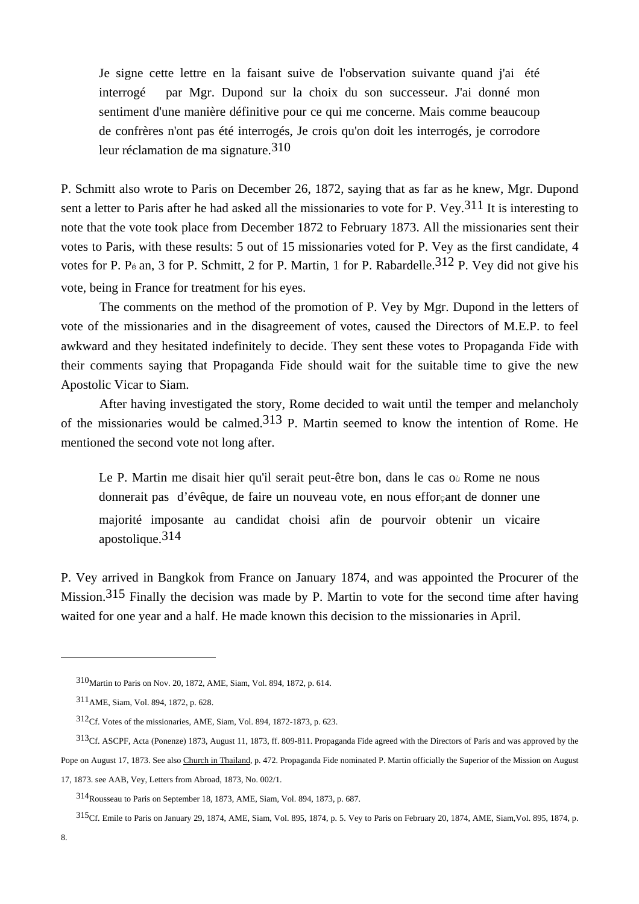Je signe cette lettre en la faisant suive de l'observation suivante quand j'ai été interrogé par Mgr. Dupond sur la choix du son successeur. J'ai donné mon sentiment d'une manière définitive pour ce qui me concerne. Mais comme beaucoup de confrères n'ont pas été interrogés, Je crois qu'on doit les interrogés, je corrodore leur réclamation de ma signature.310

P. Schmitt also wrote to Paris on December 26, 1872, saying that as far as he knew, Mgr. Dupond sent a letter to Paris after he had asked all the missionaries to vote for P. Vey.311 It is interesting to note that the vote took place from December 1872 to February 1873. All the missionaries sent their votes to Paris, with these results: 5 out of 15 missionaries voted for P. Vey as the first candidate, 4 votes for P. Pé an, 3 for P. Schmitt, 2 for P. Martin, 1 for P. Rabardelle.<sup>312</sup> P. Vey did not give his vote, being in France for treatment for his eyes.

 The comments on the method of the promotion of P. Vey by Mgr. Dupond in the letters of vote of the missionaries and in the disagreement of votes, caused the Directors of M.E.P. to feel awkward and they hesitated indefinitely to decide. They sent these votes to Propaganda Fide with their comments saying that Propaganda Fide should wait for the suitable time to give the new Apostolic Vicar to Siam.

 After having investigated the story, Rome decided to wait until the temper and melancholy of the missionaries would be calmed.313 P. Martin seemed to know the intention of Rome. He mentioned the second vote not long after.

Le P. Martin me disait hier qu'il serait peut-être bon, dans le cas où Rome ne nous donnerait pas d'évêque, de faire un nouveau vote, en nous efforçant de donner une majorité imposante au candidat choisi afin de pourvoir obtenir un vicaire apostolique.314

P. Vey arrived in Bangkok from France on January 1874, and was appointed the Procurer of the Mission.<sup>315</sup> Finally the decision was made by P. Martin to vote for the second time after having waited for one year and a half. He made known this decision to the missionaries in April.

17, 1873. see AAB, Vey, Letters from Abroad, 1873, No. 002/1.

<sup>310</sup>Martin to Paris on Nov. 20, 1872, AME, Siam, Vol. 894, 1872, p. 614.

<sup>311</sup>AME, Siam, Vol. 894, 1872, p. 628.

<sup>312</sup>Cf. Votes of the missionaries, AME, Siam, Vol. 894, 1872-1873, p. 623.

<sup>313</sup>Cf. ASCPF, Acta (Ponenze) 1873, August 11, 1873, ff. 809-811. Propaganda Fide agreed with the Directors of Paris and was approved by the Pope on August 17, 1873. See also Church in Thailand, p. 472. Propaganda Fide nominated P. Martin officially the Superior of the Mission on August

<sup>314</sup>Rousseau to Paris on September 18, 1873, AME, Siam, Vol. 894, 1873, p. 687.

<sup>315</sup>Cf. Emile to Paris on January 29, 1874, AME, Siam, Vol. 895, 1874, p. 5. Vey to Paris on February 20, 1874, AME, Siam,Vol. 895, 1874, p.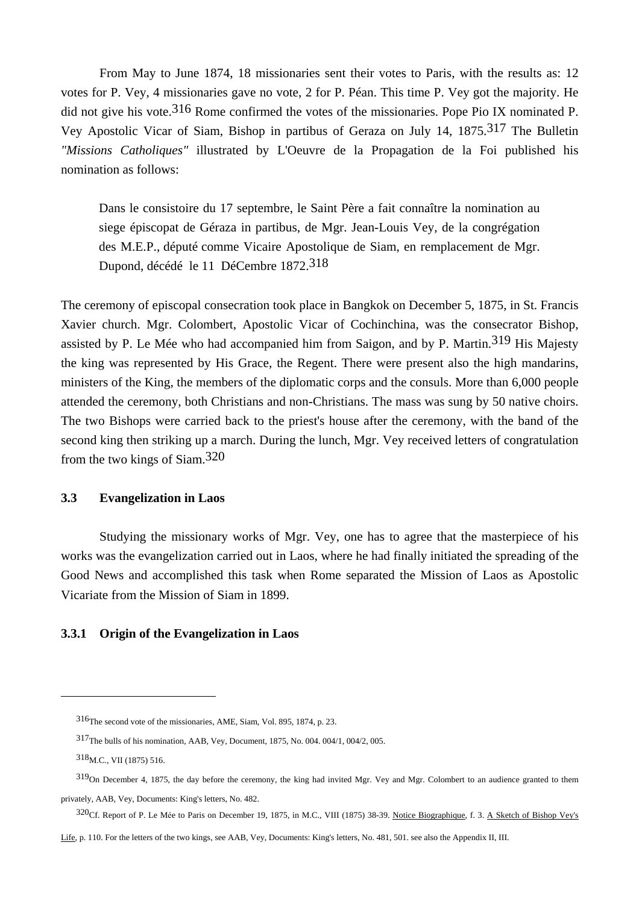From May to June 1874, 18 missionaries sent their votes to Paris, with the results as: 12 votes for P. Vey, 4 missionaries gave no vote, 2 for P. Péan. This time P. Vey got the majority. He did not give his vote.316 Rome confirmed the votes of the missionaries. Pope Pio IX nominated P. Vey Apostolic Vicar of Siam, Bishop in partibus of Geraza on July 14, 1875.317 The Bulletin *"Missions Catholiques"* illustrated by L'Oeuvre de la Propagation de la Foi published his nomination as follows:

 Dans le consistoire du 17 septembre, le Saint Père a fait connaître la nomination au siege épiscopat de Géraza in partibus, de Mgr. Jean-Louis Vey, de la congrégation des M.E.P., député comme Vicaire Apostolique de Siam, en remplacement de Mgr. Dupond, décédé le 11 DéCembre 1872.318

The ceremony of episcopal consecration took place in Bangkok on December 5, 1875, in St. Francis Xavier church. Mgr. Colombert, Apostolic Vicar of Cochinchina, was the consecrator Bishop, assisted by P. Le Mée who had accompanied him from Saigon, and by P. Martin.<sup>319</sup> His Majesty the king was represented by His Grace, the Regent. There were present also the high mandarins, ministers of the King, the members of the diplomatic corps and the consuls. More than 6,000 people attended the ceremony, both Christians and non-Christians. The mass was sung by 50 native choirs. The two Bishops were carried back to the priest's house after the ceremony, with the band of the second king then striking up a march. During the lunch, Mgr. Vey received letters of congratulation from the two kings of Siam.320

# **3.3 Evangelization in Laos**

 Studying the missionary works of Mgr. Vey, one has to agree that the masterpiece of his works was the evangelization carried out in Laos, where he had finally initiated the spreading of the Good News and accomplished this task when Rome separated the Mission of Laos as Apostolic Vicariate from the Mission of Siam in 1899.

# **3.3.1 Origin of the Evangelization in Laos**

<sup>316</sup>The second vote of the missionaries, AME, Siam, Vol. 895, 1874, p. 23.

<sup>317</sup>The bulls of his nomination, AAB, Vey, Document, 1875, No. 004. 004/1, 004/2, 005.

<sup>318</sup>M.C., VII (1875) 516.

 $319$ On December 4, 1875, the day before the ceremony, the king had invited Mgr. Vey and Mgr. Colombert to an audience granted to them privately, AAB, Vey, Documents: King's letters, No. 482.

<sup>320</sup>Cf. Report of P. Le Mée to Paris on December 19, 1875, in M.C., VIII (1875) 38-39. Notice Biographique, f. 3. A Sketch of Bishop Vey's

Life, p. 110. For the letters of the two kings, see AAB, Vey, Documents: King's letters, No. 481, 501. see also the Appendix II, III.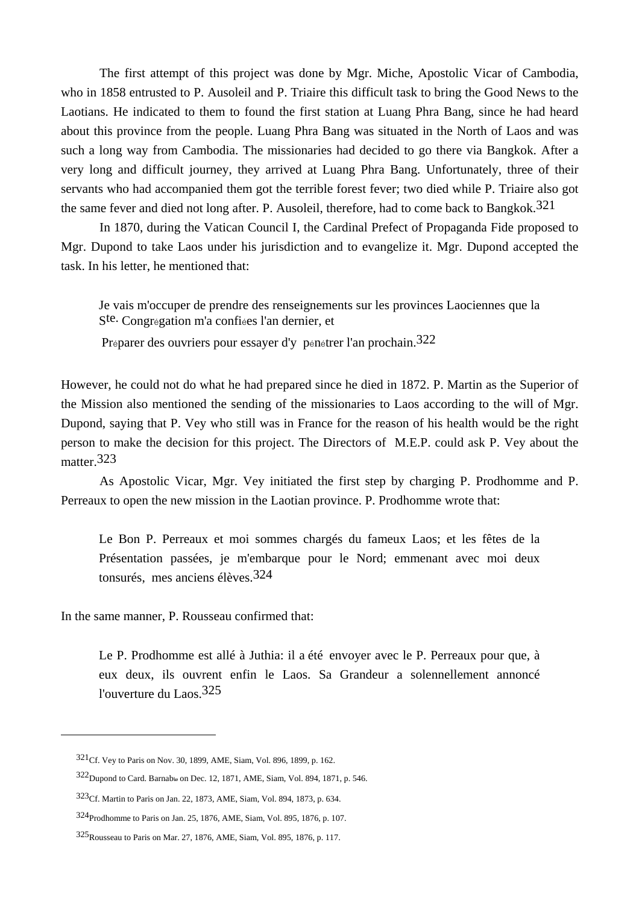The first attempt of this project was done by Mgr. Miche, Apostolic Vicar of Cambodia, who in 1858 entrusted to P. Ausoleil and P. Triaire this difficult task to bring the Good News to the Laotians. He indicated to them to found the first station at Luang Phra Bang, since he had heard about this province from the people. Luang Phra Bang was situated in the North of Laos and was such a long way from Cambodia. The missionaries had decided to go there via Bangkok. After a very long and difficult journey, they arrived at Luang Phra Bang. Unfortunately, three of their servants who had accompanied them got the terrible forest fever; two died while P. Triaire also got the same fever and died not long after. P. Ausoleil, therefore, had to come back to Bangkok.321

 In 1870, during the Vatican Council I, the Cardinal Prefect of Propaganda Fide proposed to Mgr. Dupond to take Laos under his jurisdiction and to evangelize it. Mgr. Dupond accepted the task. In his letter, he mentioned that:

 Je vais m'occuper de prendre des renseignements sur les provinces Laociennes que la Ste. Congrégation m'a confiées l'an dernier, et

Préparer des ouvriers pour essayer d'y pénétrer l'an prochain.322

However, he could not do what he had prepared since he died in 1872. P. Martin as the Superior of the Mission also mentioned the sending of the missionaries to Laos according to the will of Mgr. Dupond, saying that P. Vey who still was in France for the reason of his health would be the right person to make the decision for this project. The Directors of M.E.P. could ask P. Vey about the matter.<sup>323</sup>

 As Apostolic Vicar, Mgr. Vey initiated the first step by charging P. Prodhomme and P. Perreaux to open the new mission in the Laotian province. P. Prodhomme wrote that:

 Le Bon P. Perreaux et moi sommes chargés du fameux Laos; et les fêtes de la Présentation passées, je m'embarque pour le Nord; emmenant avec moi deux tonsurés, mes anciens élèves.324

In the same manner, P. Rousseau confirmed that:

 $\overline{a}$ 

 Le P. Prodhomme est allé à Juthia: il a été envoyer avec le P. Perreaux pour que, à eux deux, ils ouvrent enfin le Laos. Sa Grandeur a solennellement annoncé l'ouverture du Laos.325

<sup>321</sup>Cf. Vey to Paris on Nov. 30, 1899, AME, Siam, Vol. 896, 1899, p. 162.

<sup>322</sup>Dupond to Card. Barnab๒ on Dec. 12, 1871, AME, Siam, Vol. 894, 1871, p. 546.

<sup>323</sup>Cf. Martin to Paris on Jan. 22, 1873, AME, Siam, Vol. 894, 1873, p. 634.

<sup>324</sup>Prodhomme to Paris on Jan. 25, 1876, AME, Siam, Vol. 895, 1876, p. 107.

<sup>325</sup>Rousseau to Paris on Mar. 27, 1876, AME, Siam, Vol. 895, 1876, p. 117.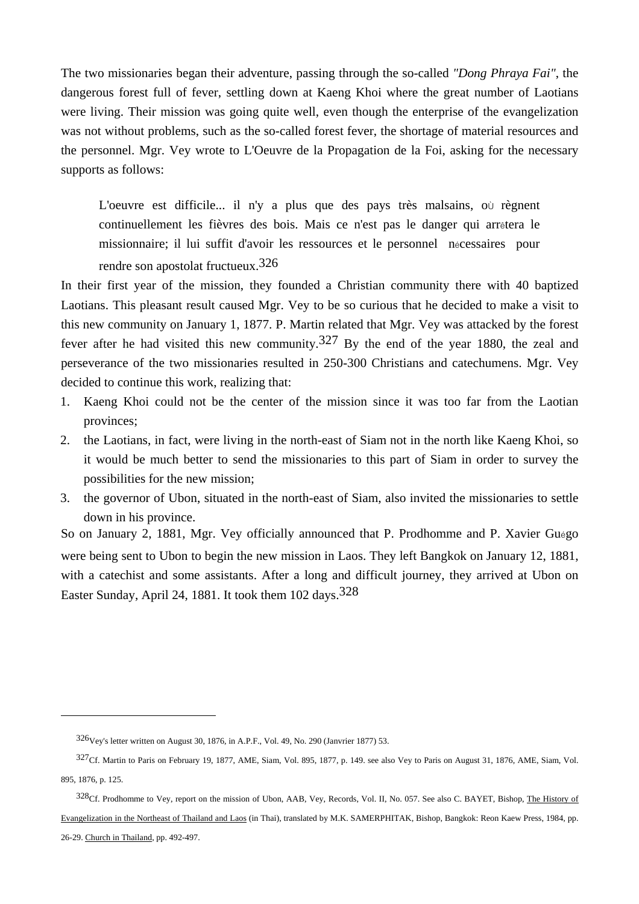The two missionaries began their adventure, passing through the so-called *"Dong Phraya Fai"*, the dangerous forest full of fever, settling down at Kaeng Khoi where the great number of Laotians were living. Their mission was going quite well, even though the enterprise of the evangelization was not without problems, such as the so-called forest fever, the shortage of material resources and the personnel. Mgr. Vey wrote to L'Oeuvre de la Propagation de la Foi, asking for the necessary supports as follows:

 L'oeuvre est difficile... il n'y a plus que des pays très malsains, oÙ règnent continuellement les fièvres des bois. Mais ce n'est pas le danger qui arrêtera le missionnaire; il lui suffit d'avoir les ressources et le personnel nécessaires pour rendre son apostolat fructueux.326

In their first year of the mission, they founded a Christian community there with 40 baptized Laotians. This pleasant result caused Mgr. Vey to be so curious that he decided to make a visit to this new community on January 1, 1877. P. Martin related that Mgr. Vey was attacked by the forest fever after he had visited this new community.<sup>327</sup> By the end of the year 1880, the zeal and perseverance of the two missionaries resulted in 250-300 Christians and catechumens. Mgr. Vey decided to continue this work, realizing that:

- 1. Kaeng Khoi could not be the center of the mission since it was too far from the Laotian provinces;
- 2. the Laotians, in fact, were living in the north-east of Siam not in the north like Kaeng Khoi, so it would be much better to send the missionaries to this part of Siam in order to survey the possibilities for the new mission;
- 3. the governor of Ubon, situated in the north-east of Siam, also invited the missionaries to settle down in his province.

So on January 2, 1881, Mgr. Vey officially announced that P. Prodhomme and P. Xavier Guégo were being sent to Ubon to begin the new mission in Laos. They left Bangkok on January 12, 1881, with a catechist and some assistants. After a long and difficult journey, they arrived at Ubon on Easter Sunday, April 24, 1881. It took them 102 days.<sup>328</sup>

<sup>326</sup>Vey's letter written on August 30, 1876, in A.P.F., Vol. 49, No. 290 (Janvrier 1877) 53.

<sup>327</sup>Cf. Martin to Paris on February 19, 1877, AME, Siam, Vol. 895, 1877, p. 149. see also Vey to Paris on August 31, 1876, AME, Siam, Vol. 895, 1876, p. 125.

<sup>328</sup>Cf. Prodhomme to Vey, report on the mission of Ubon, AAB, Vey, Records, Vol. II, No. 057. See also C. BAYET, Bishop, The History of Evangelization in the Northeast of Thailand and Laos (in Thai), translated by M.K. SAMERPHITAK, Bishop, Bangkok: Reon Kaew Press, 1984, pp. 26-29. Church in Thailand, pp. 492-497.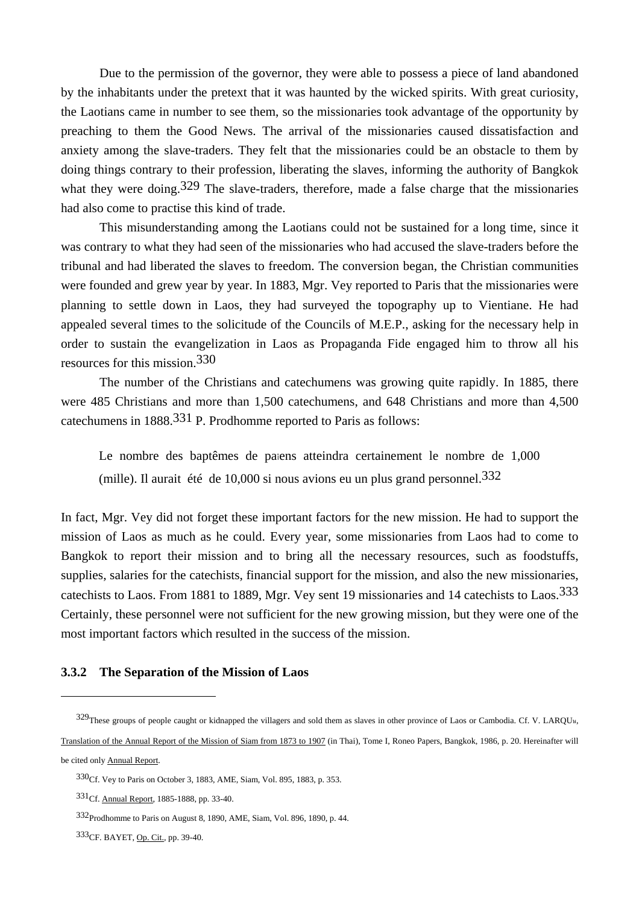Due to the permission of the governor, they were able to possess a piece of land abandoned by the inhabitants under the pretext that it was haunted by the wicked spirits. With great curiosity, the Laotians came in number to see them, so the missionaries took advantage of the opportunity by preaching to them the Good News. The arrival of the missionaries caused dissatisfaction and anxiety among the slave-traders. They felt that the missionaries could be an obstacle to them by doing things contrary to their profession, liberating the slaves, informing the authority of Bangkok what they were doing.<sup>329</sup> The slave-traders, therefore, made a false charge that the missionaries had also come to practise this kind of trade.

 This misunderstanding among the Laotians could not be sustained for a long time, since it was contrary to what they had seen of the missionaries who had accused the slave-traders before the tribunal and had liberated the slaves to freedom. The conversion began, the Christian communities were founded and grew year by year. In 1883, Mgr. Vey reported to Paris that the missionaries were planning to settle down in Laos, they had surveyed the topography up to Vientiane. He had appealed several times to the solicitude of the Councils of M.E.P., asking for the necessary help in order to sustain the evangelization in Laos as Propaganda Fide engaged him to throw all his resources for this mission.330

 The number of the Christians and catechumens was growing quite rapidly. In 1885, there were 485 Christians and more than 1,500 catechumens, and 648 Christians and more than 4,500 catechumens in 1888.331 P. Prodhomme reported to Paris as follows:

Le nombre des baptêmes de païens atteindra certainement le nombre de 1,000 (mille). Il aurait été de 10,000 si nous avions eu un plus grand personnel.  $332$ 

In fact, Mgr. Vey did not forget these important factors for the new mission. He had to support the mission of Laos as much as he could. Every year, some missionaries from Laos had to come to Bangkok to report their mission and to bring all the necessary resources, such as foodstuffs, supplies, salaries for the catechists, financial support for the mission, and also the new missionaries, catechists to Laos. From 1881 to 1889, Mgr. Vey sent 19 missionaries and 14 catechists to Laos.333 Certainly, these personnel were not sufficient for the new growing mission, but they were one of the most important factors which resulted in the success of the mission.

## **3.3.2 The Separation of the Mission of Laos**

Translation of the Annual Report of the Mission of Siam from 1873 to 1907 (in Thai), Tome I, Roneo Papers, Bangkok, 1986, p. 20. Hereinafter will be cited only Annual Report.

<sup>329</sup> These groups of people caught or kidnapped the villagers and sold them as slaves in other province of Laos or Cambodia. Cf. V. LARQU<sub>b</sub>,

<sup>330</sup>Cf. Vey to Paris on October 3, 1883, AME, Siam, Vol. 895, 1883, p. 353.

<sup>331</sup>Cf. Annual Report, 1885-1888, pp. 33-40.

<sup>332</sup>Prodhomme to Paris on August 8, 1890, AME, Siam, Vol. 896, 1890, p. 44.

<sup>333</sup>CF. BAYET, Op. Cit., pp. 39-40.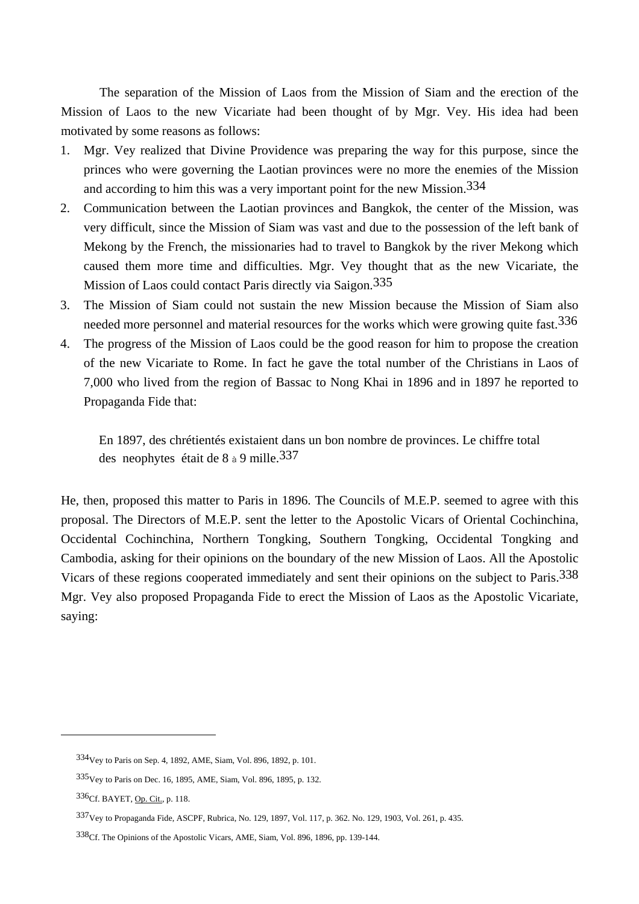The separation of the Mission of Laos from the Mission of Siam and the erection of the Mission of Laos to the new Vicariate had been thought of by Mgr. Vey. His idea had been motivated by some reasons as follows:

- 1. Mgr. Vey realized that Divine Providence was preparing the way for this purpose, since the princes who were governing the Laotian provinces were no more the enemies of the Mission and according to him this was a very important point for the new Mission.334
- 2. Communication between the Laotian provinces and Bangkok, the center of the Mission, was very difficult, since the Mission of Siam was vast and due to the possession of the left bank of Mekong by the French, the missionaries had to travel to Bangkok by the river Mekong which caused them more time and difficulties. Mgr. Vey thought that as the new Vicariate, the Mission of Laos could contact Paris directly via Saigon.<sup>335</sup>
- 3. The Mission of Siam could not sustain the new Mission because the Mission of Siam also needed more personnel and material resources for the works which were growing quite fast.<sup>336</sup>
- 4. The progress of the Mission of Laos could be the good reason for him to propose the creation of the new Vicariate to Rome. In fact he gave the total number of the Christians in Laos of 7,000 who lived from the region of Bassac to Nong Khai in 1896 and in 1897 he reported to Propaganda Fide that:

 En 1897, des chrétientés existaient dans un bon nombre de provinces. Le chiffre total des neophytes était de 8 à 9 mille.337

He, then, proposed this matter to Paris in 1896. The Councils of M.E.P. seemed to agree with this proposal. The Directors of M.E.P. sent the letter to the Apostolic Vicars of Oriental Cochinchina, Occidental Cochinchina, Northern Tongking, Southern Tongking, Occidental Tongking and Cambodia, asking for their opinions on the boundary of the new Mission of Laos. All the Apostolic Vicars of these regions cooperated immediately and sent their opinions on the subject to Paris.<sup>338</sup> Mgr. Vey also proposed Propaganda Fide to erect the Mission of Laos as the Apostolic Vicariate, saying:

<sup>334</sup>Vey to Paris on Sep. 4, 1892, AME, Siam, Vol. 896, 1892, p. 101.

<sup>335</sup>Vey to Paris on Dec. 16, 1895, AME, Siam, Vol. 896, 1895, p. 132.

<sup>336</sup>Cf. BAYET, Op. Cit., p. 118.

<sup>337</sup>Vey to Propaganda Fide, ASCPF, Rubrica, No. 129, 1897, Vol. 117, p. 362. No. 129, 1903, Vol. 261, p. 435.

<sup>338</sup>Cf. The Opinions of the Apostolic Vicars, AME, Siam, Vol. 896, 1896, pp. 139-144.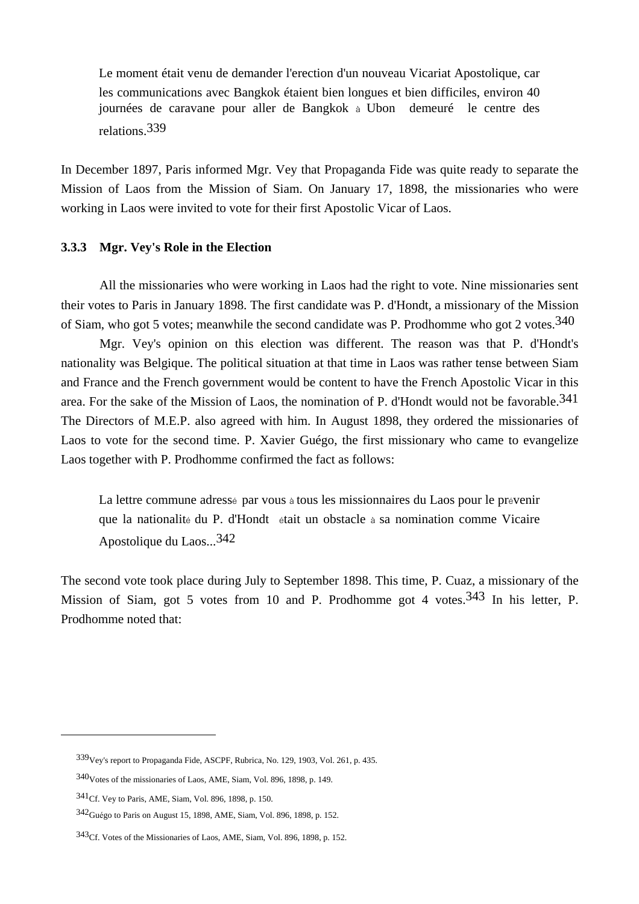Le moment était venu de demander l'erection d'un nouveau Vicariat Apostolique, car les communications avec Bangkok étaient bien longues et bien difficiles, environ 40 journées de caravane pour aller de Bangkok à Ubon demeuré le centre des relations.339

In December 1897, Paris informed Mgr. Vey that Propaganda Fide was quite ready to separate the Mission of Laos from the Mission of Siam. On January 17, 1898, the missionaries who were working in Laos were invited to vote for their first Apostolic Vicar of Laos.

## **3.3.3 Mgr. Vey's Role in the Election**

 All the missionaries who were working in Laos had the right to vote. Nine missionaries sent their votes to Paris in January 1898. The first candidate was P. d'Hondt, a missionary of the Mission of Siam, who got 5 votes; meanwhile the second candidate was P. Prodhomme who got 2 votes.<sup>340</sup>

 Mgr. Vey's opinion on this election was different. The reason was that P. d'Hondt's nationality was Belgique. The political situation at that time in Laos was rather tense between Siam and France and the French government would be content to have the French Apostolic Vicar in this area. For the sake of the Mission of Laos, the nomination of P. d'Hondt would not be favorable.341 The Directors of M.E.P. also agreed with him. In August 1898, they ordered the missionaries of Laos to vote for the second time. P. Xavier Guégo, the first missionary who came to evangelize Laos together with P. Prodhomme confirmed the fact as follows:

La lettre commune adressé par vous à tous les missionnaires du Laos pour le prévenir que la nationalité du P. d'Hondt était un obstacle à sa nomination comme Vicaire Apostolique du Laos...342

The second vote took place during July to September 1898. This time, P. Cuaz, a missionary of the Mission of Siam, got 5 votes from 10 and P. Prodhomme got 4 votes.<sup>343</sup> In his letter, P. Prodhomme noted that:

<sup>339</sup>Vey's report to Propaganda Fide, ASCPF, Rubrica, No. 129, 1903, Vol. 261, p. 435.

<sup>340</sup>Votes of the missionaries of Laos, AME, Siam, Vol. 896, 1898, p. 149.

<sup>341</sup>Cf. Vey to Paris, AME, Siam, Vol. 896, 1898, p. 150.

<sup>342</sup>Guégo to Paris on August 15, 1898, AME, Siam, Vol. 896, 1898, p. 152.

<sup>343</sup>Cf. Votes of the Missionaries of Laos, AME, Siam, Vol. 896, 1898, p. 152.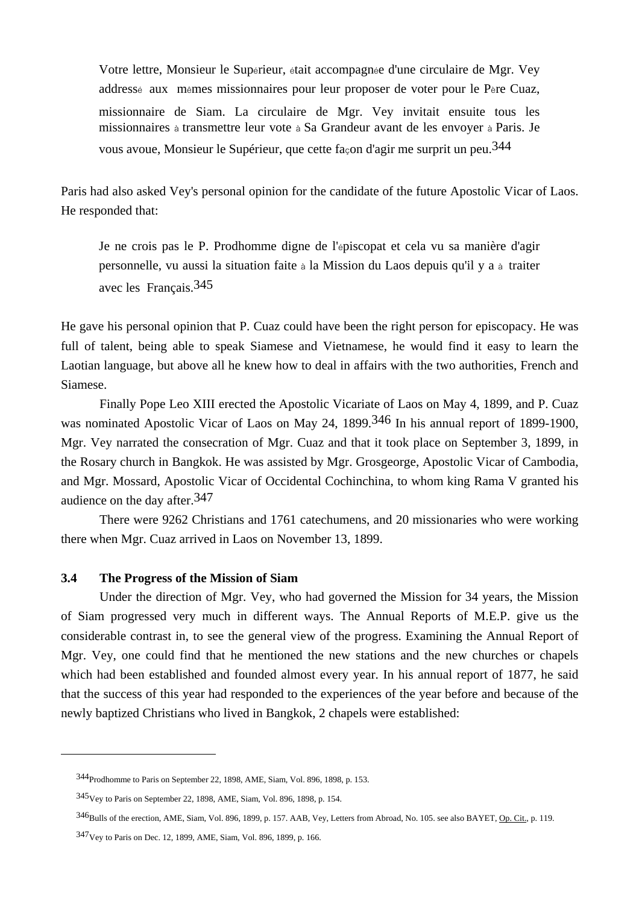Votre lettre, Monsieur le Supérieur, était accompagnée d'une circulaire de Mgr. Vey addressé aux mêmes missionnaires pour leur proposer de voter pour le Père Cuaz, missionnaire de Siam. La circulaire de Mgr. Vey invitait ensuite tous les missionnaires à transmettre leur vote à Sa Grandeur avant de les envoyer à Paris. Je vous avoue, Monsieur le Supérieur, que cette façon d'agir me surprit un peu.344

Paris had also asked Vey's personal opinion for the candidate of the future Apostolic Vicar of Laos. He responded that:

 Je ne crois pas le P. Prodhomme digne de l'épiscopat et cela vu sa manière d'agir personnelle, vu aussi la situation faite à la Mission du Laos depuis qu'il y a à traiter avec les Français.345

He gave his personal opinion that P. Cuaz could have been the right person for episcopacy. He was full of talent, being able to speak Siamese and Vietnamese, he would find it easy to learn the Laotian language, but above all he knew how to deal in affairs with the two authorities, French and Siamese.

 Finally Pope Leo XIII erected the Apostolic Vicariate of Laos on May 4, 1899, and P. Cuaz was nominated Apostolic Vicar of Laos on May 24, 1899.<sup>346</sup> In his annual report of 1899-1900, Mgr. Vey narrated the consecration of Mgr. Cuaz and that it took place on September 3, 1899, in the Rosary church in Bangkok. He was assisted by Mgr. Grosgeorge, Apostolic Vicar of Cambodia, and Mgr. Mossard, Apostolic Vicar of Occidental Cochinchina, to whom king Rama V granted his audience on the day after.347

 There were 9262 Christians and 1761 catechumens, and 20 missionaries who were working there when Mgr. Cuaz arrived in Laos on November 13, 1899.

# **3.4 The Progress of the Mission of Siam**

 $\overline{a}$ 

Under the direction of Mgr. Vey, who had governed the Mission for 34 years, the Mission of Siam progressed very much in different ways. The Annual Reports of M.E.P. give us the considerable contrast in, to see the general view of the progress. Examining the Annual Report of Mgr. Vey, one could find that he mentioned the new stations and the new churches or chapels which had been established and founded almost every year. In his annual report of 1877, he said that the success of this year had responded to the experiences of the year before and because of the newly baptized Christians who lived in Bangkok, 2 chapels were established:

<sup>344</sup>Prodhomme to Paris on September 22, 1898, AME, Siam, Vol. 896, 1898, p. 153.

<sup>345</sup>Vey to Paris on September 22, 1898, AME, Siam, Vol. 896, 1898, p. 154.

<sup>346</sup>Bulls of the erection, AME, Siam, Vol. 896, 1899, p. 157. AAB, Vey, Letters from Abroad, No. 105. see also BAYET, Op. Cit., p. 119.

<sup>347</sup>Vey to Paris on Dec. 12, 1899, AME, Siam, Vol. 896, 1899, p. 166.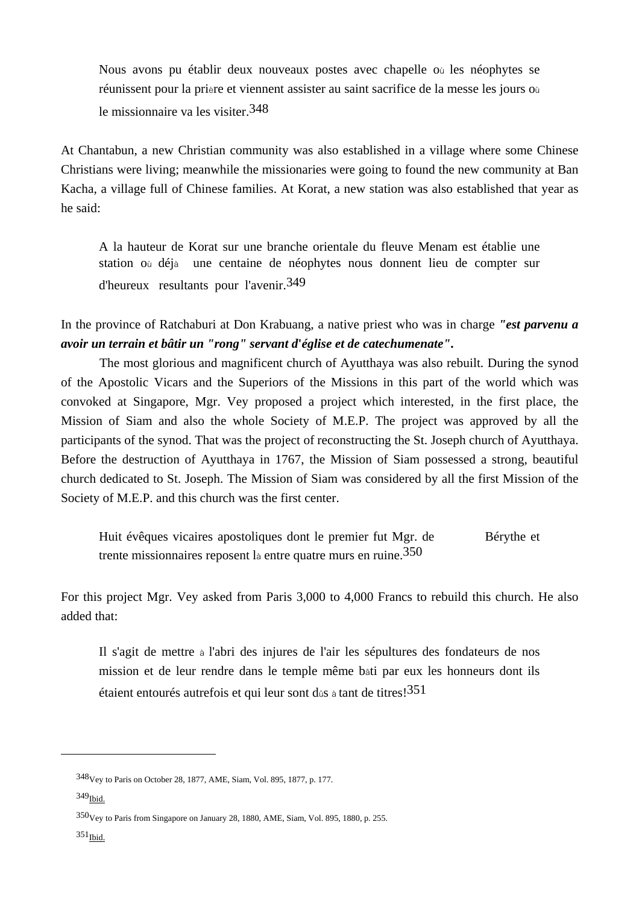Nous avons pu établir deux nouveaux postes avec chapelle où les néophytes se réunissent pour la prière et viennent assister au saint sacrifice de la messe les jours où le missionnaire va les visiter.348

At Chantabun, a new Christian community was also established in a village where some Chinese Christians were living; meanwhile the missionaries were going to found the new community at Ban Kacha, a village full of Chinese families. At Korat, a new station was also established that year as he said:

 A la hauteur de Korat sur une branche orientale du fleuve Menam est établie une station où déjà une centaine de néophytes nous donnent lieu de compter sur d'heureux resultants pour l'avenir.349

In the province of Ratchaburi at Don Krabuang, a native priest who was in charge *"est parvenu a avoir un terrain et bâtir un "rong" servant d***'***église et de catechumenate"***.** 

 The most glorious and magnificent church of Ayutthaya was also rebuilt. During the synod of the Apostolic Vicars and the Superiors of the Missions in this part of the world which was convoked at Singapore, Mgr. Vey proposed a project which interested, in the first place, the Mission of Siam and also the whole Society of M.E.P. The project was approved by all the participants of the synod. That was the project of reconstructing the St. Joseph church of Ayutthaya. Before the destruction of Ayutthaya in 1767, the Mission of Siam possessed a strong, beautiful church dedicated to St. Joseph. The Mission of Siam was considered by all the first Mission of the Society of M.E.P. and this church was the first center.

Huit évêques vicaires apostoliques dont le premier fut Mgr. de Bérythe et trente missionnaires reposent là entre quatre murs en ruine.350

For this project Mgr. Vey asked from Paris 3,000 to 4,000 Francs to rebuild this church. He also added that:

 Il s'agit de mettre à l'abri des injures de l'air les sépultures des fondateurs de nos mission et de leur rendre dans le temple même bâti par eux les honneurs dont ils étaient entourés autrefois et qui leur sont dûs à tant de titres!351

<sup>348</sup>Vey to Paris on October 28, 1877, AME, Siam, Vol. 895, 1877, p. 177.

 $349$ Ibid.

<sup>350</sup>Vey to Paris from Singapore on January 28, 1880, AME, Siam, Vol. 895, 1880, p. 255.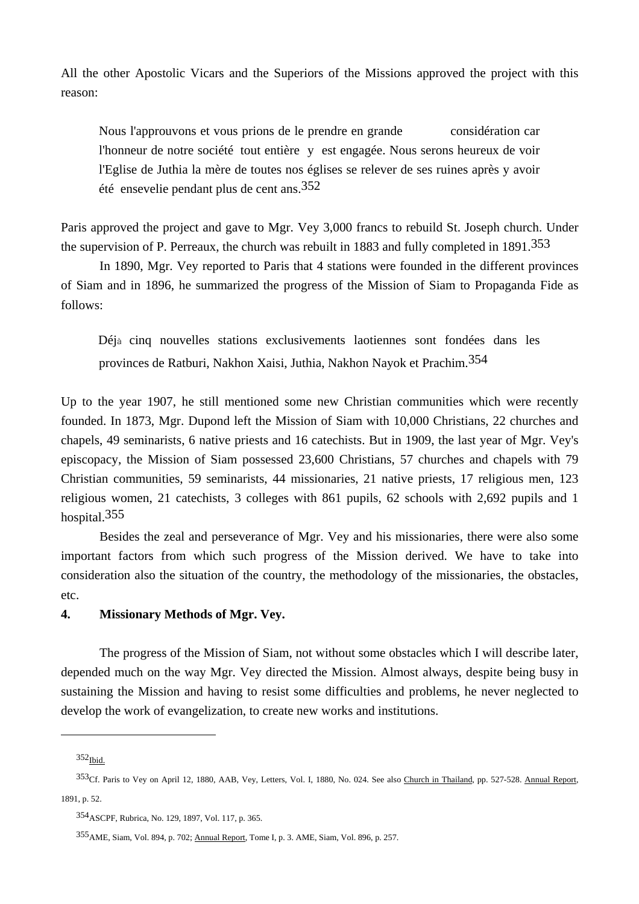All the other Apostolic Vicars and the Superiors of the Missions approved the project with this reason:

Nous l'approuvons et vous prions de le prendre en grande considération car l'honneur de notre société tout entière y est engagée. Nous serons heureux de voir l'Eglise de Juthia la mère de toutes nos églises se relever de ses ruines après y avoir été ensevelie pendant plus de cent ans.352

Paris approved the project and gave to Mgr. Vey 3,000 francs to rebuild St. Joseph church. Under the supervision of P. Perreaux, the church was rebuilt in 1883 and fully completed in 1891.<sup>353</sup>

 In 1890, Mgr. Vey reported to Paris that 4 stations were founded in the different provinces of Siam and in 1896, he summarized the progress of the Mission of Siam to Propaganda Fide as follows:

Déjà cinq nouvelles stations exclusivements laotiennes sont fondées dans les provinces de Ratburi, Nakhon Xaisi, Juthia, Nakhon Nayok et Prachim.354

Up to the year 1907, he still mentioned some new Christian communities which were recently founded. In 1873, Mgr. Dupond left the Mission of Siam with 10,000 Christians, 22 churches and chapels, 49 seminarists, 6 native priests and 16 catechists. But in 1909, the last year of Mgr. Vey's episcopacy, the Mission of Siam possessed 23,600 Christians, 57 churches and chapels with 79 Christian communities, 59 seminarists, 44 missionaries, 21 native priests, 17 religious men, 123 religious women, 21 catechists, 3 colleges with 861 pupils, 62 schools with 2,692 pupils and 1 hospital.355

 Besides the zeal and perseverance of Mgr. Vey and his missionaries, there were also some important factors from which such progress of the Mission derived. We have to take into consideration also the situation of the country, the methodology of the missionaries, the obstacles, etc.

### **4. Missionary Methods of Mgr. Vey.**

 The progress of the Mission of Siam, not without some obstacles which I will describe later, depended much on the way Mgr. Vey directed the Mission. Almost always, despite being busy in sustaining the Mission and having to resist some difficulties and problems, he never neglected to develop the work of evangelization, to create new works and institutions.

 $352$ <sub>Ibid.</sub>

<sup>353</sup>Cf. Paris to Vey on April 12, 1880, AAB, Vey, Letters, Vol. I, 1880, No. 024. See also Church in Thailand, pp. 527-528. Annual Report, 1891, p. 52.

<sup>354</sup>ASCPF, Rubrica, No. 129, 1897, Vol. 117, p. 365.

<sup>355</sup>AME, Siam, Vol. 894, p. 702; Annual Report, Tome I, p. 3. AME, Siam, Vol. 896, p. 257.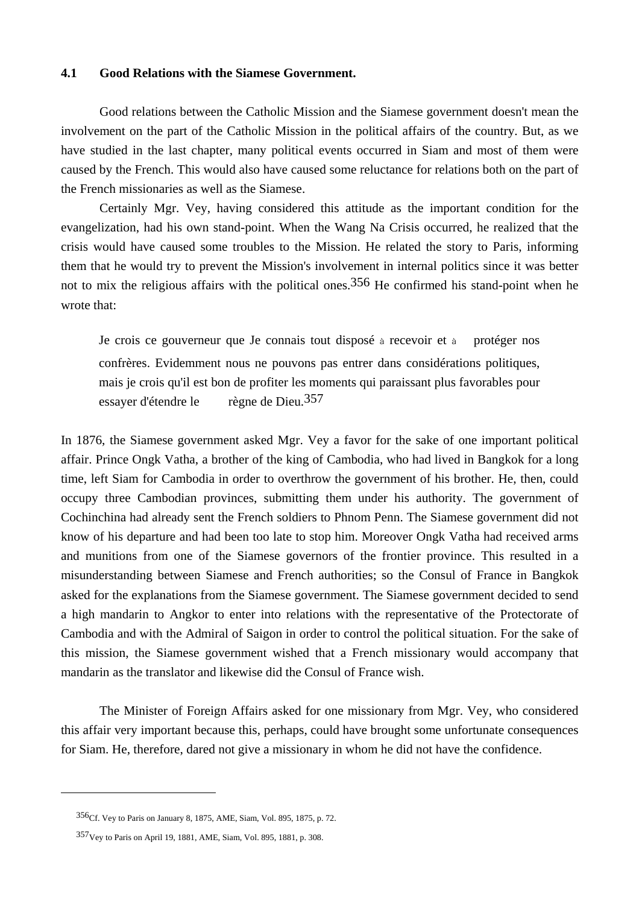### **4.1 Good Relations with the Siamese Government.**

 Good relations between the Catholic Mission and the Siamese government doesn't mean the involvement on the part of the Catholic Mission in the political affairs of the country. But, as we have studied in the last chapter, many political events occurred in Siam and most of them were caused by the French. This would also have caused some reluctance for relations both on the part of the French missionaries as well as the Siamese.

 Certainly Mgr. Vey, having considered this attitude as the important condition for the evangelization, had his own stand-point. When the Wang Na Crisis occurred, he realized that the crisis would have caused some troubles to the Mission. He related the story to Paris, informing them that he would try to prevent the Mission's involvement in internal politics since it was better not to mix the religious affairs with the political ones.<sup>356</sup> He confirmed his stand-point when he wrote that:

 Je crois ce gouverneur que Je connais tout disposé à recevoir et à protéger nos confrères. Evidemment nous ne pouvons pas entrer dans considérations politiques, mais je crois qu'il est bon de profiter les moments qui paraissant plus favorables pour essayer d'étendre le règne de Dieu.357

In 1876, the Siamese government asked Mgr. Vey a favor for the sake of one important political affair. Prince Ongk Vatha, a brother of the king of Cambodia, who had lived in Bangkok for a long time, left Siam for Cambodia in order to overthrow the government of his brother. He, then, could occupy three Cambodian provinces, submitting them under his authority. The government of Cochinchina had already sent the French soldiers to Phnom Penn. The Siamese government did not know of his departure and had been too late to stop him. Moreover Ongk Vatha had received arms and munitions from one of the Siamese governors of the frontier province. This resulted in a misunderstanding between Siamese and French authorities; so the Consul of France in Bangkok asked for the explanations from the Siamese government. The Siamese government decided to send a high mandarin to Angkor to enter into relations with the representative of the Protectorate of Cambodia and with the Admiral of Saigon in order to control the political situation. For the sake of this mission, the Siamese government wished that a French missionary would accompany that mandarin as the translator and likewise did the Consul of France wish.

 The Minister of Foreign Affairs asked for one missionary from Mgr. Vey, who considered this affair very important because this, perhaps, could have brought some unfortunate consequences for Siam. He, therefore, dared not give a missionary in whom he did not have the confidence.

<sup>356</sup>Cf. Vey to Paris on January 8, 1875, AME, Siam, Vol. 895, 1875, p. 72.

<sup>357</sup>Vey to Paris on April 19, 1881, AME, Siam, Vol. 895, 1881, p. 308.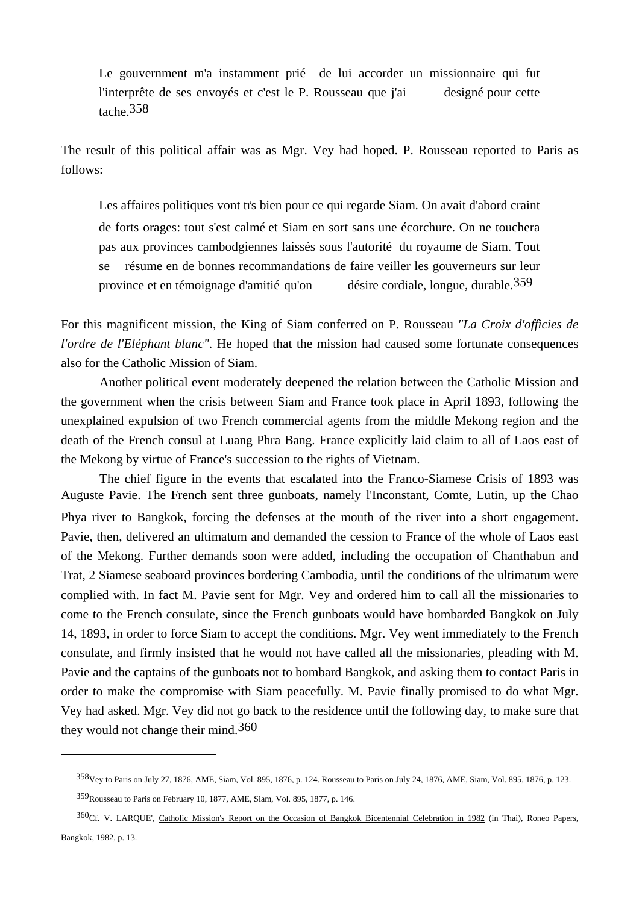Le gouvernment m'a instamment prié de lui accorder un missionnaire qui fut l'interprête de ses envoyés et c'est le P. Rousseau que j'ai designé pour cette tache.358

The result of this political affair was as Mgr. Vey had hoped. P. Rousseau reported to Paris as follows:

Les affaires politiques vont tr's bien pour ce qui regarde Siam. On avait d'abord craint de forts orages: tout s'est calmé et Siam en sort sans une écorchure. On ne touchera pas aux provinces cambodgiennes laissés sous l'autorité du royaume de Siam. Tout se résume en de bonnes recommandations de faire veiller les gouverneurs sur leur province et en témoignage d'amitié qu'on désire cordiale, longue, durable.359

For this magnificent mission, the King of Siam conferred on P. Rousseau *"La Croix d'officies de l'ordre de l'Eléphant blanc"*. He hoped that the mission had caused some fortunate consequences also for the Catholic Mission of Siam.

 Another political event moderately deepened the relation between the Catholic Mission and the government when the crisis between Siam and France took place in April 1893, following the unexplained expulsion of two French commercial agents from the middle Mekong region and the death of the French consul at Luang Phra Bang. France explicitly laid claim to all of Laos east of the Mekong by virtue of France's succession to the rights of Vietnam.

 The chief figure in the events that escalated into the Franco-Siamese Crisis of 1893 was Auguste Pavie. The French sent three gunboats, namely l'Inconstant, Comte, Lutin, up the Chao Phya river to Bangkok, forcing the defenses at the mouth of the river into a short engagement. Pavie, then, delivered an ultimatum and demanded the cession to France of the whole of Laos east of the Mekong. Further demands soon were added, including the occupation of Chanthabun and Trat, 2 Siamese seaboard provinces bordering Cambodia, until the conditions of the ultimatum were complied with. In fact M. Pavie sent for Mgr. Vey and ordered him to call all the missionaries to come to the French consulate, since the French gunboats would have bombarded Bangkok on July 14, 1893, in order to force Siam to accept the conditions. Mgr. Vey went immediately to the French consulate, and firmly insisted that he would not have called all the missionaries, pleading with M. Pavie and the captains of the gunboats not to bombard Bangkok, and asking them to contact Paris in order to make the compromise with Siam peacefully. M. Pavie finally promised to do what Mgr. Vey had asked. Mgr. Vey did not go back to the residence until the following day, to make sure that they would not change their mind.360

<sup>358</sup>Vey to Paris on July 27, 1876, AME, Siam, Vol. 895, 1876, p. 124. Rousseau to Paris on July 24, 1876, AME, Siam, Vol. 895, 1876, p. 123.

<sup>359</sup>Rousseau to Paris on February 10, 1877, AME, Siam, Vol. 895, 1877, p. 146.

<sup>360&</sup>lt;sub>Cf.</sub> V. LARQUE', Catholic Mission's Report on the Occasion of Bangkok Bicentennial Celebration in 1982 (in Thai), Roneo Papers, Bangkok, 1982, p. 13.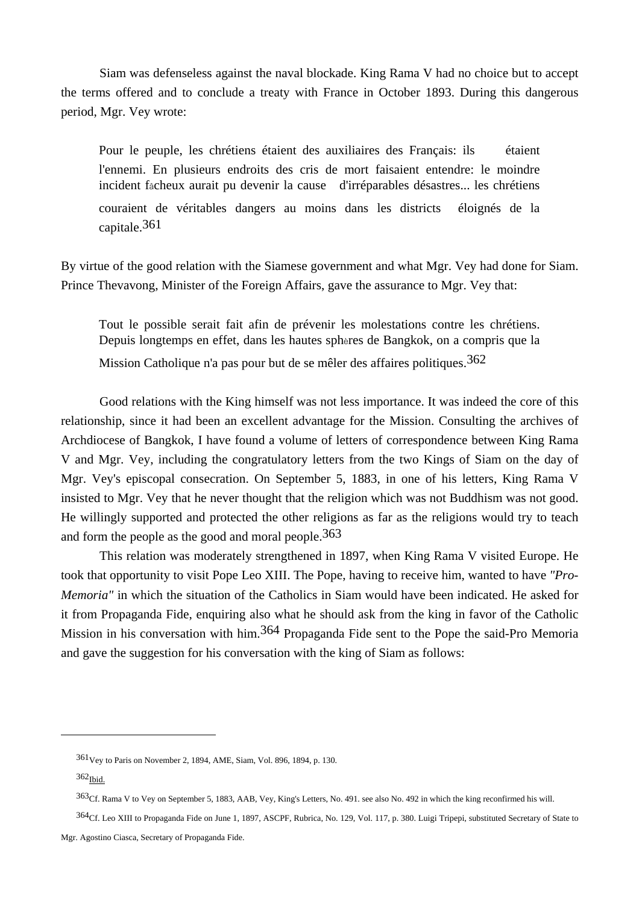Siam was defenseless against the naval blockade. King Rama V had no choice but to accept the terms offered and to conclude a treaty with France in October 1893. During this dangerous period, Mgr. Vey wrote:

 Pour le peuple, les chrétiens étaient des auxiliaires des Français: ils étaient l'ennemi. En plusieurs endroits des cris de mort faisaient entendre: le moindre incident fâcheux aurait pu devenir la cause d'irréparables désastres... les chrétiens couraient de véritables dangers au moins dans les districts éloignés de la capitale.361

By virtue of the good relation with the Siamese government and what Mgr. Vey had done for Siam. Prince Thevavong, Minister of the Foreign Affairs, gave the assurance to Mgr. Vey that:

 Tout le possible serait fait afin de prévenir les molestations contre les chrétiens. Depuis longtemps en effet, dans les hautes sphères de Bangkok, on a compris que la Mission Catholique n'a pas pour but de se mêler des affaires politiques.<sup>362</sup>

 Good relations with the King himself was not less importance. It was indeed the core of this relationship, since it had been an excellent advantage for the Mission. Consulting the archives of Archdiocese of Bangkok, I have found a volume of letters of correspondence between King Rama V and Mgr. Vey, including the congratulatory letters from the two Kings of Siam on the day of Mgr. Vey's episcopal consecration. On September 5, 1883, in one of his letters, King Rama V insisted to Mgr. Vey that he never thought that the religion which was not Buddhism was not good. He willingly supported and protected the other religions as far as the religions would try to teach and form the people as the good and moral people.363

 This relation was moderately strengthened in 1897, when King Rama V visited Europe. He took that opportunity to visit Pope Leo XIII. The Pope, having to receive him, wanted to have *"Pro-Memoria"* in which the situation of the Catholics in Siam would have been indicated. He asked for it from Propaganda Fide, enquiring also what he should ask from the king in favor of the Catholic Mission in his conversation with him.<sup>364</sup> Propaganda Fide sent to the Pope the said-Pro Memoria and gave the suggestion for his conversation with the king of Siam as follows:

<sup>361</sup>Vey to Paris on November 2, 1894, AME, Siam, Vol. 896, 1894, p. 130.

 $362$ Ibid.

<sup>363</sup>Cf. Rama V to Vey on September 5, 1883, AAB, Vey, King's Letters, No. 491. see also No. 492 in which the king reconfirmed his will.

 $364$ Cf. Leo XIII to Propaganda Fide on June 1, 1897, ASCPF, Rubrica, No. 129, Vol. 117, p. 380. Luigi Tripepi, substituted Secretary of State to

Mgr. Agostino Ciasca, Secretary of Propaganda Fide.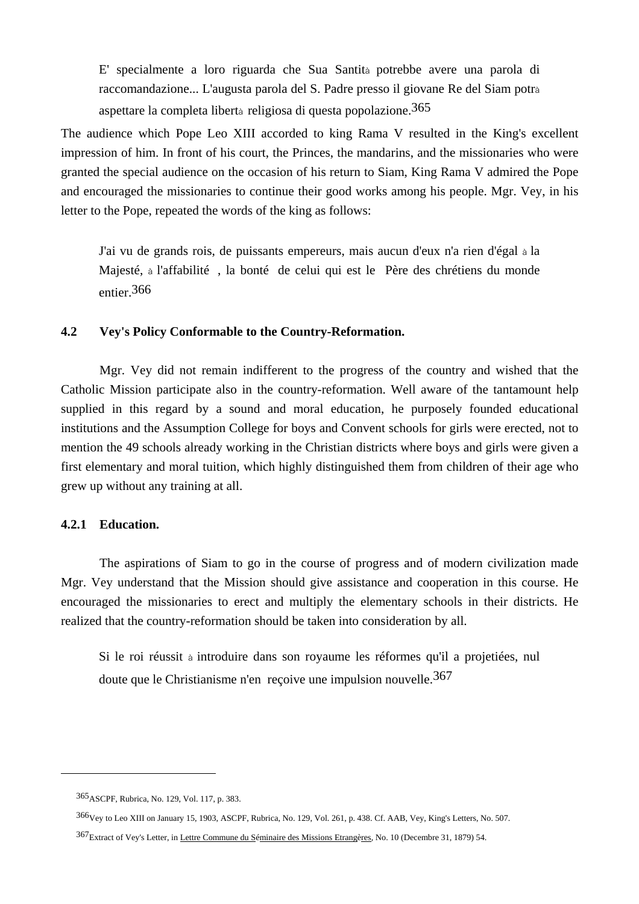E' specialmente a loro riguarda che Sua Santità potrebbe avere una parola di raccomandazione... L'augusta parola del S. Padre presso il giovane Re del Siam potrà aspettare la completa libertà religiosa di questa popolazione.365

The audience which Pope Leo XIII accorded to king Rama V resulted in the King's excellent impression of him. In front of his court, the Princes, the mandarins, and the missionaries who were granted the special audience on the occasion of his return to Siam, King Rama V admired the Pope and encouraged the missionaries to continue their good works among his people. Mgr. Vey, in his letter to the Pope, repeated the words of the king as follows:

 J'ai vu de grands rois, de puissants empereurs, mais aucun d'eux n'a rien d'égal à la Majesté, à l'affabilité , la bonté de celui qui est le Père des chrétiens du monde entier.366

### **4.2 Vey's Policy Conformable to the Country-Reformation.**

 Mgr. Vey did not remain indifferent to the progress of the country and wished that the Catholic Mission participate also in the country-reformation. Well aware of the tantamount help supplied in this regard by a sound and moral education, he purposely founded educational institutions and the Assumption College for boys and Convent schools for girls were erected, not to mention the 49 schools already working in the Christian districts where boys and girls were given a first elementary and moral tuition, which highly distinguished them from children of their age who grew up without any training at all.

### **4.2.1 Education.**

 $\overline{a}$ 

 The aspirations of Siam to go in the course of progress and of modern civilization made Mgr. Vey understand that the Mission should give assistance and cooperation in this course. He encouraged the missionaries to erect and multiply the elementary schools in their districts. He realized that the country-reformation should be taken into consideration by all.

 Si le roi réussit à introduire dans son royaume les réformes qu'il a projetiées, nul doute que le Christianisme n'en reçoive une impulsion nouvelle.<sup>367</sup>

<sup>365</sup>ASCPF, Rubrica, No. 129, Vol. 117, p. 383.

<sup>366</sup>Vey to Leo XIII on January 15, 1903, ASCPF, Rubrica, No. 129, Vol. 261, p. 438. Cf. AAB, Vey, King's Letters, No. 507.

<sup>367</sup>Extract of Vey's Letter, in Lettre Commune du Séminaire des Missions Etrangères, No. 10 (Decembre 31, 1879) 54.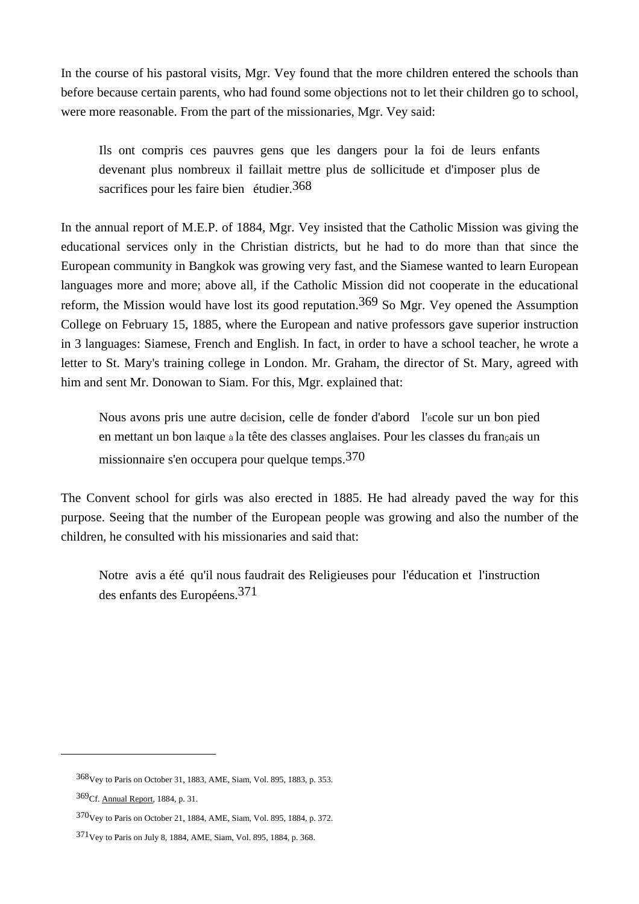In the course of his pastoral visits, Mgr. Vey found that the more children entered the schools than before because certain parents, who had found some objections not to let their children go to school, were more reasonable. From the part of the missionaries, Mgr. Vey said:

 Ils ont compris ces pauvres gens que les dangers pour la foi de leurs enfants devenant plus nombreux il faillait mettre plus de sollicitude et d'imposer plus de sacrifices pour les faire bien étudier.<sup>368</sup>

In the annual report of M.E.P. of 1884, Mgr. Vey insisted that the Catholic Mission was giving the educational services only in the Christian districts, but he had to do more than that since the European community in Bangkok was growing very fast, and the Siamese wanted to learn European languages more and more; above all, if the Catholic Mission did not cooperate in the educational reform, the Mission would have lost its good reputation.<sup>369</sup> So Mgr. Vey opened the Assumption College on February 15, 1885, where the European and native professors gave superior instruction in 3 languages: Siamese, French and English. In fact, in order to have a school teacher, he wrote a letter to St. Mary's training college in London. Mr. Graham, the director of St. Mary, agreed with him and sent Mr. Donowan to Siam. For this, Mgr. explained that:

 Nous avons pris une autre décision, celle de fonder d'abord l'école sur un bon pied en mettant un bon laïque à la tête des classes anglaises. Pour les classes du français un missionnaire s'en occupera pour quelque temps.370

The Convent school for girls was also erected in 1885. He had already paved the way for this purpose. Seeing that the number of the European people was growing and also the number of the children, he consulted with his missionaries and said that:

 Notre avis a été qu'il nous faudrait des Religieuses pour l'éducation et l'instruction des enfants des Européens.371

<sup>368</sup>Vey to Paris on October 31, 1883, AME, Siam, Vol. 895, 1883, p. 353.

<sup>369</sup>Cf. Annual Report, 1884, p. 31.

<sup>370</sup>Vey to Paris on October 21, 1884, AME, Siam, Vol. 895, 1884, p. 372.

<sup>371</sup>Vey to Paris on July 8, 1884, AME, Siam, Vol. 895, 1884, p. 368.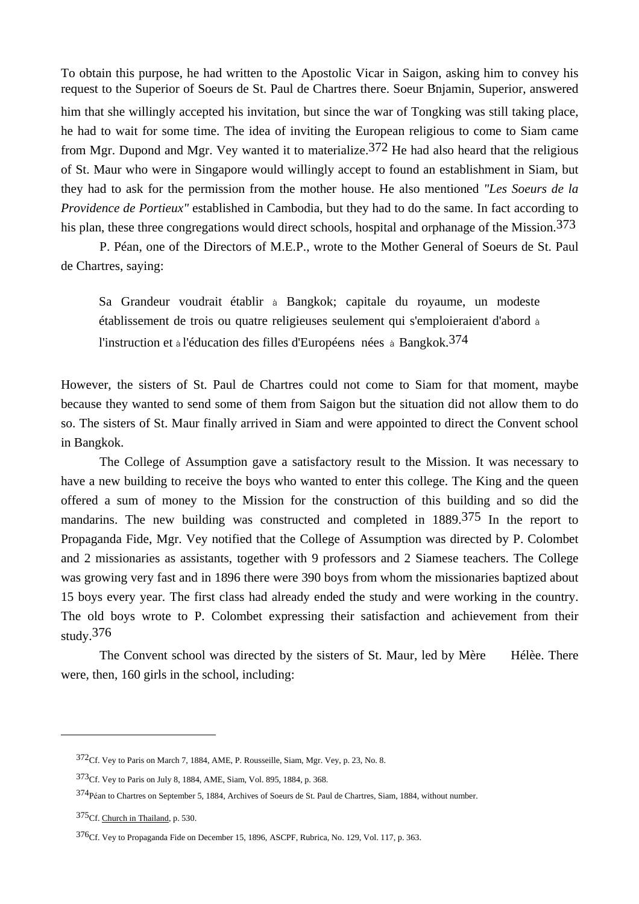To obtain this purpose, he had written to the Apostolic Vicar in Saigon, asking him to convey his request to the Superior of Soeurs de St. Paul de Chartres there. Soeur Bnjamin, Superior, answered him that she willingly accepted his invitation, but since the war of Tongking was still taking place, he had to wait for some time. The idea of inviting the European religious to come to Siam came from Mgr. Dupond and Mgr. Vey wanted it to materialize.<sup>372</sup> He had also heard that the religious of St. Maur who were in Singapore would willingly accept to found an establishment in Siam, but they had to ask for the permission from the mother house. He also mentioned *"Les Soeurs de la Providence de Portieux"* established in Cambodia, but they had to do the same. In fact according to his plan, these three congregations would direct schools, hospital and orphanage of the Mission.<sup>373</sup>

 P. Péan, one of the Directors of M.E.P., wrote to the Mother General of Soeurs de St. Paul de Chartres, saying:

 Sa Grandeur voudrait établir à Bangkok; capitale du royaume, un modeste établissement de trois ou quatre religieuses seulement qui s'emploieraient d'abord à l'instruction et à l'éducation des filles d'Européens nées à Bangkok.374

However, the sisters of St. Paul de Chartres could not come to Siam for that moment, maybe because they wanted to send some of them from Saigon but the situation did not allow them to do so. The sisters of St. Maur finally arrived in Siam and were appointed to direct the Convent school in Bangkok.

 The College of Assumption gave a satisfactory result to the Mission. It was necessary to have a new building to receive the boys who wanted to enter this college. The King and the queen offered a sum of money to the Mission for the construction of this building and so did the mandarins. The new building was constructed and completed in 1889.375 In the report to Propaganda Fide, Mgr. Vey notified that the College of Assumption was directed by P. Colombet and 2 missionaries as assistants, together with 9 professors and 2 Siamese teachers. The College was growing very fast and in 1896 there were 390 boys from whom the missionaries baptized about 15 boys every year. The first class had already ended the study and were working in the country. The old boys wrote to P. Colombet expressing their satisfaction and achievement from their study. $376$ 

 The Convent school was directed by the sisters of St. Maur, led by Mère Hélèe. There were, then, 160 girls in the school, including:

<sup>372</sup>Cf. Vey to Paris on March 7, 1884, AME, P. Rousseille, Siam, Mgr. Vey, p. 23, No. 8.

<sup>373</sup>Cf. Vey to Paris on July 8, 1884, AME, Siam, Vol. 895, 1884, p. 368.

<sup>374</sup>Péan to Chartres on September 5, 1884, Archives of Soeurs de St. Paul de Chartres, Siam, 1884, without number.

<sup>375</sup>Cf. Church in Thailand, p. 530.

<sup>376</sup>Cf. Vey to Propaganda Fide on December 15, 1896, ASCPF, Rubrica, No. 129, Vol. 117, p. 363.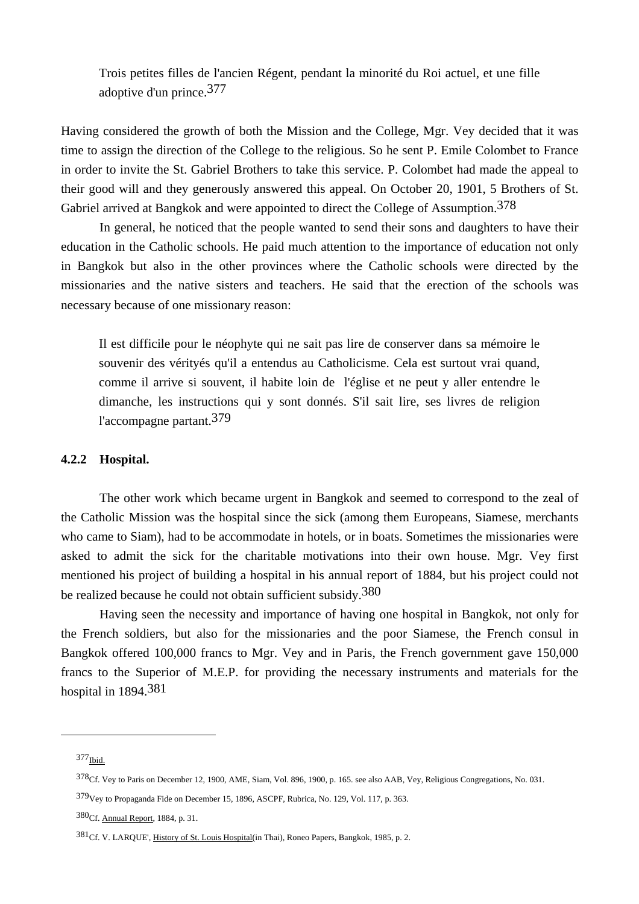Trois petites filles de l'ancien Régent, pendant la minorité du Roi actuel, et une fille adoptive d'un prince.377

Having considered the growth of both the Mission and the College, Mgr. Vey decided that it was time to assign the direction of the College to the religious. So he sent P. Emile Colombet to France in order to invite the St. Gabriel Brothers to take this service. P. Colombet had made the appeal to their good will and they generously answered this appeal. On October 20, 1901, 5 Brothers of St. Gabriel arrived at Bangkok and were appointed to direct the College of Assumption.<sup>378</sup>

 In general, he noticed that the people wanted to send their sons and daughters to have their education in the Catholic schools. He paid much attention to the importance of education not only in Bangkok but also in the other provinces where the Catholic schools were directed by the missionaries and the native sisters and teachers. He said that the erection of the schools was necessary because of one missionary reason:

 Il est difficile pour le néophyte qui ne sait pas lire de conserver dans sa mémoire le souvenir des vérityés qu'il a entendus au Catholicisme. Cela est surtout vrai quand, comme il arrive si souvent, il habite loin de l'église et ne peut y aller entendre le dimanche, les instructions qui y sont donnés. S'il sait lire, ses livres de religion l'accompagne partant.379

### **4.2.2 Hospital.**

The other work which became urgent in Bangkok and seemed to correspond to the zeal of the Catholic Mission was the hospital since the sick (among them Europeans, Siamese, merchants who came to Siam), had to be accommodate in hotels, or in boats. Sometimes the missionaries were asked to admit the sick for the charitable motivations into their own house. Mgr. Vey first mentioned his project of building a hospital in his annual report of 1884, but his project could not be realized because he could not obtain sufficient subsidy.<sup>380</sup>

 Having seen the necessity and importance of having one hospital in Bangkok, not only for the French soldiers, but also for the missionaries and the poor Siamese, the French consul in Bangkok offered 100,000 francs to Mgr. Vey and in Paris, the French government gave 150,000 francs to the Superior of M.E.P. for providing the necessary instruments and materials for the hospital in 1894.381

<sup>377</sup>Ibid.

<sup>378</sup>Cf. Vey to Paris on December 12, 1900, AME, Siam, Vol. 896, 1900, p. 165. see also AAB, Vey, Religious Congregations, No. 031.

<sup>379</sup>Vey to Propaganda Fide on December 15, 1896, ASCPF, Rubrica, No. 129, Vol. 117, p. 363.

<sup>380</sup>Cf. Annual Report, 1884, p. 31.

<sup>381</sup>Cf. V. LARQUE', History of St. Louis Hospital(in Thai), Roneo Papers, Bangkok, 1985, p. 2.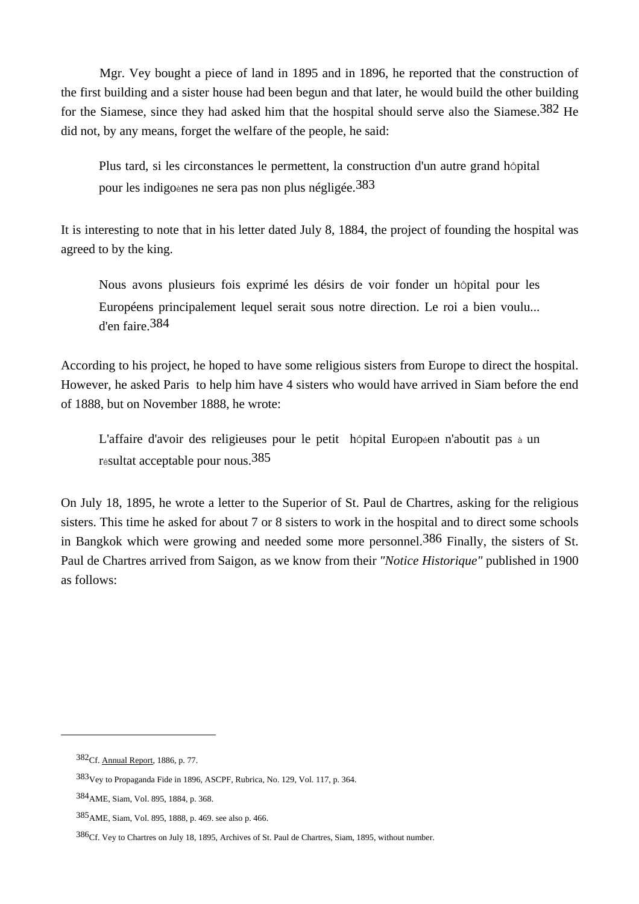Mgr. Vey bought a piece of land in 1895 and in 1896, he reported that the construction of the first building and a sister house had been begun and that later, he would build the other building for the Siamese, since they had asked him that the hospital should serve also the Siamese.<sup>382</sup> He did not, by any means, forget the welfare of the people, he said:

Plus tard, si les circonstances le permettent, la construction d'un autre grand hôpital pour les indigoènes ne sera pas non plus négligée.383

It is interesting to note that in his letter dated July 8, 1884, the project of founding the hospital was agreed to by the king.

Nous avons plusieurs fois exprimé les désirs de voir fonder un hôpital pour les Européens principalement lequel serait sous notre direction. Le roi a bien voulu... d'en faire.384

According to his project, he hoped to have some religious sisters from Europe to direct the hospital. However, he asked Paris to help him have 4 sisters who would have arrived in Siam before the end of 1888, but on November 1888, he wrote:

L'affaire d'avoir des religieuses pour le petit hôpital Europeen n'aboutit pas à un résultat acceptable pour nous.385

On July 18, 1895, he wrote a letter to the Superior of St. Paul de Chartres, asking for the religious sisters. This time he asked for about 7 or 8 sisters to work in the hospital and to direct some schools in Bangkok which were growing and needed some more personnel.386 Finally, the sisters of St. Paul de Chartres arrived from Saigon, as we know from their *"Notice Historique"* published in 1900 as follows:

<sup>382</sup>Cf. Annual Report, 1886, p. 77.

<sup>383</sup>Vey to Propaganda Fide in 1896, ASCPF, Rubrica, No. 129, Vol. 117, p. 364.

<sup>384</sup>AME, Siam, Vol. 895, 1884, p. 368.

<sup>385</sup>AME, Siam, Vol. 895, 1888, p. 469. see also p. 466.

<sup>386</sup>Cf. Vey to Chartres on July 18, 1895, Archives of St. Paul de Chartres, Siam, 1895, without number.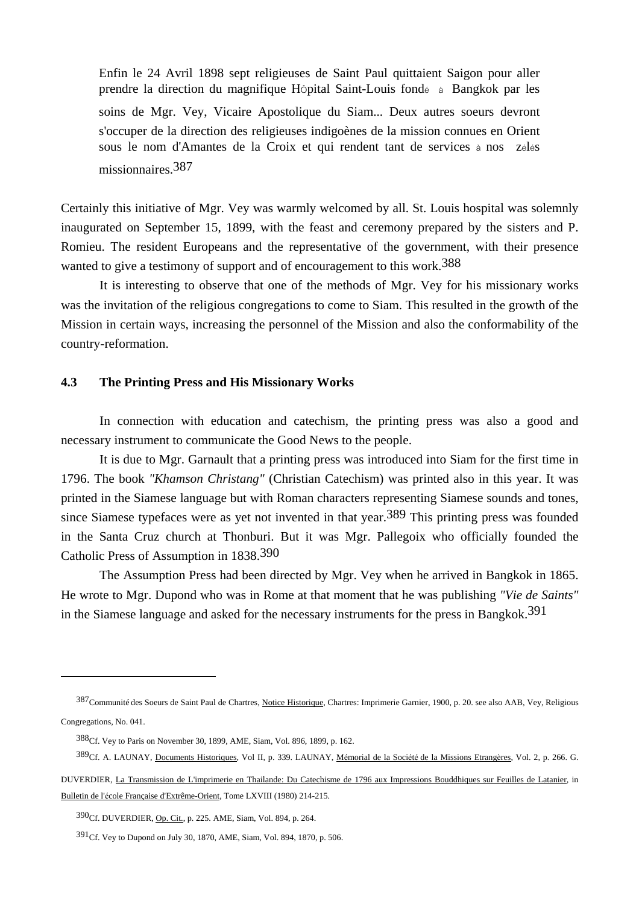Enfin le 24 Avril 1898 sept religieuses de Saint Paul quittaient Saigon pour aller prendre la direction du magnifique HÔpital Saint-Louis fondé à Bangkok par les soins de Mgr. Vey, Vicaire Apostolique du Siam... Deux autres soeurs devront s'occuper de la direction des religieuses indigoènes de la mission connues en Orient sous le nom d'Amantes de la Croix et qui rendent tant de services à nos zélés missionnaires.387

Certainly this initiative of Mgr. Vey was warmly welcomed by all. St. Louis hospital was solemnly inaugurated on September 15, 1899, with the feast and ceremony prepared by the sisters and P. Romieu. The resident Europeans and the representative of the government, with their presence wanted to give a testimony of support and of encouragement to this work.<sup>388</sup>

 It is interesting to observe that one of the methods of Mgr. Vey for his missionary works was the invitation of the religious congregations to come to Siam. This resulted in the growth of the Mission in certain ways, increasing the personnel of the Mission and also the conformability of the country-reformation.

### **4.3 The Printing Press and His Missionary Works**

In connection with education and catechism, the printing press was also a good and necessary instrument to communicate the Good News to the people.

 It is due to Mgr. Garnault that a printing press was introduced into Siam for the first time in 1796. The book *"Khamson Christang"* (Christian Catechism) was printed also in this year. It was printed in the Siamese language but with Roman characters representing Siamese sounds and tones, since Siamese typefaces were as yet not invented in that year.389 This printing press was founded in the Santa Cruz church at Thonburi. But it was Mgr. Pallegoix who officially founded the Catholic Press of Assumption in 1838.390

 The Assumption Press had been directed by Mgr. Vey when he arrived in Bangkok in 1865. He wrote to Mgr. Dupond who was in Rome at that moment that he was publishing *"Vie de Saints"* in the Siamese language and asked for the necessary instruments for the press in Bangkok.391

<sup>387</sup> Communité des Soeurs de Saint Paul de Chartres, Notice Historique, Chartres: Imprimerie Garnier, 1900, p. 20. see also AAB, Vey, Religious Congregations, No. 041.

<sup>388</sup>Cf. Vey to Paris on November 30, 1899, AME, Siam, Vol. 896, 1899, p. 162.

<sup>389</sup>Cf. A. LAUNAY, Documents Historiques, Vol II, p. 339. LAUNAY, Mémorial de la Société de la Missions Etrangères, Vol. 2, p. 266. G.

DUVERDIER, La Transmission de L'imprimerie en Thailande: Du Catechisme de 1796 aux Impressions Bouddhiques sur Feuilles de Latanier, in Bulletin de l'école Française d'Extrême-Orient, Tome LXVIII (1980) 214-215.

<sup>390</sup>Cf. DUVERDIER, Op. Cit., p. 225. AME, Siam, Vol. 894, p. 264.

<sup>391</sup>Cf. Vey to Dupond on July 30, 1870, AME, Siam, Vol. 894, 1870, p. 506.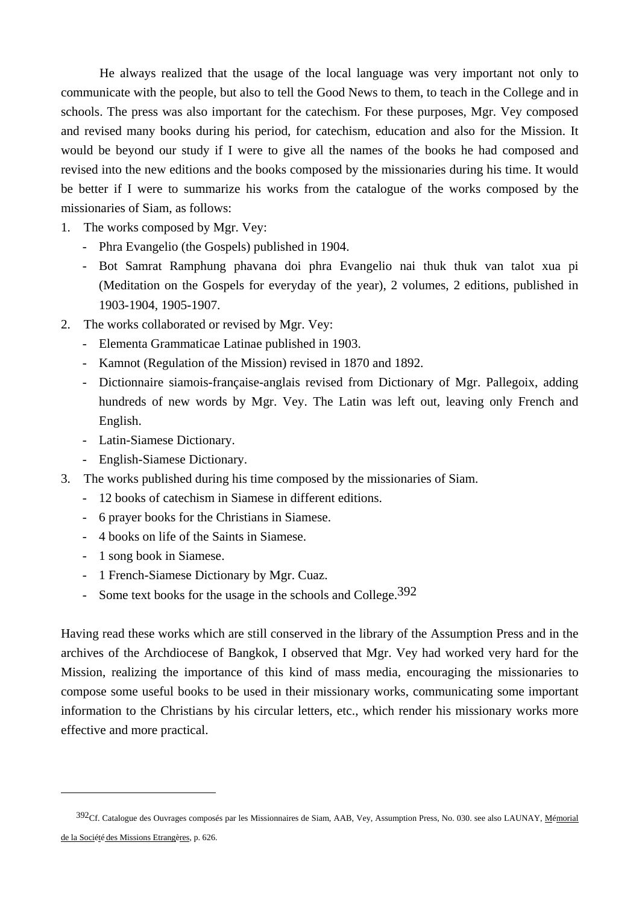He always realized that the usage of the local language was very important not only to communicate with the people, but also to tell the Good News to them, to teach in the College and in schools. The press was also important for the catechism. For these purposes, Mgr. Vey composed and revised many books during his period, for catechism, education and also for the Mission. It would be beyond our study if I were to give all the names of the books he had composed and revised into the new editions and the books composed by the missionaries during his time. It would be better if I were to summarize his works from the catalogue of the works composed by the missionaries of Siam, as follows:

- 1. The works composed by Mgr. Vey:
	- Phra Evangelio (the Gospels) published in 1904.
	- Bot Samrat Ramphung phavana doi phra Evangelio nai thuk thuk van talot xua pi (Meditation on the Gospels for everyday of the year), 2 volumes, 2 editions, published in 1903-1904, 1905-1907.
- 2. The works collaborated or revised by Mgr. Vey:
	- Elementa Grammaticae Latinae published in 1903.
	- Kamnot (Regulation of the Mission) revised in 1870 and 1892.
	- Dictionnaire siamois-française-anglais revised from Dictionary of Mgr. Pallegoix, adding hundreds of new words by Mgr. Vey. The Latin was left out, leaving only French and English.
	- Latin-Siamese Dictionary.
	- English-Siamese Dictionary.
- 3. The works published during his time composed by the missionaries of Siam.
	- 12 books of catechism in Siamese in different editions.
	- 6 prayer books for the Christians in Siamese.
	- 4 books on life of the Saints in Siamese.
	- 1 song book in Siamese.

 $\overline{a}$ 

- 1 French-Siamese Dictionary by Mgr. Cuaz.
- Some text books for the usage in the schools and College.<sup>392</sup>

Having read these works which are still conserved in the library of the Assumption Press and in the archives of the Archdiocese of Bangkok, I observed that Mgr. Vey had worked very hard for the Mission, realizing the importance of this kind of mass media, encouraging the missionaries to compose some useful books to be used in their missionary works, communicating some important information to the Christians by his circular letters, etc., which render his missionary works more effective and more practical.

<sup>392</sup>Cf. Catalogue des Ouvrages composés par les Missionnaires de Siam, AAB, Vey, Assumption Press, No. 030. see also LAUNAY, Mémorial de la Société des Missions Etrangères, p. 626.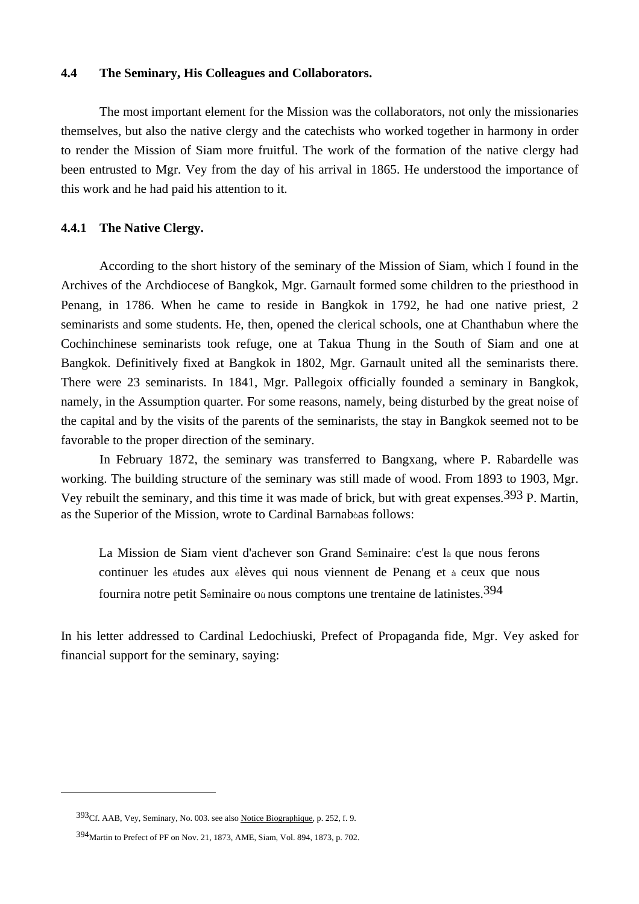### **4.4 The Seminary, His Colleagues and Collaborators.**

 The most important element for the Mission was the collaborators, not only the missionaries themselves, but also the native clergy and the catechists who worked together in harmony in order to render the Mission of Siam more fruitful. The work of the formation of the native clergy had been entrusted to Mgr. Vey from the day of his arrival in 1865. He understood the importance of this work and he had paid his attention to it.

# **4.4.1 The Native Clergy.**

 According to the short history of the seminary of the Mission of Siam, which I found in the Archives of the Archdiocese of Bangkok, Mgr. Garnault formed some children to the priesthood in Penang, in 1786. When he came to reside in Bangkok in 1792, he had one native priest, 2 seminarists and some students. He, then, opened the clerical schools, one at Chanthabun where the Cochinchinese seminarists took refuge, one at Takua Thung in the South of Siam and one at Bangkok. Definitively fixed at Bangkok in 1802, Mgr. Garnault united all the seminarists there. There were 23 seminarists. In 1841, Mgr. Pallegoix officially founded a seminary in Bangkok, namely, in the Assumption quarter. For some reasons, namely, being disturbed by the great noise of the capital and by the visits of the parents of the seminarists, the stay in Bangkok seemed not to be favorable to the proper direction of the seminary.

 In February 1872, the seminary was transferred to Bangxang, where P. Rabardelle was working. The building structure of the seminary was still made of wood. From 1893 to 1903, Mgr. Vey rebuilt the seminary, and this time it was made of brick, but with great expenses.393 P. Martin, as the Superior of the Mission, wrote to Cardinal Barnabòas follows:

 La Mission de Siam vient d'achever son Grand Séminaire: c'est là que nous ferons continuer les études aux élèves qui nous viennent de Penang et à ceux que nous fournira notre petit Séminaire où nous comptons une trentaine de latinistes.394

In his letter addressed to Cardinal Ledochiuski, Prefect of Propaganda fide, Mgr. Vey asked for financial support for the seminary, saying:

<sup>393</sup>Cf. AAB, Vey, Seminary, No. 003. see also Notice Biographique, p. 252, f. 9.

<sup>394</sup>Martin to Prefect of PF on Nov. 21, 1873, AME, Siam, Vol. 894, 1873, p. 702.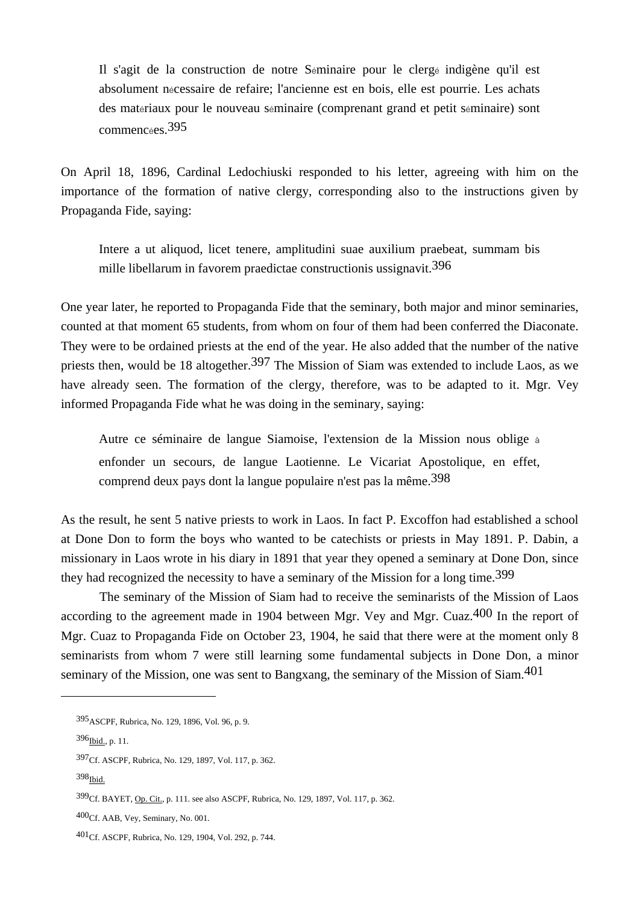Il s'agit de la construction de notre Séminaire pour le clergé indigène qu'il est absolument nécessaire de refaire; l'ancienne est en bois, elle est pourrie. Les achats des matériaux pour le nouveau séminaire (comprenant grand et petit séminaire) sont commencées.395

On April 18, 1896, Cardinal Ledochiuski responded to his letter, agreeing with him on the importance of the formation of native clergy, corresponding also to the instructions given by Propaganda Fide, saying:

 Intere a ut aliquod, licet tenere, amplitudini suae auxilium praebeat, summam bis mille libellarum in favorem praedictae constructionis ussignavit.396

One year later, he reported to Propaganda Fide that the seminary, both major and minor seminaries, counted at that moment 65 students, from whom on four of them had been conferred the Diaconate. They were to be ordained priests at the end of the year. He also added that the number of the native priests then, would be 18 altogether.<sup>397</sup> The Mission of Siam was extended to include Laos, as we have already seen. The formation of the clergy, therefore, was to be adapted to it. Mgr. Vey informed Propaganda Fide what he was doing in the seminary, saying:

 Autre ce séminaire de langue Siamoise, l'extension de la Mission nous oblige à enfonder un secours, de langue Laotienne. Le Vicariat Apostolique, en effet, comprend deux pays dont la langue populaire n'est pas la même.398

As the result, he sent 5 native priests to work in Laos. In fact P. Excoffon had established a school at Done Don to form the boys who wanted to be catechists or priests in May 1891. P. Dabin, a missionary in Laos wrote in his diary in 1891 that year they opened a seminary at Done Don, since they had recognized the necessity to have a seminary of the Mission for a long time.<sup>399</sup>

 The seminary of the Mission of Siam had to receive the seminarists of the Mission of Laos according to the agreement made in 1904 between Mgr. Vey and Mgr. Cuaz.<sup>400</sup> In the report of Mgr. Cuaz to Propaganda Fide on October 23, 1904, he said that there were at the moment only 8 seminarists from whom 7 were still learning some fundamental subjects in Done Don, a minor seminary of the Mission, one was sent to Bangxang, the seminary of the Mission of Siam. $401$ 

398<sub>Ibid.</sub>

<sup>395</sup>ASCPF, Rubrica, No. 129, 1896, Vol. 96, p. 9.

<sup>396&</sup>lt;sub>Ibid., p. 11.</sub>

<sup>397</sup>Cf. ASCPF, Rubrica, No. 129, 1897, Vol. 117, p. 362.

<sup>399</sup>Cf. BAYET, Op. Cit., p. 111. see also ASCPF, Rubrica, No. 129, 1897, Vol. 117, p. 362.

<sup>400</sup>Cf. AAB, Vey, Seminary, No. 001.

<sup>401</sup>Cf. ASCPF, Rubrica, No. 129, 1904, Vol. 292, p. 744.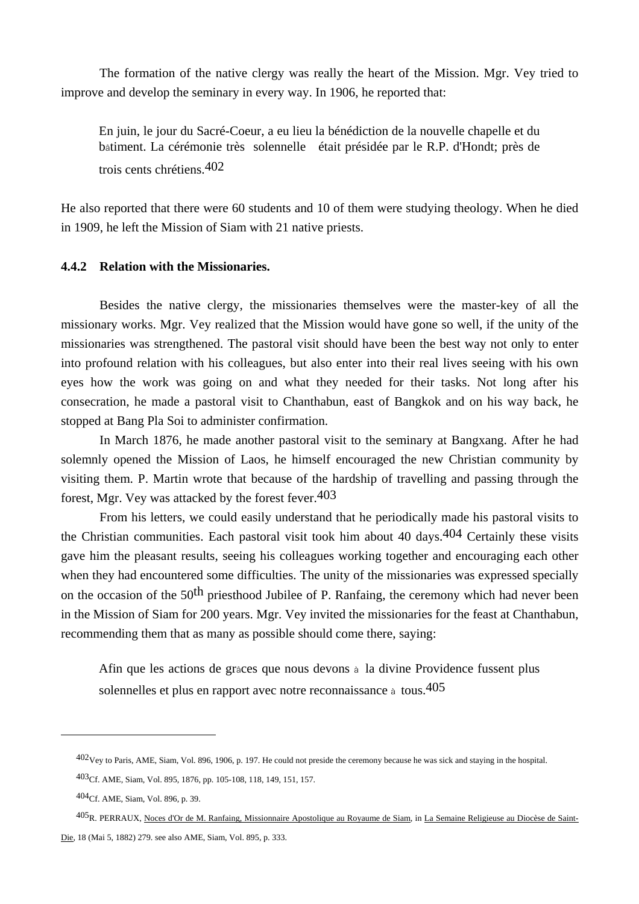The formation of the native clergy was really the heart of the Mission. Mgr. Vey tried to improve and develop the seminary in every way. In 1906, he reported that:

 En juin, le jour du Sacré-Coeur, a eu lieu la bénédiction de la nouvelle chapelle et du bâtiment. La cérémonie très solennelle était présidée par le R.P. d'Hondt; près de trois cents chrétiens.402

He also reported that there were 60 students and 10 of them were studying theology. When he died in 1909, he left the Mission of Siam with 21 native priests.

### **4.4.2 Relation with the Missionaries.**

Besides the native clergy, the missionaries themselves were the master-key of all the missionary works. Mgr. Vey realized that the Mission would have gone so well, if the unity of the missionaries was strengthened. The pastoral visit should have been the best way not only to enter into profound relation with his colleagues, but also enter into their real lives seeing with his own eyes how the work was going on and what they needed for their tasks. Not long after his consecration, he made a pastoral visit to Chanthabun, east of Bangkok and on his way back, he stopped at Bang Pla Soi to administer confirmation.

 In March 1876, he made another pastoral visit to the seminary at Bangxang. After he had solemnly opened the Mission of Laos, he himself encouraged the new Christian community by visiting them. P. Martin wrote that because of the hardship of travelling and passing through the forest, Mgr. Vey was attacked by the forest fever.403

 From his letters, we could easily understand that he periodically made his pastoral visits to the Christian communities. Each pastoral visit took him about 40 days.404 Certainly these visits gave him the pleasant results, seeing his colleagues working together and encouraging each other when they had encountered some difficulties. The unity of the missionaries was expressed specially on the occasion of the 50<sup>th</sup> priesthood Jubilee of P. Ranfaing, the ceremony which had never been in the Mission of Siam for 200 years. Mgr. Vey invited the missionaries for the feast at Chanthabun, recommending them that as many as possible should come there, saying:

 Afin que les actions de grâces que nous devons à la divine Providence fussent plus solennelles et plus en rapport avec notre reconnaissance à tous.<sup>405</sup>

<sup>402</sup>Vey to Paris, AME, Siam, Vol. 896, 1906, p. 197. He could not preside the ceremony because he was sick and staying in the hospital.

<sup>403</sup>Cf. AME, Siam, Vol. 895, 1876, pp. 105-108, 118, 149, 151, 157.

<sup>404</sup>Cf. AME, Siam, Vol. 896, p. 39.

<sup>405</sup>R. PERRAUX, Noces d'Or de M. Ranfaing, Missionnaire Apostolique au Royaume de Siam, in La Semaine Religieuse au Diocèse de Saint-Die, 18 (Mai 5, 1882) 279. see also AME, Siam, Vol. 895, p. 333.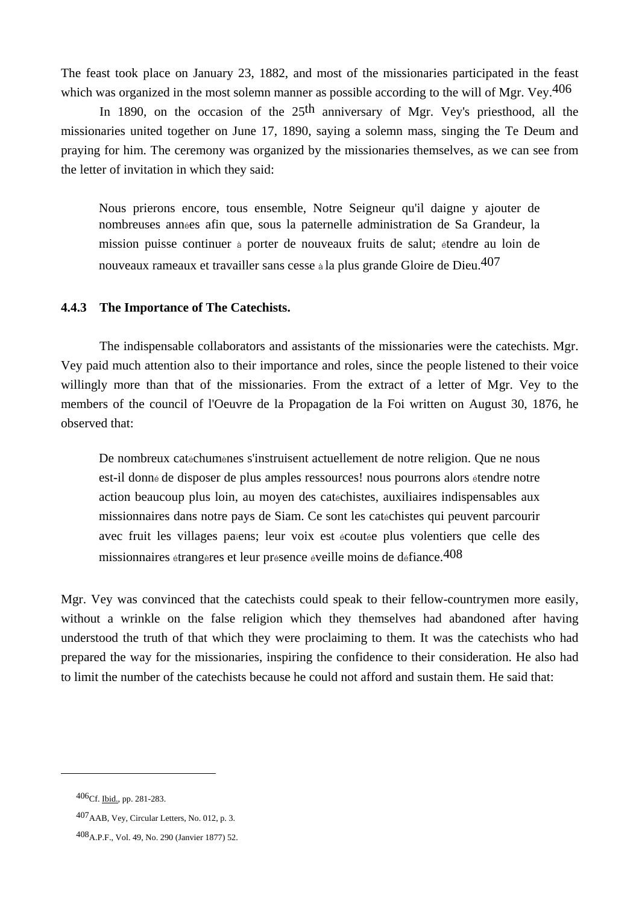The feast took place on January 23, 1882, and most of the missionaries participated in the feast which was organized in the most solemn manner as possible according to the will of Mgr. Vey.  $406$ 

In 1890, on the occasion of the 25<sup>th</sup> anniversary of Mgr. Vey's priesthood, all the missionaries united together on June 17, 1890, saying a solemn mass, singing the Te Deum and praying for him. The ceremony was organized by the missionaries themselves, as we can see from the letter of invitation in which they said:

 Nous prierons encore, tous ensemble, Notre Seigneur qu'il daigne y ajouter de nombreuses années afin que, sous la paternelle administration de Sa Grandeur, la mission puisse continuer à porter de nouveaux fruits de salut; étendre au loin de nouveaux rameaux et travailler sans cesse à la plus grande Gloire de Dieu.407

### **4.4.3 The Importance of The Catechists.**

 The indispensable collaborators and assistants of the missionaries were the catechists. Mgr. Vey paid much attention also to their importance and roles, since the people listened to their voice willingly more than that of the missionaries. From the extract of a letter of Mgr. Vey to the members of the council of l'Oeuvre de la Propagation de la Foi written on August 30, 1876, he observed that:

De nombreux catéchumènes s'instruisent actuellement de notre religion. Que ne nous est-il donné de disposer de plus amples ressources! nous pourrons alors étendre notre action beaucoup plus loin, au moyen des catéchistes, auxiliaires indispensables aux missionnaires dans notre pays de Siam. Ce sont les catéchistes qui peuvent parcourir avec fruit les villages païens; leur voix est écoutée plus volentiers que celle des missionnaires étrangères et leur présence éveille moins de défiance.408

Mgr. Vey was convinced that the catechists could speak to their fellow-countrymen more easily, without a wrinkle on the false religion which they themselves had abandoned after having understood the truth of that which they were proclaiming to them. It was the catechists who had prepared the way for the missionaries, inspiring the confidence to their consideration. He also had to limit the number of the catechists because he could not afford and sustain them. He said that:

<sup>406</sup>Cf. Ibid., pp. 281-283.

<sup>407</sup>AAB, Vey, Circular Letters, No. 012, p. 3.

<sup>408</sup>A.P.F., Vol. 49, No. 290 (Janvier 1877) 52.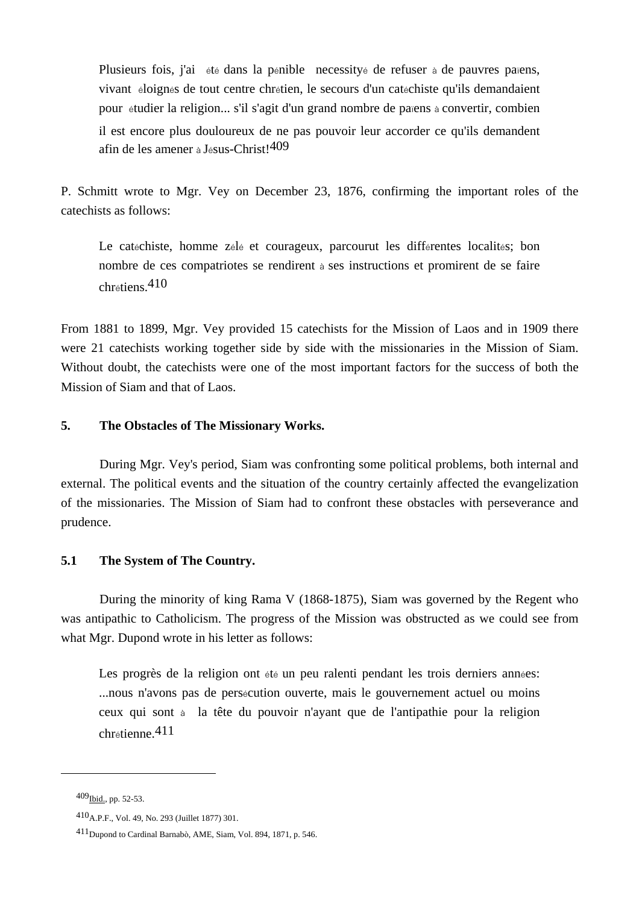Plusieurs fois, j'ai été dans la pénible necessityé de refuser à de pauvres païens, vivant éloignés de tout centre chrétien, le secours d'un catéchiste qu'ils demandaient pour étudier la religion... s'il s'agit d'un grand nombre de païens à convertir, combien il est encore plus douloureux de ne pas pouvoir leur accorder ce qu'ils demandent afin de les amener à Jésus-Christ!409

P. Schmitt wrote to Mgr. Vey on December 23, 1876, confirming the important roles of the catechists as follows:

Le catéchiste, homme zélé et courageux, parcourut les différentes localités; bon nombre de ces compatriotes se rendirent à ses instructions et promirent de se faire  $chrétiens.410$ 

From 1881 to 1899, Mgr. Vey provided 15 catechists for the Mission of Laos and in 1909 there were 21 catechists working together side by side with the missionaries in the Mission of Siam. Without doubt, the catechists were one of the most important factors for the success of both the Mission of Siam and that of Laos.

### **5. The Obstacles of The Missionary Works.**

During Mgr. Vey's period, Siam was confronting some political problems, both internal and external. The political events and the situation of the country certainly affected the evangelization of the missionaries. The Mission of Siam had to confront these obstacles with perseverance and prudence.

# **5.1 The System of The Country.**

During the minority of king Rama V (1868-1875), Siam was governed by the Regent who was antipathic to Catholicism. The progress of the Mission was obstructed as we could see from what Mgr. Dupond wrote in his letter as follows:

Les progrès de la religion ont été un peu ralenti pendant les trois derniers années: ...nous n'avons pas de persécution ouverte, mais le gouvernement actuel ou moins ceux qui sont à la tête du pouvoir n'ayant que de l'antipathie pour la religion chrétienne.411

<sup>409</sup>Ibid., pp. 52-53.

<sup>410</sup>A.P.F., Vol. 49, No. 293 (Juillet 1877) 301.

<sup>411</sup>Dupond to Cardinal Barnabò, AME, Siam, Vol. 894, 1871, p. 546.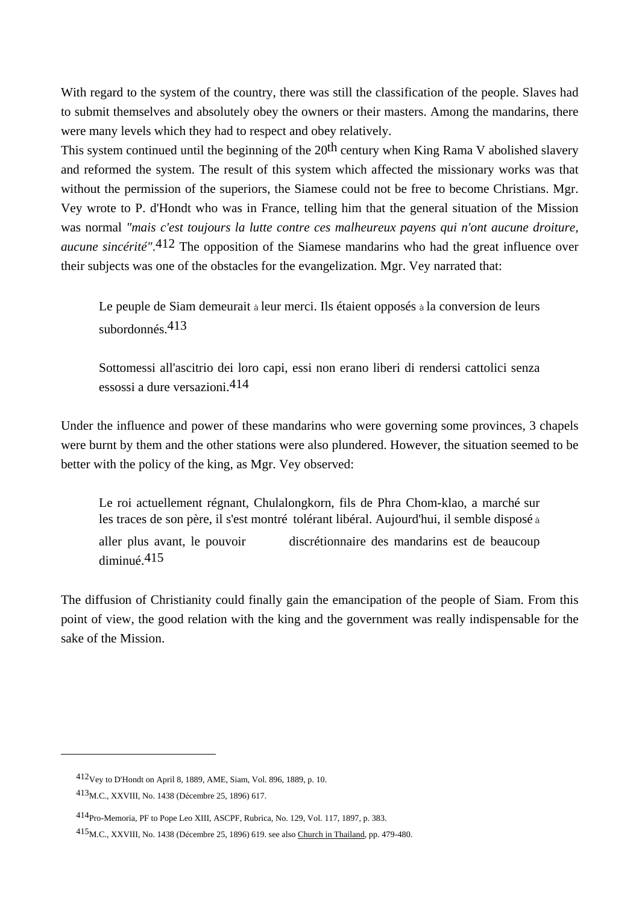With regard to the system of the country, there was still the classification of the people. Slaves had to submit themselves and absolutely obey the owners or their masters. Among the mandarins, there were many levels which they had to respect and obey relatively.

This system continued until the beginning of the 20<sup>th</sup> century when King Rama V abolished slavery and reformed the system. The result of this system which affected the missionary works was that without the permission of the superiors, the Siamese could not be free to become Christians. Mgr. Vey wrote to P. d'Hondt who was in France, telling him that the general situation of the Mission was normal *"mais c'est toujours la lutte contre ces malheureux payens qui n'ont aucune droiture, aucune sincérité"*.412 The opposition of the Siamese mandarins who had the great influence over their subjects was one of the obstacles for the evangelization. Mgr. Vey narrated that:

 Le peuple de Siam demeurait à leur merci. Ils étaient opposés à la conversion de leurs subordonnés.413

 Sottomessi all'ascitrio dei loro capi, essi non erano liberi di rendersi cattolici senza essossi a dure versazioni.414

Under the influence and power of these mandarins who were governing some provinces, 3 chapels were burnt by them and the other stations were also plundered. However, the situation seemed to be better with the policy of the king, as Mgr. Vey observed:

 Le roi actuellement régnant, Chulalongkorn, fils de Phra Chom-klao, a marché sur les traces de son père, il s'est montré tolérant libéral. Aujourd'hui, il semble disposé à aller plus avant, le pouvoir discrétionnaire des mandarins est de beaucoup diminué.415

The diffusion of Christianity could finally gain the emancipation of the people of Siam. From this point of view, the good relation with the king and the government was really indispensable for the sake of the Mission.

<sup>412</sup>Vey to D'Hondt on April 8, 1889, AME, Siam, Vol. 896, 1889, p. 10.

<sup>413</sup>M.C., XXVIII, No. 1438 (Décembre 25, 1896) 617.

<sup>414</sup>Pro-Memoria, PF to Pope Leo XIII, ASCPF, Rubrica, No. 129, Vol. 117, 1897, p. 383.

<sup>415</sup>M.C., XXVIII, No. 1438 (Décembre 25, 1896) 619. see also Church in Thailand, pp. 479-480.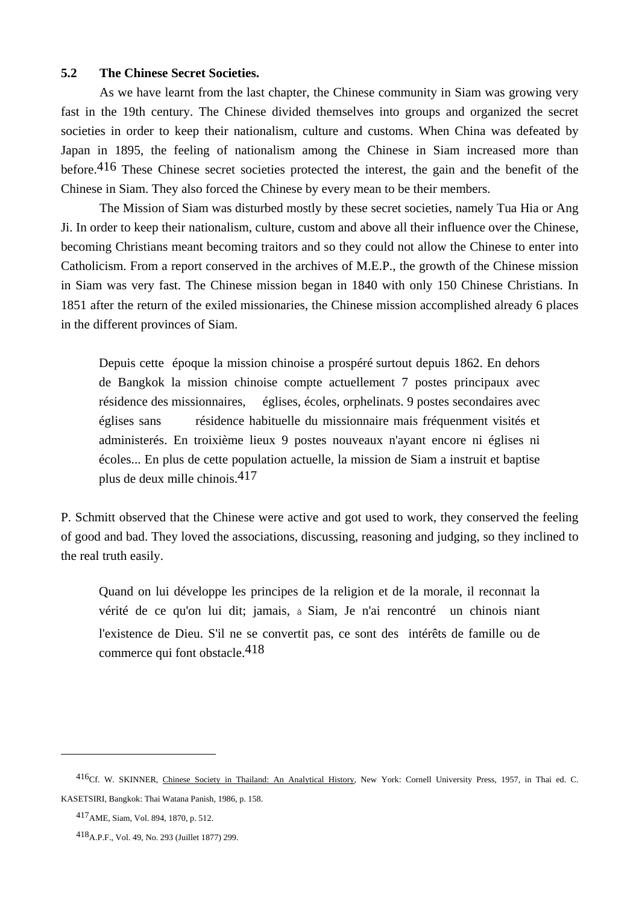### **5.2 The Chinese Secret Societies.**

As we have learnt from the last chapter, the Chinese community in Siam was growing very fast in the 19th century. The Chinese divided themselves into groups and organized the secret societies in order to keep their nationalism, culture and customs. When China was defeated by Japan in 1895, the feeling of nationalism among the Chinese in Siam increased more than before.<sup>416</sup> These Chinese secret societies protected the interest, the gain and the benefit of the Chinese in Siam. They also forced the Chinese by every mean to be their members.

 The Mission of Siam was disturbed mostly by these secret societies, namely Tua Hia or Ang Ji. In order to keep their nationalism, culture, custom and above all their influence over the Chinese, becoming Christians meant becoming traitors and so they could not allow the Chinese to enter into Catholicism. From a report conserved in the archives of M.E.P., the growth of the Chinese mission in Siam was very fast. The Chinese mission began in 1840 with only 150 Chinese Christians. In 1851 after the return of the exiled missionaries, the Chinese mission accomplished already 6 places in the different provinces of Siam.

 Depuis cette époque la mission chinoise a prospéré surtout depuis 1862. En dehors de Bangkok la mission chinoise compte actuellement 7 postes principaux avec résidence des missionnaires, églises, écoles, orphelinats. 9 postes secondaires avec églises sans résidence habituelle du missionnaire mais fréquenment visités et administerés. En troixième lieux 9 postes nouveaux n'ayant encore ni églises ni écoles... En plus de cette population actuelle, la mission de Siam a instruit et baptise plus de deux mille chinois.417

P. Schmitt observed that the Chinese were active and got used to work, they conserved the feeling of good and bad. They loved the associations, discussing, reasoning and judging, so they inclined to the real truth easily.

 Quand on lui développe les principes de la religion et de la morale, il reconnaît la vérité de ce qu'on lui dit; jamais, à Siam, Je n'ai rencontré un chinois niant l'existence de Dieu. S'il ne se convertit pas, ce sont des intérêts de famille ou de commerce qui font obstacle.418

<sup>416</sup>Cf. W. SKINNER, Chinese Society in Thailand: An Analytical History, New York: Cornell University Press, 1957, in Thai ed. C. KASETSIRI, Bangkok: Thai Watana Panish, 1986, p. 158.

<sup>417</sup>AME, Siam, Vol. 894, 1870, p. 512.

<sup>418</sup>A.P.F., Vol. 49, No. 293 (Juillet 1877) 299.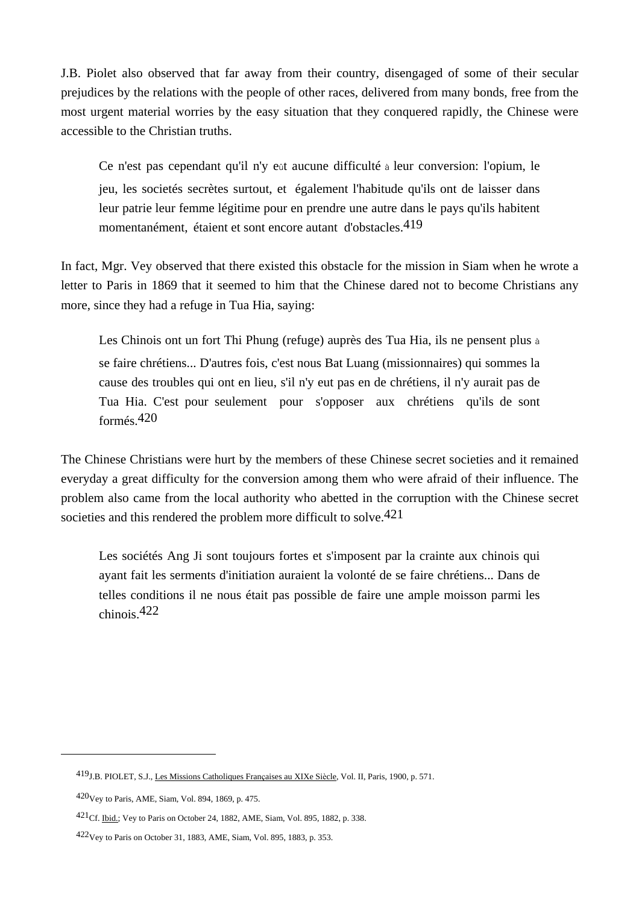J.B. Piolet also observed that far away from their country, disengaged of some of their secular prejudices by the relations with the people of other races, delivered from many bonds, free from the most urgent material worries by the easy situation that they conquered rapidly, the Chinese were accessible to the Christian truths.

 Ce n'est pas cependant qu'il n'y eût aucune difficulté à leur conversion: l'opium, le jeu, les societés secrètes surtout, et également l'habitude qu'ils ont de laisser dans leur patrie leur femme légitime pour en prendre une autre dans le pays qu'ils habitent momentanément, étaient et sont encore autant d'obstacles.419

In fact, Mgr. Vey observed that there existed this obstacle for the mission in Siam when he wrote a letter to Paris in 1869 that it seemed to him that the Chinese dared not to become Christians any more, since they had a refuge in Tua Hia, saying:

 Les Chinois ont un fort Thi Phung (refuge) auprès des Tua Hia, ils ne pensent plus à se faire chrétiens... D'autres fois, c'est nous Bat Luang (missionnaires) qui sommes la cause des troubles qui ont en lieu, s'il n'y eut pas en de chrétiens, il n'y aurait pas de Tua Hia. C'est pour seulement pour s'opposer aux chrétiens qu'ils de sont formés.420

The Chinese Christians were hurt by the members of these Chinese secret societies and it remained everyday a great difficulty for the conversion among them who were afraid of their influence. The problem also came from the local authority who abetted in the corruption with the Chinese secret societies and this rendered the problem more difficult to solve.<sup>421</sup>

 Les sociétés Ang Ji sont toujours fortes et s'imposent par la crainte aux chinois qui ayant fait les serments d'initiation auraient la volonté de se faire chrétiens... Dans de telles conditions il ne nous était pas possible de faire une ample moisson parmi les chinois.422

<sup>419</sup>J.B. PIOLET, S.J., Les Missions Catholiques Françaises au XIXe Siècle, Vol. II, Paris, 1900, p. 571.

 $420$ Vey to Paris, AME, Siam, Vol. 894, 1869, p. 475.

<sup>421</sup>Cf. Ibid.; Vey to Paris on October 24, 1882, AME, Siam, Vol. 895, 1882, p. 338.

<sup>422</sup>Vey to Paris on October 31, 1883, AME, Siam, Vol. 895, 1883, p. 353.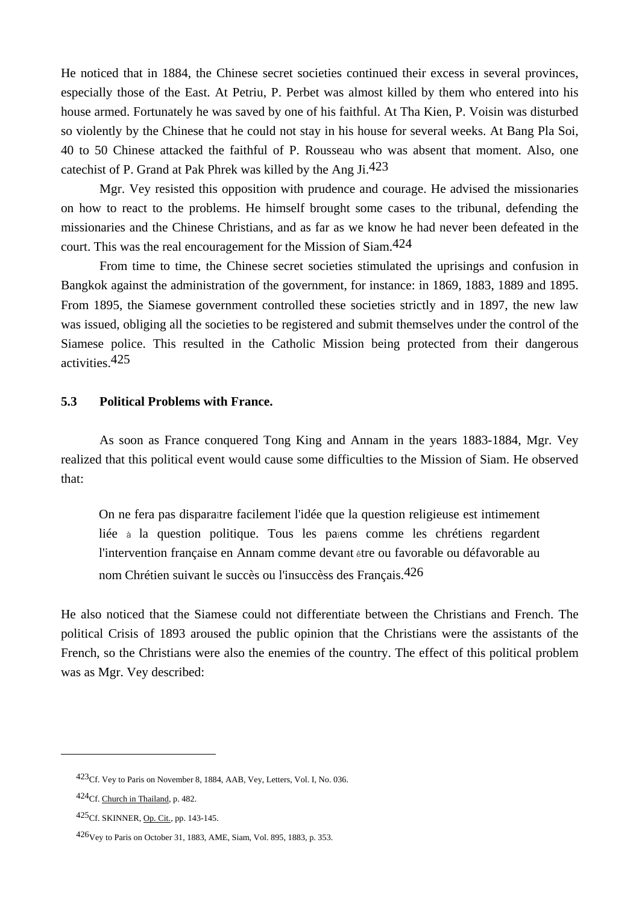He noticed that in 1884, the Chinese secret societies continued their excess in several provinces, especially those of the East. At Petriu, P. Perbet was almost killed by them who entered into his house armed. Fortunately he was saved by one of his faithful. At Tha Kien, P. Voisin was disturbed so violently by the Chinese that he could not stay in his house for several weeks. At Bang Pla Soi, 40 to 50 Chinese attacked the faithful of P. Rousseau who was absent that moment. Also, one catechist of P. Grand at Pak Phrek was killed by the Ang Ji.423

 Mgr. Vey resisted this opposition with prudence and courage. He advised the missionaries on how to react to the problems. He himself brought some cases to the tribunal, defending the missionaries and the Chinese Christians, and as far as we know he had never been defeated in the court. This was the real encouragement for the Mission of Siam.424

 From time to time, the Chinese secret societies stimulated the uprisings and confusion in Bangkok against the administration of the government, for instance: in 1869, 1883, 1889 and 1895. From 1895, the Siamese government controlled these societies strictly and in 1897, the new law was issued, obliging all the societies to be registered and submit themselves under the control of the Siamese police. This resulted in the Catholic Mission being protected from their dangerous activities.425

### **5.3 Political Problems with France.**

As soon as France conquered Tong King and Annam in the years 1883-1884, Mgr. Vey realized that this political event would cause some difficulties to the Mission of Siam. He observed that:

 On ne fera pas disparaître facilement l'idée que la question religieuse est intimement liée à la question politique. Tous les païens comme les chrétiens regardent l'intervention française en Annam comme devant être ou favorable ou défavorable au nom Chrétien suivant le succès ou l'insuccèss des Français.426

He also noticed that the Siamese could not differentiate between the Christians and French. The political Crisis of 1893 aroused the public opinion that the Christians were the assistants of the French, so the Christians were also the enemies of the country. The effect of this political problem was as Mgr. Vey described:

<sup>423</sup>Cf. Vey to Paris on November 8, 1884, AAB, Vey, Letters, Vol. I, No. 036.

<sup>424</sup>Cf. Church in Thailand, p. 482.

<sup>425</sup>Cf. SKINNER, Op. Cit., pp. 143-145.

<sup>426</sup>Vey to Paris on October 31, 1883, AME, Siam, Vol. 895, 1883, p. 353.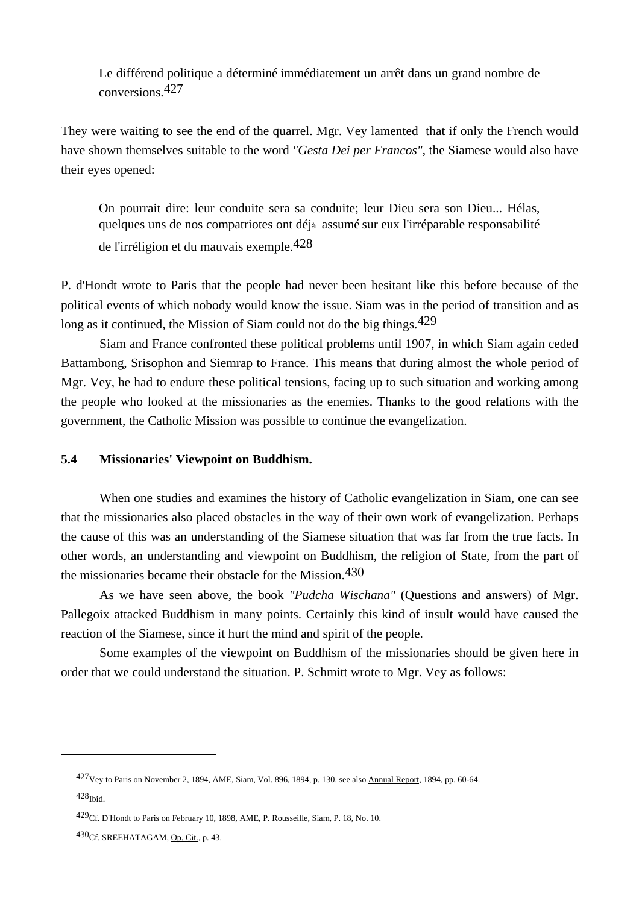Le différend politique a déterminé immédiatement un arrêt dans un grand nombre de conversions.427

They were waiting to see the end of the quarrel. Mgr. Vey lamented that if only the French would have shown themselves suitable to the word *"Gesta Dei per Francos"*, the Siamese would also have their eyes opened:

 On pourrait dire: leur conduite sera sa conduite; leur Dieu sera son Dieu... Hélas, quelques uns de nos compatriotes ont déjà assumé sur eux l'irréparable responsabilité de l'irréligion et du mauvais exemple.428

P. d'Hondt wrote to Paris that the people had never been hesitant like this before because of the political events of which nobody would know the issue. Siam was in the period of transition and as long as it continued, the Mission of Siam could not do the big things.<sup>429</sup>

 Siam and France confronted these political problems until 1907, in which Siam again ceded Battambong, Srisophon and Siemrap to France. This means that during almost the whole period of Mgr. Vey, he had to endure these political tensions, facing up to such situation and working among the people who looked at the missionaries as the enemies. Thanks to the good relations with the government, the Catholic Mission was possible to continue the evangelization.

### **5.4 Missionaries' Viewpoint on Buddhism.**

 When one studies and examines the history of Catholic evangelization in Siam, one can see that the missionaries also placed obstacles in the way of their own work of evangelization. Perhaps the cause of this was an understanding of the Siamese situation that was far from the true facts. In other words, an understanding and viewpoint on Buddhism, the religion of State, from the part of the missionaries became their obstacle for the Mission.<sup>430</sup>

 As we have seen above, the book *"Pudcha Wischana"* (Questions and answers) of Mgr. Pallegoix attacked Buddhism in many points. Certainly this kind of insult would have caused the reaction of the Siamese, since it hurt the mind and spirit of the people.

 Some examples of the viewpoint on Buddhism of the missionaries should be given here in order that we could understand the situation. P. Schmitt wrote to Mgr. Vey as follows:

<sup>427</sup>Vey to Paris on November 2, 1894, AME, Siam, Vol. 896, 1894, p. 130. see also Annual Report, 1894, pp. 60-64.

 $428$ Ibid.

<sup>429</sup>Cf. D'Hondt to Paris on February 10, 1898, AME, P. Rousseille, Siam, P. 18, No. 10.

<sup>430</sup>Cf. SREEHATAGAM, Op. Cit., p. 43.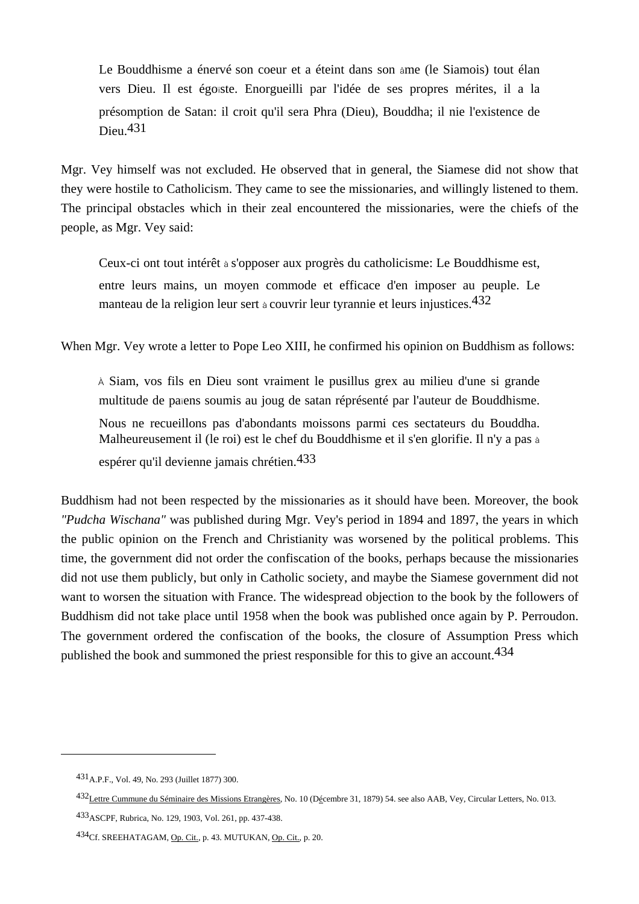Le Bouddhisme a énervé son coeur et a éteint dans son âme (le Siamois) tout élan vers Dieu. Il est égoïste. Enorgueilli par l'idée de ses propres mérites, il a la présomption de Satan: il croit qu'il sera Phra (Dieu), Bouddha; il nie l'existence de Dieu.431

Mgr. Vey himself was not excluded. He observed that in general, the Siamese did not show that they were hostile to Catholicism. They came to see the missionaries, and willingly listened to them. The principal obstacles which in their zeal encountered the missionaries, were the chiefs of the people, as Mgr. Vey said:

 Ceux-ci ont tout intérêt à s'opposer aux progrès du catholicisme: Le Bouddhisme est, entre leurs mains, un moyen commode et efficace d'en imposer au peuple. Le manteau de la religion leur sert à couvrir leur tyrannie et leurs injustices.432

When Mgr. Vey wrote a letter to Pope Leo XIII, he confirmed his opinion on Buddhism as follows:

À Siam, vos fils en Dieu sont vraiment le pusillus grex au milieu d'une si grande multitude de païens soumis au joug de satan réprésenté par l'auteur de Bouddhisme. Nous ne recueillons pas d'abondants moissons parmi ces sectateurs du Bouddha. Malheureusement il (le roi) est le chef du Bouddhisme et il s'en glorifie. Il n'y a pas à espérer qu'il devienne jamais chrétien.433

Buddhism had not been respected by the missionaries as it should have been. Moreover, the book *"Pudcha Wischana"* was published during Mgr. Vey's period in 1894 and 1897, the years in which the public opinion on the French and Christianity was worsened by the political problems. This time, the government did not order the confiscation of the books, perhaps because the missionaries did not use them publicly, but only in Catholic society, and maybe the Siamese government did not want to worsen the situation with France. The widespread objection to the book by the followers of Buddhism did not take place until 1958 when the book was published once again by P. Perroudon. The government ordered the confiscation of the books, the closure of Assumption Press which published the book and summoned the priest responsible for this to give an account.<sup>434</sup>

<sup>431</sup>A.P.F., Vol. 49, No. 293 (Juillet 1877) 300.

<sup>432</sup>Lettre Cummune du Séminaire des Missions Etrangères, No. 10 (Décembre 31, 1879) 54. see also AAB, Vey, Circular Letters, No. 013.

<sup>433</sup>ASCPF, Rubrica, No. 129, 1903, Vol. 261, pp. 437-438.

<sup>434</sup>Cf. SREEHATAGAM, Op. Cit., p. 43. MUTUKAN, Op. Cit., p. 20.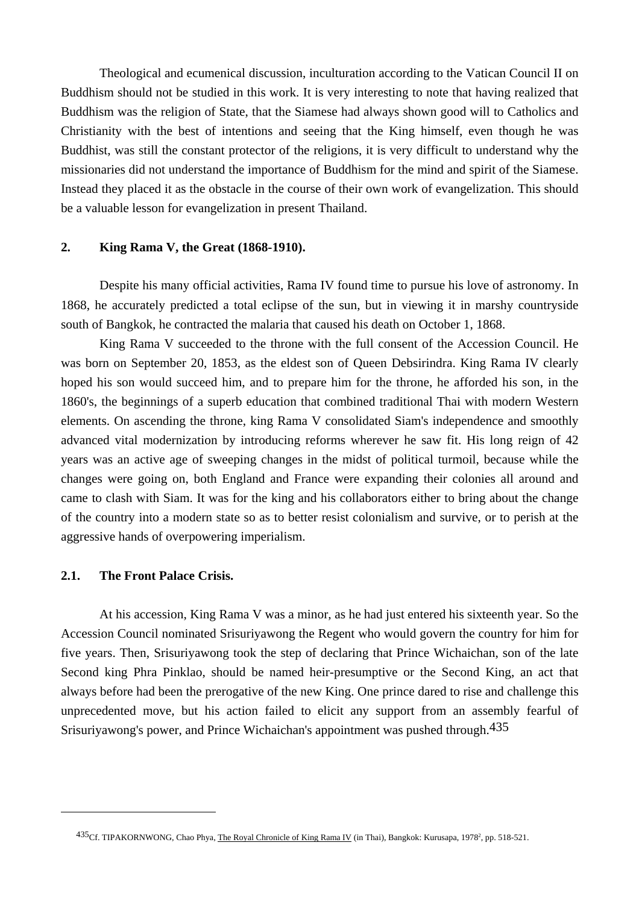Theological and ecumenical discussion, inculturation according to the Vatican Council II on Buddhism should not be studied in this work. It is very interesting to note that having realized that Buddhism was the religion of State, that the Siamese had always shown good will to Catholics and Christianity with the best of intentions and seeing that the King himself, even though he was Buddhist, was still the constant protector of the religions, it is very difficult to understand why the missionaries did not understand the importance of Buddhism for the mind and spirit of the Siamese. Instead they placed it as the obstacle in the course of their own work of evangelization. This should be a valuable lesson for evangelization in present Thailand.

### **2. King Rama V, the Great (1868-1910).**

 Despite his many official activities, Rama IV found time to pursue his love of astronomy. In 1868, he accurately predicted a total eclipse of the sun, but in viewing it in marshy countryside south of Bangkok, he contracted the malaria that caused his death on October 1, 1868.

 King Rama V succeeded to the throne with the full consent of the Accession Council. He was born on September 20, 1853, as the eldest son of Queen Debsirindra. King Rama IV clearly hoped his son would succeed him, and to prepare him for the throne, he afforded his son, in the 1860's, the beginnings of a superb education that combined traditional Thai with modern Western elements. On ascending the throne, king Rama V consolidated Siam's independence and smoothly advanced vital modernization by introducing reforms wherever he saw fit. His long reign of 42 years was an active age of sweeping changes in the midst of political turmoil, because while the changes were going on, both England and France were expanding their colonies all around and came to clash with Siam. It was for the king and his collaborators either to bring about the change of the country into a modern state so as to better resist colonialism and survive, or to perish at the aggressive hands of overpowering imperialism.

### **2.1. The Front Palace Crisis.**

 $\overline{a}$ 

 At his accession, King Rama V was a minor, as he had just entered his sixteenth year. So the Accession Council nominated Srisuriyawong the Regent who would govern the country for him for five years. Then, Srisuriyawong took the step of declaring that Prince Wichaichan, son of the late Second king Phra Pinklao, should be named heir-presumptive or the Second King, an act that always before had been the prerogative of the new King. One prince dared to rise and challenge this unprecedented move, but his action failed to elicit any support from an assembly fearful of Srisuriyawong's power, and Prince Wichaichan's appointment was pushed through.435

<sup>435&</sup>lt;sub>Cf.</sub> TIPAKORNWONG, Chao Phya, <u>The Royal Chronicle of King Rama IV</u> (in Thai), Bangkok: Kurusapa, 1978<sup>2</sup>, pp. 518-521.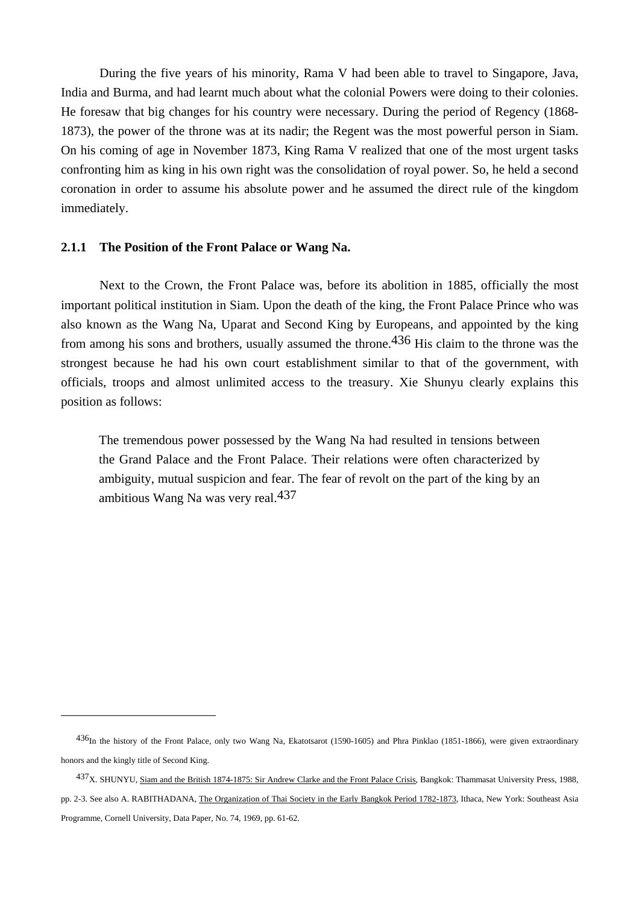During the five years of his minority, Rama V had been able to travel to Singapore, Java, India and Burma, and had learnt much about what the colonial Powers were doing to their colonies. He foresaw that big changes for his country were necessary. During the period of Regency (1868- 1873), the power of the throne was at its nadir; the Regent was the most powerful person in Siam. On his coming of age in November 1873, King Rama V realized that one of the most urgent tasks confronting him as king in his own right was the consolidation of royal power. So, he held a second coronation in order to assume his absolute power and he assumed the direct rule of the kingdom immediately.

#### **2.1.1 The Position of the Front Palace or Wang Na.**

 $\overline{a}$ 

 Next to the Crown, the Front Palace was, before its abolition in 1885, officially the most important political institution in Siam. Upon the death of the king, the Front Palace Prince who was also known as the Wang Na, Uparat and Second King by Europeans, and appointed by the king from among his sons and brothers, usually assumed the throne.<sup>436</sup> His claim to the throne was the strongest because he had his own court establishment similar to that of the government, with officials, troops and almost unlimited access to the treasury. Xie Shunyu clearly explains this position as follows:

 The tremendous power possessed by the Wang Na had resulted in tensions between the Grand Palace and the Front Palace. Their relations were often characterized by ambiguity, mutual suspicion and fear. The fear of revolt on the part of the king by an ambitious Wang Na was very real.437

<sup>436</sup>In the history of the Front Palace, only two Wang Na, Ekatotsarot (1590-1605) and Phra Pinklao (1851-1866), were given extraordinary honors and the kingly title of Second King.

<sup>437</sup>X. SHUNYU, Siam and the British 1874-1875: Sir Andrew Clarke and the Front Palace Crisis, Bangkok: Thammasat University Press, 1988, pp. 2-3. See also A. RABITHADANA, The Organization of Thai Society in the Early Bangkok Period 1782-1873, Ithaca, New York: Southeast Asia Programme, Cornell University, Data Paper, No. 74, 1969, pp. 61-62.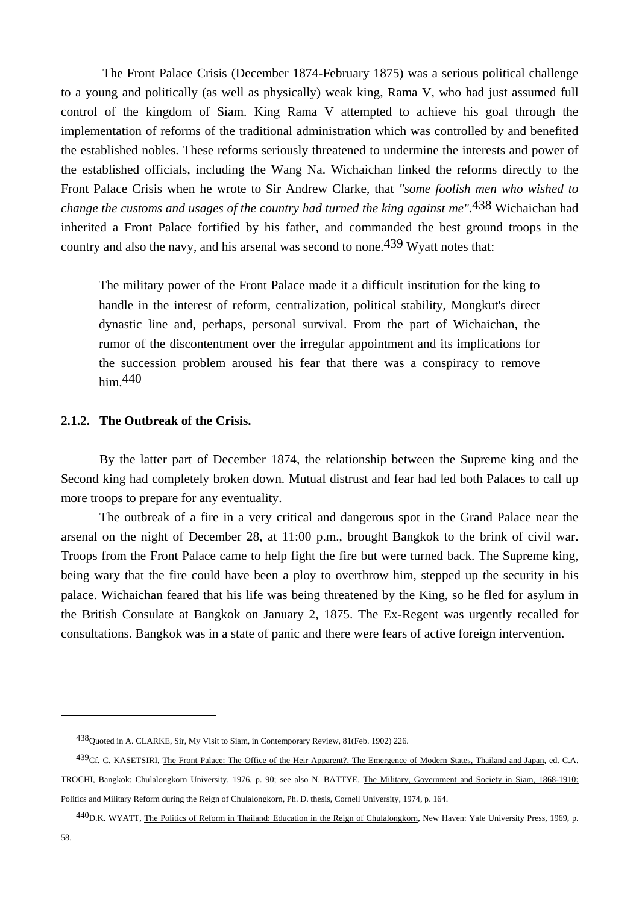The Front Palace Crisis (December 1874-February 1875) was a serious political challenge to a young and politically (as well as physically) weak king, Rama V, who had just assumed full control of the kingdom of Siam. King Rama V attempted to achieve his goal through the implementation of reforms of the traditional administration which was controlled by and benefited the established nobles. These reforms seriously threatened to undermine the interests and power of the established officials, including the Wang Na. Wichaichan linked the reforms directly to the Front Palace Crisis when he wrote to Sir Andrew Clarke, that *"some foolish men who wished to change the customs and usages of the country had turned the king against me".*438 Wichaichan had inherited a Front Palace fortified by his father, and commanded the best ground troops in the country and also the navy, and his arsenal was second to none.439 Wyatt notes that:

 The military power of the Front Palace made it a difficult institution for the king to handle in the interest of reform, centralization, political stability, Mongkut's direct dynastic line and, perhaps, personal survival. From the part of Wichaichan, the rumor of the discontentment over the irregular appointment and its implications for the succession problem aroused his fear that there was a conspiracy to remove him.440

### **2.1.2. The Outbreak of the Crisis.**

 By the latter part of December 1874, the relationship between the Supreme king and the Second king had completely broken down. Mutual distrust and fear had led both Palaces to call up more troops to prepare for any eventuality.

 The outbreak of a fire in a very critical and dangerous spot in the Grand Palace near the arsenal on the night of December 28, at 11:00 p.m., brought Bangkok to the brink of civil war. Troops from the Front Palace came to help fight the fire but were turned back. The Supreme king, being wary that the fire could have been a ploy to overthrow him, stepped up the security in his palace. Wichaichan feared that his life was being threatened by the King, so he fled for asylum in the British Consulate at Bangkok on January 2, 1875. The Ex-Regent was urgently recalled for consultations. Bangkok was in a state of panic and there were fears of active foreign intervention.

<sup>438</sup>Quoted in A. CLARKE, Sir, My Visit to Siam, in Contemporary Review, 81(Feb. 1902) 226.

<sup>439</sup>Cf. C. KASETSIRI, The Front Palace: The Office of the Heir Apparent?, The Emergence of Modern States, Thailand and Japan, ed. C.A. TROCHI, Bangkok: Chulalongkorn University, 1976, p. 90; see also N. BATTYE, The Military, Government and Society in Siam, 1868-1910: Politics and Military Reform during the Reign of Chulalongkorn, Ph. D. thesis, Cornell University, 1974, p. 164.

<sup>440</sup>D.K. WYATT, The Politics of Reform in Thailand: Education in the Reign of Chulalongkorn, New Haven: Yale University Press, 1969, p.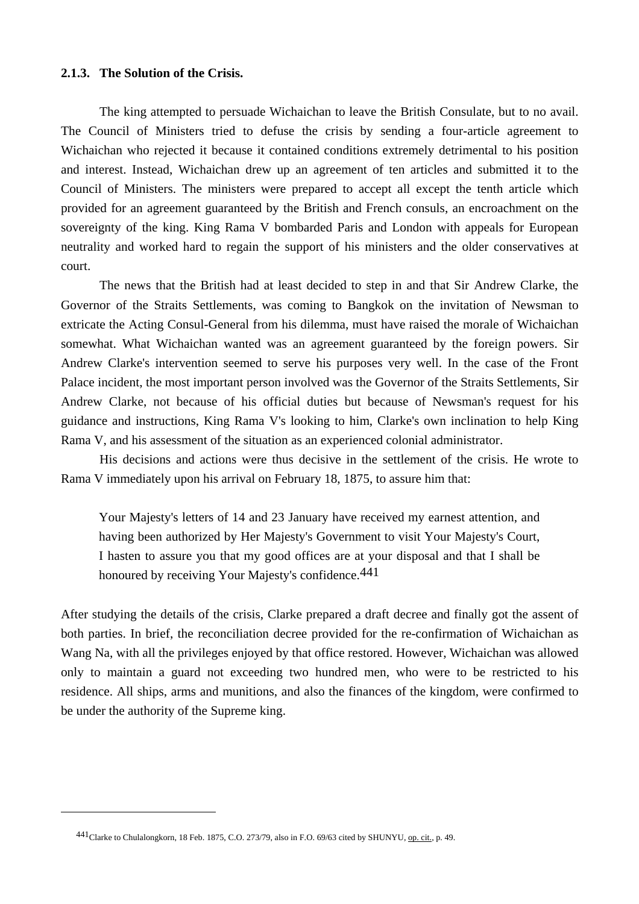#### **2.1.3. The Solution of the Crisis.**

 The king attempted to persuade Wichaichan to leave the British Consulate, but to no avail. The Council of Ministers tried to defuse the crisis by sending a four-article agreement to Wichaichan who rejected it because it contained conditions extremely detrimental to his position and interest. Instead, Wichaichan drew up an agreement of ten articles and submitted it to the Council of Ministers. The ministers were prepared to accept all except the tenth article which provided for an agreement guaranteed by the British and French consuls, an encroachment on the sovereignty of the king. King Rama V bombarded Paris and London with appeals for European neutrality and worked hard to regain the support of his ministers and the older conservatives at court.

 The news that the British had at least decided to step in and that Sir Andrew Clarke, the Governor of the Straits Settlements, was coming to Bangkok on the invitation of Newsman to extricate the Acting Consul-General from his dilemma, must have raised the morale of Wichaichan somewhat. What Wichaichan wanted was an agreement guaranteed by the foreign powers. Sir Andrew Clarke's intervention seemed to serve his purposes very well. In the case of the Front Palace incident, the most important person involved was the Governor of the Straits Settlements, Sir Andrew Clarke, not because of his official duties but because of Newsman's request for his guidance and instructions, King Rama V's looking to him, Clarke's own inclination to help King Rama V, and his assessment of the situation as an experienced colonial administrator.

 His decisions and actions were thus decisive in the settlement of the crisis. He wrote to Rama V immediately upon his arrival on February 18, 1875, to assure him that:

 Your Majesty's letters of 14 and 23 January have received my earnest attention, and having been authorized by Her Majesty's Government to visit Your Majesty's Court, I hasten to assure you that my good offices are at your disposal and that I shall be honoured by receiving Your Majesty's confidence.<sup>441</sup>

After studying the details of the crisis, Clarke prepared a draft decree and finally got the assent of both parties. In brief, the reconciliation decree provided for the re-confirmation of Wichaichan as Wang Na, with all the privileges enjoyed by that office restored. However, Wichaichan was allowed only to maintain a guard not exceeding two hundred men, who were to be restricted to his residence. All ships, arms and munitions, and also the finances of the kingdom, were confirmed to be under the authority of the Supreme king.

<sup>441</sup>Clarke to Chulalongkorn, 18 Feb. 1875, C.O. 273/79, also in F.O. 69/63 cited by SHUNYU, op. cit., p. 49.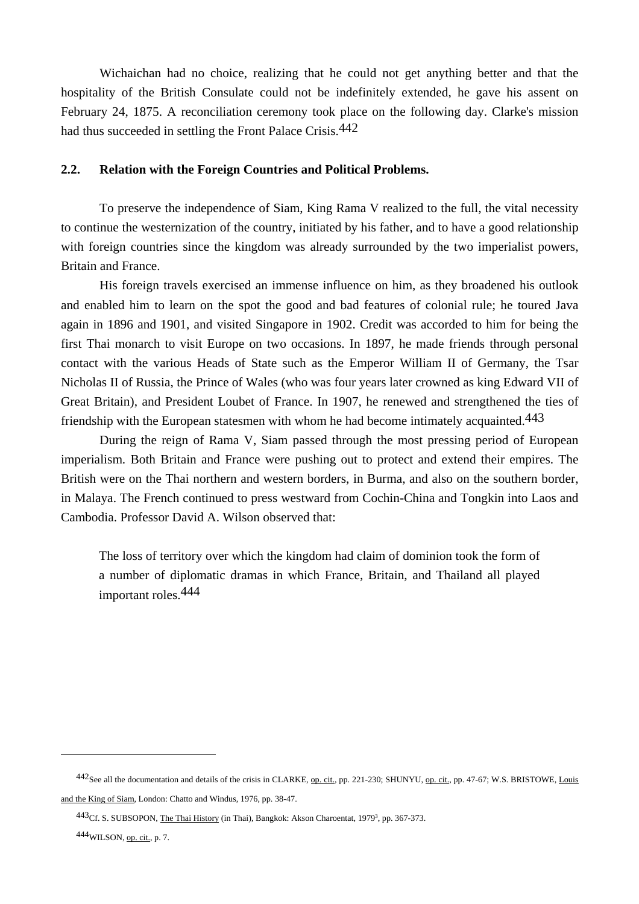Wichaichan had no choice, realizing that he could not get anything better and that the hospitality of the British Consulate could not be indefinitely extended, he gave his assent on February 24, 1875. A reconciliation ceremony took place on the following day. Clarke's mission had thus succeeded in settling the Front Palace Crisis.<sup>442</sup>

#### **2.2. Relation with the Foreign Countries and Political Problems.**

 To preserve the independence of Siam, King Rama V realized to the full, the vital necessity to continue the westernization of the country, initiated by his father, and to have a good relationship with foreign countries since the kingdom was already surrounded by the two imperialist powers, Britain and France.

 His foreign travels exercised an immense influence on him, as they broadened his outlook and enabled him to learn on the spot the good and bad features of colonial rule; he toured Java again in 1896 and 1901, and visited Singapore in 1902. Credit was accorded to him for being the first Thai monarch to visit Europe on two occasions. In 1897, he made friends through personal contact with the various Heads of State such as the Emperor William II of Germany, the Tsar Nicholas II of Russia, the Prince of Wales (who was four years later crowned as king Edward VII of Great Britain), and President Loubet of France. In 1907, he renewed and strengthened the ties of friendship with the European statesmen with whom he had become intimately acquainted.  $443$ 

 During the reign of Rama V, Siam passed through the most pressing period of European imperialism. Both Britain and France were pushing out to protect and extend their empires. The British were on the Thai northern and western borders, in Burma, and also on the southern border, in Malaya. The French continued to press westward from Cochin-China and Tongkin into Laos and Cambodia. Professor David A. Wilson observed that:

 The loss of territory over which the kingdom had claim of dominion took the form of a number of diplomatic dramas in which France, Britain, and Thailand all played important roles.444

<sup>442</sup>See all the documentation and details of the crisis in CLARKE, op. cit., pp. 221-230; SHUNYU, op. cit., pp. 47-67; W.S. BRISTOWE, Louis and the King of Siam, London: Chatto and Windus, 1976, pp. 38-47.

<sup>443&</sup>lt;sup>Cf.</sup> S. SUBSOPON, The Thai History (in Thai), Bangkok: Akson Charoentat, 1979<sup>3</sup>, pp. 367-373.

<sup>444</sup>WILSON, op. cit., p. 7.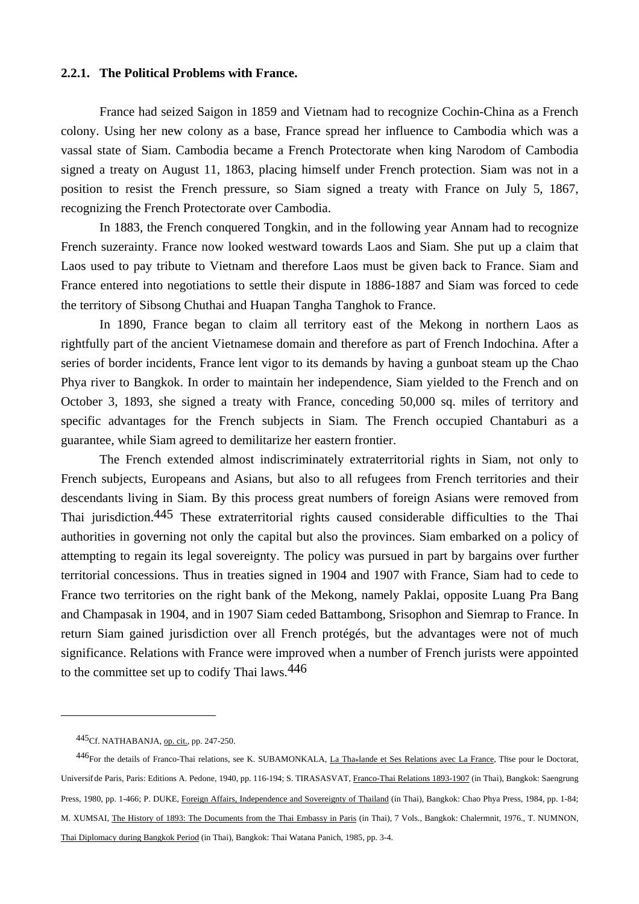### **2.2.1. The Political Problems with France.**

 France had seized Saigon in 1859 and Vietnam had to recognize Cochin-China as a French colony. Using her new colony as a base, France spread her influence to Cambodia which was a vassal state of Siam. Cambodia became a French Protectorate when king Narodom of Cambodia signed a treaty on August 11, 1863, placing himself under French protection. Siam was not in a position to resist the French pressure, so Siam signed a treaty with France on July 5, 1867, recognizing the French Protectorate over Cambodia.

 In 1883, the French conquered Tongkin, and in the following year Annam had to recognize French suzerainty. France now looked westward towards Laos and Siam. She put up a claim that Laos used to pay tribute to Vietnam and therefore Laos must be given back to France. Siam and France entered into negotiations to settle their dispute in 1886-1887 and Siam was forced to cede the territory of Sibsong Chuthai and Huapan Tangha Tanghok to France.

 In 1890, France began to claim all territory east of the Mekong in northern Laos as rightfully part of the ancient Vietnamese domain and therefore as part of French Indochina. After a series of border incidents, France lent vigor to its demands by having a gunboat steam up the Chao Phya river to Bangkok. In order to maintain her independence, Siam yielded to the French and on October 3, 1893, she signed a treaty with France, conceding 50,000 sq. miles of territory and specific advantages for the French subjects in Siam. The French occupied Chantaburi as a guarantee, while Siam agreed to demilitarize her eastern frontier.

 The French extended almost indiscriminately extraterritorial rights in Siam, not only to French subjects, Europeans and Asians, but also to all refugees from French territories and their descendants living in Siam. By this process great numbers of foreign Asians were removed from Thai jurisdiction.445 These extraterritorial rights caused considerable difficulties to the Thai authorities in governing not only the capital but also the provinces. Siam embarked on a policy of attempting to regain its legal sovereignty. The policy was pursued in part by bargains over further territorial concessions. Thus in treaties signed in 1904 and 1907 with France, Siam had to cede to France two territories on the right bank of the Mekong, namely Paklai, opposite Luang Pra Bang and Champasak in 1904, and in 1907 Siam ceded Battambong, Srisophon and Siemrap to France. In return Siam gained jurisdiction over all French protégés, but the advantages were not of much significance. Relations with France were improved when a number of French jurists were appointed to the committee set up to codify Thai laws.446

<sup>445</sup>Cf. NATHABANJA, op. cit., pp. 247-250.

<sup>446</sup>For the details of Franco-Thai relations, see K. SUBAMONKALA, La Thaolande et Ses Relations avec La France, Thse pour le Doctorat, Universit de Paris, Paris: Editions A. Pedone, 1940, pp. 116-194; S. TIRASASVAT, Franco-Thai Relations 1893-1907 (in Thai), Bangkok: Saengrung Press, 1980, pp. 1-466; P. DUKE, Foreign Affairs, Independence and Sovereignty of Thailand (in Thai), Bangkok: Chao Phya Press, 1984, pp. 1-84; M. XUMSAI, The History of 1893: The Documents from the Thai Embassy in Paris (in Thai), 7 Vols., Bangkok: Chalermnit, 1976., T. NUMNON, Thai Diplomacy during Bangkok Period (in Thai), Bangkok: Thai Watana Panich, 1985, pp. 3-4.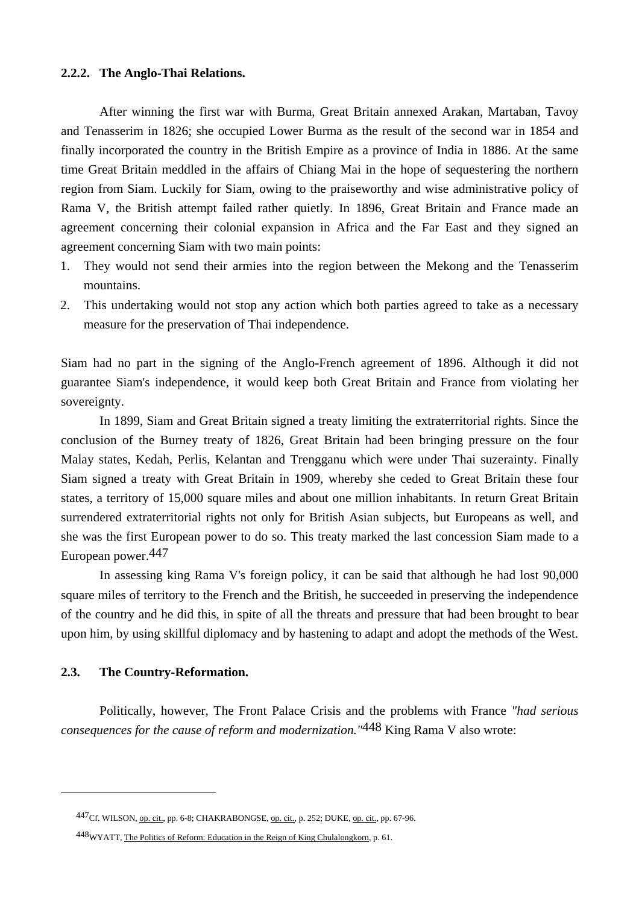### **2.2.2. The Anglo-Thai Relations.**

 After winning the first war with Burma, Great Britain annexed Arakan, Martaban, Tavoy and Tenasserim in 1826; she occupied Lower Burma as the result of the second war in 1854 and finally incorporated the country in the British Empire as a province of India in 1886. At the same time Great Britain meddled in the affairs of Chiang Mai in the hope of sequestering the northern region from Siam. Luckily for Siam, owing to the praiseworthy and wise administrative policy of Rama V, the British attempt failed rather quietly. In 1896, Great Britain and France made an agreement concerning their colonial expansion in Africa and the Far East and they signed an agreement concerning Siam with two main points:

- 1. They would not send their armies into the region between the Mekong and the Tenasserim mountains.
- 2. This undertaking would not stop any action which both parties agreed to take as a necessary measure for the preservation of Thai independence.

Siam had no part in the signing of the Anglo-French agreement of 1896. Although it did not guarantee Siam's independence, it would keep both Great Britain and France from violating her sovereignty.

 In 1899, Siam and Great Britain signed a treaty limiting the extraterritorial rights. Since the conclusion of the Burney treaty of 1826, Great Britain had been bringing pressure on the four Malay states, Kedah, Perlis, Kelantan and Trengganu which were under Thai suzerainty. Finally Siam signed a treaty with Great Britain in 1909, whereby she ceded to Great Britain these four states, a territory of 15,000 square miles and about one million inhabitants. In return Great Britain surrendered extraterritorial rights not only for British Asian subjects, but Europeans as well, and she was the first European power to do so. This treaty marked the last concession Siam made to a European power.447

 In assessing king Rama V's foreign policy, it can be said that although he had lost 90,000 square miles of territory to the French and the British, he succeeded in preserving the independence of the country and he did this, in spite of all the threats and pressure that had been brought to bear upon him, by using skillful diplomacy and by hastening to adapt and adopt the methods of the West.

#### **2.3. The Country-Reformation.**

 $\overline{a}$ 

Politically, however, The Front Palace Crisis and the problems with France *"had serious consequences for the cause of reform and modernization."*448 King Rama V also wrote:

<sup>447</sup>Cf. WILSON, op. cit., pp. 6-8; CHAKRABONGSE, op. cit., p. 252; DUKE, op. cit., pp. 67-96.

<sup>448</sup>WYATT, The Politics of Reform: Education in the Reign of King Chulalongkorn, p. 61.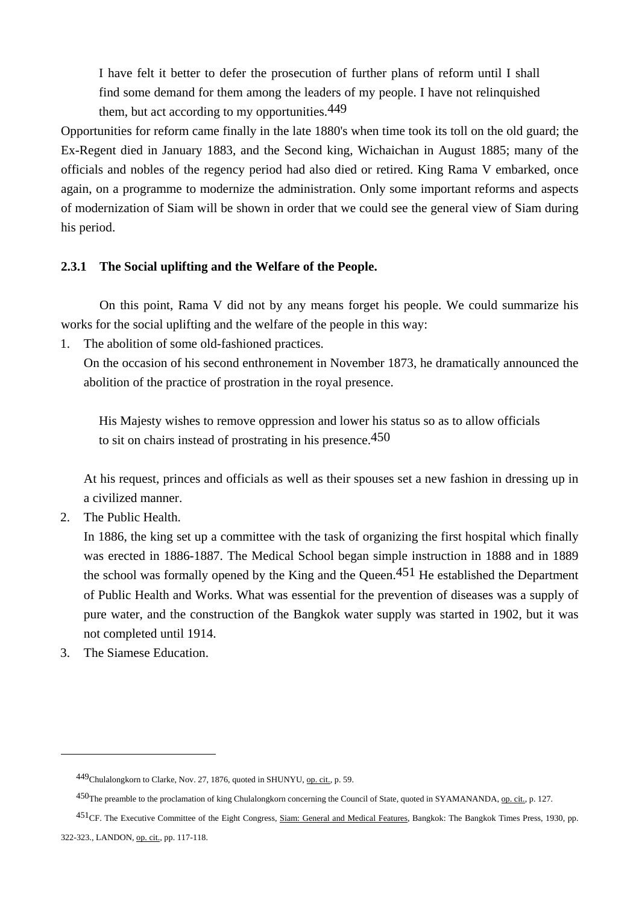I have felt it better to defer the prosecution of further plans of reform until I shall find some demand for them among the leaders of my people. I have not relinquished them, but act according to my opportunities.<sup>449</sup>

Opportunities for reform came finally in the late 1880's when time took its toll on the old guard; the Ex-Regent died in January 1883, and the Second king, Wichaichan in August 1885; many of the officials and nobles of the regency period had also died or retired. King Rama V embarked, once again, on a programme to modernize the administration. Only some important reforms and aspects of modernization of Siam will be shown in order that we could see the general view of Siam during his period.

# **2.3.1 The Social uplifting and the Welfare of the People.**

 On this point, Rama V did not by any means forget his people. We could summarize his works for the social uplifting and the welfare of the people in this way:

1. The abolition of some old-fashioned practices.

 On the occasion of his second enthronement in November 1873, he dramatically announced the abolition of the practice of prostration in the royal presence.

 His Majesty wishes to remove oppression and lower his status so as to allow officials to sit on chairs instead of prostrating in his presence.450

 At his request, princes and officials as well as their spouses set a new fashion in dressing up in a civilized manner.

2. The Public Health.

 In 1886, the king set up a committee with the task of organizing the first hospital which finally was erected in 1886-1887. The Medical School began simple instruction in 1888 and in 1889 the school was formally opened by the King and the Queen.<sup>451</sup> He established the Department of Public Health and Works. What was essential for the prevention of diseases was a supply of pure water, and the construction of the Bangkok water supply was started in 1902, but it was not completed until 1914.

3. The Siamese Education.

451CF. The Executive Committee of the Eight Congress, Siam: General and Medical Features, Bangkok: The Bangkok Times Press, 1930, pp.

<sup>449</sup>Chulalongkorn to Clarke, Nov. 27, 1876, quoted in SHUNYU, op. cit., p. 59.

<sup>450</sup>The preamble to the proclamation of king Chulalongkorn concerning the Council of State, quoted in SYAMANANDA, op. cit., p. 127.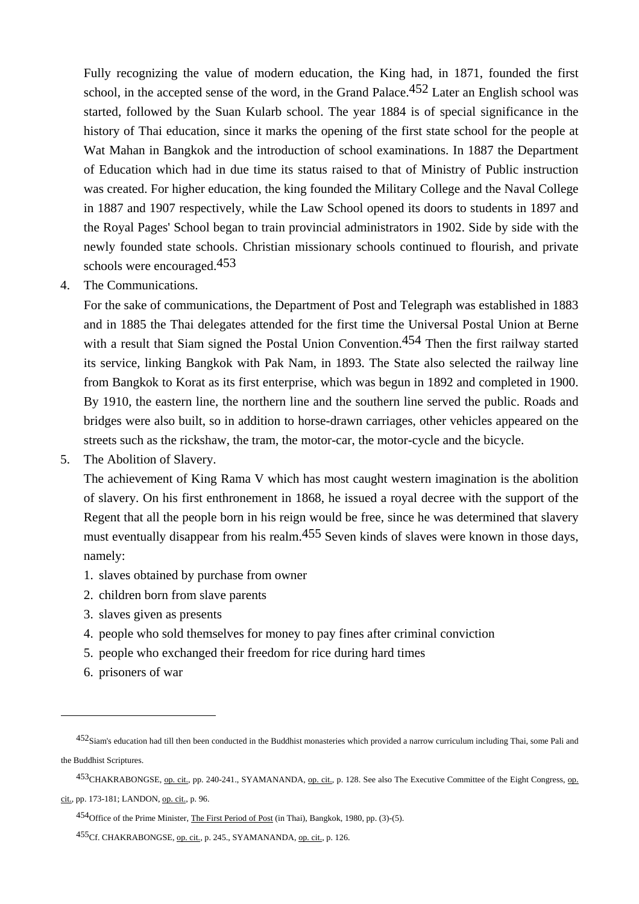Fully recognizing the value of modern education, the King had, in 1871, founded the first school, in the accepted sense of the word, in the Grand Palace.<sup>452</sup> Later an English school was started, followed by the Suan Kularb school. The year 1884 is of special significance in the history of Thai education, since it marks the opening of the first state school for the people at Wat Mahan in Bangkok and the introduction of school examinations. In 1887 the Department of Education which had in due time its status raised to that of Ministry of Public instruction was created. For higher education, the king founded the Military College and the Naval College in 1887 and 1907 respectively, while the Law School opened its doors to students in 1897 and the Royal Pages' School began to train provincial administrators in 1902. Side by side with the newly founded state schools. Christian missionary schools continued to flourish, and private schools were encouraged.453

4. The Communications.

 For the sake of communications, the Department of Post and Telegraph was established in 1883 and in 1885 the Thai delegates attended for the first time the Universal Postal Union at Berne with a result that Siam signed the Postal Union Convention.<sup>454</sup> Then the first railway started its service, linking Bangkok with Pak Nam, in 1893. The State also selected the railway line from Bangkok to Korat as its first enterprise, which was begun in 1892 and completed in 1900. By 1910, the eastern line, the northern line and the southern line served the public. Roads and bridges were also built, so in addition to horse-drawn carriages, other vehicles appeared on the streets such as the rickshaw, the tram, the motor-car, the motor-cycle and the bicycle.

5. The Abolition of Slavery.

 The achievement of King Rama V which has most caught western imagination is the abolition of slavery. On his first enthronement in 1868, he issued a royal decree with the support of the Regent that all the people born in his reign would be free, since he was determined that slavery must eventually disappear from his realm.<sup>455</sup> Seven kinds of slaves were known in those days, namely:

- 1. slaves obtained by purchase from owner
- 2. children born from slave parents
- 3. slaves given as presents
- 4. people who sold themselves for money to pay fines after criminal conviction
- 5. people who exchanged their freedom for rice during hard times
- 6. prisoners of war

 $\overline{a}$ 

453CHAKRABONGSE, op. cit., pp. 240-241., SYAMANANDA, op. cit., p. 128. See also The Executive Committee of the Eight Congress, op.

cit., pp. 173-181; LANDON, op. cit., p. 96.

<sup>452</sup>Siam's education had till then been conducted in the Buddhist monasteries which provided a narrow curriculum including Thai, some Pali and the Buddhist Scriptures.

<sup>454</sup>Office of the Prime Minister, The First Period of Post (in Thai), Bangkok, 1980, pp. (3)-(5).

<sup>455</sup>Cf. CHAKRABONGSE, op. cit., p. 245., SYAMANANDA, op. cit., p. 126.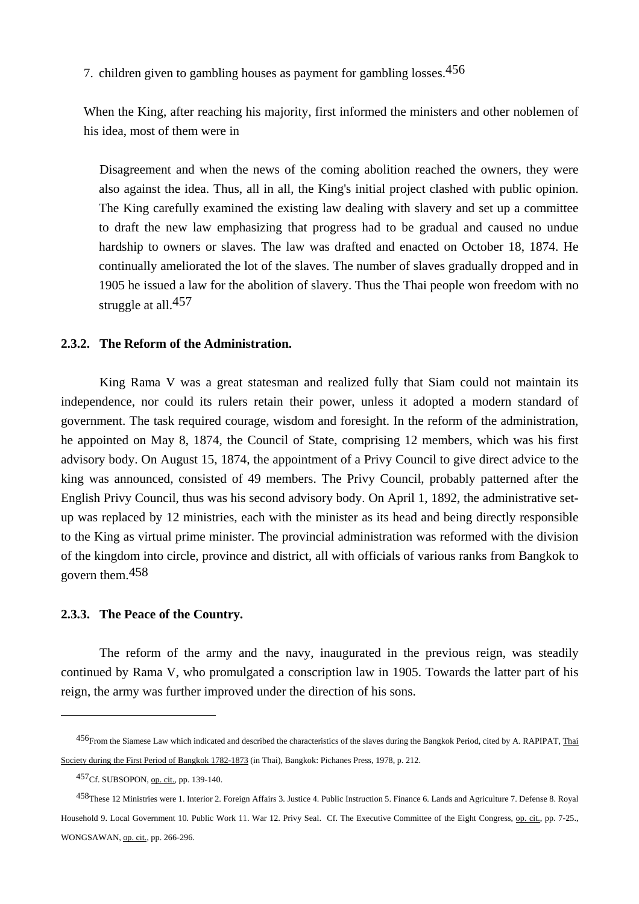7. children given to gambling houses as payment for gambling losses.456

 When the King, after reaching his majority, first informed the ministers and other noblemen of his idea, most of them were in

 Disagreement and when the news of the coming abolition reached the owners, they were also against the idea. Thus, all in all, the King's initial project clashed with public opinion. The King carefully examined the existing law dealing with slavery and set up a committee to draft the new law emphasizing that progress had to be gradual and caused no undue hardship to owners or slaves. The law was drafted and enacted on October 18, 1874. He continually ameliorated the lot of the slaves. The number of slaves gradually dropped and in 1905 he issued a law for the abolition of slavery. Thus the Thai people won freedom with no struggle at all.<sup>457</sup>

### **2.3.2. The Reform of the Administration.**

 King Rama V was a great statesman and realized fully that Siam could not maintain its independence, nor could its rulers retain their power, unless it adopted a modern standard of government. The task required courage, wisdom and foresight. In the reform of the administration, he appointed on May 8, 1874, the Council of State, comprising 12 members, which was his first advisory body. On August 15, 1874, the appointment of a Privy Council to give direct advice to the king was announced, consisted of 49 members. The Privy Council, probably patterned after the English Privy Council, thus was his second advisory body. On April 1, 1892, the administrative setup was replaced by 12 ministries, each with the minister as its head and being directly responsible to the King as virtual prime minister. The provincial administration was reformed with the division of the kingdom into circle, province and district, all with officials of various ranks from Bangkok to govern them.458

### **2.3.3. The Peace of the Country.**

 The reform of the army and the navy, inaugurated in the previous reign, was steadily continued by Rama V, who promulgated a conscription law in 1905. Towards the latter part of his reign, the army was further improved under the direction of his sons.

<sup>456</sup>From the Siamese Law which indicated and described the characteristics of the slaves during the Bangkok Period, cited by A. RAPIPAT, Thai Society during the First Period of Bangkok 1782-1873 (in Thai), Bangkok: Pichanes Press, 1978, p. 212.

<sup>457</sup>Cf. SUBSOPON, op. cit., pp. 139-140.

<sup>458</sup>These 12 Ministries were 1. Interior 2. Foreign Affairs 3. Justice 4. Public Instruction 5. Finance 6. Lands and Agriculture 7. Defense 8. Royal Household 9. Local Government 10. Public Work 11. War 12. Privy Seal. Cf. The Executive Committee of the Eight Congress, op. cit., pp. 7-25., WONGSAWAN, op. cit., pp. 266-296.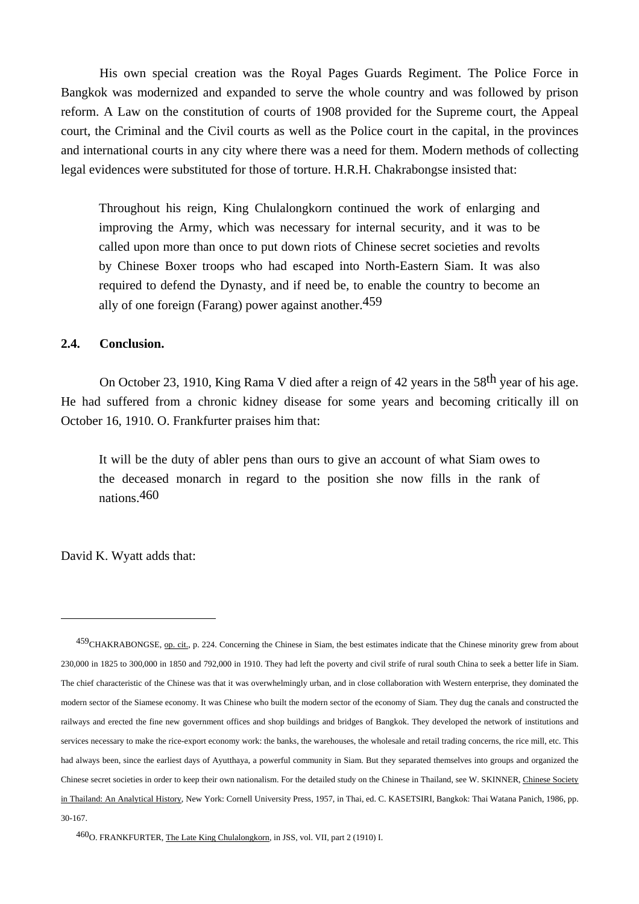His own special creation was the Royal Pages Guards Regiment. The Police Force in Bangkok was modernized and expanded to serve the whole country and was followed by prison reform. A Law on the constitution of courts of 1908 provided for the Supreme court, the Appeal court, the Criminal and the Civil courts as well as the Police court in the capital, in the provinces and international courts in any city where there was a need for them. Modern methods of collecting legal evidences were substituted for those of torture. H.R.H. Chakrabongse insisted that:

 Throughout his reign, King Chulalongkorn continued the work of enlarging and improving the Army, which was necessary for internal security, and it was to be called upon more than once to put down riots of Chinese secret societies and revolts by Chinese Boxer troops who had escaped into North-Eastern Siam. It was also required to defend the Dynasty, and if need be, to enable the country to become an ally of one foreign (Farang) power against another.459

#### **2.4. Conclusion.**

On October 23, 1910, King Rama V died after a reign of 42 years in the 58<sup>th</sup> year of his age. He had suffered from a chronic kidney disease for some years and becoming critically ill on October 16, 1910. O. Frankfurter praises him that:

 It will be the duty of abler pens than ours to give an account of what Siam owes to the deceased monarch in regard to the position she now fills in the rank of nations.460

David K. Wyatt adds that:

<sup>459</sup>CHAKRABONGSE, op. cit., p. 224. Concerning the Chinese in Siam, the best estimates indicate that the Chinese minority grew from about 230,000 in 1825 to 300,000 in 1850 and 792,000 in 1910. They had left the poverty and civil strife of rural south China to seek a better life in Siam. The chief characteristic of the Chinese was that it was overwhelmingly urban, and in close collaboration with Western enterprise, they dominated the modern sector of the Siamese economy. It was Chinese who built the modern sector of the economy of Siam. They dug the canals and constructed the railways and erected the fine new government offices and shop buildings and bridges of Bangkok. They developed the network of institutions and services necessary to make the rice-export economy work: the banks, the warehouses, the wholesale and retail trading concerns, the rice mill, etc. This had always been, since the earliest days of Ayutthaya, a powerful community in Siam. But they separated themselves into groups and organized the Chinese secret societies in order to keep their own nationalism. For the detailed study on the Chinese in Thailand, see W. SKINNER, Chinese Society in Thailand: An Analytical History, New York: Cornell University Press, 1957, in Thai, ed. C. KASETSIRI, Bangkok: Thai Watana Panich, 1986, pp. 30-167.

<sup>460</sup>O. FRANKFURTER, The Late King Chulalongkorn, in JSS, vol. VII, part 2 (1910) I.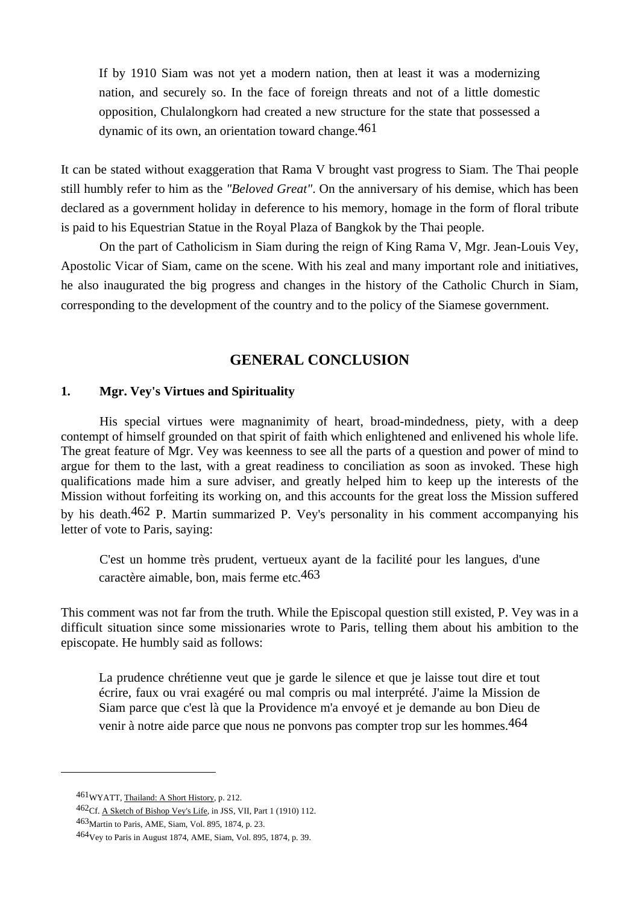If by 1910 Siam was not yet a modern nation, then at least it was a modernizing nation, and securely so. In the face of foreign threats and not of a little domestic opposition, Chulalongkorn had created a new structure for the state that possessed a dynamic of its own, an orientation toward change. 461

It can be stated without exaggeration that Rama V brought vast progress to Siam. The Thai people still humbly refer to him as the *"Beloved Great"*. On the anniversary of his demise, which has been declared as a government holiday in deference to his memory, homage in the form of floral tribute is paid to his Equestrian Statue in the Royal Plaza of Bangkok by the Thai people.

 On the part of Catholicism in Siam during the reign of King Rama V, Mgr. Jean-Louis Vey, Apostolic Vicar of Siam, came on the scene. With his zeal and many important role and initiatives, he also inaugurated the big progress and changes in the history of the Catholic Church in Siam, corresponding to the development of the country and to the policy of the Siamese government.

# **GENERAL CONCLUSION**

### **1. Mgr. Vey's Virtues and Spirituality**

 His special virtues were magnanimity of heart, broad-mindedness, piety, with a deep contempt of himself grounded on that spirit of faith which enlightened and enlivened his whole life. The great feature of Mgr. Vey was keenness to see all the parts of a question and power of mind to argue for them to the last, with a great readiness to conciliation as soon as invoked. These high qualifications made him a sure adviser, and greatly helped him to keep up the interests of the Mission without forfeiting its working on, and this accounts for the great loss the Mission suffered by his death.462 P. Martin summarized P. Vey's personality in his comment accompanying his letter of vote to Paris, saying:

 C'est un homme très prudent, vertueux ayant de la facilité pour les langues, d'une caractère aimable, bon, mais ferme etc.463

This comment was not far from the truth. While the Episcopal question still existed, P. Vey was in a difficult situation since some missionaries wrote to Paris, telling them about his ambition to the episcopate. He humbly said as follows:

 La prudence chrétienne veut que je garde le silence et que je laisse tout dire et tout écrire, faux ou vrai exagéré ou mal compris ou mal interprété. J'aime la Mission de Siam parce que c'est là que la Providence m'a envoyé et je demande au bon Dieu de venir à notre aide parce que nous ne ponvons pas compter trop sur les hommes.464

461WYATT, Thailand: A Short History, p. 212.

 $\overline{a}$ 

463Martin to Paris, AME, Siam, Vol. 895, 1874, p. 23.

 <sup>462</sup>Cf. A Sketch of Bishop Vey's Life, in JSS, VII, Part 1 (1910) 112.

<sup>464</sup>Vey to Paris in August 1874, AME, Siam, Vol. 895, 1874, p. 39.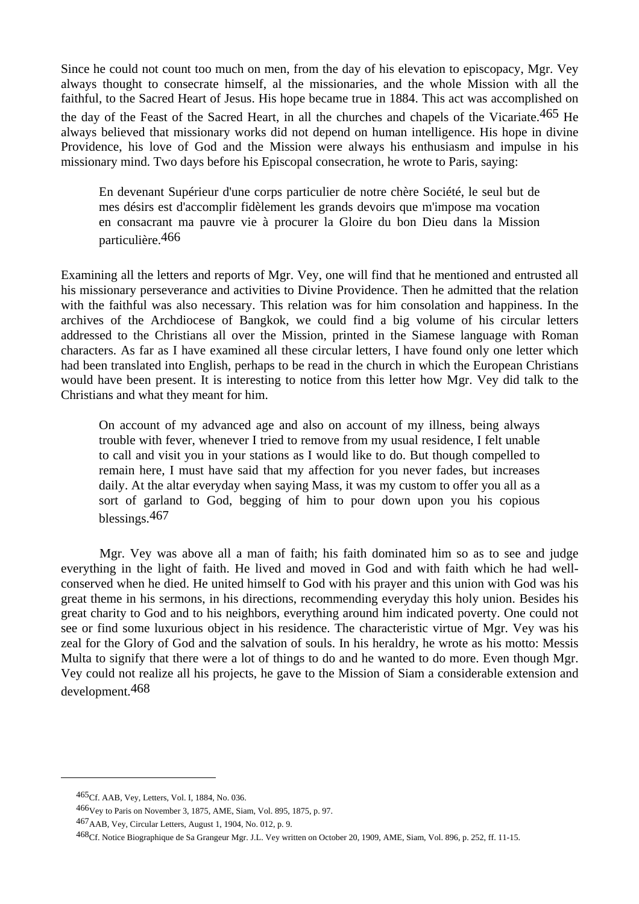Since he could not count too much on men, from the day of his elevation to episcopacy, Mgr. Vey always thought to consecrate himself, al the missionaries, and the whole Mission with all the faithful, to the Sacred Heart of Jesus. His hope became true in 1884. This act was accomplished on the day of the Feast of the Sacred Heart, in all the churches and chapels of the Vicariate.465 He always believed that missionary works did not depend on human intelligence. His hope in divine Providence, his love of God and the Mission were always his enthusiasm and impulse in his missionary mind. Two days before his Episcopal consecration, he wrote to Paris, saying:

 En devenant Supérieur d'une corps particulier de notre chère Société, le seul but de mes désirs est d'accomplir fidèlement les grands devoirs que m'impose ma vocation en consacrant ma pauvre vie à procurer la Gloire du bon Dieu dans la Mission particulière.466

Examining all the letters and reports of Mgr. Vey, one will find that he mentioned and entrusted all his missionary perseverance and activities to Divine Providence. Then he admitted that the relation with the faithful was also necessary. This relation was for him consolation and happiness. In the archives of the Archdiocese of Bangkok, we could find a big volume of his circular letters addressed to the Christians all over the Mission, printed in the Siamese language with Roman characters. As far as I have examined all these circular letters, I have found only one letter which had been translated into English, perhaps to be read in the church in which the European Christians would have been present. It is interesting to notice from this letter how Mgr. Vey did talk to the Christians and what they meant for him.

 On account of my advanced age and also on account of my illness, being always trouble with fever, whenever I tried to remove from my usual residence, I felt unable to call and visit you in your stations as I would like to do. But though compelled to remain here, I must have said that my affection for you never fades, but increases daily. At the altar everyday when saying Mass, it was my custom to offer you all as a sort of garland to God, begging of him to pour down upon you his copious blessings.467

 Mgr. Vey was above all a man of faith; his faith dominated him so as to see and judge everything in the light of faith. He lived and moved in God and with faith which he had wellconserved when he died. He united himself to God with his prayer and this union with God was his great theme in his sermons, in his directions, recommending everyday this holy union. Besides his great charity to God and to his neighbors, everything around him indicated poverty. One could not see or find some luxurious object in his residence. The characteristic virtue of Mgr. Vey was his zeal for the Glory of God and the salvation of souls. In his heraldry, he wrote as his motto: Messis Multa to signify that there were a lot of things to do and he wanted to do more. Even though Mgr. Vey could not realize all his projects, he gave to the Mission of Siam a considerable extension and development.468

<sup>465</sup>Cf. AAB, Vey, Letters, Vol. I, 1884, No. 036.

<sup>466</sup>Vey to Paris on November 3, 1875, AME, Siam, Vol. 895, 1875, p. 97.

<sup>467</sup>AAB, Vey, Circular Letters, August 1, 1904, No. 012, p. 9.

<sup>468</sup>Cf. Notice Biographique de Sa Grangeur Mgr. J.L. Vey written on October 20, 1909, AME, Siam, Vol. 896, p. 252, ff. 11-15.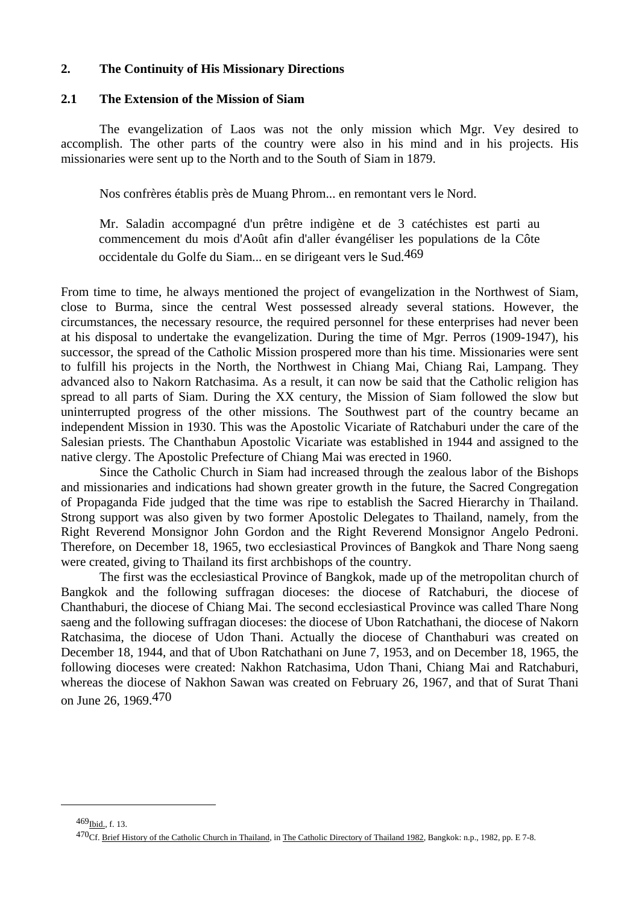#### **2. The Continuity of His Missionary Directions**

## **2.1 The Extension of the Mission of Siam**

 The evangelization of Laos was not the only mission which Mgr. Vey desired to accomplish. The other parts of the country were also in his mind and in his projects. His missionaries were sent up to the North and to the South of Siam in 1879.

Nos confrères établis près de Muang Phrom... en remontant vers le Nord.

 Mr. Saladin accompagné d'un prêtre indigène et de 3 catéchistes est parti au commencement du mois d'Août afin d'aller évangéliser les populations de la Côte occidentale du Golfe du Siam... en se dirigeant vers le Sud.469

From time to time, he always mentioned the project of evangelization in the Northwest of Siam, close to Burma, since the central West possessed already several stations. However, the circumstances, the necessary resource, the required personnel for these enterprises had never been at his disposal to undertake the evangelization. During the time of Mgr. Perros (1909-1947), his successor, the spread of the Catholic Mission prospered more than his time. Missionaries were sent to fulfill his projects in the North, the Northwest in Chiang Mai, Chiang Rai, Lampang. They advanced also to Nakorn Ratchasima. As a result, it can now be said that the Catholic religion has spread to all parts of Siam. During the XX century, the Mission of Siam followed the slow but uninterrupted progress of the other missions. The Southwest part of the country became an independent Mission in 1930. This was the Apostolic Vicariate of Ratchaburi under the care of the Salesian priests. The Chanthabun Apostolic Vicariate was established in 1944 and assigned to the native clergy. The Apostolic Prefecture of Chiang Mai was erected in 1960.

 Since the Catholic Church in Siam had increased through the zealous labor of the Bishops and missionaries and indications had shown greater growth in the future, the Sacred Congregation of Propaganda Fide judged that the time was ripe to establish the Sacred Hierarchy in Thailand. Strong support was also given by two former Apostolic Delegates to Thailand, namely, from the Right Reverend Monsignor John Gordon and the Right Reverend Monsignor Angelo Pedroni. Therefore, on December 18, 1965, two ecclesiastical Provinces of Bangkok and Thare Nong saeng were created, giving to Thailand its first archbishops of the country.

 The first was the ecclesiastical Province of Bangkok, made up of the metropolitan church of Bangkok and the following suffragan dioceses: the diocese of Ratchaburi, the diocese of Chanthaburi, the diocese of Chiang Mai. The second ecclesiastical Province was called Thare Nong saeng and the following suffragan dioceses: the diocese of Ubon Ratchathani, the diocese of Nakorn Ratchasima, the diocese of Udon Thani. Actually the diocese of Chanthaburi was created on December 18, 1944, and that of Ubon Ratchathani on June 7, 1953, and on December 18, 1965, the following dioceses were created: Nakhon Ratchasima, Udon Thani, Chiang Mai and Ratchaburi, whereas the diocese of Nakhon Sawan was created on February 26, 1967, and that of Surat Thani on June 26, 1969.470

<sup>469</sup>Ibid., f. 13.

<sup>470</sup>Cf. Brief History of the Catholic Church in Thailand, in The Catholic Directory of Thailand 1982, Bangkok: n.p., 1982, pp. E 7-8.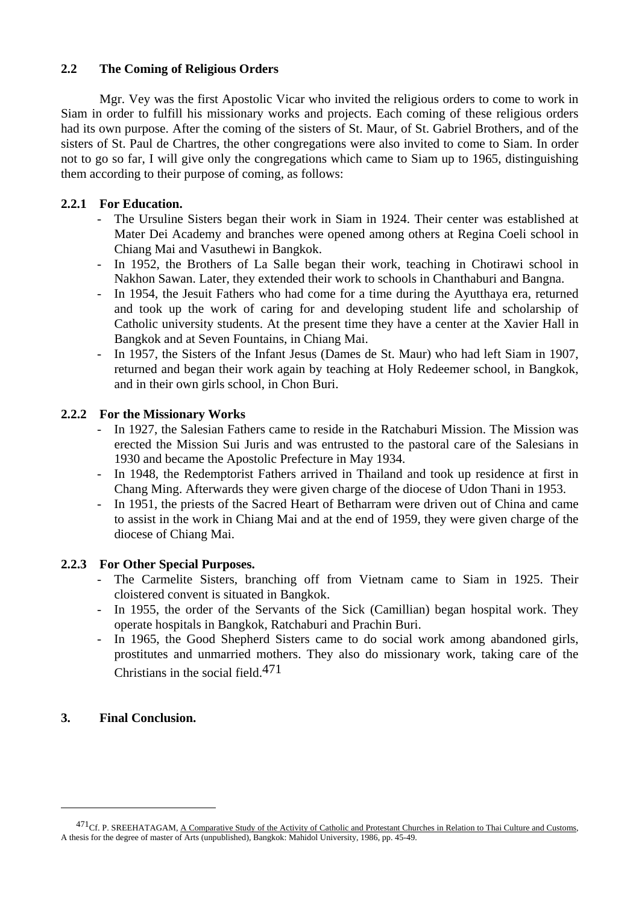## **2.2 The Coming of Religious Orders**

 Mgr. Vey was the first Apostolic Vicar who invited the religious orders to come to work in Siam in order to fulfill his missionary works and projects. Each coming of these religious orders had its own purpose. After the coming of the sisters of St. Maur, of St. Gabriel Brothers, and of the sisters of St. Paul de Chartres, the other congregations were also invited to come to Siam. In order not to go so far, I will give only the congregations which came to Siam up to 1965, distinguishing them according to their purpose of coming, as follows:

## **2.2.1 For Education.**

- The Ursuline Sisters began their work in Siam in 1924. Their center was established at Mater Dei Academy and branches were opened among others at Regina Coeli school in Chiang Mai and Vasuthewi in Bangkok.
- In 1952, the Brothers of La Salle began their work, teaching in Chotirawi school in Nakhon Sawan. Later, they extended their work to schools in Chanthaburi and Bangna.
- In 1954, the Jesuit Fathers who had come for a time during the Ayutthaya era, returned and took up the work of caring for and developing student life and scholarship of Catholic university students. At the present time they have a center at the Xavier Hall in Bangkok and at Seven Fountains, in Chiang Mai.
- In 1957, the Sisters of the Infant Jesus (Dames de St. Maur) who had left Siam in 1907, returned and began their work again by teaching at Holy Redeemer school, in Bangkok, and in their own girls school, in Chon Buri.

## **2.2.2 For the Missionary Works**

- In 1927, the Salesian Fathers came to reside in the Ratchaburi Mission. The Mission was erected the Mission Sui Juris and was entrusted to the pastoral care of the Salesians in 1930 and became the Apostolic Prefecture in May 1934.
- In 1948, the Redemptorist Fathers arrived in Thailand and took up residence at first in Chang Ming. Afterwards they were given charge of the diocese of Udon Thani in 1953.
- In 1951, the priests of the Sacred Heart of Betharram were driven out of China and came to assist in the work in Chiang Mai and at the end of 1959, they were given charge of the diocese of Chiang Mai.

## **2.2.3 For Other Special Purposes.**

- The Carmelite Sisters, branching off from Vietnam came to Siam in 1925. Their cloistered convent is situated in Bangkok.
- In 1955, the order of the Servants of the Sick (Camillian) began hospital work. They operate hospitals in Bangkok, Ratchaburi and Prachin Buri.
- In 1965, the Good Shepherd Sisters came to do social work among abandoned girls, prostitutes and unmarried mothers. They also do missionary work, taking care of the Christians in the social field.471

## **3. Final Conclusion.**

<sup>471&</sup>lt;sub>Cf.</sub> P. SREEHATAGAM, A Comparative Study of the Activity of Catholic and Protestant Churches in Relation to Thai Culture and Customs, A thesis for the degree of master of Arts (unpublished), Bangkok: Mahidol University, 1986, pp. 45-49.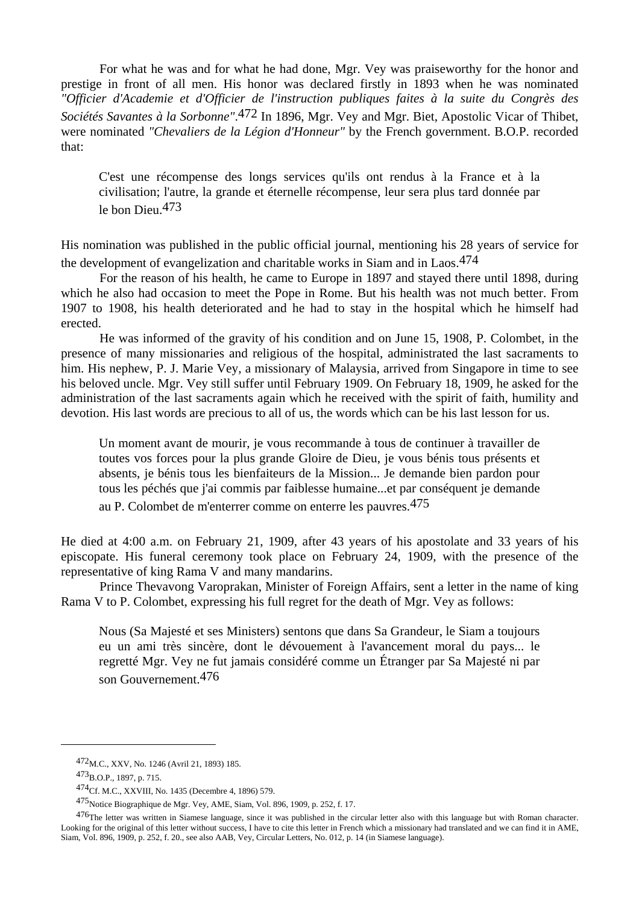For what he was and for what he had done, Mgr. Vey was praiseworthy for the honor and prestige in front of all men. His honor was declared firstly in 1893 when he was nominated *"Officier d'Academie et d'Officier de l'instruction publiques faites à la suite du Congrès des Sociétés Savantes à la Sorbonne".*<sup>472</sup> In 1896, Mgr. Vey and Mgr. Biet, Apostolic Vicar of Thibet, were nominated *"Chevaliers de la Légion d'Honneur"* by the French government. B.O.P. recorded that:

 C'est une récompense des longs services qu'ils ont rendus à la France et à la civilisation; l'autre, la grande et éternelle récompense, leur sera plus tard donnée par le bon Dieu.473

His nomination was published in the public official journal, mentioning his 28 years of service for the development of evangelization and charitable works in Siam and in Laos.474

 For the reason of his health, he came to Europe in 1897 and stayed there until 1898, during which he also had occasion to meet the Pope in Rome. But his health was not much better. From 1907 to 1908, his health deteriorated and he had to stay in the hospital which he himself had erected.

 He was informed of the gravity of his condition and on June 15, 1908, P. Colombet, in the presence of many missionaries and religious of the hospital, administrated the last sacraments to him. His nephew, P. J. Marie Vey, a missionary of Malaysia, arrived from Singapore in time to see his beloved uncle. Mgr. Vey still suffer until February 1909. On February 18, 1909, he asked for the administration of the last sacraments again which he received with the spirit of faith, humility and devotion. His last words are precious to all of us, the words which can be his last lesson for us.

 Un moment avant de mourir, je vous recommande à tous de continuer à travailler de toutes vos forces pour la plus grande Gloire de Dieu, je vous bénis tous présents et absents, je bénis tous les bienfaiteurs de la Mission... Je demande bien pardon pour tous les péchés que j'ai commis par faiblesse humaine...et par conséquent je demande au P. Colombet de m'enterrer comme on enterre les pauvres.475

He died at 4:00 a.m. on February 21, 1909, after 43 years of his apostolate and 33 years of his episcopate. His funeral ceremony took place on February 24, 1909, with the presence of the representative of king Rama V and many mandarins.

 Prince Thevavong Varoprakan, Minister of Foreign Affairs, sent a letter in the name of king Rama V to P. Colombet, expressing his full regret for the death of Mgr. Vey as follows:

 Nous (Sa Majesté et ses Ministers) sentons que dans Sa Grandeur, le Siam a toujours eu un ami très sincère, dont le dévouement à l'avancement moral du pays... le regretté Mgr. Vey ne fut jamais considéré comme un Étranger par Sa Majesté ni par son Gouvernement.476

<sup>472</sup>M.C., XXV, No. 1246 (Avril 21, 1893) 185.

<sup>473</sup>B.O.P., 1897, p. 715.

<sup>474</sup>Cf. M.C., XXVIII, No. 1435 (Decembre 4, 1896) 579.

<sup>475</sup>Notice Biographique de Mgr. Vey, AME, Siam, Vol. 896, 1909, p. 252, f. 17.

<sup>476</sup>The letter was written in Siamese language, since it was published in the circular letter also with this language but with Roman character. Looking for the original of this letter without success, I have to cite this letter in French which a missionary had translated and we can find it in AME, Siam, Vol. 896, 1909, p. 252, f. 20., see also AAB, Vey, Circular Letters, No. 012, p. 14 (in Siamese language).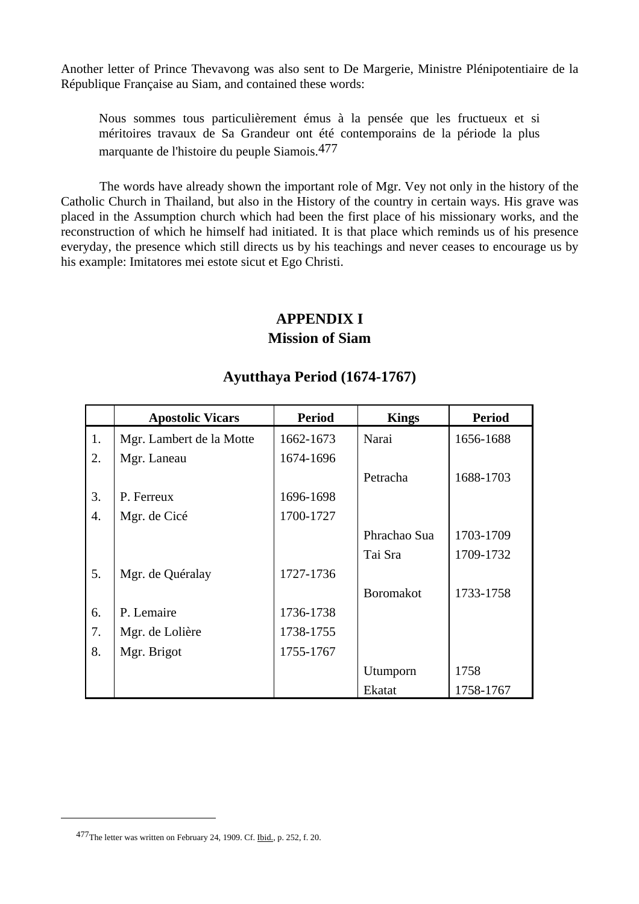Another letter of Prince Thevavong was also sent to De Margerie, Ministre Plénipotentiaire de la République Française au Siam, and contained these words:

 Nous sommes tous particulièrement émus à la pensée que les fructueux et si méritoires travaux de Sa Grandeur ont été contemporains de la période la plus marquante de l'histoire du peuple Siamois.477

 The words have already shown the important role of Mgr. Vey not only in the history of the Catholic Church in Thailand, but also in the History of the country in certain ways. His grave was placed in the Assumption church which had been the first place of his missionary works, and the reconstruction of which he himself had initiated. It is that place which reminds us of his presence everyday, the presence which still directs us by his teachings and never ceases to encourage us by his example: Imitatores mei estote sicut et Ego Christi.

## **APPENDIX I Mission of Siam**

|    | <b>Apostolic Vicars</b>  | <b>Period</b> | <b>Kings</b>     | <b>Period</b> |
|----|--------------------------|---------------|------------------|---------------|
| 1. | Mgr. Lambert de la Motte | 1662-1673     | Narai            | 1656-1688     |
| 2. | Mgr. Laneau              | 1674-1696     |                  |               |
|    |                          |               | Petracha         | 1688-1703     |
| 3. | P. Ferreux               | 1696-1698     |                  |               |
| 4. | Mgr. de Cicé             | 1700-1727     |                  |               |
|    |                          |               | Phrachao Sua     | 1703-1709     |
|    |                          |               | Tai Sra          | 1709-1732     |
| 5. | Mgr. de Quéralay         | 1727-1736     |                  |               |
|    |                          |               | <b>Boromakot</b> | 1733-1758     |
| 6. | P. Lemaire               | 1736-1738     |                  |               |
| 7. | Mgr. de Lolière          | 1738-1755     |                  |               |
| 8. | Mgr. Brigot              | 1755-1767     |                  |               |
|    |                          |               | Utumporn         | 1758          |
|    |                          |               | Ekatat           | 1758-1767     |

## **Ayutthaya Period (1674-1767)**

<sup>477</sup>The letter was written on February 24, 1909. Cf. Ibid., p. 252, f. 20.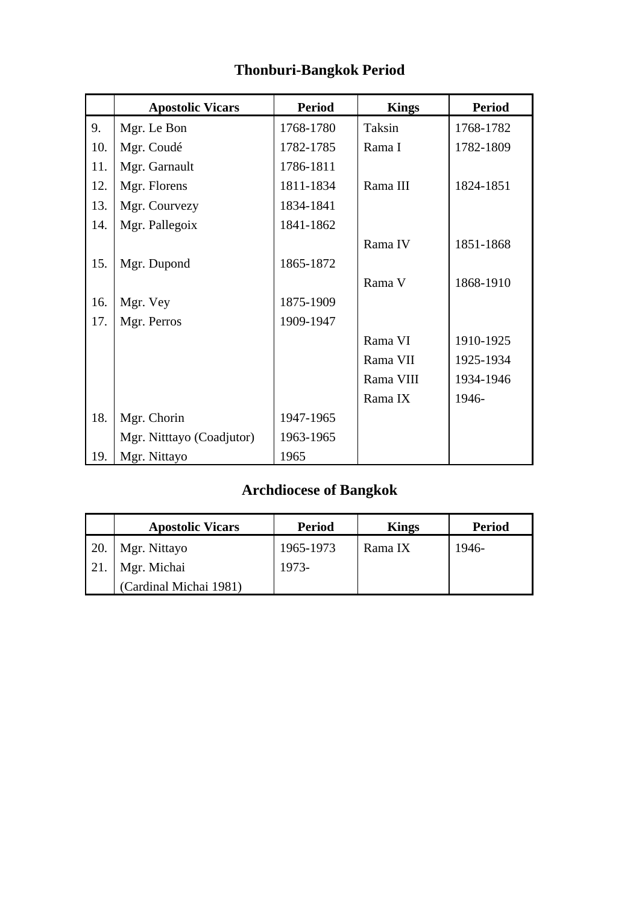|     | <b>Apostolic Vicars</b>   | <b>Period</b> | <b>Kings</b> | <b>Period</b> |
|-----|---------------------------|---------------|--------------|---------------|
| 9.  | Mgr. Le Bon               | 1768-1780     | Taksin       | 1768-1782     |
| 10. | Mgr. Coudé                | 1782-1785     | Rama I       | 1782-1809     |
| 11. | Mgr. Garnault             | 1786-1811     |              |               |
| 12. | Mgr. Florens              | 1811-1834     | Rama III     | 1824-1851     |
| 13. | Mgr. Courvezy             | 1834-1841     |              |               |
| 14. | Mgr. Pallegoix            | 1841-1862     |              |               |
|     |                           |               | Rama IV      | 1851-1868     |
| 15. | Mgr. Dupond               | 1865-1872     |              |               |
|     |                           |               | Rama V       | 1868-1910     |
| 16. | Mgr. Vey                  | 1875-1909     |              |               |
| 17. | Mgr. Perros               | 1909-1947     |              |               |
|     |                           |               | Rama VI      | 1910-1925     |
|     |                           |               | Rama VII     | 1925-1934     |
|     |                           |               | Rama VIII    | 1934-1946     |
|     |                           |               | Rama IX      | 1946-         |
| 18. | Mgr. Chorin               | 1947-1965     |              |               |
|     | Mgr. Nitttayo (Coadjutor) | 1963-1965     |              |               |
| 19. | Mgr. Nittayo              | 1965          |              |               |

# **Thonburi-Bangkok Period**

# **Archdiocese of Bangkok**

|            | <b>Apostolic Vicars</b> | <b>Period</b> | <b>Kings</b> | <b>Period</b> |
|------------|-------------------------|---------------|--------------|---------------|
| <b>20.</b> | Mgr. Nittayo            | 1965-1973     | Rama IX      | 1946-         |
| 21.        | Mgr. Michai             | 1973-         |              |               |
|            | (Cardinal Michai 1981)  |               |              |               |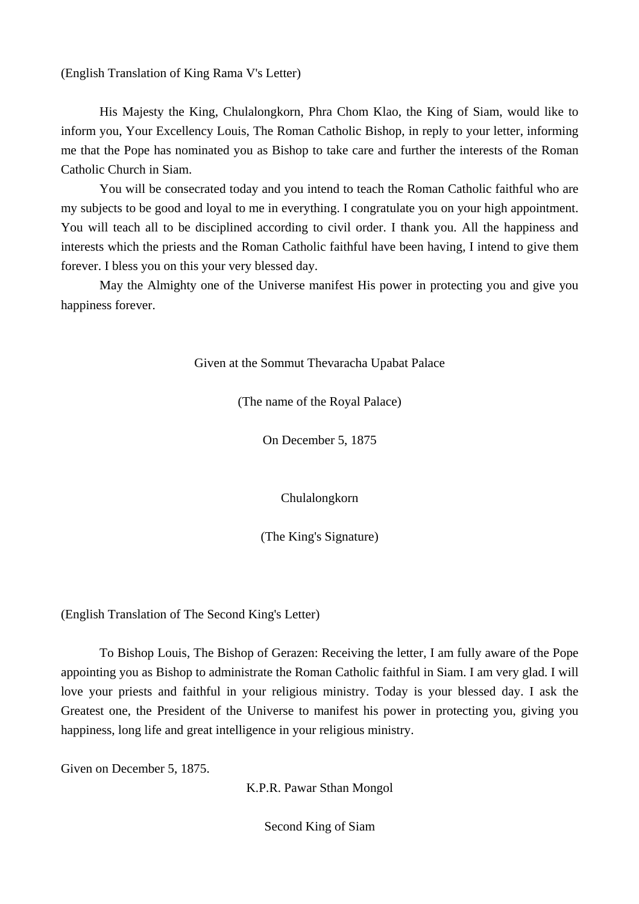(English Translation of King Rama V's Letter)

 His Majesty the King, Chulalongkorn, Phra Chom Klao, the King of Siam, would like to inform you, Your Excellency Louis, The Roman Catholic Bishop, in reply to your letter, informing me that the Pope has nominated you as Bishop to take care and further the interests of the Roman Catholic Church in Siam.

 You will be consecrated today and you intend to teach the Roman Catholic faithful who are my subjects to be good and loyal to me in everything. I congratulate you on your high appointment. You will teach all to be disciplined according to civil order. I thank you. All the happiness and interests which the priests and the Roman Catholic faithful have been having, I intend to give them forever. I bless you on this your very blessed day.

 May the Almighty one of the Universe manifest His power in protecting you and give you happiness forever.

Given at the Sommut Thevaracha Upabat Palace

(The name of the Royal Palace)

On December 5, 1875

Chulalongkorn

(The King's Signature)

(English Translation of The Second King's Letter)

 To Bishop Louis, The Bishop of Gerazen: Receiving the letter, I am fully aware of the Pope appointing you as Bishop to administrate the Roman Catholic faithful in Siam. I am very glad. I will love your priests and faithful in your religious ministry. Today is your blessed day. I ask the Greatest one, the President of the Universe to manifest his power in protecting you, giving you happiness, long life and great intelligence in your religious ministry.

Given on December 5, 1875.

K.P.R. Pawar Sthan Mongol

Second King of Siam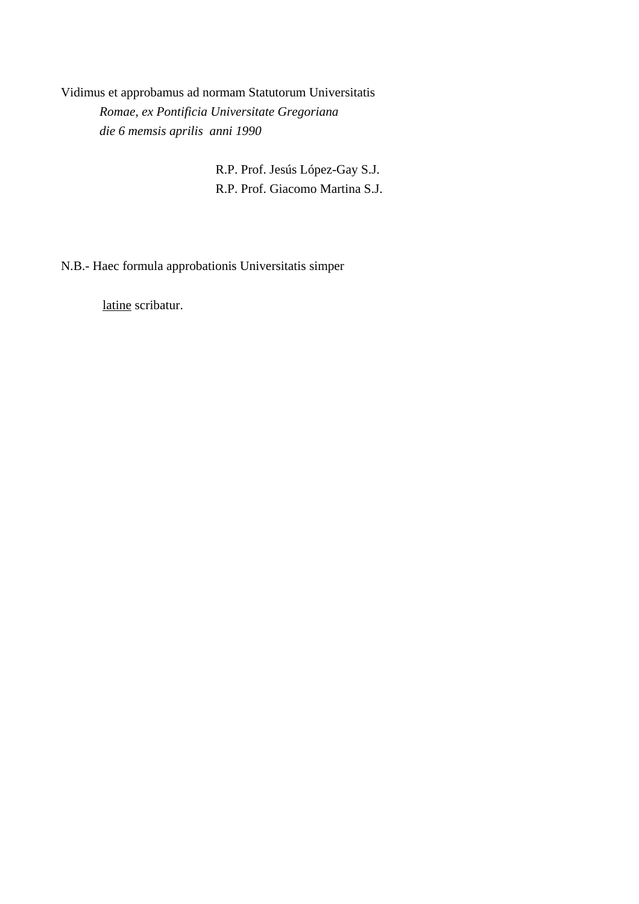Vidimus et approbamus ad normam Statutorum Universitatis *Romae, ex Pontificia Universitate Gregoriana die 6 memsis aprilis anni 1990* 

> R.P. Prof. Jesús López-Gay S.J. R.P. Prof. Giacomo Martina S.J.

N.B.- Haec formula approbationis Universitatis simper

latine scribatur.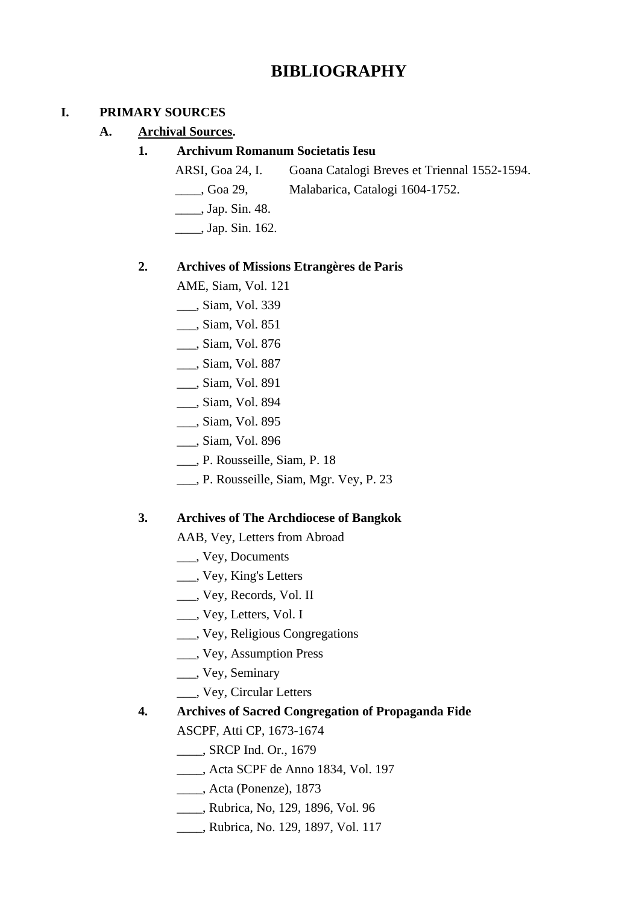# **BIBLIOGRAPHY**

### **I. PRIMARY SOURCES**

 **A. Archival Sources.** 

### **1. Archivum Romanum Societatis Iesu**

- ARSI, Goa 24, I. Goana Catalogi Breves et Triennal 1552-1594.
- \_\_\_\_, Goa 29, Malabarica, Catalogi 1604-1752.
- \_\_\_\_, Jap. Sin. 48.
- \_\_\_\_, Jap. Sin. 162.

## **2. Archives of Missions Etrangères de Paris**

- AME, Siam, Vol. 121
- \_\_\_, Siam, Vol. 339
- \_\_\_, Siam, Vol. 851
- \_\_\_, Siam, Vol. 876
- \_\_\_, Siam, Vol. 887
- \_\_\_, Siam, Vol. 891
- \_\_\_, Siam, Vol. 894
- \_\_\_, Siam, Vol. 895
- \_\_\_, Siam, Vol. 896
- \_\_\_, P. Rousseille, Siam, P. 18
- \_\_\_, P. Rousseille, Siam, Mgr. Vey, P. 23

#### **3. Archives of The Archdiocese of Bangkok**

AAB, Vey, Letters from Abroad

- \_\_\_, Vey, Documents
- \_\_\_, Vey, King's Letters
- \_\_\_, Vey, Records, Vol. II
- \_\_\_, Vey, Letters, Vol. I
- \_\_\_, Vey, Religious Congregations
- \_\_\_, Vey, Assumption Press
- \_\_\_, Vey, Seminary
- \_\_\_, Vey, Circular Letters

## **4. Archives of Sacred Congregation of Propaganda Fide**

ASCPF, Atti CP, 1673-1674

\_\_\_\_, SRCP Ind. Or., 1679

- \_\_\_\_, Acta SCPF de Anno 1834, Vol. 197
- \_\_\_\_, Acta (Ponenze), 1873
- \_\_\_\_, Rubrica, No, 129, 1896, Vol. 96
- \_\_\_\_, Rubrica, No. 129, 1897, Vol. 117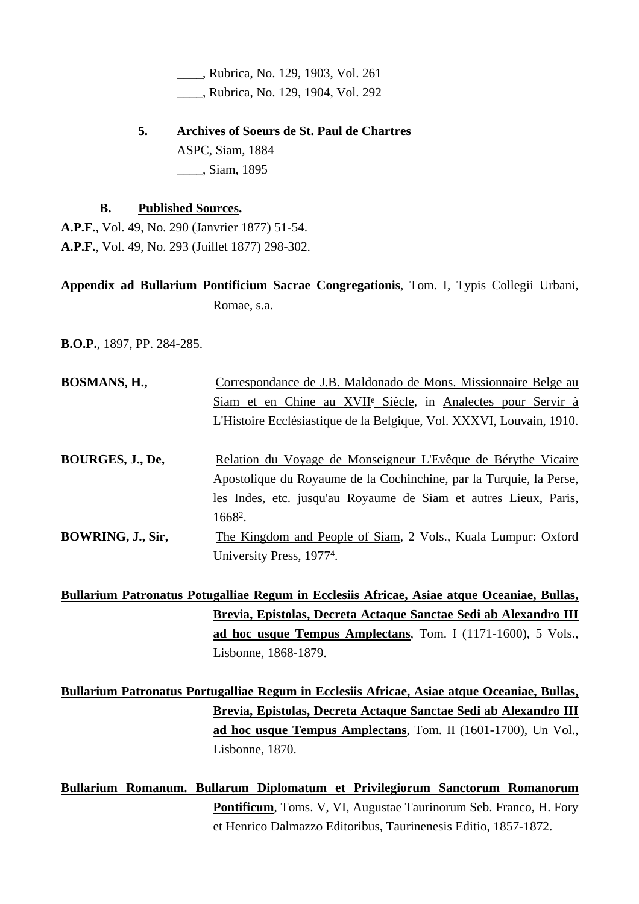\_\_\_\_, Rubrica, No. 129, 1903, Vol. 261 \_\_\_\_, Rubrica, No. 129, 1904, Vol. 292

 **5. Archives of Soeurs de St. Paul de Chartres**  ASPC, Siam, 1884 \_\_\_\_, Siam, 1895

#### **B. Published Sources.**

**A.P.F.**, Vol. 49, No. 290 (Janvrier 1877) 51-54. **A.P.F.**, Vol. 49, No. 293 (Juillet 1877) 298-302.

**Appendix ad Bullarium Pontificium Sacrae Congregationis**, Tom. I, Typis Collegii Urbani, Romae, s.a.

**B.O.P.**, 1897, PP. 284-285.

| <b>BOSMANS, H.,</b> | Correspondance de J.B. Maldonado de Mons. Missionnaire Belge au          |
|---------------------|--------------------------------------------------------------------------|
|                     | Siam et en Chine au XVII <sup>e</sup> Siècle, in Analectes pour Servir à |
|                     | L'Histoire Ecclésiastique de la Belgique, Vol. XXXVI, Louvain, 1910.     |
|                     |                                                                          |
| BOURGES, J., De,    | Relation du Voyage de Monseigneur L'Evêque de Bérythe Vicaire            |
|                     | Apostolique du Royaume de la Cochinchine, par la Turquie, la Perse,      |
|                     | les Indes, etc. jusqu'au Royaume de Siam et autres Lieux, Paris,         |
|                     | $1668^2$ .                                                               |
| BOWRING, J., Sir,   | The Kingdom and People of Siam, 2 Vols., Kuala Lumpur: Oxford            |
|                     | University Press, 1977 <sup>4</sup> .                                    |

**Bullarium Patronatus Potugalliae Regum in Ecclesiis Africae, Asiae atque Oceaniae, Bullas, Brevia, Epistolas, Decreta Actaque Sanctae Sedi ab Alexandro III ad hoc usque Tempus Amplectans**, Tom. I (1171-1600), 5 Vols., Lisbonne, 1868-1879.

**Bullarium Patronatus Portugalliae Regum in Ecclesiis Africae, Asiae atque Oceaniae, Bullas, Brevia, Epistolas, Decreta Actaque Sanctae Sedi ab Alexandro III ad hoc usque Tempus Amplectans**, Tom. II (1601-1700), Un Vol., Lisbonne, 1870.

**Bullarium Romanum. Bullarum Diplomatum et Privilegiorum Sanctorum Romanorum Pontificum**, Toms. V, VI, Augustae Taurinorum Seb. Franco, H. Fory et Henrico Dalmazzo Editoribus, Taurinenesis Editio, 1857-1872.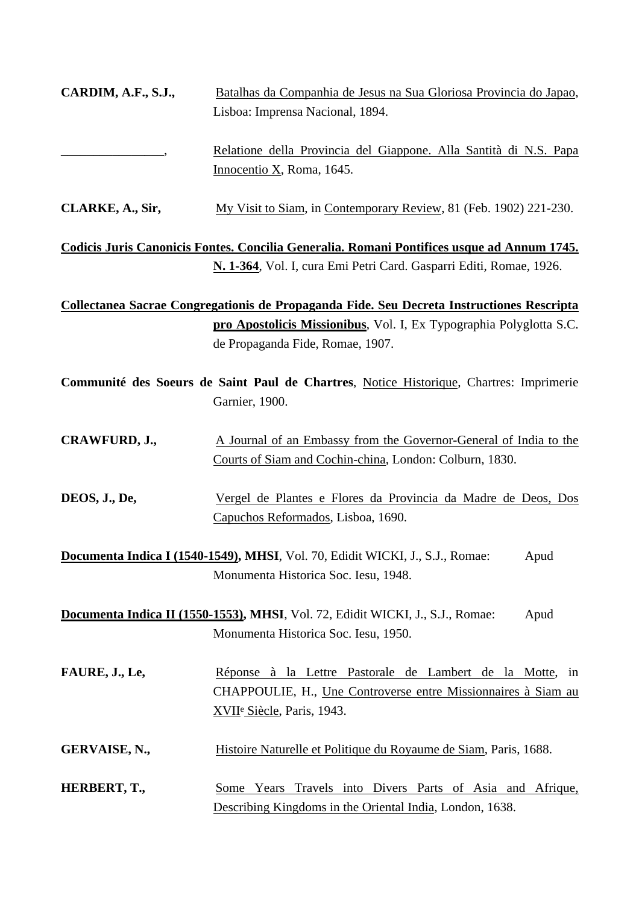| <b>CARDIM, A.F., S.J.,</b> | Batalhas da Companhia de Jesus na Sua Gloriosa Provincia do Japao, |
|----------------------------|--------------------------------------------------------------------|
|                            | Lisboa: Imprensa Nacional, 1894.                                   |
|                            | Relatione della Provincia del Giappone. Alla Santità di N.S. Papa  |
|                            | Innocentio X, Roma, 1645.                                          |

**CLARKE, A., Sir,** My Visit to Siam, in Contemporary Review, 81 (Feb. 1902) 221-230.

**Codicis Juris Canonicis Fontes. Concilia Generalia. Romani Pontifices usque ad Annum 1745. N. 1-364**, Vol. I, cura Emi Petri Card. Gasparri Editi, Romae, 1926.

**Collectanea Sacrae Congregationis de Propaganda Fide. Seu Decreta Instructiones Rescripta pro Apostolicis Missionibus**, Vol. I, Ex Typographia Polyglotta S.C. de Propaganda Fide, Romae, 1907.

| Communité des Soeurs de Saint Paul de Chartres, Notice Historique, Chartres: Imprimerie |  |                |  |  |  |  |
|-----------------------------------------------------------------------------------------|--|----------------|--|--|--|--|
|                                                                                         |  | Garnier, 1900. |  |  |  |  |

**CRAWFURD, J.,** A Journal of an Embassy from the Governor-General of India to the Courts of Siam and Cochin-china, London: Colburn, 1830.

**DEOS, J., De,** Vergel de Plantes e Flores da Provincia da Madre de Deos, Dos Capuchos Reformados, Lisboa, 1690.

**Documenta Indica I (1540-1549), MHSI**, Vol. 70, Edidit WICKI, J., S.J., Romae: Apud Monumenta Historica Soc. Iesu, 1948.

**Documenta Indica II (1550-1553), MHSI**, Vol. 72, Edidit WICKI, J., S.J., Romae: Apud Monumenta Historica Soc. Iesu, 1950.

**FAURE, J., Le,** Réponse à la Lettre Pastorale de Lambert de la Motte, in CHAPPOULIE, H., Une Controverse entre Missionnaires à Siam au XVIIe Siècle, Paris, 1943.

GERVAISE, N., **Histoire Naturelle et Politique du Royaume de Siam, Paris, 1688.** 

**HERBERT, T.,** Some Years Travels into Divers Parts of Asia and Afrique, Describing Kingdoms in the Oriental India, London, 1638.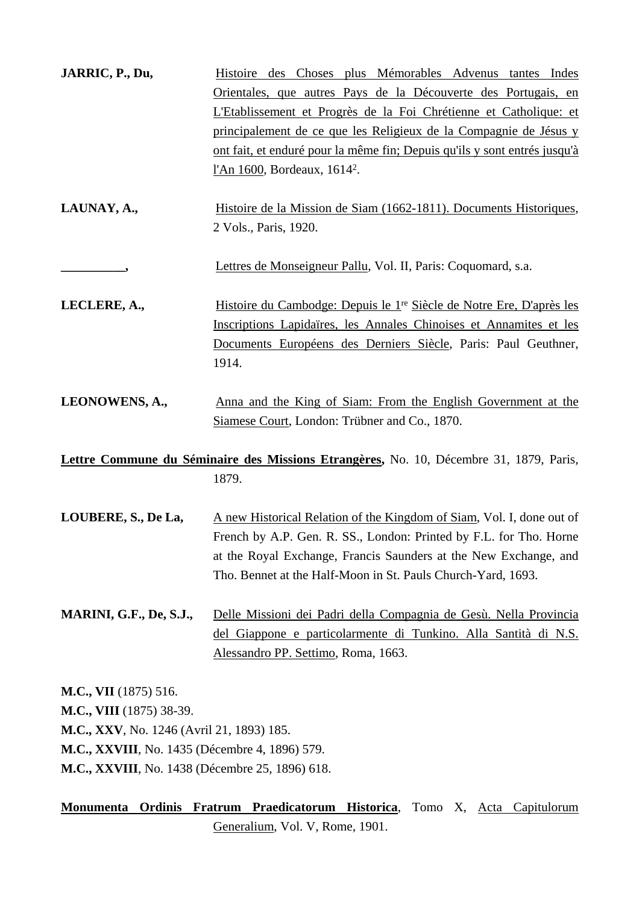| JARRIC, P., Du,                                                                                                                                                                                                    | Histoire des Choses plus Mémorables Advenus tantes Indes<br>Orientales, que autres Pays de la Découverte des Portugais, en<br>L'Etablissement et Progrès de la Foi Chrétienne et Catholique: et<br>principalement de ce que les Religieux de la Compagnie de Jésus y<br><u>ont fait, et enduré pour la même fin; Depuis qu'ils y sont entrés jusqu'à</u><br>l'An 1600, Bordeaux, 1614 <sup>2</sup> . |
|--------------------------------------------------------------------------------------------------------------------------------------------------------------------------------------------------------------------|------------------------------------------------------------------------------------------------------------------------------------------------------------------------------------------------------------------------------------------------------------------------------------------------------------------------------------------------------------------------------------------------------|
| LAUNAY, A.,                                                                                                                                                                                                        | Histoire de la Mission de Siam (1662-1811). Documents Historiques,<br>2 Vols., Paris, 1920.                                                                                                                                                                                                                                                                                                          |
| -,                                                                                                                                                                                                                 | Lettres de Monseigneur Pallu, Vol. II, Paris: Coquomard, s.a.                                                                                                                                                                                                                                                                                                                                        |
| LECLERE, A.,                                                                                                                                                                                                       | Histoire du Cambodge: Depuis le 1 <sup>re</sup> Siècle de Notre Ere, D'après les<br>Inscriptions Lapidaïres, les Annales Chinoises et Annamites et les<br>Documents Européens des Derniers Siècle, Paris: Paul Geuthner,<br>1914.                                                                                                                                                                    |
| LEONOWENS, A.,                                                                                                                                                                                                     | Anna and the King of Siam: From the English Government at the<br>Siamese Court, London: Trübner and Co., 1870.                                                                                                                                                                                                                                                                                       |
|                                                                                                                                                                                                                    | Lettre Commune du Séminaire des Missions Etrangères, No. 10, Décembre 31, 1879, Paris,                                                                                                                                                                                                                                                                                                               |
|                                                                                                                                                                                                                    | 1879.                                                                                                                                                                                                                                                                                                                                                                                                |
| LOUBERE, S., De La,                                                                                                                                                                                                | A new Historical Relation of the Kingdom of Siam, Vol. I, done out of<br>French by A.P. Gen. R. SS., London: Printed by F.L. for Tho. Horne<br>at the Royal Exchange, Francis Saunders at the New Exchange, and<br>Tho. Bennet at the Half-Moon in St. Pauls Church-Yard, 1693.                                                                                                                      |
| MARINI, G.F., De, S.J.,                                                                                                                                                                                            | Delle Missioni dei Padri della Compagnia de Gesù. Nella Provincia<br>del Giappone e particolarmente di Tunkino. Alla Santità di N.S.<br>Alessandro PP. Settimo, Roma, 1663.                                                                                                                                                                                                                          |
| <b>M.C., VII</b> (1875) 516.<br>M.C., VIII (1875) 38-39.<br>M.C., XXV, No. 1246 (Avril 21, 1893) 185.<br>M.C., XXVIII, No. 1435 (Décembre 4, 1896) 579.<br><b>M.C., XXVIII</b> , No. 1438 (Décembre 25, 1896) 618. |                                                                                                                                                                                                                                                                                                                                                                                                      |

**Monumenta Ordinis Fratrum Praedicatorum Historica**, Tomo X, Acta Capitulorum Generalium, Vol. V, Rome, 1901.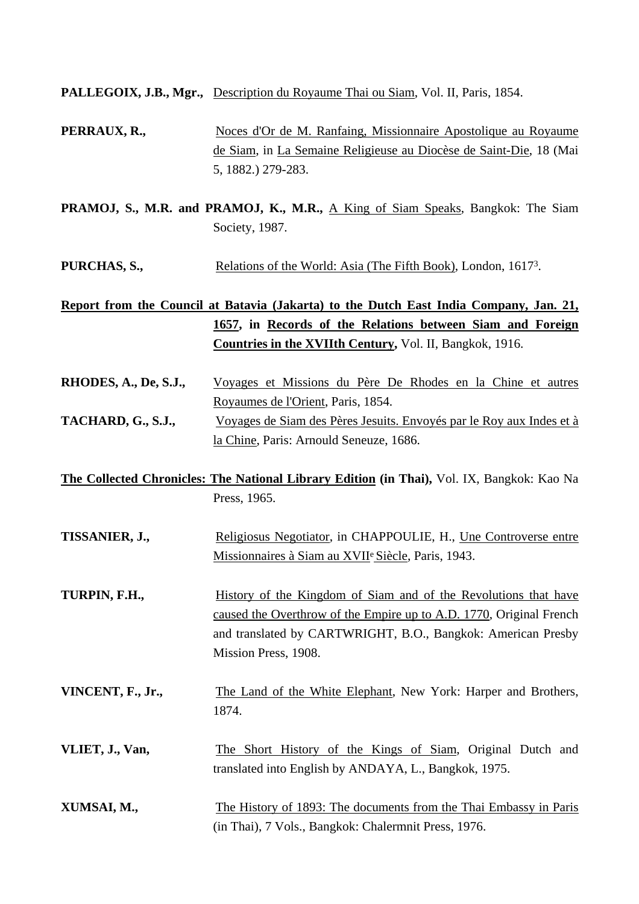**PALLEGOIX, J.B., Mgr.,** Description du Royaume Thai ou Siam, Vol. II, Paris, 1854.

- **PERRAUX, R.,** Noces d'Or de M. Ranfaing, Missionnaire Apostolique au Royaume de Siam, in La Semaine Religieuse au Diocèse de Saint-Die, 18 (Mai 5, 1882.) 279-283.
- **PRAMOJ, S., M.R. and PRAMOJ, K., M.R.,** A King of Siam Speaks, Bangkok: The Siam Society, 1987.
- **PURCHAS, S.,** Relations of the World: Asia (The Fifth Book), London, 1617<sup>3</sup>.

## **Report from the Council at Batavia (Jakarta) to the Dutch East India Company, Jan. 21, 1657, in Records of the Relations between Siam and Foreign Countries in the XVIIth Century,** Vol. II, Bangkok, 1916.

- **RHODES, A., De, S.J.,** Voyages et Missions du Père De Rhodes en la Chine et autres Royaumes de l'Orient, Paris, 1854. **TACHARD, G., S.J.,** Voyages de Siam des Pères Jesuits. Envoyés par le Roy aux Indes et à
	- la Chine, Paris: Arnould Seneuze, 1686.
- **The Collected Chronicles: The National Library Edition (in Thai),** Vol. IX, Bangkok: Kao Na Press, 1965.
- **TISSANIER, J.,** Religiosus Negotiator, in CHAPPOULIE, H., Une Controverse entre Missionnaires à Siam au XVIIe Siècle, Paris, 1943.
- **TURPIN, F.H.,** History of the Kingdom of Siam and of the Revolutions that have caused the Overthrow of the Empire up to A.D. 1770, Original French and translated by CARTWRIGHT, B.O., Bangkok: American Presby Mission Press, 1908.
- **VINCENT, F., Jr.,** The Land of the White Elephant, New York: Harper and Brothers, 1874.
- **VLIET, J., Van,** The Short History of the Kings of Siam, Original Dutch and translated into English by ANDAYA, L., Bangkok, 1975.
- **XUMSAI, M.,** The History of 1893: The documents from the Thai Embassy in Paris (in Thai), 7 Vols., Bangkok: Chalermnit Press, 1976.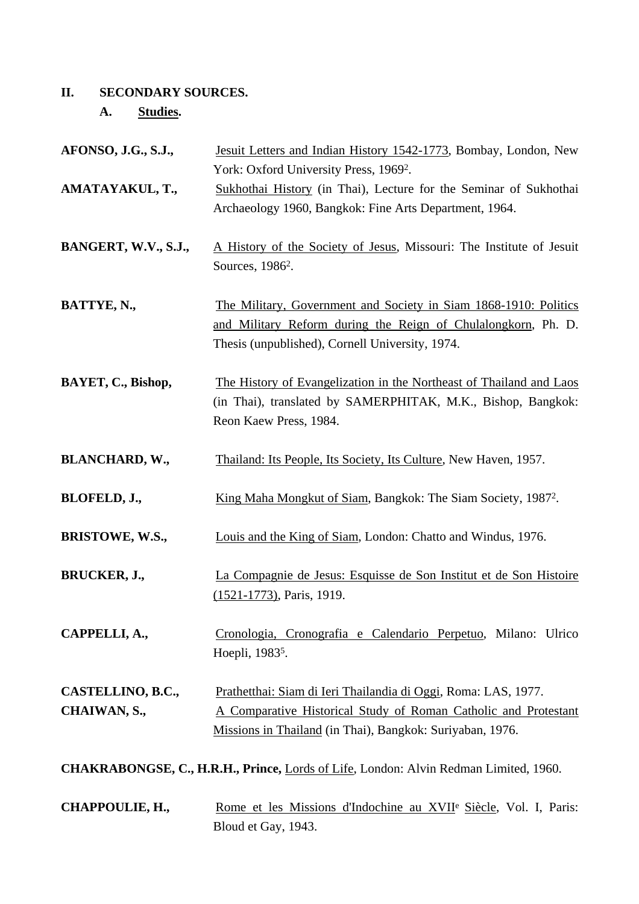## **II. SECONDARY SOURCES.**

 **A. Studies.** 

| AFONSO, J.G., S.J.,    | Jesuit Letters and Indian History 1542-1773, Bombay, London, New                     |
|------------------------|--------------------------------------------------------------------------------------|
|                        | York: Oxford University Press, 1969 <sup>2</sup> .                                   |
| AMATAYAKUL, T.,        | Sukhothai History (in Thai), Lecture for the Seminar of Sukhothai                    |
|                        | Archaeology 1960, Bangkok: Fine Arts Department, 1964.                               |
|                        |                                                                                      |
| BANGERT, W.V., S.J.,   | A History of the Society of Jesus, Missouri: The Institute of Jesuit                 |
|                        | Sources, 1986 <sup>2</sup> .                                                         |
|                        |                                                                                      |
| BATTYE, N.,            | The Military, Government and Society in Siam 1868-1910: Politics                     |
|                        | and Military Reform during the Reign of Chulalongkorn, Ph. D.                        |
|                        | Thesis (unpublished), Cornell University, 1974.                                      |
|                        |                                                                                      |
| BAYET, C., Bishop,     | The History of Evangelization in the Northeast of Thailand and Laos                  |
|                        | (in Thai), translated by SAMERPHITAK, M.K., Bishop, Bangkok:                         |
|                        | Reon Kaew Press, 1984.                                                               |
|                        |                                                                                      |
| <b>BLANCHARD, W.,</b>  | Thailand: Its People, Its Society, Its Culture, New Haven, 1957.                     |
|                        |                                                                                      |
| BLOFELD, J.,           | King Maha Mongkut of Siam, Bangkok: The Siam Society, 1987 <sup>2</sup> .            |
|                        |                                                                                      |
| <b>BRISTOWE, W.S.,</b> | Louis and the King of Siam, London: Chatto and Windus, 1976.                         |
|                        |                                                                                      |
| BRUCKER, J.,           | La Compagnie de Jesus: Esquisse de Son Institut et de Son Histoire                   |
|                        | $(1521-1773)$ , Paris, 1919.                                                         |
|                        |                                                                                      |
| CAPPELLI, A.,          | Cronologia, Cronografia e Calendario Perpetuo, Milano: Ulrico                        |
|                        | Hoepli, 1983 <sup>5</sup> .                                                          |
|                        |                                                                                      |
| CASTELLINO, B.C.,      | Prathetthai: Siam di Ieri Thailandia di Oggi, Roma: LAS, 1977.                       |
| CHAIWAN, S.,           | A Comparative Historical Study of Roman Catholic and Protestant                      |
|                        | Missions in Thailand (in Thai), Bangkok: Suriyaban, 1976.                            |
|                        |                                                                                      |
|                        | CHAKRABONGSE, C., H.R.H., Prince, Lords of Life, London: Alvin Redman Limited, 1960. |
|                        |                                                                                      |
| CHAPPOULIE, H.,        | Rome et les Missions d'Indochine au XVII <sup>e</sup> Siècle, Vol. I, Paris:         |
|                        | Bloud et Gay, 1943.                                                                  |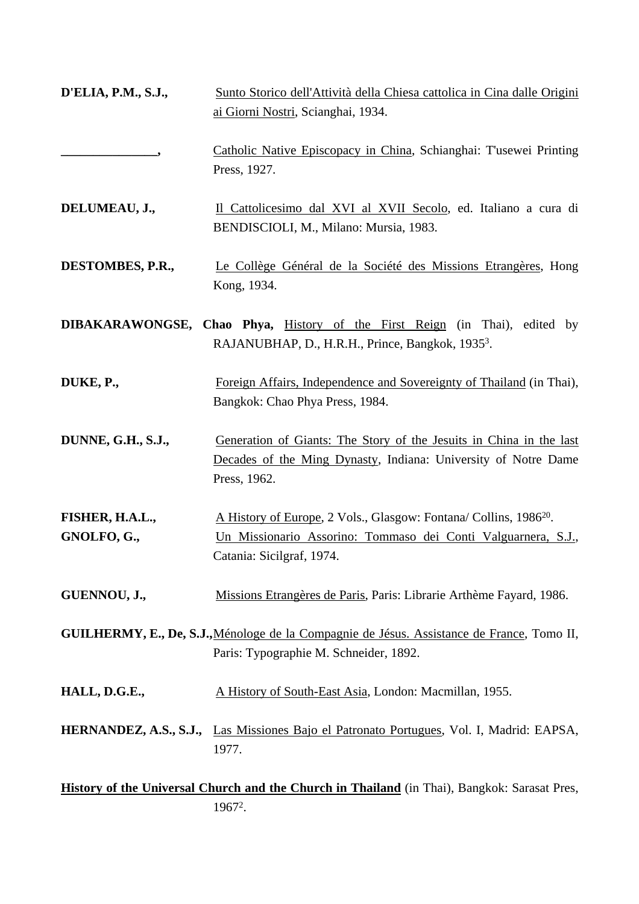| <b>D'ELIA, P.M., S.J.,</b>     | Sunto Storico dell'Attività della Chiesa cattolica in Cina dalle Origini<br>ai Giorni Nostri, Scianghai, 1934.                                                              |  |
|--------------------------------|-----------------------------------------------------------------------------------------------------------------------------------------------------------------------------|--|
|                                | Catholic Native Episcopacy in China, Schianghai: T'usewei Printing<br>Press, 1927.                                                                                          |  |
| DELUMEAU, J.,                  | Il Cattolicesimo dal XVI al XVII Secolo, ed. Italiano a cura di<br>BENDISCIOLI, M., Milano: Mursia, 1983.                                                                   |  |
| DESTOMBES, P.R.,               | Le Collège Général de la Société des Missions Etrangères, Hong<br>Kong, 1934.                                                                                               |  |
|                                | <b>DIBAKARAWONGSE, Chao Phya, History of the First Reign (in Thai), edited by</b><br>RAJANUBHAP, D., H.R.H., Prince, Bangkok, 1935 <sup>3</sup> .                           |  |
| DUKE, P.,                      | Foreign Affairs, Independence and Sovereignty of Thailand (in Thai),<br>Bangkok: Chao Phya Press, 1984.                                                                     |  |
| DUNNE, G.H., S.J.,             | Generation of Giants: The Story of the Jesuits in China in the last<br>Decades of the Ming Dynasty, Indiana: University of Notre Dame<br>Press, 1962.                       |  |
| FISHER, H.A.L.,<br>GNOLFO, G., | A History of Europe, 2 Vols., Glasgow: Fontana/ Collins, 1986 <sup>20</sup> .<br>Un Missionario Assorino: Tommaso dei Conti Valguarnera, S.J.,<br>Catania: Sicilgraf, 1974. |  |
| GUENNOU, J.,                   | Missions Etrangères de Paris, Paris: Librarie Arthème Fayard, 1986.                                                                                                         |  |
|                                | GUILHERMY, E., De, S.J., Ménologe de la Compagnie de Jésus. Assistance de France, Tomo II,<br>Paris: Typographie M. Schneider, 1892.                                        |  |
| HALL, D.G.E.,                  | A History of South-East Asia, London: Macmillan, 1955.                                                                                                                      |  |
|                                | HERNANDEZ, A.S., S.J., Las Missiones Bajo el Patronato Portugues, Vol. I, Madrid: EAPSA,<br>1977.                                                                           |  |
|                                | History of the Universal Church and the Church in Thailand (in Thai), Bangkok: Sarasat Pres,                                                                                |  |

19672.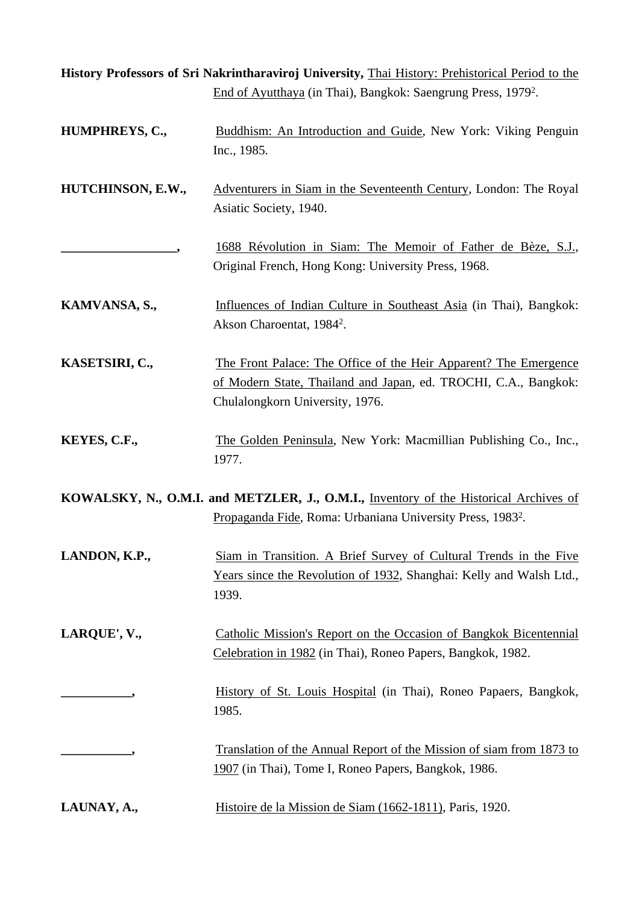|                   | History Professors of Sri Nakrintharaviroj University, Thai History: Prehistorical Period to the                                                                       |
|-------------------|------------------------------------------------------------------------------------------------------------------------------------------------------------------------|
|                   | End of Ayutthaya (in Thai), Bangkok: Saengrung Press, 1979 <sup>2</sup> .                                                                                              |
| HUMPHREYS, C.,    | Buddhism: An Introduction and Guide, New York: Viking Penguin<br>Inc., 1985.                                                                                           |
| HUTCHINSON, E.W., | Adventurers in Siam in the Seventeenth Century, London: The Royal<br>Asiatic Society, 1940.                                                                            |
|                   | 1688 Révolution in Siam: The Memoir of Father de Bèze, S.J.,<br>Original French, Hong Kong: University Press, 1968.                                                    |
| KAMVANSA, S.,     | Influences of Indian Culture in Southeast Asia (in Thai), Bangkok:<br>Akson Charoentat, 1984 <sup>2</sup> .                                                            |
| KASETSIRI, C.,    | The Front Palace: The Office of the Heir Apparent? The Emergence<br>of Modern State, Thailand and Japan, ed. TROCHI, C.A., Bangkok:<br>Chulalongkorn University, 1976. |
| KEYES, C.F.,      | The Golden Peninsula, New York: Macmillian Publishing Co., Inc.,<br>1977.                                                                                              |
|                   | KOWALSKY, N., O.M.I. and METZLER, J., O.M.I., Inventory of the Historical Archives of<br>Propaganda Fide, Roma: Urbaniana University Press, 1983 <sup>2</sup> .        |
| LANDON, K.P.,     | Siam in Transition. A Brief Survey of Cultural Trends in the Five<br>Years since the Revolution of 1932, Shanghai: Kelly and Walsh Ltd.,<br>1939.                      |
| LARQUE', V.,      | Catholic Mission's Report on the Occasion of Bangkok Bicentennial<br>Celebration in 1982 (in Thai), Roneo Papers, Bangkok, 1982.                                       |
|                   | History of St. Louis Hospital (in Thai), Roneo Papaers, Bangkok,<br>1985.                                                                                              |
|                   | Translation of the Annual Report of the Mission of siam from 1873 to<br>1907 (in Thai), Tome I, Roneo Papers, Bangkok, 1986.                                           |
| LAUNAY, A.,       | Histoire de la Mission de Siam (1662-1811), Paris, 1920.                                                                                                               |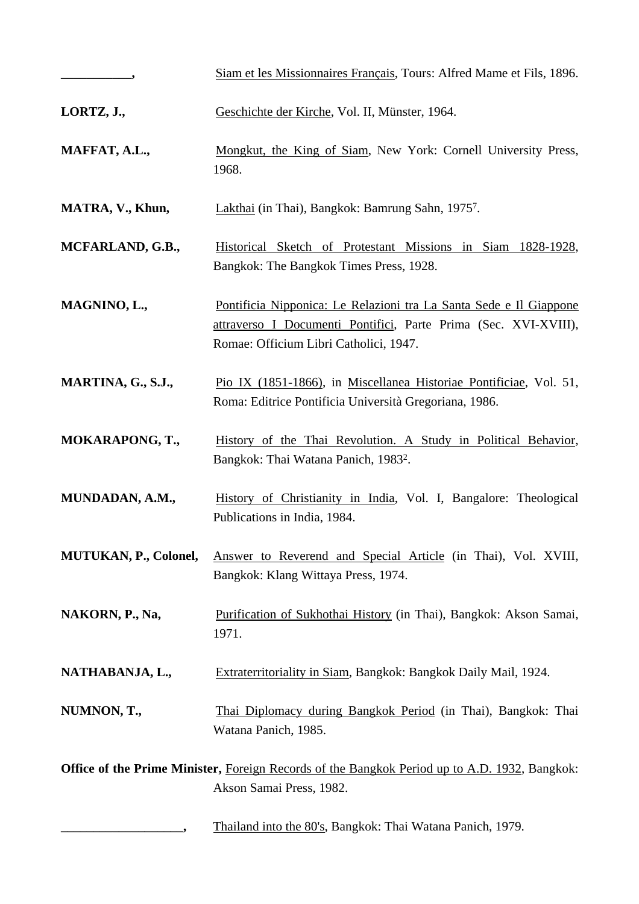| $\overline{\phantom{a}}$ | Siam et les Missionnaires Français, Tours: Alfred Mame et Fils, 1896.                                                                                                           |
|--------------------------|---------------------------------------------------------------------------------------------------------------------------------------------------------------------------------|
| LORTZ, J.,               | Geschichte der Kirche, Vol. II, Münster, 1964.                                                                                                                                  |
| MAFFAT, A.L.,            | Mongkut, the King of Siam, New York: Cornell University Press,<br>1968.                                                                                                         |
| MATRA, V., Khun,         | Lakthai (in Thai), Bangkok: Bamrung Sahn, 1975 <sup>7</sup> .                                                                                                                   |
| MCFARLAND, G.B.,         | Historical Sketch of Protestant Missions in Siam 1828-1928,<br>Bangkok: The Bangkok Times Press, 1928.                                                                          |
| MAGNINO, L.,             | Pontificia Nipponica: Le Relazioni tra La Santa Sede e Il Giappone<br>attraverso I Documenti Pontifici, Parte Prima (Sec. XVI-XVIII),<br>Romae: Officium Libri Catholici, 1947. |
| MARTINA, G., S.J.,       | Pio IX (1851-1866), in Miscellanea Historiae Pontificiae, Vol. 51,<br>Roma: Editrice Pontificia Università Gregoriana, 1986.                                                    |
| <b>MOKARAPONG, T.,</b>   | History of the Thai Revolution. A Study in Political Behavior,<br>Bangkok: Thai Watana Panich, 1983 <sup>2</sup> .                                                              |
| MUNDADAN, A.M.,          | History of Christianity in India, Vol. I, Bangalore: Theological<br>Publications in India, 1984.                                                                                |
| MUTUKAN, P., Colonel,    | Answer to Reverend and Special Article (in Thai), Vol. XVIII,<br>Bangkok: Klang Wittaya Press, 1974.                                                                            |
| NAKORN, P., Na,          | Purification of Sukhothai History (in Thai), Bangkok: Akson Samai,<br>1971.                                                                                                     |
| NATHABANJA, L.,          | Extraterritoriality in Siam, Bangkok: Bangkok Daily Mail, 1924.                                                                                                                 |
| NUMNON, T.,              | Thai Diplomacy during Bangkok Period (in Thai), Bangkok: Thai<br>Watana Panich, 1985.                                                                                           |
|                          | Office of the Prime Minister, Foreign Records of the Bangkok Period up to A.D. 1932, Bangkok:<br>Akson Samai Press, 1982.                                                       |
|                          | Thailand into the 80's, Bangkok: Thai Watana Panich, 1979.                                                                                                                      |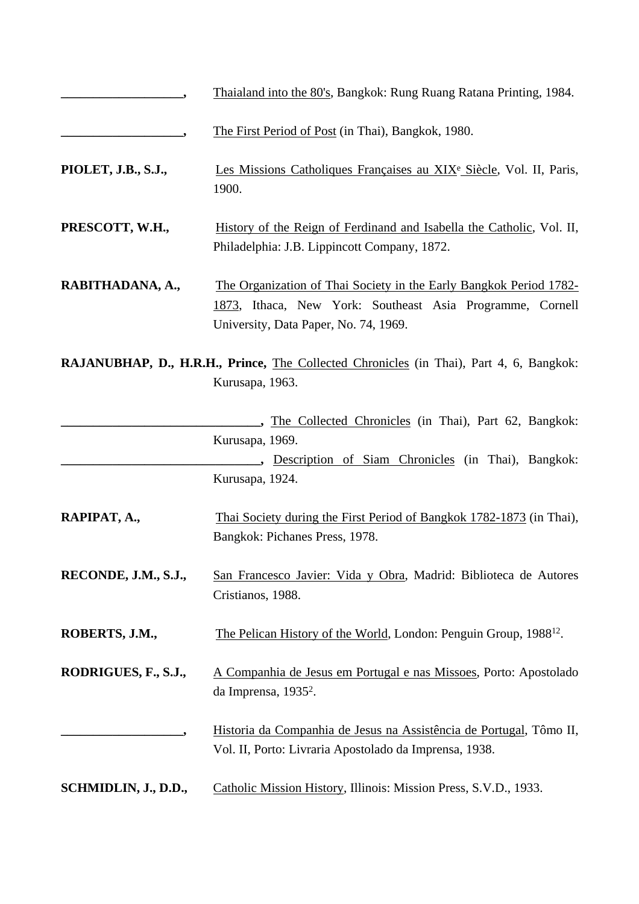|                      | Thaialand into the 80's, Bangkok: Rung Ruang Ratana Printing, 1984.                                                                                                      |
|----------------------|--------------------------------------------------------------------------------------------------------------------------------------------------------------------------|
|                      | The First Period of Post (in Thai), Bangkok, 1980.                                                                                                                       |
| PIOLET, J.B., S.J.,  | Les Missions Catholiques Françaises au XIX <sup>e</sup> Siècle, Vol. II, Paris,<br>1900.                                                                                 |
| PRESCOTT, W.H.,      | History of the Reign of Ferdinand and Isabella the Catholic, Vol. II,<br>Philadelphia: J.B. Lippincott Company, 1872.                                                    |
| RABITHADANA, A.,     | The Organization of Thai Society in the Early Bangkok Period 1782-<br>1873, Ithaca, New York: Southeast Asia Programme, Cornell<br>University, Data Paper, No. 74, 1969. |
|                      | RAJANUBHAP, D., H.R.H., Prince, The Collected Chronicles (in Thai), Part 4, 6, Bangkok:<br>Kurusapa, 1963.                                                               |
|                      | , The Collected Chronicles (in Thai), Part 62, Bangkok:<br>Kurusapa, 1969.<br>., Description of Siam Chronicles (in Thai), Bangkok:<br>Kurusapa, 1924.                   |
| RAPIPAT, A.,         | Thai Society during the First Period of Bangkok 1782-1873 (in Thai),<br>Bangkok: Pichanes Press, 1978.                                                                   |
| RECONDE, J.M., S.J., | San Francesco Javier: Vida y Obra, Madrid: Biblioteca de Autores<br>Cristianos, 1988.                                                                                    |
| ROBERTS, J.M.,       | The Pelican History of the World, London: Penguin Group, 1988 <sup>12</sup> .                                                                                            |
| RODRIGUES, F., S.J., | A Companhia de Jesus em Portugal e nas Missoes, Porto: Apostolado<br>da Imprensa, 1935 <sup>2</sup> .                                                                    |
|                      | Historia da Companhia de Jesus na Assistência de Portugal, Tômo II,<br>Vol. II, Porto: Livraria Apostolado da Imprensa, 1938.                                            |
| SCHMIDLIN, J., D.D., | Catholic Mission History, Illinois: Mission Press, S.V.D., 1933.                                                                                                         |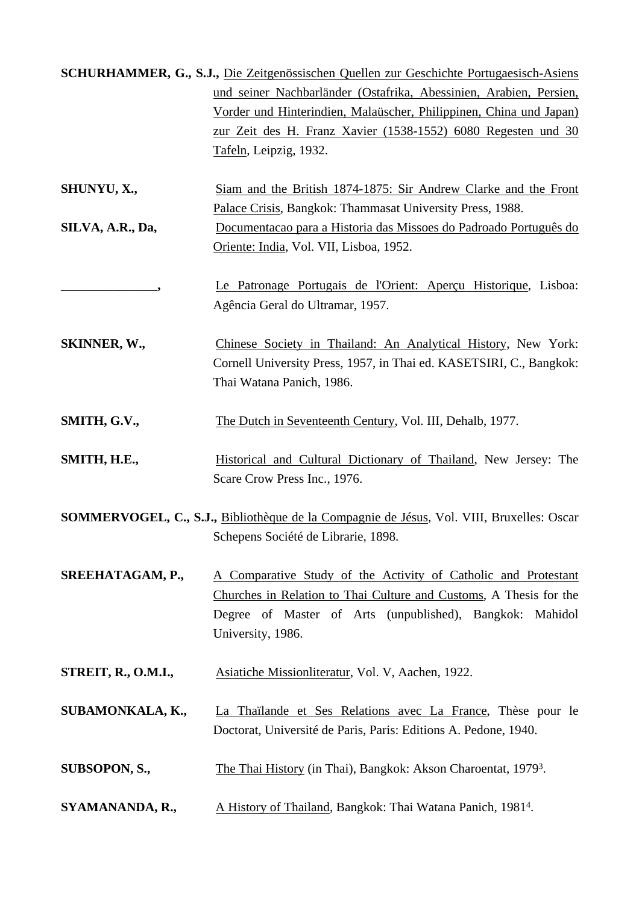|                     | SCHURHAMMER, G., S.J., Die Zeitgenössischen Quellen zur Geschichte Portugaesisch-Asiens   |  |  |  |  |
|---------------------|-------------------------------------------------------------------------------------------|--|--|--|--|
|                     | und seiner Nachbarländer (Ostafrika, Abessinien, Arabien, Persien,                        |  |  |  |  |
|                     | Vorder und Hinterindien, Malaüscher, Philippinen, China und Japan)                        |  |  |  |  |
|                     | zur Zeit des H. Franz Xavier (1538-1552) 6080 Regesten und 30                             |  |  |  |  |
|                     | Tafeln, Leipzig, 1932.                                                                    |  |  |  |  |
|                     |                                                                                           |  |  |  |  |
| SHUNYU, X.,         | Siam and the British 1874-1875: Sir Andrew Clarke and the Front                           |  |  |  |  |
|                     | Palace Crisis, Bangkok: Thammasat University Press, 1988.                                 |  |  |  |  |
| SILVA, A.R., Da,    | Documentacao para a Historia das Missoes do Padroado Português do                         |  |  |  |  |
|                     | Oriente: India, Vol. VII, Lisboa, 1952.                                                   |  |  |  |  |
|                     |                                                                                           |  |  |  |  |
|                     | Le Patronage Portugais de l'Orient: Aperçu Historique, Lisboa:                            |  |  |  |  |
|                     | Agência Geral do Ultramar, 1957.                                                          |  |  |  |  |
|                     |                                                                                           |  |  |  |  |
| SKINNER, W.,        | Chinese Society in Thailand: An Analytical History, New York:                             |  |  |  |  |
|                     | Cornell University Press, 1957, in Thai ed. KASETSIRI, C., Bangkok:                       |  |  |  |  |
|                     | Thai Watana Panich, 1986.                                                                 |  |  |  |  |
|                     |                                                                                           |  |  |  |  |
| SMITH, G.V.,        | The Dutch in Seventeenth Century, Vol. III, Dehalb, 1977.                                 |  |  |  |  |
|                     |                                                                                           |  |  |  |  |
| SMITH, H.E.,        | Historical and Cultural Dictionary of Thailand, New Jersey: The                           |  |  |  |  |
|                     | Scare Crow Press Inc., 1976.                                                              |  |  |  |  |
|                     |                                                                                           |  |  |  |  |
|                     | SOMMERVOGEL, C., S.J., Bibliothèque de la Compagnie de Jésus, Vol. VIII, Bruxelles: Oscar |  |  |  |  |
|                     | Schepens Société de Librarie, 1898.                                                       |  |  |  |  |
|                     |                                                                                           |  |  |  |  |
| SREEHATAGAM, P.,    | A Comparative Study of the Activity of Catholic and Protestant                            |  |  |  |  |
|                     | Churches in Relation to Thai Culture and Customs, A Thesis for the                        |  |  |  |  |
|                     | Degree of Master of Arts (unpublished), Bangkok: Mahidol                                  |  |  |  |  |
|                     | University, 1986.                                                                         |  |  |  |  |
|                     |                                                                                           |  |  |  |  |
| STREIT, R., O.M.I., | Asiatiche Missionliteratur, Vol. V, Aachen, 1922.                                         |  |  |  |  |
|                     |                                                                                           |  |  |  |  |
| SUBAMONKALA, K.,    | La Thaïlande et Ses Relations avec La France, Thèse pour le                               |  |  |  |  |
|                     | Doctorat, Université de Paris, Paris: Editions A. Pedone, 1940.                           |  |  |  |  |
|                     |                                                                                           |  |  |  |  |
| SUBSOPON, S.,       | The Thai History (in Thai), Bangkok: Akson Charoentat, 1979 <sup>3</sup> .                |  |  |  |  |
|                     |                                                                                           |  |  |  |  |
|                     |                                                                                           |  |  |  |  |
| SYAMANANDA, R.,     | A History of Thailand, Bangkok: Thai Watana Panich, 1981 <sup>4</sup> .                   |  |  |  |  |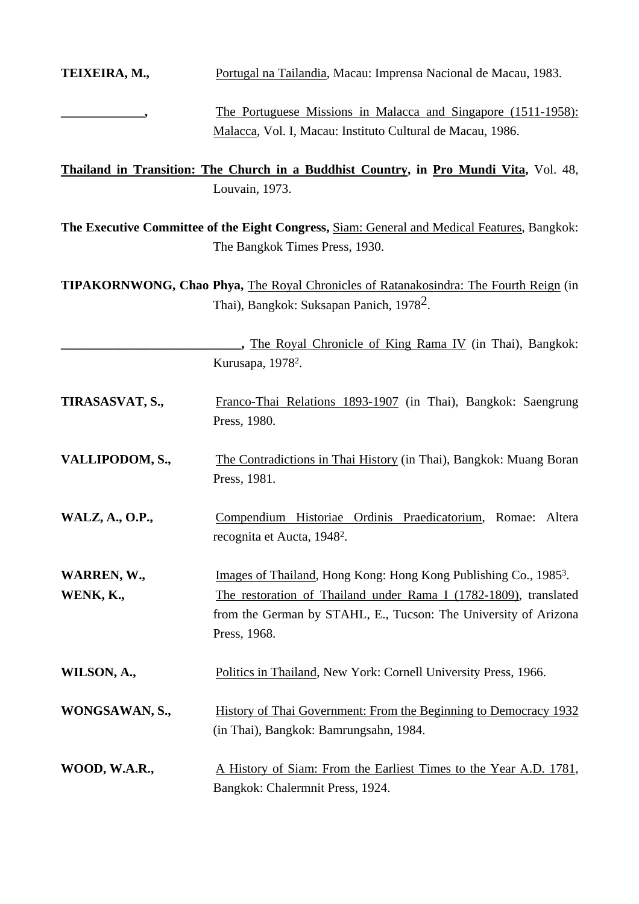| TEIXEIRA, M.,            | Portugal na Tailandia, Macau: Imprensa Nacional de Macau, 1983.                                                                                                                                                                     |  |  |  |
|--------------------------|-------------------------------------------------------------------------------------------------------------------------------------------------------------------------------------------------------------------------------------|--|--|--|
|                          | <u>The Portuguese Missions in Malacca and Singapore (1511-1958):</u><br>Malacca, Vol. I, Macau: Instituto Cultural de Macau, 1986.                                                                                                  |  |  |  |
|                          | <b>Thailand in Transition: The Church in a Buddhist Country, in Pro Mundi Vita, Vol. 48,</b><br>Louvain, 1973.                                                                                                                      |  |  |  |
|                          | The Executive Committee of the Eight Congress, Siam: General and Medical Features, Bangkok:<br>The Bangkok Times Press, 1930.                                                                                                       |  |  |  |
|                          | <b>TIPAKORNWONG, Chao Phya, The Royal Chronicles of Ratanakosindra: The Fourth Reign (in</b><br>Thai), Bangkok: Suksapan Panich, 1978 <sup>2</sup> .                                                                                |  |  |  |
|                          | , The Royal Chronicle of King Rama IV (in Thai), Bangkok:<br>Kurusapa, 1978 <sup>2</sup> .                                                                                                                                          |  |  |  |
| TIRASASVAT, S.,          | Franco-Thai Relations 1893-1907 (in Thai), Bangkok: Saengrung<br>Press, 1980.                                                                                                                                                       |  |  |  |
| VALLIPODOM, S.,          | The Contradictions in Thai History (in Thai), Bangkok: Muang Boran<br>Press, 1981.                                                                                                                                                  |  |  |  |
| WALZ, A., O.P.,          | Compendium Historiae Ordinis Praedicatorium, Romae: Altera<br>recognita et Aucta, 1948 <sup>2</sup> .                                                                                                                               |  |  |  |
| WARREN, W.,<br>WENK, K., | Images of Thailand, Hong Kong: Hong Kong Publishing Co., 1985 <sup>3</sup> .<br>The restoration of Thailand under Rama I (1782-1809), translated<br>from the German by STAHL, E., Tucson: The University of Arizona<br>Press, 1968. |  |  |  |
| WILSON, A.,              | Politics in Thailand, New York: Cornell University Press, 1966.                                                                                                                                                                     |  |  |  |
| WONGSAWAN, S.,           | History of Thai Government: From the Beginning to Democracy 1932<br>(in Thai), Bangkok: Bamrungsahn, 1984.                                                                                                                          |  |  |  |
| WOOD, W.A.R.,            | A History of Siam: From the Earliest Times to the Year A.D. 1781,<br>Bangkok: Chalermnit Press, 1924.                                                                                                                               |  |  |  |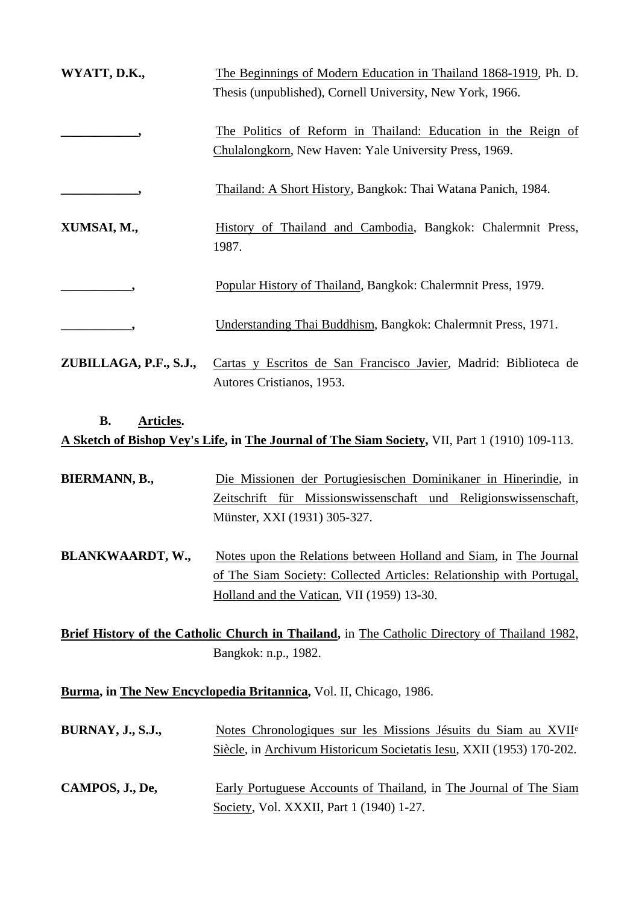| WYATT, D.K.,           | The Beginnings of Modern Education in Thailand 1868-1919, Ph. D.<br>Thesis (unpublished), Cornell University, New York, 1966. |
|------------------------|-------------------------------------------------------------------------------------------------------------------------------|
|                        | The Politics of Reform in Thailand: Education in the Reign of<br>Chulalongkorn, New Haven: Yale University Press, 1969.       |
|                        | Thailand: A Short History, Bangkok: Thai Watana Panich, 1984.                                                                 |
| XUMSAI, M.,            | History of Thailand and Cambodia, Bangkok: Chalermnit Press,<br>1987.                                                         |
|                        | Popular History of Thailand, Bangkok: Chalermnit Press, 1979.                                                                 |
|                        | Understanding Thai Buddhism, Bangkok: Chalermnit Press, 1971.                                                                 |
| ZUBILLAGA, P.F., S.J., | Cartas y Escritos de San Francisco Javier, Madrid: Biblioteca de<br>Autores Cristianos, 1953.                                 |

## **B. Articles. A Sketch of Bishop Vey's Life, in The Journal of The Siam Society,** VII, Part 1 (1910) 109-113.

| BIERMANN, B., |  |                              | Die Missionen der Portugiesischen Dominikaner in Hinerindie, in |
|---------------|--|------------------------------|-----------------------------------------------------------------|
|               |  |                              | Zeitschrift für Missionswissenschaft und Religionswissenschaft, |
|               |  | Münster, XXI (1931) 305-327. |                                                                 |

**BLANKWAARDT, W.,** Notes upon the Relations between Holland and Siam, in The Journal of The Siam Society: Collected Articles: Relationship with Portugal, Holland and the Vatican, VII (1959) 13-30.

**Brief History of the Catholic Church in Thailand,** in The Catholic Directory of Thailand 1982, Bangkok: n.p., 1982.

**Burma, in The New Encyclopedia Britannica,** Vol. II, Chicago, 1986.

| <b>BURNAY, J., S.J.,</b> | Notes Chronologiques sur les Missions Jésuits du Siam au XVII <sup>e</sup>                                    |
|--------------------------|---------------------------------------------------------------------------------------------------------------|
|                          | Siècle, in Archivum Historicum Societatis Iesu, XXII (1953) 170-202.                                          |
| CAMPOS, J., De,          | Early Portuguese Accounts of Thailand, in The Journal of The Siam<br>Society, Vol. XXXII, Part 1 (1940) 1-27. |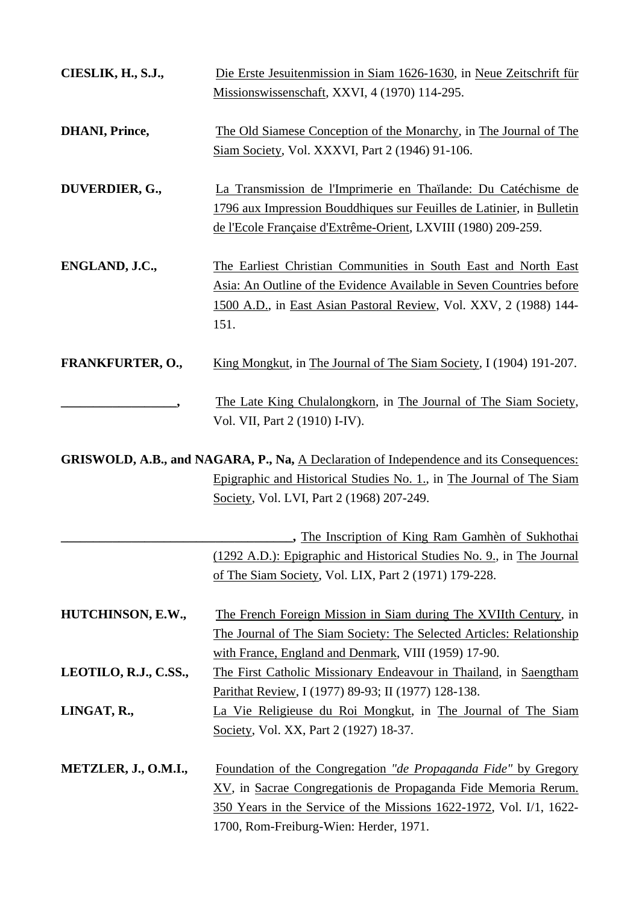| CIESLIK, H., S.J.,      | Die Erste Jesuitenmission in Siam 1626-1630, in Neue Zeitschrift für<br>Missionswissenschaft, XXVI, 4 (1970) 114-295.                                                                                                                                            |  |  |  |
|-------------------------|------------------------------------------------------------------------------------------------------------------------------------------------------------------------------------------------------------------------------------------------------------------|--|--|--|
| <b>DHANI</b> , Prince,  | The Old Siamese Conception of the Monarchy, in The Journal of The<br>Siam Society, Vol. XXXVI, Part 2 (1946) 91-106.                                                                                                                                             |  |  |  |
| DUVERDIER, G.,          | La Transmission de l'Imprimerie en Thaïlande: Du Catéchisme de<br>1796 aux Impression Bouddhiques sur Feuilles de Latinier, in Bulletin<br>de l'Ecole Française d'Extrême-Orient, LXVIII (1980) 209-259.                                                         |  |  |  |
| ENGLAND, J.C.,          | The Earliest Christian Communities in South East and North East<br>Asia: An Outline of the Evidence Available in Seven Countries before<br>1500 A.D., in East Asian Pastoral Review, Vol. XXV, 2 (1988) 144-<br>151.                                             |  |  |  |
| <b>FRANKFURTER, O.,</b> | King Mongkut, in The Journal of The Siam Society, I (1904) 191-207.                                                                                                                                                                                              |  |  |  |
|                         | The Late King Chulalongkorn, in The Journal of The Siam Society,<br>Vol. VII, Part 2 (1910) I-IV).                                                                                                                                                               |  |  |  |
|                         | GRISWOLD, A.B., and NAGARA, P., Na, A Declaration of Independence and its Consequences:                                                                                                                                                                          |  |  |  |
|                         | Epigraphic and Historical Studies No. 1., in The Journal of The Siam<br>Society, Vol. LVI, Part 2 (1968) 207-249.                                                                                                                                                |  |  |  |
|                         | " The Inscription of King Ram Gamhèn of Sukhothai                                                                                                                                                                                                                |  |  |  |
|                         | (1292 A.D.): Epigraphic and Historical Studies No. 9., in The Journal<br>of The Siam Society, Vol. LIX, Part 2 (1971) 179-228.                                                                                                                                   |  |  |  |
| HUTCHINSON, E.W.,       | The French Foreign Mission in Siam during The XVIIth Century, in<br>The Journal of The Siam Society: The Selected Articles: Relationship<br>with France, England and Denmark, VIII (1959) 17-90.                                                                 |  |  |  |
| LEOTILO, R.J., C.SS.,   | The First Catholic Missionary Endeavour in Thailand, in Saengtham                                                                                                                                                                                                |  |  |  |
|                         | Parithat Review, I (1977) 89-93; II (1977) 128-138.                                                                                                                                                                                                              |  |  |  |
| LINGAT, R.,             | La Vie Religieuse du Roi Mongkut, in The Journal of The Siam<br>Society, Vol. XX, Part 2 (1927) 18-37.                                                                                                                                                           |  |  |  |
| METZLER, J., O.M.I.,    | <u>Foundation of the Congregation "de Propaganda Fide" by Gregory</u><br><u>XV</u> , in Sacrae Congregationis de Propaganda Fide Memoria Rerum.<br>350 Years in the Service of the Missions 1622-1972, Vol. I/1, 1622-<br>1700, Rom-Freiburg-Wien: Herder, 1971. |  |  |  |